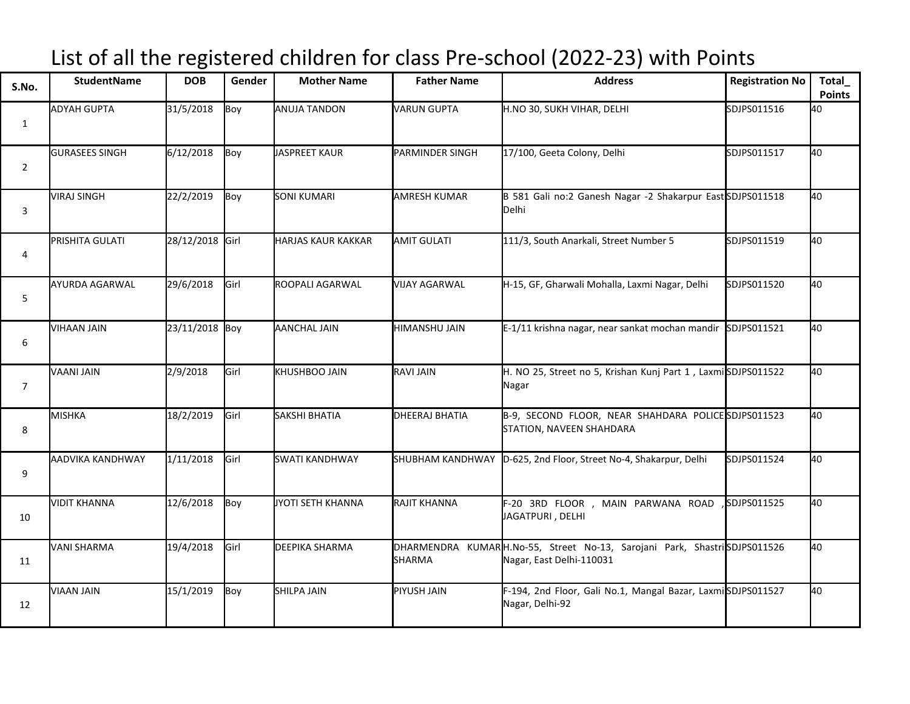## List of all the registered children for class Pre-school (2022-23) with Points

| S.No.          | StudentName             | <b>DOB</b>      | Gender | <b>Mother Name</b>        | <b>Father Name</b>   | <b>Address</b>                                                                                       | <b>Registration No</b> | Total<br><b>Points</b> |
|----------------|-------------------------|-----------------|--------|---------------------------|----------------------|------------------------------------------------------------------------------------------------------|------------------------|------------------------|
| $\mathbf{1}$   | <b>ADYAH GUPTA</b>      | 31/5/2018       | Boy    | <b>ANUJA TANDON</b>       | VARUN GUPTA          | H.NO 30, SUKH VIHAR, DELHI                                                                           | SDJPS011516            | 40                     |
| $\overline{2}$ | <b>GURASEES SINGH</b>   | 6/12/2018       | Boy    | JASPREET KAUR             | PARMINDER SINGH      | 17/100, Geeta Colony, Delhi                                                                          | SDJPS011517            | 40                     |
| 3              | VIRAJ SINGH             | 22/2/2019       | Boy    | <b>SONI KUMARI</b>        | <b>AMRESH KUMAR</b>  | B 581 Gali no:2 Ganesh Nagar -2 Shakarpur East SDJPS011518<br>Delhi                                  |                        | 40                     |
| 4              | PRISHITA GULATI         | 28/12/2018 Girl |        | <b>HARJAS KAUR KAKKAR</b> | <b>AMIT GULATI</b>   | 111/3, South Anarkali, Street Number 5                                                               | SDJPS011519            | 40                     |
| 5              | AYURDA AGARWAL          | 29/6/2018       | Girl   | <b>ROOPALI AGARWAL</b>    | <b>VIJAY AGARWAL</b> | H-15, GF, Gharwali Mohalla, Laxmi Nagar, Delhi                                                       | SDJPS011520            | 40                     |
| 6              | VIHAAN JAIN             | 23/11/2018 Boy  |        | <b>AANCHAL JAIN</b>       | HIMANSHU JAIN        | E-1/11 krishna nagar, near sankat mochan mandir                                                      | SDJPS011521            | 40                     |
| $\overline{7}$ | VAANI JAIN              | 2/9/2018        | Girl   | <b>KHUSHBOO JAIN</b>      | <b>RAVI JAIN</b>     | H. NO 25, Street no 5, Krishan Kunj Part 1, LaxmiSDJPS011522<br>Nagar                                |                        | 40                     |
| 8              | MISHKA                  | 18/2/2019       | Girl   | <b>SAKSHI BHATIA</b>      | DHEERAJ BHATIA       | B-9, SECOND FLOOR, NEAR SHAHDARA POLICESDJPS011523<br>STATION, NAVEEN SHAHDARA                       |                        | 40                     |
| 9              | <b>AADVIKA KANDHWAY</b> | 1/11/2018       | Girl   | <b>SWATI KANDHWAY</b>     | SHUBHAM KANDHWAY     | D-625, 2nd Floor, Street No-4, Shakarpur, Delhi                                                      | SDJPS011524            | 40                     |
| 10             | VIDIT KHANNA            | 12/6/2018       | Boy    | JYOTI SETH KHANNA         | RAJIT KHANNA         | F-20 3RD FLOOR , MAIN PARWANA ROAD<br>JAGATPURI, DELHI                                               | SDJPS011525            | 40                     |
| 11             | VANI SHARMA             | 19/4/2018       | Girl   | <b>DEEPIKA SHARMA</b>     | <b>SHARMA</b>        | DHARMENDRA KUMARH.No-55, Street No-13, Sarojani Park, ShastriSDJPS011526<br>Nagar, East Delhi-110031 |                        | 40                     |
| 12             | VIAAN JAIN              | 15/1/2019       | Boy    | SHILPA JAIN               | PIYUSH JAIN          | F-194, 2nd Floor, Gali No.1, Mangal Bazar, LaxmiSDJPS011527<br>Nagar, Delhi-92                       |                        | 40                     |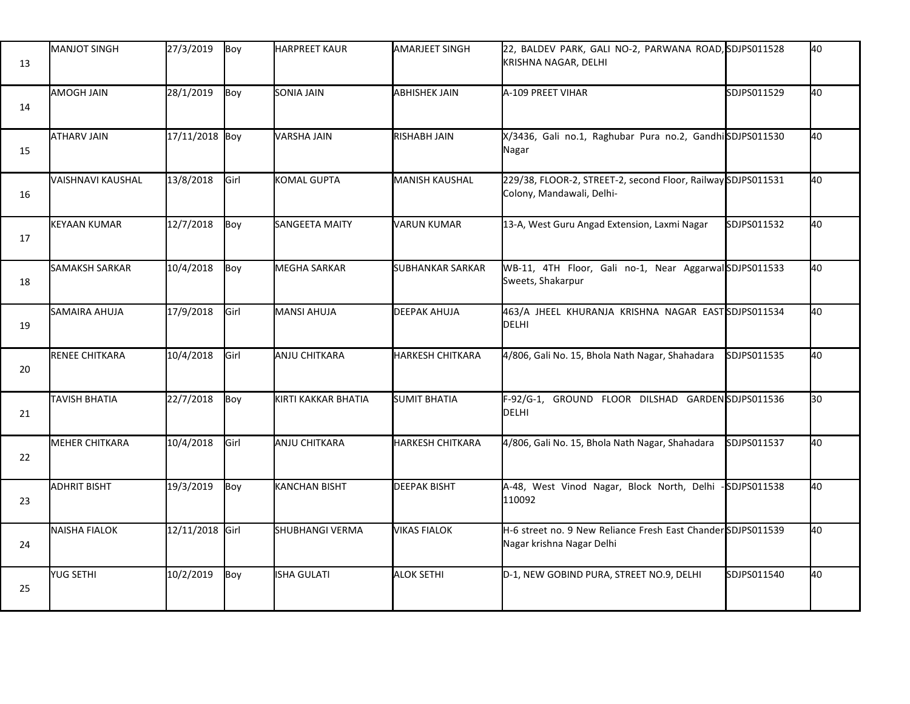| 13 | <b>MANJOT SINGH</b>   | 27/3/2019       | Boy  | HARPREET KAUR            | <b>AMARJEET SINGH</b>   | 22, BALDEV PARK, GALI NO-2, PARWANA ROAD, SDJPS011528<br>KRISHNA NAGAR, DELHI             |              | 40 |
|----|-----------------------|-----------------|------|--------------------------|-------------------------|-------------------------------------------------------------------------------------------|--------------|----|
| 14 | AMOGH JAIN            | 28/1/2019       | Boy  | <b>SONIA JAIN</b>        | <b>ABHISHEK JAIN</b>    | A-109 PREET VIHAR                                                                         | SDJPS011529  | 40 |
| 15 | <b>ATHARV JAIN</b>    | 17/11/2018 Boy  |      | <b>VARSHA JAIN</b>       | <b>RISHABH JAIN</b>     | X/3436, Gali no.1, Raghubar Pura no.2, GandhiSDJPS011530<br>Nagar                         |              | 40 |
| 16 | VAISHNAVI KAUSHAL     | 13/8/2018       | Girl | KOMAL GUPTA              | <b>MANISH KAUSHAL</b>   | 229/38, FLOOR-2, STREET-2, second Floor, Railway SDJPS011531<br>Colony, Mandawali, Delhi- |              | 40 |
| 17 | <b>KEYAAN KUMAR</b>   | 12/7/2018       | Boy  | SANGEETA MAITY           | <b>VARUN KUMAR</b>      | 13-A, West Guru Angad Extension, Laxmi Nagar                                              | SDJPS011532  | 40 |
| 18 | <b>SAMAKSH SARKAR</b> | 10/4/2018       | Boy  | <b>MEGHA SARKAR</b>      | <b>SUBHANKAR SARKAR</b> | WB-11, 4TH Floor, Gali no-1, Near AggarwalSDJPS011533<br>Sweets, Shakarpur                |              | 40 |
| 19 | <b>SAMAIRA AHUJA</b>  | 17/9/2018       | Girl | MANSI AHUJA              | <b>DEEPAK AHUJA</b>     | 463/A JHEEL KHURANJA KRISHNA NAGAR EASTSDJPS011534<br>DELHI                               |              | 40 |
| 20 | <b>RENEE CHITKARA</b> | 10/4/2018       | Girl | ANJU CHITKARA            | <b>HARKESH CHITKARA</b> | 4/806, Gali No. 15, Bhola Nath Nagar, Shahadara                                           | SDJPS011535  | 40 |
| 21 | <b>TAVISH BHATIA</b>  | 22/7/2018       | Boy  | KIRTI KAKKAR BHATIA      | <b>SUMIT BHATIA</b>     | F-92/G-1, GROUND FLOOR DILSHAD GARDENSDJPS011536<br><b>DELHI</b>                          |              | 30 |
| 22 | <b>MEHER CHITKARA</b> | 10/4/2018       | Girl | ANJU CHITKARA            | <b>HARKESH CHITKARA</b> | 4/806, Gali No. 15, Bhola Nath Nagar, Shahadara                                           | SDJPS011537  | 40 |
| 23 | <b>ADHRIT BISHT</b>   | 19/3/2019       | Boy  | <b>KANCHAN BISHT</b>     | <b>DEEPAK BISHT</b>     | A-48, West Vinod Nagar, Block North, Delhi<br>110092                                      | -SDJPS011538 | 40 |
| 24 | NAISHA FIALOK         | 12/11/2018 Girl |      | <b>I</b> SHUBHANGI VERMA | <b>VIKAS FIALOK</b>     | H-6 street no. 9 New Reliance Fresh East Chander SDJPS011539<br>Nagar krishna Nagar Delhi |              | 40 |
| 25 | YUG SETHI             | 10/2/2019       | Boy  | ISHA GULATI              | <b>ALOK SETHI</b>       | D-1, NEW GOBIND PURA, STREET NO.9, DELHI                                                  | SDJPS011540  | 40 |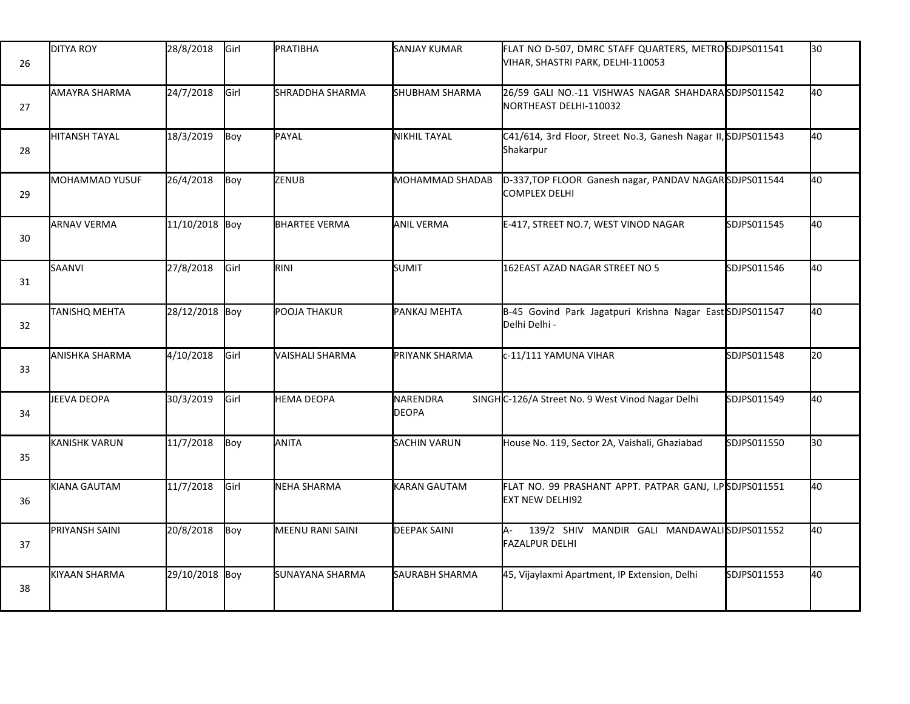| 26 | <b>DITYA ROY</b>      | 28/8/2018      | Girl | PRATIBHA             | <b>SANJAY KUMAR</b>      | FLAT NO D-507, DMRC STAFF QUARTERS, METROSDJPS011541<br>VIHAR, SHASTRI PARK, DELHI-110053 |             | l30             |
|----|-----------------------|----------------|------|----------------------|--------------------------|-------------------------------------------------------------------------------------------|-------------|-----------------|
| 27 | AMAYRA SHARMA         | 24/7/2018      | Girl | SHRADDHA SHARMA      | <b>SHUBHAM SHARMA</b>    | 26/59 GALI NO.-11 VISHWAS NAGAR SHAHDARASDJPS011542<br>NORTHEAST DELHI-110032             |             | 40              |
| 28 | <b>HITANSH TAYAL</b>  | 18/3/2019      | Boy  | PAYAL                | <b>NIKHIL TAYAL</b>      | C41/614, 3rd Floor, Street No.3, Ganesh Nagar II, SDJPS011543<br>Shakarpur                |             | 40              |
| 29 | MOHAMMAD YUSUF        | 26/4/2018      | Boy  | ZENUB                | MOHAMMAD SHADAB          | D-337, TOP FLOOR Ganesh nagar, PANDAV NAGARSDJPS011544<br><b>COMPLEX DELHI</b>            |             | 40              |
| 30 | <b>ARNAV VERMA</b>    | 11/10/2018 Boy |      | <b>BHARTEE VERMA</b> | <b>ANIL VERMA</b>        | E-417, STREET NO.7, WEST VINOD NAGAR                                                      | SDJPS011545 | 40              |
| 31 | SAANVI                | 27/8/2018      | Girl | RINI                 | SUMIT                    | 162EAST AZAD NAGAR STREET NO 5                                                            | SDJPS011546 | 40              |
| 32 | <b>TANISHQ MEHTA</b>  | 28/12/2018 Boy |      | POOJA THAKUR         | PANKAJ MEHTA             | B-45 Govind Park Jagatpuri Krishna Nagar East SDJPS011547<br>Delhi Delhi -                |             | 40              |
| 33 | <b>ANISHKA SHARMA</b> | 4/10/2018      | Girl | WAISHALI SHARMA      | PRIYANK SHARMA           | c-11/111 YAMUNA VIHAR                                                                     | SDJPS011548 | I <sub>20</sub> |
| 34 | JEEVA DEOPA           | 30/3/2019      | Girl | <b>HEMA DEOPA</b>    | NARENDRA<br><b>DEOPA</b> | SINGHC-126/A Street No. 9 West Vinod Nagar Delhi                                          | SDJPS011549 | 40              |
| 35 | <b>KANISHK VARUN</b>  | 11/7/2018      | Boy  | ANITA                | <b>SACHIN VARUN</b>      | House No. 119, Sector 2A, Vaishali, Ghaziabad                                             | SDJPS011550 | 30              |
| 36 | KIANA GAUTAM          | 11/7/2018      | Girl | NEHA SHARMA          | <b>KARAN GAUTAM</b>      | FLAT NO. 99 PRASHANT APPT. PATPAR GANJ, I.PSDJPS011551<br><b>EXT NEW DELHI92</b>          |             | 40              |
| 37 | PRIYANSH SAINI        | 20/8/2018      | Boy  | MEENU RANI SAINI     | <b>DEEPAK SAINI</b>      | 139/2 SHIV MANDIR GALI MANDAWALISDJPS011552<br>IA-<br><b>FAZALPUR DELHI</b>               |             | 40              |
| 38 | KIYAAN SHARMA         | 29/10/2018 Boy |      | SUNAYANA SHARMA      | <b>SAURABH SHARMA</b>    | 45, Vijaylaxmi Apartment, IP Extension, Delhi                                             | SDJPS011553 | 40              |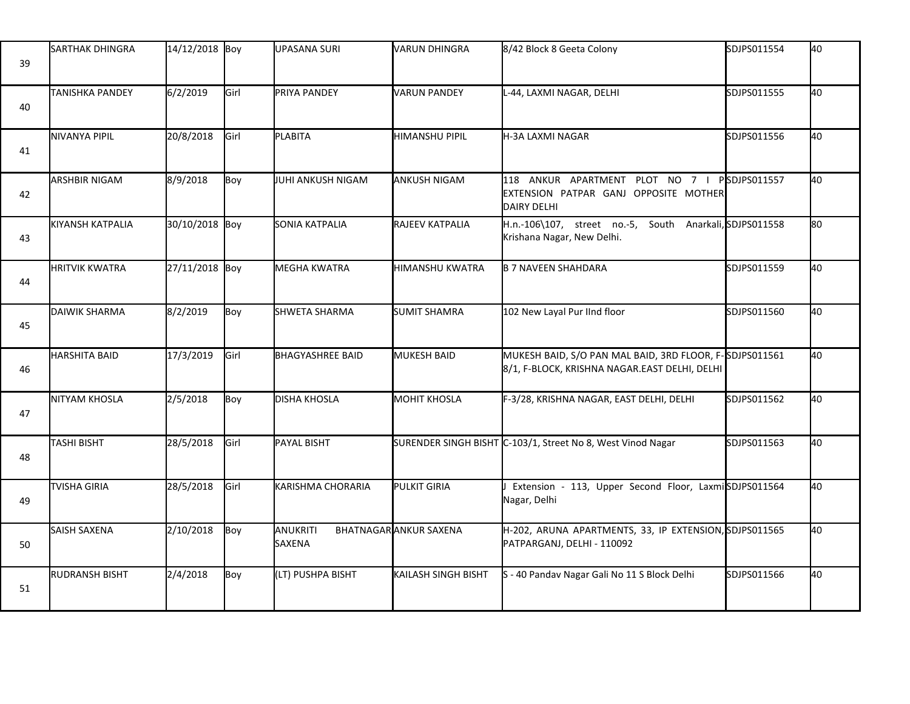| 39 | <b>SARTHAK DHINGRA</b>  | 14/12/2018 Boy |      | <b>UPASANA SURI</b>       | <b>VARUN DHINGRA</b>   | 8/42 Block 8 Geeta Colony                                                                                | SDJPS011554  | 40  |
|----|-------------------------|----------------|------|---------------------------|------------------------|----------------------------------------------------------------------------------------------------------|--------------|-----|
| 40 | <b>TANISHKA PANDEY</b>  | 6/2/2019       | Girl | PRIYA PANDEY              | <b>VARUN PANDEY</b>    | L-44, LAXMI NAGAR, DELHI                                                                                 | SDJPS011555  | 40  |
| 41 | <b>NIVANYA PIPIL</b>    | 20/8/2018      | Girl | PLABITA                   | <b>HIMANSHU PIPIL</b>  | H-3A LAXMI NAGAR                                                                                         | SDJPS011556  | 40  |
| 42 | <b>ARSHBIR NIGAM</b>    | 8/9/2018       | Boy  | JUHI ANKUSH NIGAM         | <b>ANKUSH NIGAM</b>    | 118 ANKUR APARTMENT PLOT NO 7 I<br>EXTENSION PATPAR GANJ OPPOSITE MOTHER<br>DAIRY DELHI                  | PSDJPS011557 | 40  |
| 43 | <b>KIYANSH KATPALIA</b> | 30/10/2018 Boy |      | SONIA KATPALIA            | RAJEEV KATPALIA        | H.n.-106\107, street no.-5, South Anarkali, SDJPS011558<br>Krishana Nagar, New Delhi.                    |              | l80 |
| 44 | <b>HRITVIK KWATRA</b>   | 27/11/2018 Boy |      | <b>MEGHA KWATRA</b>       | <b>HIMANSHU KWATRA</b> | <b>B 7 NAVEEN SHAHDARA</b>                                                                               | SDJPS011559  | 40  |
| 45 | DAIWIK SHARMA           | 8/2/2019       | Boy  | <b>SHWETA SHARMA</b>      | <b>SUMIT SHAMRA</b>    | 102 New Layal Pur IInd floor                                                                             | SDJPS011560  | 40  |
| 46 | HARSHITA BAID           | 17/3/2019      | Girl | <b>BHAGYASHREE BAID</b>   | <b>MUKESH BAID</b>     | MUKESH BAID, S/O PAN MAL BAID, 3RD FLOOR, F-SDJPS011561<br>8/1, F-BLOCK, KRISHNA NAGAR.EAST DELHI, DELHI |              | 40  |
| 47 | NITYAM KHOSLA           | 2/5/2018       | Boy  | <b>DISHA KHOSLA</b>       | <b>MOHIT KHOSLA</b>    | F-3/28, KRISHNA NAGAR, EAST DELHI, DELHI                                                                 | SDJPS011562  | 40  |
| 48 | TASHI BISHT             | 28/5/2018      | Girl | PAYAL BISHT               |                        | SURENDER SINGH BISHT C-103/1, Street No 8, West Vinod Nagar                                              | SDJPS011563  | 40  |
| 49 | <b>TVISHA GIRIA</b>     | 28/5/2018      | Girl | KARISHMA CHORARIA         | <b>PULKIT GIRIA</b>    | Extension - 113, Upper Second Floor, LaxmiSDJPS011564<br>Nagar, Delhi                                    |              | 40  |
| 50 | SAISH SAXENA            | 2/10/2018      | Boy  | ANUKRITI<br><b>SAXENA</b> | BHATNAGAR ANKUR SAXENA | H-202, ARUNA APARTMENTS, 33, IP EXTENSION, SDJPS011565<br>PATPARGANJ, DELHI - 110092                     |              | 40  |
| 51 | <b>RUDRANSH BISHT</b>   | 2/4/2018       | Boy  | (LT) PUSHPA BISHT         | KAILASH SINGH BISHT    | S - 40 Pandav Nagar Gali No 11 S Block Delhi                                                             | SDJPS011566  | 40  |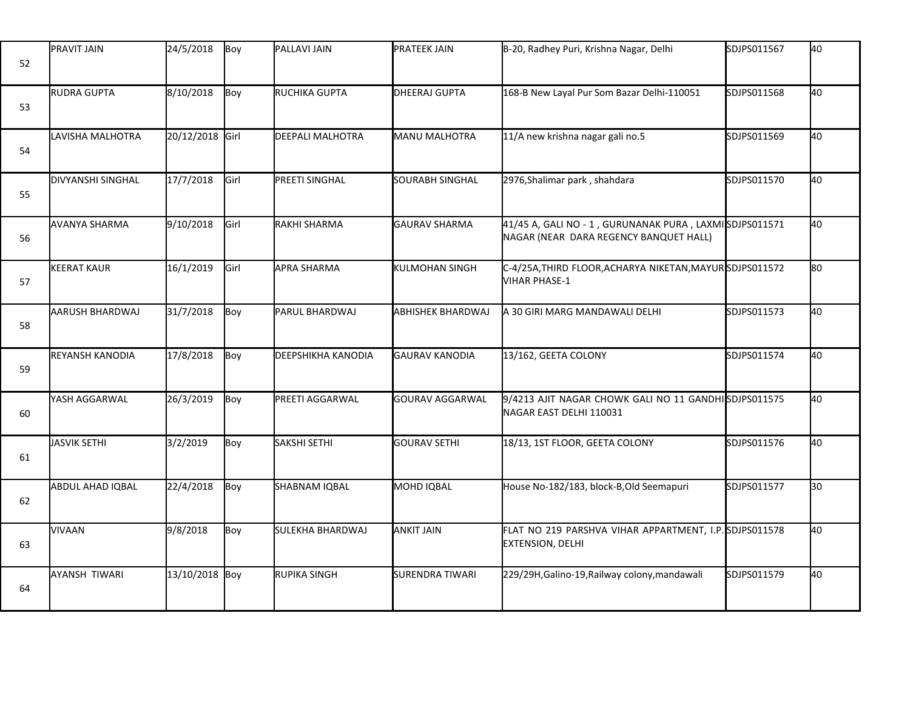| 52 | <b>PRAVIT JAIN</b>     | 24/5/2018       | Boy           | <b>PALLAVI JAIN</b>       | <b>PRATEEK JAIN</b>      | B-20, Radhey Puri, Krishna Nagar, Delhi                                                          | SDJPS011567 | 40  |
|----|------------------------|-----------------|---------------|---------------------------|--------------------------|--------------------------------------------------------------------------------------------------|-------------|-----|
| 53 | <b>RUDRA GUPTA</b>     | 8/10/2018       | Boy           | RUCHIKA GUPTA             | DHEERAJ GUPTA            | 168-B New Layal Pur Som Bazar Delhi-110051                                                       | SDJPS011568 | 40  |
| 54 | LAVISHA MALHOTRA       | 20/12/2018 Girl |               | DEEPALI MALHOTRA          | <b>MANU MALHOTRA</b>     | 11/A new krishna nagar gali no.5                                                                 | SDJPS011569 | 40  |
| 55 | DIVYANSHI SINGHAL      | 17/7/2018       | Girl          | <b>PREETI SINGHAL</b>     | SOURABH SINGHAL          | 2976, Shalimar park, shahdara                                                                    | SDJPS011570 | 40  |
| 56 | <b>AVANYA SHARMA</b>   | 9/10/2018       | <b>I</b> Girl | RAKHI SHARMA              | <b>GAURAV SHARMA</b>     | 41/45 A, GALI NO - 1, GURUNANAK PURA, LAXMISDJPS011571<br>NAGAR (NEAR DARA REGENCY BANQUET HALL) |             | 40  |
| 57 | <b>KEERAT KAUR</b>     | 16/1/2019       | Girl          | <b>APRA SHARMA</b>        | KULMOHAN SINGH           | C-4/25A,THIRD FLOOR,ACHARYA NIKETAN,MAYURSDJPS011572<br><b>VIHAR PHASE-1</b>                     |             | lso |
| 58 | AARUSH BHARDWAJ        | 31/7/2018       | Boy           | PARUL BHARDWAJ            | <b>ABHISHEK BHARDWAJ</b> | A 30 GIRI MARG MANDAWALI DELHI                                                                   | SDJPS011573 | 40  |
| 59 | <b>REYANSH KANODIA</b> | 17/8/2018       | Boy           | <b>DEEPSHIKHA KANODIA</b> | <b>GAURAV KANODIA</b>    | 13/162, GEETA COLONY                                                                             | SDJPS011574 | 40  |
| 60 | YASH AGGARWAL          | 26/3/2019       | Boy           | PREETI AGGARWAL           | <b>GOURAV AGGARWAL</b>   | 9/4213 AJIT NAGAR CHOWK GALI NO 11 GANDHISDJPS011575<br>NAGAR EAST DELHI 110031                  |             | 40  |
| 61 | JASVIK SETHI           | 3/2/2019        | Boy           | SAKSHI SETHI              | <b>GOURAV SETHI</b>      | 18/13, 1ST FLOOR, GEETA COLONY                                                                   | SDJPS011576 | 40  |
| 62 | ABDUL AHAD IQBAL       | 22/4/2018       | Boy           | SHABNAM IQBAL             | MOHD IQBAL               | House No-182/183, block-B, Old Seemapuri                                                         | SDJPS011577 | 30  |
| 63 | VIVAAN                 | 9/8/2018        | Boy           | SULEKHA BHARDWAJ          | <b>ANKIT JAIN</b>        | FLAT NO 219 PARSHVA VIHAR APPARTMENT, I.P. SDJPS011578<br><b>EXTENSION, DELHI</b>                |             | 40  |
| 64 | <b>AYANSH TIWARI</b>   | 13/10/2018 Boy  |               | RUPIKA SINGH              | <b>SURENDRA TIWARI</b>   | 229/29H, Galino-19, Railway colony, mandawali                                                    | SDJPS011579 | 40  |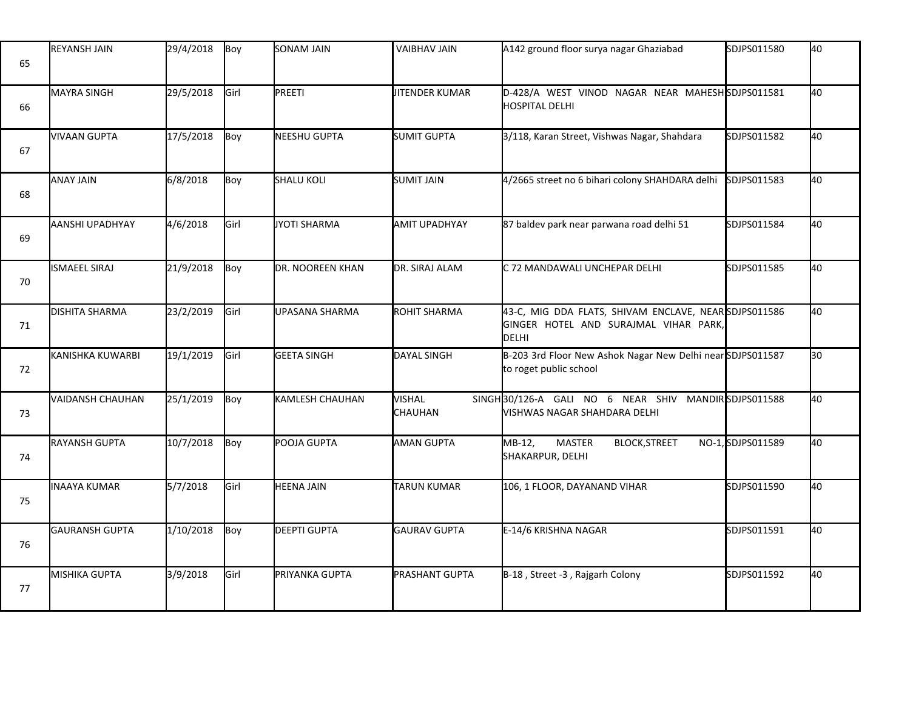| 65 | <b>REYANSH JAIN</b>    | 29/4/2018 | Boy  | SONAM JAIN          | VAIBHAV JAIN                    | A142 ground floor surya nagar Ghaziabad                                                                | SDJPS011580       | 40 |
|----|------------------------|-----------|------|---------------------|---------------------------------|--------------------------------------------------------------------------------------------------------|-------------------|----|
| 66 | <b>MAYRA SINGH</b>     | 29/5/2018 | Girl | PREETI              | <b>JITENDER KUMAR</b>           | D-428/A WEST VINOD NAGAR NEAR MAHESH SDJPS011581<br><b>HOSPITAL DELHI</b>                              |                   | 40 |
| 67 | <b>VIVAAN GUPTA</b>    | 17/5/2018 | Boy  | NEESHU GUPTA        | SUMIT GUPTA                     | 3/118, Karan Street, Vishwas Nagar, Shahdara                                                           | SDJPS011582       | 40 |
| 68 | <b>ANAY JAIN</b>       | 6/8/2018  | Boy  | <b>SHALU KOLI</b>   | <b>SUMIT JAIN</b>               | 4/2665 street no 6 bihari colony SHAHDARA delhi                                                        | SDJPS011583       | 40 |
| 69 | <b>AANSHI UPADHYAY</b> | 4/6/2018  | Girl | JYOTI SHARMA        | <b>AMIT UPADHYAY</b>            | 87 baldev park near parwana road delhi 51                                                              | SDJPS011584       | 40 |
| 70 | <b>ISMAEEL SIRAJ</b>   | 21/9/2018 | Boy  | DR. NOOREEN KHAN    | DR. SIRAJ ALAM                  | C 72 MANDAWALI UNCHEPAR DELHI                                                                          | SDJPS011585       | 40 |
| 71 | <b>DISHITA SHARMA</b>  | 23/2/2019 | Girl | UPASANA SHARMA      | <b>ROHIT SHARMA</b>             | 43-C, MIG DDA FLATS, SHIVAM ENCLAVE, NEARSDJPS011586<br>GINGER HOTEL AND SURAJMAL VIHAR PARK,<br>DELHI |                   | 40 |
| 72 | KANISHKA KUWARBI       | 19/1/2019 | Girl | <b>GEETA SINGH</b>  | DAYAL SINGH                     | B-203 3rd Floor New Ashok Nagar New Delhi near SDJPS011587<br>to roget public school                   |                   | 30 |
| 73 | VAIDANSH CHAUHAN       | 25/1/2019 | Boy  | KAMLESH CHAUHAN     | <b>VISHAL</b><br><b>CHAUHAN</b> | SINGH30/126-A GALI NO 6 NEAR SHIV MANDIRSDJPS011588<br>VISHWAS NAGAR SHAHDARA DELHI                    |                   | 40 |
| 74 | RAYANSH GUPTA          | 10/7/2018 | Boy  | POOJA GUPTA         | <b>AMAN GUPTA</b>               | MB-12,<br><b>MASTER</b><br><b>BLOCK, STREET</b><br>SHAKARPUR, DELHI                                    | NO-1, SDJPS011589 | 40 |
| 75 | INAAYA KUMAR           | 5/7/2018  | Girl | <b>HEENA JAIN</b>   | <b>TARUN KUMAR</b>              | 106, 1 FLOOR, DAYANAND VIHAR                                                                           | SDJPS011590       | 40 |
| 76 | GAURANSH GUPTA         | 1/10/2018 | Boy  | <b>DEEPTI GUPTA</b> | GAURAV GUPTA                    | E-14/6 KRISHNA NAGAR                                                                                   | SDJPS011591       | 40 |
| 77 | MISHIKA GUPTA          | 3/9/2018  | Girl | PRIYANKA GUPTA      | <b>PRASHANT GUPTA</b>           | B-18, Street -3, Rajgarh Colony                                                                        | SDJPS011592       | 40 |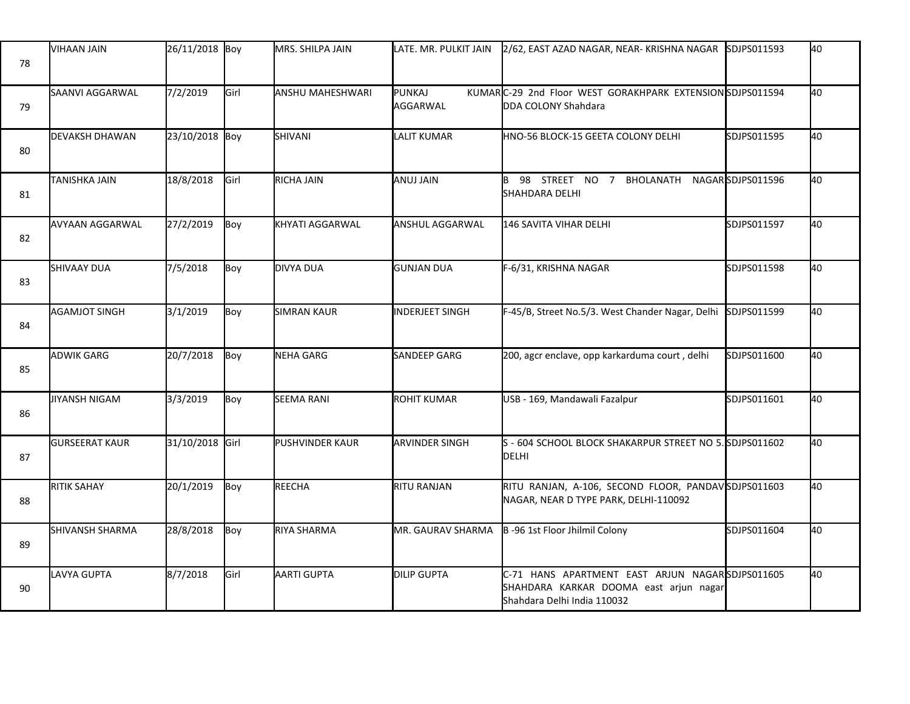| 78 | <b>VIHAAN JAIN</b>    | 26/11/2018 Boy  |      | MRS. SHILPA JAIN   | LATE. MR. PULKIT JAIN    | 2/62, EAST AZAD NAGAR, NEAR-KRISHNA NAGAR                                                                                | <b>SDJPS011593</b> | 40 |
|----|-----------------------|-----------------|------|--------------------|--------------------------|--------------------------------------------------------------------------------------------------------------------------|--------------------|----|
| 79 | SAANVI AGGARWAL       | 7/2/2019        | Girl | ANSHU MAHESHWARI   | PUNKAJ<br>AGGARWAL       | KUMARC-29 2nd Floor WEST GORAKHPARK EXTENSION SDJPS011594<br>DDA COLONY Shahdara                                         |                    | 40 |
| 80 | <b>DEVAKSH DHAWAN</b> | 23/10/2018 Boy  |      | SHIVANI            | <b>LALIT KUMAR</b>       | HNO-56 BLOCK-15 GEETA COLONY DELHI                                                                                       | SDJPS011595        | 40 |
| 81 | <b>TANISHKA JAIN</b>  | 18/8/2018       | Girl | RICHA JAIN         | <b>ANUJ JAIN</b>         | 98 STREET NO 7 BHOLANATH<br>SHAHDARA DELHI                                                                               | NAGARSDJPS011596   | 40 |
| 82 | AVYAAN AGGARWAL       | 27/2/2019       | Boy  | KHYATI AGGARWAL    | ANSHUL AGGARWAL          | <b>146 SAVITA VIHAR DELHI</b>                                                                                            | SDJPS011597        | 40 |
| 83 | <b>SHIVAAY DUA</b>    | 7/5/2018        | Boy  | DIVYA DUA          | <b>GUNJAN DUA</b>        | F-6/31, KRISHNA NAGAR                                                                                                    | SDJPS011598        | 40 |
| 84 | <b>AGAMJOT SINGH</b>  | 3/1/2019        | Boy  | <b>SIMRAN KAUR</b> | <b>INDERJEET SINGH</b>   | F-45/B, Street No.5/3. West Chander Nagar, Delhi                                                                         | SDJPS011599        | 40 |
| 85 | <b>ADWIK GARG</b>     | 20/7/2018       | Boy  | NEHA GARG          | SANDEEP GARG             | 200, agcr enclave, opp karkarduma court, delhi                                                                           | SDJPS011600        | 40 |
| 86 | JIYANSH NIGAM         | 3/3/2019        | Boy  | <b>SEEMA RANI</b>  | <b>ROHIT KUMAR</b>       | USB - 169, Mandawali Fazalpur                                                                                            | SDJPS011601        | 40 |
| 87 | <b>GURSEERAT KAUR</b> | 31/10/2018 Girl |      | PUSHVINDER KAUR    | <b>ARVINDER SINGH</b>    | S - 604 SCHOOL BLOCK SHAKARPUR STREET NO 5. SDJPS011602<br>DELHI                                                         |                    | 40 |
| 88 | <b>RITIK SAHAY</b>    | 20/1/2019       | Boy  | REECHA             | <b>RITU RANJAN</b>       | RITU RANJAN, A-106, SECOND FLOOR, PANDAVSDJPS011603<br>NAGAR, NEAR D TYPE PARK, DELHI-110092                             |                    | 40 |
| 89 | SHIVANSH SHARMA       | 28/8/2018       | Boy  | RIYA SHARMA        | <b>MR. GAURAV SHARMA</b> | B-96 1st Floor Jhilmil Colony                                                                                            | SDJPS011604        | 40 |
| 90 | LAVYA GUPTA           | 8/7/2018        | Girl | AARTI GUPTA        | <b>DILIP GUPTA</b>       | C-71 HANS APARTMENT EAST ARJUN NAGARSDJPS011605<br>SHAHDARA KARKAR DOOMA east arjun nagar<br>Shahdara Delhi India 110032 |                    | 40 |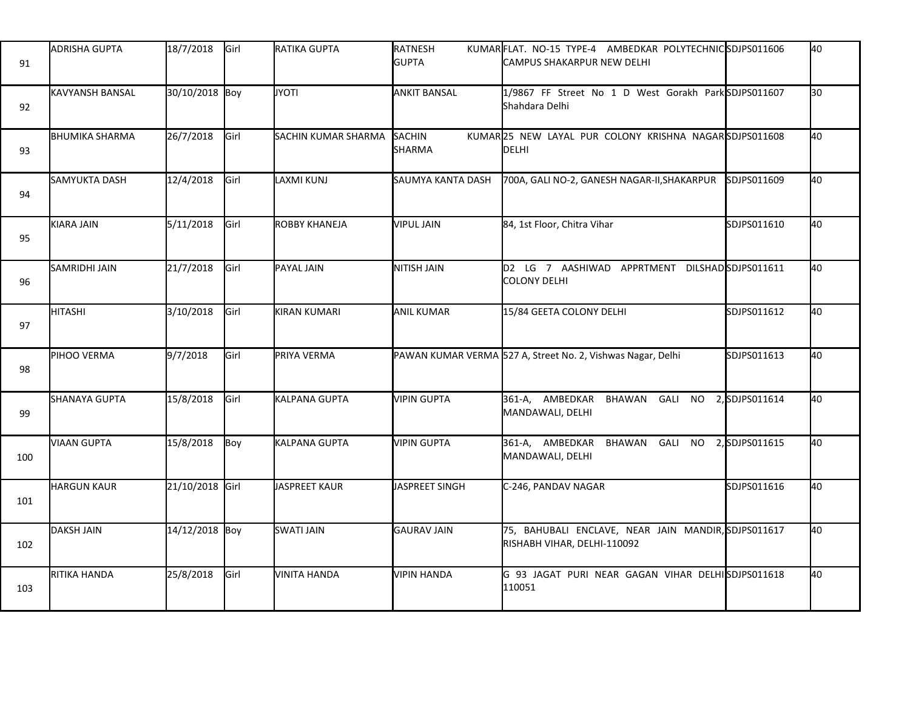| 91  | <b>ADRISHA GUPTA</b>     | 18/7/2018       | Girl | RATIKA GUPTA         | RATNESH<br><b>GUPTA</b> | KUMARFLAT. NO-15 TYPE-4 AMBEDKAR POLYTECHNICSDJPS011606<br><b>CAMPUS SHAKARPUR NEW DELHI</b> |                | 40 |
|-----|--------------------------|-----------------|------|----------------------|-------------------------|----------------------------------------------------------------------------------------------|----------------|----|
| 92  | <b>I</b> KAVYANSH BANSAL | 30/10/2018 Boy  |      | <b>JYOTI</b>         | <b>ANKIT BANSAL</b>     | 1/9867 FF Street No 1 D West Gorakh Park SDJPS011607<br>Shahdara Delhi                       |                | 30 |
| 93  | <b>BHUMIKA SHARMA</b>    | 26/7/2018       | Girl | SACHIN KUMAR SHARMA  | SACHIN<br>SHARMA        | KUMAR25 NEW LAYAL PUR COLONY KRISHNA NAGARSDJPS011608<br>DELHI                               |                | 40 |
| 94  | <b>SAMYUKTA DASH</b>     | 12/4/2018       | Girl | LAXMI KUNJ           | SAUMYA KANTA DASH       | 700A, GALI NO-2, GANESH NAGAR-II, SHAKARPUR                                                  | SDJPS011609    | 40 |
| 95  | KIARA JAIN               | 5/11/2018       | Girl | <b>ROBBY KHANEJA</b> | <b>VIPUL JAIN</b>       | 84, 1st Floor, Chitra Vihar                                                                  | SDJPS011610    | 40 |
| 96  | SAMRIDHI JAIN            | 21/7/2018       | Girl | PAYAL JAIN           | <b>NITISH JAIN</b>      | D2 LG 7 AASHIWAD APPRTMENT DILSHADSDJPS011611<br><b>COLONY DELHI</b>                         |                | 40 |
| 97  | <b>HITASHI</b>           | 3/10/2018       | Girl | <b>KIRAN KUMARI</b>  | <b>ANIL KUMAR</b>       | 15/84 GEETA COLONY DELHI                                                                     | SDJPS011612    | 40 |
| 98  | PIHOO VERMA              | 9/7/2018        | Girl | PRIYA VERMA          |                         | PAWAN KUMAR VERMA 527 A, Street No. 2, Vishwas Nagar, Delhi                                  | SDJPS011613    | 40 |
| 99  | SHANAYA GUPTA            | 15/8/2018       | Girl | KALPANA GUPTA        | <b>VIPIN GUPTA</b>      | 361-A, AMBEDKAR BHAWAN GALI NO<br>MANDAWALI, DELHI                                           | 2, SDJPS011614 | 40 |
| 100 | <b>VIAAN GUPTA</b>       | 15/8/2018       | Boy  | KALPANA GUPTA        | <b>VIPIN GUPTA</b>      | 361-A, AMBEDKAR BHAWAN GALI NO 2, SDJPS011615<br>MANDAWALI, DELHI                            |                | 40 |
| 101 | <b>HARGUN KAUR</b>       | 21/10/2018 Girl |      | JASPREET KAUR        | JASPREET SINGH          | C-246, PANDAV NAGAR                                                                          | SDJPS011616    | 40 |
| 102 | <b>DAKSH JAIN</b>        | 14/12/2018 Boy  |      | <b>SWATI JAIN</b>    | <b>GAURAV JAIN</b>      | 75, BAHUBALI ENCLAVE, NEAR JAIN MANDIR, SDJPS011617<br>RISHABH VIHAR, DELHI-110092           |                | 40 |
| 103 | RITIKA HANDA             | 25/8/2018       | Girl | <b>VINITA HANDA</b>  | <b>VIPIN HANDA</b>      | G 93 JAGAT PURI NEAR GAGAN VIHAR DELHISDJPS011618<br>110051                                  |                | 40 |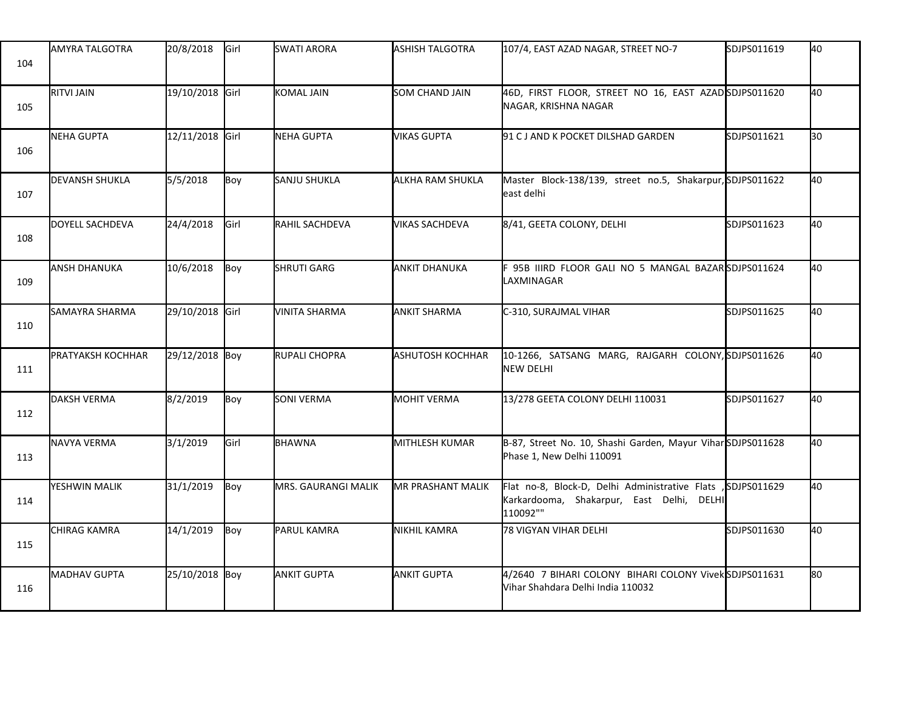| 104 | AMYRA TALGOTRA           | 20/8/2018       | <b>Girl</b> | <b>SWATI ARORA</b>  | ASHISH TALGOTRA         | 107/4, EAST AZAD NAGAR, STREET NO-7                                                                     | SDJPS011619  | 40 |
|-----|--------------------------|-----------------|-------------|---------------------|-------------------------|---------------------------------------------------------------------------------------------------------|--------------|----|
| 105 | <b>RITVI JAIN</b>        | 19/10/2018 Girl |             | KOMAL JAIN          | SOM CHAND JAIN          | 46D, FIRST FLOOR, STREET NO 16, EAST AZADSDJPS011620<br>NAGAR, KRISHNA NAGAR                            |              | 40 |
| 106 | <b>NEHA GUPTA</b>        | 12/11/2018 Girl |             | NEHA GUPTA          | <b>VIKAS GUPTA</b>      | 91 C J AND K POCKET DILSHAD GARDEN                                                                      | SDJPS011621  | 30 |
| 107 | <b>DEVANSH SHUKLA</b>    | 5/5/2018        | Boy         | SANJU SHUKLA        | ALKHA RAM SHUKLA        | Master Block-138/139, street no.5, Shakarpur, SDJPS011622<br>east delhi                                 |              | 40 |
| 108 | DOYELL SACHDEVA          | 24/4/2018       | <b>Girl</b> | RAHIL SACHDEVA      | VIKAS SACHDEVA          | 8/41, GEETA COLONY, DELHI                                                                               | SDJPS011623  | 40 |
| 109 | <b>ANSH DHANUKA</b>      | 10/6/2018       | Boy         | <b>SHRUTI GARG</b>  | <b>ANKIT DHANUKA</b>    | F 95B IIIRD FLOOR GALI NO 5 MANGAL BAZAR <b>İ</b> SDJPS011624<br>LAXMINAGAR                             |              | 40 |
| 110 | SAMAYRA SHARMA           | 29/10/2018 Girl |             | VINITA SHARMA       | <b>ANKIT SHARMA</b>     | C-310, SURAJMAL VIHAR                                                                                   | SDJPS011625  | 40 |
| 111 | <b>PRATYAKSH KOCHHAR</b> | 29/12/2018 Boy  |             | RUPALI CHOPRA       | <b>ASHUTOSH KOCHHAR</b> | 10-1266, SATSANG MARG, RAJGARH COLONY, SDJPS011626<br>NEW DELHI                                         |              | 40 |
| 112 | DAKSH VERMA              | 8/2/2019        | Boy         | <b>SONI VERMA</b>   | <b>MOHIT VERMA</b>      | 13/278 GEETA COLONY DELHI 110031                                                                        | SDJPS011627  | 40 |
| 113 | NAVYA VERMA              | 3/1/2019        | Girl        | <b>BHAWNA</b>       | MITHLESH KUMAR          | B-87, Street No. 10, Shashi Garden, Mayur ViharSDJPS011628<br>Phase 1, New Delhi 110091                 |              | 40 |
| 114 | YESHWIN MALIK            | 31/1/2019       | Boy         | MRS. GAURANGI MALIK | MR PRASHANT MALIK       | Flat no-8, Block-D, Delhi Administrative Flats<br>Karkardooma, Shakarpur, East Delhi, DELHI<br>110092"" | ,SDJPS011629 | 40 |
| 115 | <b>CHIRAG KAMRA</b>      | 14/1/2019       | Boy         | PARUL KAMRA         | <b>NIKHIL KAMRA</b>     | 78 VIGYAN VIHAR DELHI                                                                                   | SDJPS011630  | 40 |
| 116 | <b>MADHAV GUPTA</b>      | 25/10/2018 Boy  |             | <b>ANKIT GUPTA</b>  | <b>ANKIT GUPTA</b>      | 4/2640 7 BIHARI COLONY BIHARI COLONY VivekSDJPS011631<br>Vihar Shahdara Delhi India 110032              |              | 80 |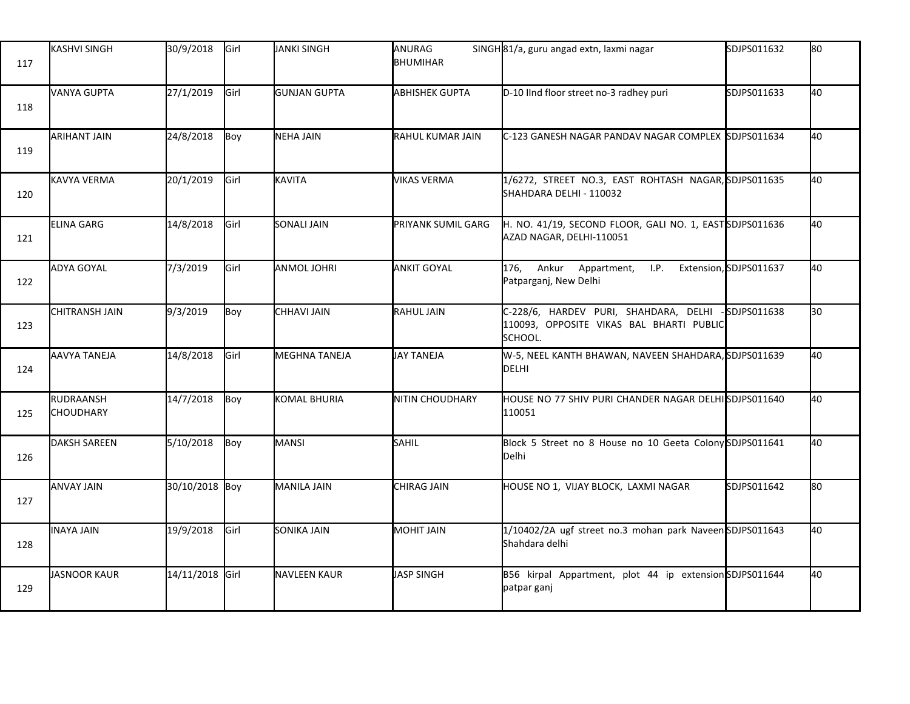| 117 | <b>KASHVI SINGH</b>           | 30/9/2018       | Girl | JANKI SINGH          | ANURAG<br><b>BHUMIHAR</b> | SINGH 81/a, guru angad extn, laxmi nagar                                                     | SDJPS011632            | 80 |
|-----|-------------------------------|-----------------|------|----------------------|---------------------------|----------------------------------------------------------------------------------------------|------------------------|----|
| 118 | <b>VANYA GUPTA</b>            | 27/1/2019       | Girl | <b>GUNJAN GUPTA</b>  | <b>ABHISHEK GUPTA</b>     | D-10 IInd floor street no-3 radhey puri                                                      | SDJPS011633            | 40 |
| 119 | <b>ARIHANT JAIN</b>           | 24/8/2018       | Boy  | NEHA JAIN            | RAHUL KUMAR JAIN          | C-123 GANESH NAGAR PANDAV NAGAR COMPLEX SDJPS011634                                          |                        | 40 |
| 120 | <b>KAVYA VERMA</b>            | 20/1/2019       | Girl | <b>KAVITA</b>        | VIKAS VERMA               | 1/6272, STREET NO.3, EAST ROHTASH NAGAR, SDJPS011635<br>SHAHDARA DELHI - 110032              |                        | 40 |
| 121 | ELINA GARG                    | 14/8/2018       | Girl | SONALI JAIN          | PRIYANK SUMIL GARG        | H. NO. 41/19, SECOND FLOOR, GALI NO. 1, EASTSDJPS011636<br>AZAD NAGAR, DELHI-110051          |                        | 40 |
| 122 | ADYA GOYAL                    | 7/3/2019        | Girl | ANMOL JOHRI          | <b>ANKIT GOYAL</b>        | 176, Ankur Appartment, I.P.<br>Patparganj, New Delhi                                         | Extension, SDJPS011637 | 40 |
| 123 | <b>CHITRANSH JAIN</b>         | 9/3/2019        | Boy  | CHHAVI JAIN          | <b>RAHUL JAIN</b>         | C-228/6, HARDEV PURI, SHAHDARA, DELHI<br>110093, OPPOSITE VIKAS BAL BHARTI PUBLIC<br>SCHOOL. | $-$ SDJPS011638        | 30 |
| 124 | <b>AAVYA TANEJA</b>           | 14/8/2018       | Girl | <b>MEGHNA TANEJA</b> | JAY TANEJA                | W-5, NEEL KANTH BHAWAN, NAVEEN SHAHDARA, SDJPS011639<br><b>DELHI</b>                         |                        | 40 |
| 125 | RUDRAANSH<br><b>CHOUDHARY</b> | 14/7/2018       | Boy  | KOMAL BHURIA         | NITIN CHOUDHARY           | HOUSE NO 77 SHIV PURI CHANDER NAGAR DELHISDJPS011640<br>110051                               |                        | 40 |
| 126 | <b>DAKSH SAREEN</b>           | 5/10/2018       | Boy  | MANSI                | SAHIL                     | Block 5 Street no 8 House no 10 Geeta Colony SDJPS011641<br><b>Delhi</b>                     |                        | 40 |
| 127 | <b>ANVAY JAIN</b>             | 30/10/2018 Boy  |      | MANILA JAIN          | CHIRAG JAIN               | HOUSE NO 1, VIJAY BLOCK, LAXMI NAGAR                                                         | SDJPS011642            | 80 |
| 128 | INAYA JAIN                    | 19/9/2018       | Girl | SONIKA JAIN          | <b>MOHIT JAIN</b>         | 1/10402/2A ugf street no.3 mohan park NaveenSDJPS011643<br>Shahdara delhi                    |                        | 40 |
| 129 | JASNOOR KAUR                  | 14/11/2018 Girl |      | NAVLEEN KAUR         | JASP SINGH                | B56 kirpal Appartment, plot 44 ip extension SDJPS011644<br>patpar ganj                       |                        | 40 |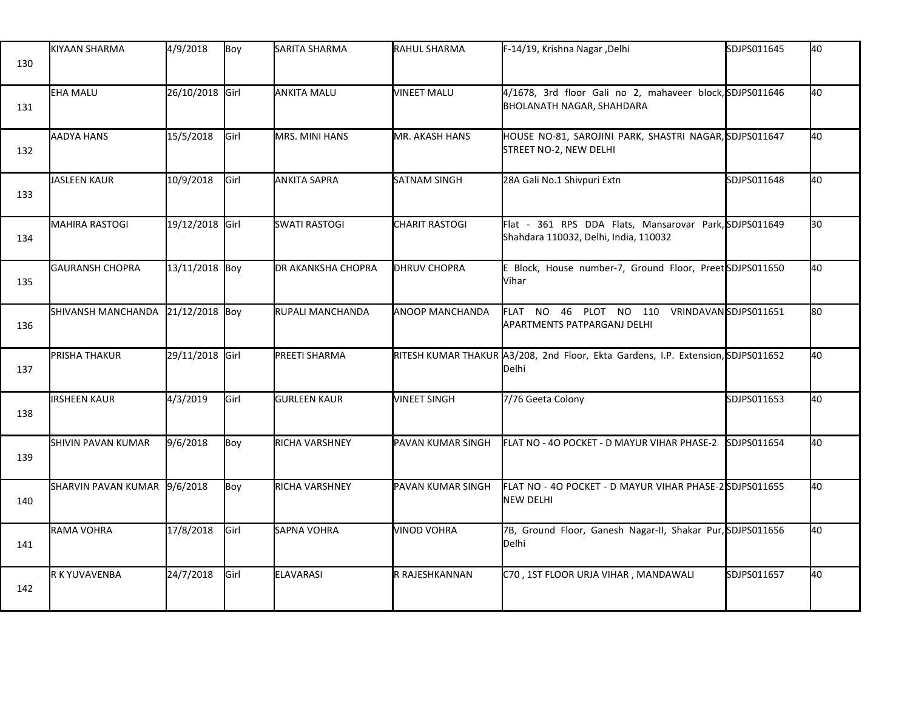| 130 | <b>KIYAAN SHARMA</b>              | 4/9/2018        | Boy   | SARITA SHARMA         | RAHUL SHARMA          | F-14/19, Krishna Nagar , Delhi                                                                  | SDJPS011645 | 40 |
|-----|-----------------------------------|-----------------|-------|-----------------------|-----------------------|-------------------------------------------------------------------------------------------------|-------------|----|
| 131 | <b>EHA MALU</b>                   | 26/10/2018 Girl |       | ANKITA MALU           | <b>VINEET MALU</b>    | 4/1678, 3rd floor Gali no 2, mahaveer block, SDJPS011646<br><b>BHOLANATH NAGAR, SHAHDARA</b>    |             | 40 |
| 132 | <b>AADYA HANS</b>                 | 15/5/2018       | Girl  | <b>MRS. MINI HANS</b> | <b>MR. AKASH HANS</b> | HOUSE NO-81, SAROJINI PARK, SHASTRI NAGAR, SDJPS011647<br>STREET NO-2, NEW DELHI                |             | 40 |
| 133 | <b>JASLEEN KAUR</b>               | 10/9/2018       | Girl  | <b>ANKITA SAPRA</b>   | <b>SATNAM SINGH</b>   | 28A Gali No.1 Shivpuri Extn                                                                     | SDJPS011648 | 40 |
| 134 | <b>MAHIRA RASTOGI</b>             | 19/12/2018 Girl |       | <b>SWATI RASTOGI</b>  | <b>CHARIT RASTOGI</b> | Flat - 361 RPS DDA Flats, Mansarovar Park, SDJPS011649<br>Shahdara 110032, Delhi, India, 110032 |             | 30 |
| 135 | <b>GAURANSH CHOPRA</b>            | 13/11/2018 Boy  |       | DR AKANKSHA CHOPRA    | <b>DHRUV CHOPRA</b>   | E Block, House number-7, Ground Floor, PreetSDJPS011650<br>Vihar                                |             | 40 |
| 136 | SHIVANSH MANCHANDA 21/12/2018 Boy |                 |       | RUPALI MANCHANDA      | ANOOP MANCHANDA       | FLAT NO 46 PLOT NO 110 VRINDAVANSDJPS011651<br>APARTMENTS PATPARGANJ DELHI                      |             | 80 |
| 137 | PRISHA THAKUR                     | 29/11/2018 Girl |       | PREETI SHARMA         |                       | RITESH KUMAR THAKUR A3/208, 2nd Floor, Ekta Gardens, I.P. Extension, SDJPS011652<br>Delhi       |             | 40 |
| 138 | <b>IRSHEEN KAUR</b>               | 4/3/2019        | Girl  | <b>GURLEEN KAUR</b>   | <b>VINEET SINGH</b>   | 7/76 Geeta Colony                                                                               | SDJPS011653 | 40 |
| 139 | SHIVIN PAVAN KUMAR                | 9/6/2018        | Boy   | RICHA VARSHNEY        | PAVAN KUMAR SINGH     | FLAT NO - 40 POCKET - D MAYUR VIHAR PHASE-2 SDJPS011654                                         |             | 40 |
| 140 | SHARVIN PAVAN KUMAR 9/6/2018      |                 | Boy   | RICHA VARSHNEY        | PAVAN KUMAR SINGH     | FLAT NO - 40 POCKET - D MAYUR VIHAR PHASE-2SDJPS011655<br><b>NEW DELHI</b>                      |             | 40 |
| 141 | RAMA VOHRA                        | 17/8/2018       | Girl  | SAPNA VOHRA           | <b>VINOD VOHRA</b>    | 7B, Ground Floor, Ganesh Nagar-II, Shakar Pur, SDJPS011656<br>Delhi                             |             | 40 |
| 142 | R K YUVAVENBA                     | 24/7/2018       | lGirl | <b>ELAVARASI</b>      | IR RAJESHKANNAN       | C70, 1ST FLOOR URJA VIHAR, MANDAWALI                                                            | SDJPS011657 | 40 |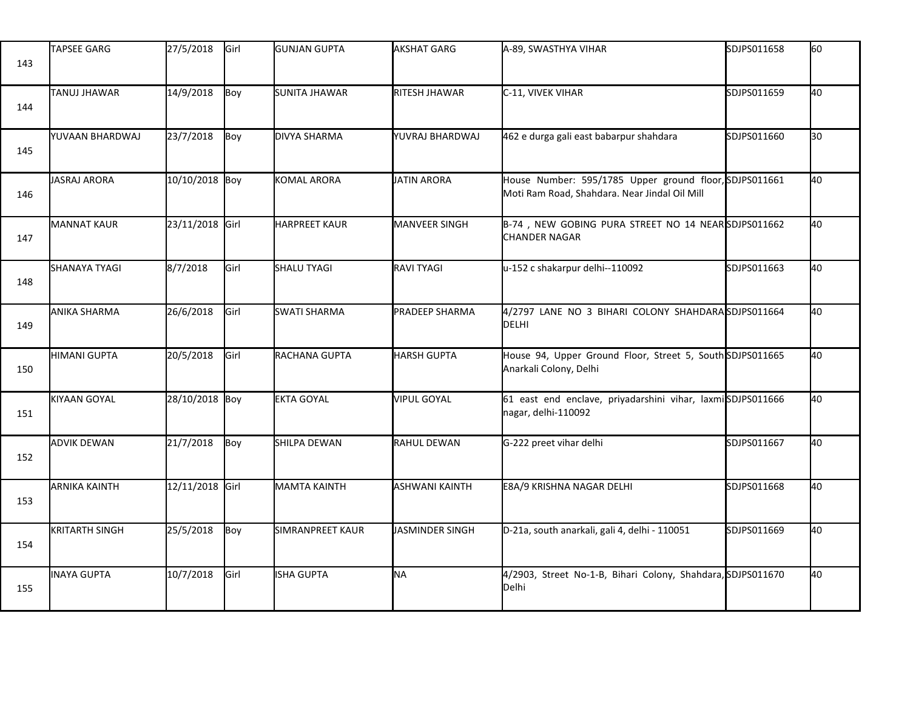| 143 | <b>TAPSEE GARG</b>    | 27/5/2018       | Girl | <b>GUNJAN GUPTA</b>  | <b>AKSHAT GARG</b>    | A-89, SWASTHYA VIHAR                                                                                    | SDJPS011658 | 60  |
|-----|-----------------------|-----------------|------|----------------------|-----------------------|---------------------------------------------------------------------------------------------------------|-------------|-----|
| 144 | <b>TANUJ JHAWAR</b>   | 14/9/2018       | Boy  | <b>SUNITA JHAWAR</b> | RITESH JHAWAR         | C-11, VIVEK VIHAR                                                                                       | SDJPS011659 | 40  |
| 145 | YUVAAN BHARDWAJ       | 23/7/2018       | Boy  | DIVYA SHARMA         | YUVRAJ BHARDWAJ       | 462 e durga gali east babarpur shahdara                                                                 | SDJPS011660 | l30 |
| 146 | JASRAJ ARORA          | 10/10/2018 Boy  |      | KOMAL ARORA          | <b>JATIN ARORA</b>    | House Number: 595/1785 Upper ground floor, SDJPS011661<br>Moti Ram Road, Shahdara. Near Jindal Oil Mill |             | 40  |
| 147 | <b>MANNAT KAUR</b>    | 23/11/2018 Girl |      | <b>HARPREET KAUR</b> | MANVEER SINGH         | B-74, NEW GOBING PURA STREET NO 14 NEAR SDJPS011662<br><b>CHANDER NAGAR</b>                             |             | 40  |
| 148 | <b>SHANAYA TYAGI</b>  | 8/7/2018        | Girl | SHALU TYAGI          | RAVI TYAGI            | u-152 c shakarpur delhi--110092                                                                         | SDJPS011663 | 40  |
| 149 | <b>ANIKA SHARMA</b>   | 26/6/2018       | Girl | <b>SWATI SHARMA</b>  | PRADEEP SHARMA        | 4/2797 LANE NO 3 BIHARI COLONY SHAHDARA SDJPS011664<br>DELHI                                            |             | 40  |
| 150 | HIMANI GUPTA          | 20/5/2018       | Girl | RACHANA GUPTA        | <b>HARSH GUPTA</b>    | House 94, Upper Ground Floor, Street 5, South SDJPS011665<br>Anarkali Colony, Delhi                     |             | 40  |
| 151 | KIYAAN GOYAL          | 28/10/2018 Boy  |      | <b>EKTA GOYAL</b>    | <b>VIPUL GOYAL</b>    | 61 east end enclave, priyadarshini vihar, laxmiSDJPS011666<br>nagar, delhi-110092                       |             | 40  |
| 152 | <b>ADVIK DEWAN</b>    | 21/7/2018       | Boy  | SHILPA DEWAN         | RAHUL DEWAN           | G-222 preet vihar delhi                                                                                 | SDJPS011667 | 40  |
| 153 | <b>ARNIKA KAINTH</b>  | 12/11/2018 Girl |      | <b>MAMTA KAINTH</b>  | <b>ASHWANI KAINTH</b> | E8A/9 KRISHNA NAGAR DELHI                                                                               | SDJPS011668 | 40  |
| 154 | <b>KRITARTH SINGH</b> | 25/5/2018       | Boy  | SIMRANPREET KAUR     | JASMINDER SINGH       | D-21a, south anarkali, gali 4, delhi - 110051                                                           | SDJPS011669 | 40  |
| 155 | <b>INAYA GUPTA</b>    | 10/7/2018       | Girl | ISHA GUPTA           | NA                    | 4/2903, Street No-1-B, Bihari Colony, Shahdara, SDJPS011670<br>Delhi                                    |             | 40  |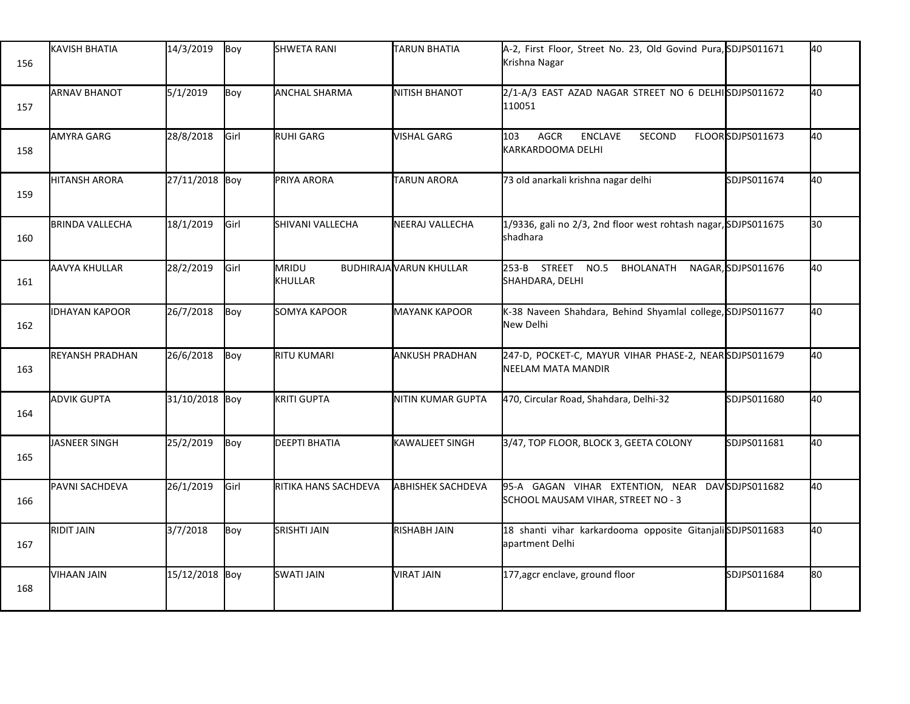| 156 | <b>KAVISH BHATIA</b>   | 14/3/2019      | Boy         | <b>SHWETA RANI</b>   | <b>TARUN BHATIA</b>            | A-2, First Floor, Street No. 23, Old Govind Pura, SDJPS011671<br>Krishna Nagar         |                    | 40 |
|-----|------------------------|----------------|-------------|----------------------|--------------------------------|----------------------------------------------------------------------------------------|--------------------|----|
| 157 | <b>ARNAV BHANOT</b>    | 5/1/2019       | Boy         | <b>ANCHAL SHARMA</b> | <b>NITISH BHANOT</b>           | 2/1-A/3 EAST AZAD NAGAR STREET NO 6 DELHISDJPS011672<br>110051                         |                    | 40 |
| 158 | <b>AMYRA GARG</b>      | 28/8/2018      | Girl        | RUHI GARG            | <b>VISHAL GARG</b>             | 103<br>AGCR<br><b>ENCLAVE</b><br>SECOND<br>KARKARDOOMA DELHI                           | FLOORSDJPS011673   | 40 |
| 159 | <b>HITANSH ARORA</b>   | 27/11/2018 Boy |             | PRIYA ARORA          | <b>TARUN ARORA</b>             | 73 old anarkali krishna nagar delhi                                                    | SDJPS011674        | 40 |
| 160 | <b>BRINDA VALLECHA</b> | 18/1/2019      | <b>Girl</b> | SHIVANI VALLECHA     | NEERAJ VALLECHA                | 1/9336, gali no 2/3, 2nd floor west rohtash nagar, SDJPS011675<br>shadhara             |                    | 30 |
| 161 | AAVYA KHULLAR          | 28/2/2019      | Girl        | MRIDU<br>KHULLAR     | <b>BUDHIRAJA VARUN KHULLAR</b> | 253-B STREET NO.5<br>BHOLANATH<br>SHAHDARA, DELHI                                      | NAGAR, SDJPS011676 | 40 |
| 162 | <b>IDHAYAN KAPOOR</b>  | 26/7/2018      | Boy         | SOMYA KAPOOR         | <b>MAYANK KAPOOR</b>           | K-38 Naveen Shahdara, Behind Shyamlal college, SDJPS011677<br>New Delhi                |                    | 40 |
| 163 | <b>REYANSH PRADHAN</b> | 26/6/2018      | Boy         | RITU KUMARI          | <b>ANKUSH PRADHAN</b>          | 247-D, POCKET-C, MAYUR VIHAR PHASE-2, NEARSDJPS011679<br>NEELAM MATA MANDIR            |                    | 40 |
| 164 | <b>ADVIK GUPTA</b>     | 31/10/2018 Boy |             | KRITI GUPTA          | NITIN KUMAR GUPTA              | 470, Circular Road, Shahdara, Delhi-32                                                 | SDJPS011680        | 40 |
| 165 | JASNEER SINGH          | 25/2/2019      | Boy         | <b>DEEPTI BHATIA</b> | <b>KAWALJEET SINGH</b>         | 3/47, TOP FLOOR, BLOCK 3, GEETA COLONY                                                 | SDJPS011681        | 40 |
| 166 | PAVNI SACHDEVA         | 26/1/2019      | Girl        | RITIKA HANS SACHDEVA | <b>ABHISHEK SACHDEVA</b>       | 95-A GAGAN VIHAR EXTENTION, NEAR DAV SDJPS011682<br>SCHOOL MAUSAM VIHAR, STREET NO - 3 |                    | 40 |
| 167 | <b>RIDIT JAIN</b>      | 3/7/2018       | Boy         | <b>SRISHTI JAIN</b>  | RISHABH JAIN                   | 18 shanti vihar karkardooma opposite Gitanjali SDJPS011683<br>apartment Delhi          |                    | 40 |
| 168 | <b>VIHAAN JAIN</b>     | 15/12/2018 Boy |             | SWATI JAIN           | <b>VIRAT JAIN</b>              | 177, agcr enclave, ground floor                                                        | SDJPS011684        | 80 |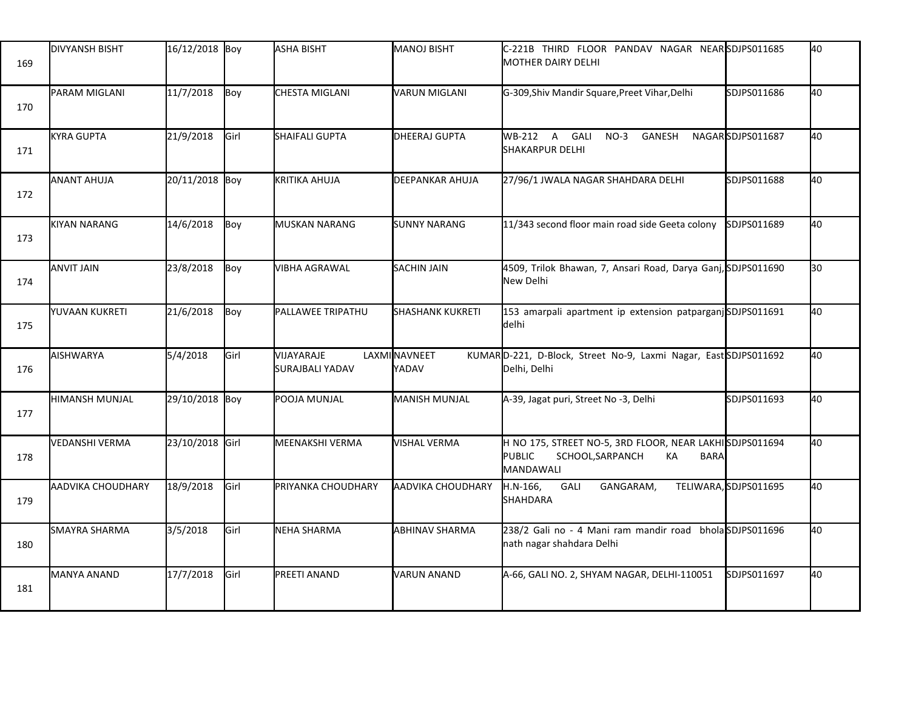| 169 | <b>DIVYANSH BISHT</b> | 16/12/2018 Boy  |      | ASHA BISHT                           | <b>MANOJ BISHT</b>       | C-221B THIRD FLOOR PANDAV NAGAR NEARSDJPS011685<br><b>MOTHER DAIRY DELHI</b>                                                   |                      | 40 |
|-----|-----------------------|-----------------|------|--------------------------------------|--------------------------|--------------------------------------------------------------------------------------------------------------------------------|----------------------|----|
| 170 | PARAM MIGLANI         | 11/7/2018       | Boy  | CHESTA MIGLANI                       | <b>VARUN MIGLANI</b>     | G-309, Shiv Mandir Square, Preet Vihar, Delhi                                                                                  | SDJPS011686          | 40 |
| 171 | <b>KYRA GUPTA</b>     | 21/9/2018       | Girl | SHAIFALI GUPTA                       | <b>DHEERAJ GUPTA</b>     | WB-212 A GALI<br>$NO-3$<br>GANESH<br><b>SHAKARPUR DELHI</b>                                                                    | NAGARSDJPS011687     | 40 |
| 172 | <b>ANANT AHUJA</b>    | 20/11/2018 Boy  |      | <b>KRITIKA AHUJA</b>                 | <b>DEEPANKAR AHUJA</b>   | 27/96/1 JWALA NAGAR SHAHDARA DELHI                                                                                             | SDJPS011688          | 40 |
| 173 | <b>KIYAN NARANG</b>   | 14/6/2018       | Boy  | MUSKAN NARANG                        | <b>SUNNY NARANG</b>      | 11/343 second floor main road side Geeta colony                                                                                | SDJPS011689          | 40 |
| 174 | <b>ANVIT JAIN</b>     | 23/8/2018       | Boy  | VIBHA AGRAWAL                        | <b>SACHIN JAIN</b>       | 4509, Trilok Bhawan, 7, Ansari Road, Darya Ganj, SDJPS011690<br>New Delhi                                                      |                      | 30 |
| 175 | YUVAAN KUKRETI        | 21/6/2018       | Boy  | PALLAWEE TRIPATHU                    | <b>SHASHANK KUKRETI</b>  | 153 amarpali apartment ip extension patparganjSDJPS011691<br>delhi                                                             |                      | 40 |
| 176 | AISHWARYA             | 5/4/2018        | Girl | VIJAYARAJE<br><b>SURAJBALI YADAV</b> | LAXMINAVNEET<br>YADAV    | KUMARD-221, D-Block, Street No-9, Laxmi Nagar, EastSDJPS011692<br>Delhi, Delhi                                                 |                      | 40 |
| 177 | <b>HIMANSH MUNJAL</b> | 29/10/2018 Boy  |      | POOJA MUNJAL                         | <b>MANISH MUNJAL</b>     | A-39, Jagat puri, Street No -3, Delhi                                                                                          | SDJPS011693          | 40 |
| 178 | <b>VEDANSHI VERMA</b> | 23/10/2018 Girl |      | MEENAKSHI VERMA                      | <b>VISHAL VERMA</b>      | H NO 175, STREET NO-5, 3RD FLOOR, NEAR LAKHISDJPS011694<br><b>PUBLIC</b><br>SCHOOL, SARPANCH<br>КA<br><b>BARA</b><br>MANDAWALI |                      | 40 |
| 179 | AADVIKA CHOUDHARY     | 18/9/2018       | Girl | PRIYANKA CHOUDHARY                   | <b>AADVIKA CHOUDHARY</b> | GALI<br>H.N-166,<br>GANGARAM,<br>SHAHDARA                                                                                      | TELIWARA,SDJPS011695 | 40 |
| 180 | <b>SMAYRA SHARMA</b>  | 3/5/2018        | Girl | NEHA SHARMA                          | <b>ABHINAV SHARMA</b>    | 238/2 Gali no - 4 Mani ram mandir road bholaSDJPS011696<br>nath nagar shahdara Delhi                                           |                      | 40 |
| 181 | <b>MANYA ANAND</b>    | 17/7/2018       | Girl | PREETI ANAND                         | <b>VARUN ANAND</b>       | A-66, GALI NO. 2, SHYAM NAGAR, DELHI-110051                                                                                    | SDJPS011697          | 40 |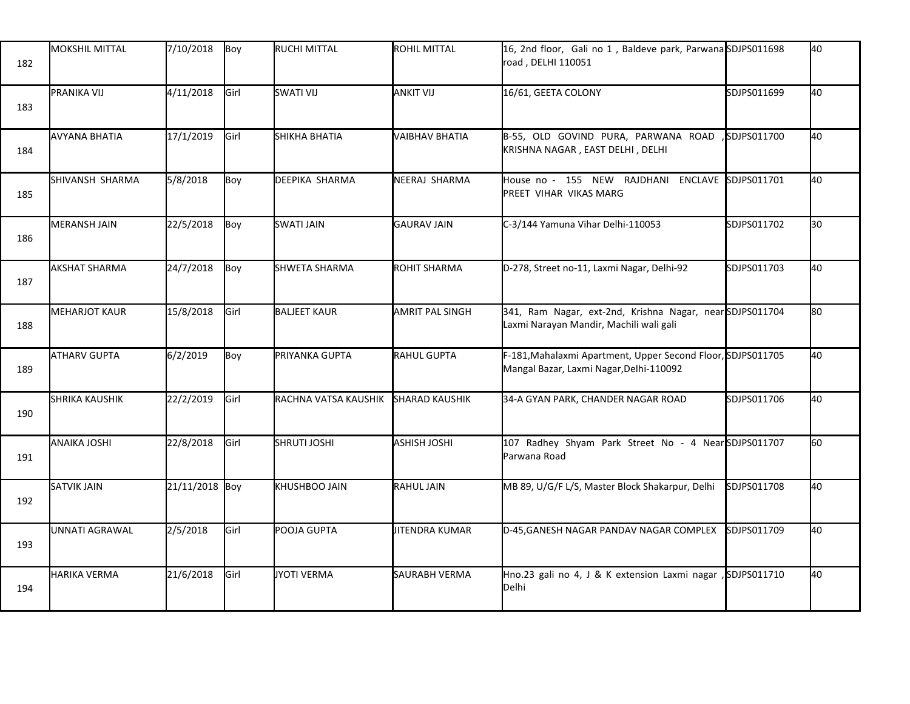| 182 | <b>MOKSHIL MITTAL</b> | 7/10/2018      | Boy  | RUCHI MITTAL         | <b>ROHIL MITTAL</b>   | 16, 2nd floor, Gali no 1, Baldeve park, Parwana SDJPS011698<br>road, DELHI 110051                      |             | 40  |
|-----|-----------------------|----------------|------|----------------------|-----------------------|--------------------------------------------------------------------------------------------------------|-------------|-----|
| 183 | PRANIKA VIJ           | 4/11/2018      | Girl | SWATI VIJ            | <b>JANKIT VIJ</b>     | 16/61, GEETA COLONY                                                                                    | SDJPS011699 | 40  |
| 184 | <b>AVYANA BHATIA</b>  | 17/1/2019      | Girl | SHIKHA BHATIA        | VAIBHAV BHATIA        | B-55, OLD GOVIND PURA, PARWANA ROAD<br>KRISHNA NAGAR, EAST DELHI, DELHI                                | SDJPS011700 | 40  |
| 185 | SHIVANSH SHARMA       | 5/8/2018       | Boy  | DEEPIKA SHARMA       | NEERAJ SHARMA         | House no - 155 NEW RAJDHANI ENCLAVE<br>PREET VIHAR VIKAS MARG                                          | SDJPS011701 | 40  |
| 186 | <b>MERANSH JAIN</b>   | 22/5/2018      | Boy  | <b>SWATI JAIN</b>    | <b>GAURAV JAIN</b>    | C-3/144 Yamuna Vihar Delhi-110053                                                                      | SDJPS011702 | 30  |
| 187 | <b>AKSHAT SHARMA</b>  | 24/7/2018      | Boy  | SHWETA SHARMA        | ROHIT SHARMA          | D-278, Street no-11, Laxmi Nagar, Delhi-92                                                             | SDJPS011703 | 40  |
| 188 | <b>MEHARJOT KAUR</b>  | 15/8/2018      | Girl | <b>BALJEET KAUR</b>  | AMRIT PAL SINGH       | 341, Ram Nagar, ext-2nd, Krishna Nagar, nearSDJPS011704<br>Laxmi Narayan Mandir, Machili wali gali     |             | l80 |
| 189 | <b>ATHARV GUPTA</b>   | 6/2/2019       | Boy  | PRIYANKA GUPTA       | RAHUL GUPTA           | F-181, Mahalaxmi Apartment, Upper Second Floor, SDJPS011705<br>Mangal Bazar, Laxmi Nagar, Delhi-110092 |             | 40  |
| 190 | <b>SHRIKA KAUSHIK</b> | 22/2/2019      | Girl | RACHNA VATSA KAUSHIK | <b>SHARAD KAUSHIK</b> | 34-A GYAN PARK, CHANDER NAGAR ROAD                                                                     | SDJPS011706 | 40  |
| 191 | <b>ANAIKA JOSHI</b>   | 22/8/2018      | Girl | <b>SHRUTI JOSHI</b>  | <b>ASHISH JOSHI</b>   | 107 Radhey Shyam Park Street No - 4 NearSDJPS011707<br>Parwana Road                                    |             | 60  |
| 192 | <b>SATVIK JAIN</b>    | 21/11/2018 Boy |      | <b>KHUSHBOO JAIN</b> | RAHUL JAIN            | MB 89, U/G/F L/S, Master Block Shakarpur, Delhi                                                        | SDJPS011708 | 40  |
| 193 | <b>UNNATI AGRAWAL</b> | 2/5/2018       | Girl | POOJA GUPTA          | JITENDRA KUMAR        | D-45, GANESH NAGAR PANDAV NAGAR COMPLEX                                                                | SDJPS011709 | 40  |
| 194 | <b>HARIKA VERMA</b>   | 21/6/2018      | Girl | JYOTI VERMA          | <b>SAURABH VERMA</b>  | Hno.23 gali no 4, J & K extension Laxmi nagar<br>Delhi                                                 | SDJPS011710 | 40  |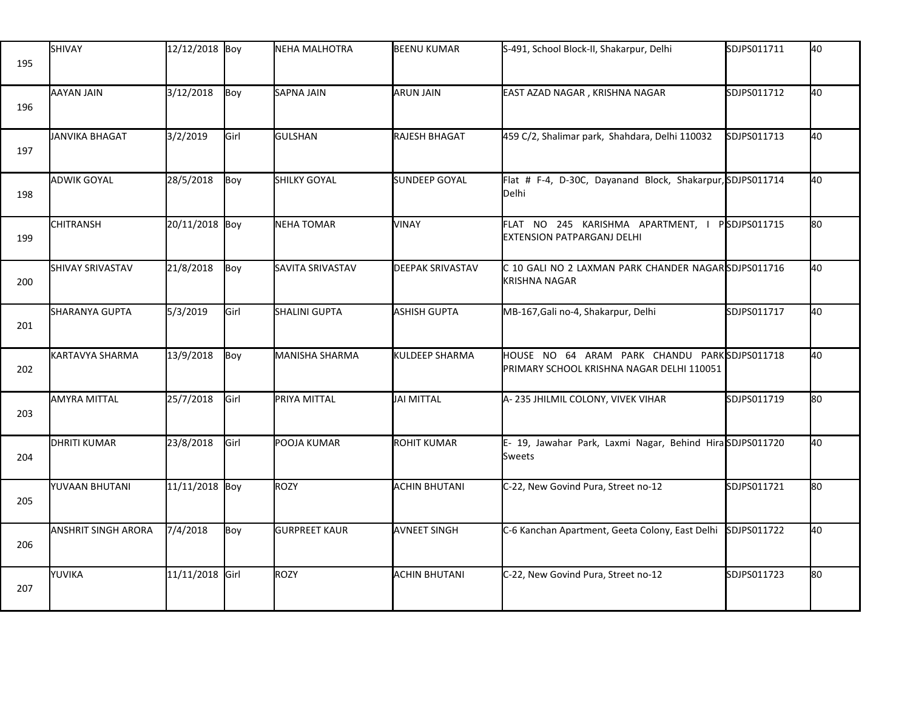| 195 | SHIVAY                     | 12/12/2018 Boy  |      | NEHA MALHOTRA        | <b>BEENU KUMAR</b>      | S-491, School Block-II, Shakarpur, Delhi                                                   | SDJPS011711 | 40 |
|-----|----------------------------|-----------------|------|----------------------|-------------------------|--------------------------------------------------------------------------------------------|-------------|----|
| 196 | AAYAN JAIN                 | 3/12/2018       | Boy  | <b>SAPNA JAIN</b>    | <b>ARUN JAIN</b>        | EAST AZAD NAGAR, KRISHNA NAGAR                                                             | SDJPS011712 | 40 |
| 197 | JANVIKA BHAGAT             | 3/2/2019        | Girl | <b>GULSHAN</b>       | RAJESH BHAGAT           | 459 C/2, Shalimar park, Shahdara, Delhi 110032                                             | SDJPS011713 | 40 |
| 198 | <b>ADWIK GOYAL</b>         | 28/5/2018       | Boy  | <b>SHILKY GOYAL</b>  | <b>SUNDEEP GOYAL</b>    | Flat # F-4, D-30C, Dayanand Block, Shakarpur, SDJPS011714<br>Delhi                         |             | 40 |
| 199 | <b>CHITRANSH</b>           | 20/11/2018 Boy  |      | <b>NEHA TOMAR</b>    | VINAY                   | FLAT NO 245 KARISHMA APARTMENT, I PSDJPS011715<br>EXTENSION PATPARGANJ DELHI               |             | 80 |
| 200 | <b>SHIVAY SRIVASTAV</b>    | 21/8/2018       | Boy  | SAVITA SRIVASTAV     | <b>DEEPAK SRIVASTAV</b> | C 10 GALI NO 2 LAXMAN PARK CHANDER NAGARSDJPS011716<br>KRISHNA NAGAR                       |             | 40 |
| 201 | SHARANYA GUPTA             | 5/3/2019        | Girl | SHALINI GUPTA        | <b>ASHISH GUPTA</b>     | MB-167, Gali no-4, Shakarpur, Delhi                                                        | SDJPS011717 | 40 |
| 202 | KARTAVYA SHARMA            | 13/9/2018       | Boy  | MANISHA SHARMA       | KULDEEP SHARMA          | HOUSE NO 64 ARAM PARK CHANDU PARK SDJPS011718<br>PRIMARY SCHOOL KRISHNA NAGAR DELHI 110051 |             | 40 |
| 203 | <b>AMYRA MITTAL</b>        | 25/7/2018       | Girl | PRIYA MITTAL         | JAI MITTAL              | A-235 JHILMIL COLONY, VIVEK VIHAR                                                          | SDJPS011719 | 80 |
| 204 | <b>DHRITI KUMAR</b>        | 23/8/2018       | Girl | POOJA KUMAR          | <b>ROHIT KUMAR</b>      | E- 19, Jawahar Park, Laxmi Nagar, Behind HiraSDJPS011720<br>Sweets                         |             | 40 |
| 205 | YUVAAN BHUTANI             | 11/11/2018 Boy  |      | ROZY                 | <b>ACHIN BHUTANI</b>    | C-22, New Govind Pura, Street no-12                                                        | SDJPS011721 | 80 |
| 206 | <b>ANSHRIT SINGH ARORA</b> | 7/4/2018        | Boy  | <b>GURPREET KAUR</b> | <b>AVNEET SINGH</b>     | C-6 Kanchan Apartment, Geeta Colony, East Delhi                                            | SDJPS011722 | 40 |
| 207 | YUVIKA                     | 11/11/2018 Girl |      | ROZY                 | <b>ACHIN BHUTANI</b>    | C-22, New Govind Pura, Street no-12                                                        | SDJPS011723 | 80 |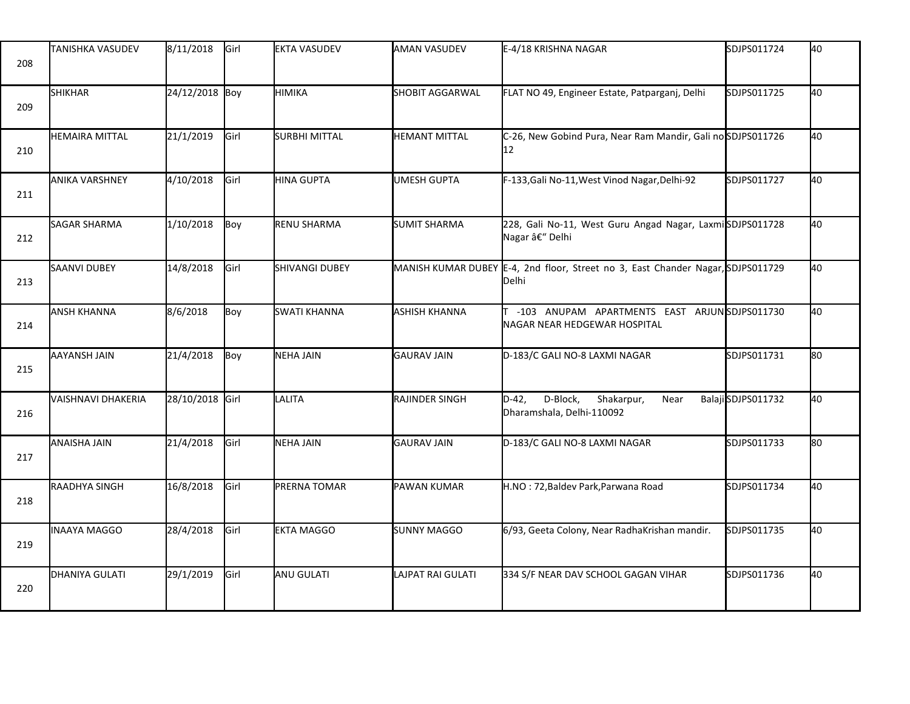| 208 | <b>TANISHKA VASUDEV</b>   | 8/11/2018       | Girl | <b>EKTA VASUDEV</b>   | <b>AMAN VASUDEV</b>  | E-4/18 KRISHNA NAGAR                                                                     | SDJPS011724       | 40 |
|-----|---------------------------|-----------------|------|-----------------------|----------------------|------------------------------------------------------------------------------------------|-------------------|----|
| 209 | <b>SHIKHAR</b>            | 24/12/2018 Boy  |      | HIMIKA                | SHOBIT AGGARWAL      | FLAT NO 49, Engineer Estate, Patparganj, Delhi                                           | SDJPS011725       | 40 |
| 210 | <b>HEMAIRA MITTAL</b>     | 21/1/2019       | Girl | SURBHI MITTAL         | <b>HEMANT MITTAL</b> | C-26, New Gobind Pura, Near Ram Mandir, Gali no SDJPS011726<br>12                        |                   | 40 |
| 211 | <b>ANIKA VARSHNEY</b>     | 4/10/2018       | Girl | <b>HINA GUPTA</b>     | <b>UMESH GUPTA</b>   | F-133, Gali No-11, West Vinod Nagar, Delhi-92                                            | SDJPS011727       | 40 |
| 212 | <b>SAGAR SHARMA</b>       | 1/10/2018       | Boy  | RENU SHARMA           | <b>SUMIT SHARMA</b>  | 228, Gali No-11, West Guru Angad Nagar, LaxmiSDJPS011728<br>Nagar â€" Delhi              |                   | 40 |
| 213 | <b>SAANVI DUBEY</b>       | 14/8/2018       | Girl | <b>SHIVANGI DUBEY</b> |                      | MANISH KUMAR DUBEY E-4, 2nd floor, Street no 3, East Chander Nagar, SDJPS011729<br>Delhi |                   | 40 |
| 214 | <b>ANSH KHANNA</b>        | 8/6/2018        | Boy  | <b>SWATI KHANNA</b>   | <b>ASHISH KHANNA</b> | -103 ANUPAM APARTMENTS EAST ARJUNSDJPS011730<br>NAGAR NEAR HEDGEWAR HOSPITAL             |                   | 40 |
| 215 | AAYANSH JAIN              | 21/4/2018       | Boy  | NEHA JAIN             | <b>GAURAV JAIN</b>   | D-183/C GALI NO-8 LAXMI NAGAR                                                            | SDJPS011731       | 80 |
| 216 | <b>VAISHNAVI DHAKERIA</b> | 28/10/2018 Girl |      | LALITA                | RAJINDER SINGH       | D-Block,<br>$D-42,$<br>Shakarpur,<br>Near<br>Dharamshala, Delhi-110092                   | BalajiSDJPS011732 | 40 |
| 217 | <b>ANAISHA JAIN</b>       | 21/4/2018       | Girl | <b>NEHA JAIN</b>      | GAURAV JAIN          | D-183/C GALI NO-8 LAXMI NAGAR                                                            | SDJPS011733       | 80 |
| 218 | RAADHYA SINGH             | 16/8/2018       | Girl | <b>PRERNA TOMAR</b>   | PAWAN KUMAR          | H.NO: 72, Baldev Park, Parwana Road                                                      | SDJPS011734       | 40 |
| 219 | <b>INAAYA MAGGO</b>       | 28/4/2018       | Girl | <b>EKTA MAGGO</b>     | <b>SUNNY MAGGO</b>   | 6/93, Geeta Colony, Near RadhaKrishan mandir.                                            | SDJPS011735       | 40 |
| 220 | DHANIYA GULATI            | 29/1/2019       | Girl | ANU GULATI            | LAJPAT RAI GULATI    | 334 S/F NEAR DAV SCHOOL GAGAN VIHAR                                                      | SDJPS011736       | 40 |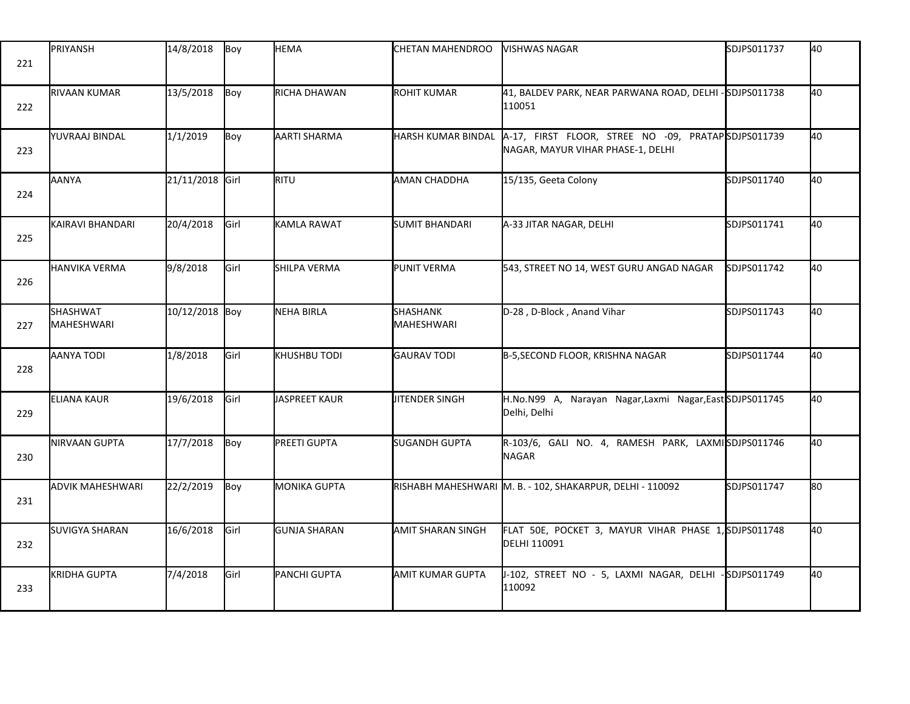| 221 | PRIYANSH                | 14/8/2018       | Boy  | <b>HEMA</b>         | CHETAN MAHENDROO          | VISHWAS NAGAR                                                                           | SDJPS011737 | 40  |
|-----|-------------------------|-----------------|------|---------------------|---------------------------|-----------------------------------------------------------------------------------------|-------------|-----|
| 222 | RIVAAN KUMAR            | 13/5/2018       | Boy  | RICHA DHAWAN        | <b>ROHIT KUMAR</b>        | 41, BALDEV PARK, NEAR PARWANA ROAD, DELHI - SDJPS011738<br>110051                       |             | 40  |
| 223 | YUVRAAJ BINDAL          | 1/1/2019        | Boy  | AARTI SHARMA        | <b>HARSH KUMAR BINDAL</b> | A-17, FIRST FLOOR, STREE NO -09, PRATAPSDJPS011739<br>NAGAR, MAYUR VIHAR PHASE-1, DELHI |             | 40  |
| 224 | AANYA                   | 21/11/2018 Girl |      | RITU                | <b>AMAN CHADDHA</b>       | 15/135, Geeta Colony                                                                    | SDJPS011740 | 40  |
| 225 | KAIRAVI BHANDARI        | 20/4/2018       | Girl | KAMLA RAWAT         | <b>SUMIT BHANDARI</b>     | A-33 JITAR NAGAR, DELHI                                                                 | SDJPS011741 | 40  |
| 226 | <b>HANVIKA VERMA</b>    | 9/8/2018        | Girl | SHILPA VERMA        | PUNIT VERMA               | 543, STREET NO 14, WEST GURU ANGAD NAGAR                                                | SDJPS011742 | 40  |
| 227 | SHASHWAT<br>MAHESHWARI  | 10/12/2018 Boy  |      | NEHA BIRLA          | SHASHANK<br>MAHESHWARI    | D-28, D-Block, Anand Vihar                                                              | SDJPS011743 | 40  |
| 228 | AANYA TODI              | 1/8/2018        | Girl | KHUSHBU TODI        | <b>GAURAV TODI</b>        | B-5, SECOND FLOOR, KRISHNA NAGAR                                                        | SDJPS011744 | 40  |
| 229 | <b>ELIANA KAUR</b>      | 19/6/2018       | Girl | JASPREET KAUR       | <b>JITENDER SINGH</b>     | H.No.N99 A, Narayan Nagar,Laxmi Nagar,East SDJPS011745<br>Delhi, Delhi                  |             | 40  |
| 230 | NIRVAAN GUPTA           | 17/7/2018       | Boy  | PREETI GUPTA        | <b>SUGANDH GUPTA</b>      | R-103/6, GALI NO. 4, RAMESH PARK, LAXMISDJPS011746<br><b>NAGAR</b>                      |             | 40  |
| 231 | <b>ADVIK MAHESHWARI</b> | 22/2/2019       | Boy  | <b>MONIKA GUPTA</b> |                           | RISHABH MAHESHWARI M. B. - 102, SHAKARPUR, DELHI - 110092                               | SDJPS011747 | l80 |
| 232 | <b>SUVIGYA SHARAN</b>   | 16/6/2018       | Girl | <b>GUNJA SHARAN</b> | AMIT SHARAN SINGH         | FLAT 50E, POCKET 3, MAYUR VIHAR PHASE 1, SDJPS011748<br>DELHI 110091                    |             | 40  |
| 233 | KRIDHA GUPTA            | 7/4/2018        | Girl | PANCHI GUPTA        | AMIT KUMAR GUPTA          | J-102, STREET NO - 5, LAXMI NAGAR, DELHI<br>110092                                      | SDJPS011749 | 40  |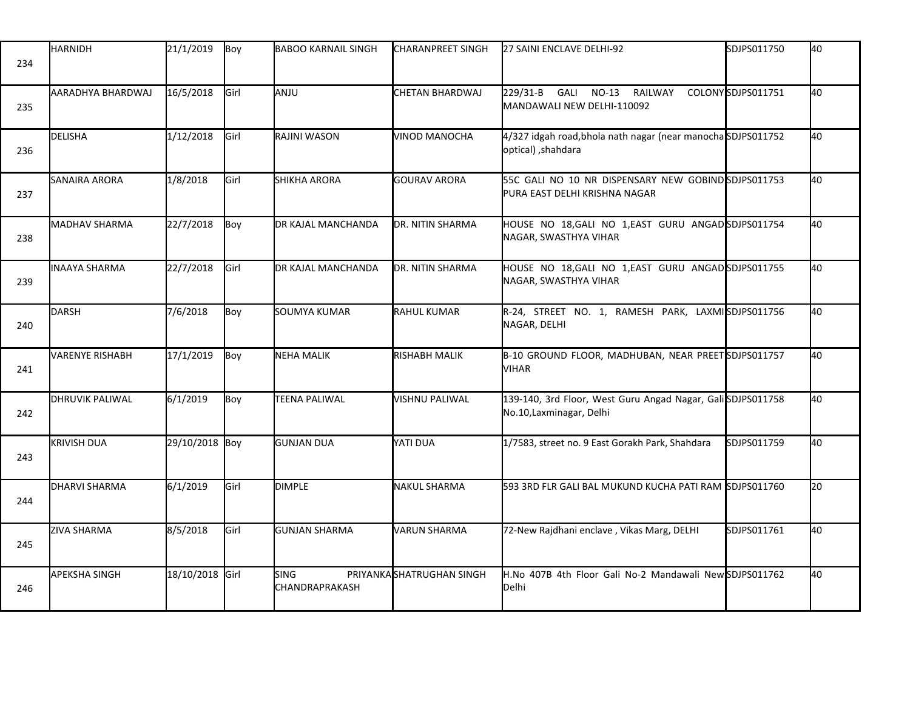| 234 | <b>HARNIDH</b>         | 21/1/2019       | Boy         | <b>I</b> BABOO KARNAIL SINGH         | <b>I</b> CHARANPREET SINGH | 27 SAINI ENCLAVE DELHI-92                                                              | SDJPS011750       | 40  |
|-----|------------------------|-----------------|-------------|--------------------------------------|----------------------------|----------------------------------------------------------------------------------------|-------------------|-----|
| 235 | AARADHYA BHARDWAJ      | 16/5/2018       | Girl        | ANJU                                 | CHETAN BHARDWAJ            | 229/31-B GALI<br>$NO-13$<br>RAILWAY<br>MANDAWALI NEW DELHI-110092                      | COLONYSDJPS011751 | 40  |
| 236 | DELISHA                | 1/12/2018       | Girl        | RAJINI WASON                         | VINOD MANOCHA              | 4/327 idgah road, bhola nath nagar (near manochaSDJPS011752<br>optical), shahdara      |                   | 40  |
| 237 | SANAIRA ARORA          | 1/8/2018        | Girl        | <b>SHIKHA ARORA</b>                  | <b>GOURAV ARORA</b>        | 55C GALI NO 10 NR DISPENSARY NEW GOBIND SDJPS011753<br>PURA EAST DELHI KRISHNA NAGAR   |                   | 40  |
| 238 | MADHAV SHARMA          | 22/7/2018       | Boy         | DR KAJAL MANCHANDA                   | <b>DR. NITIN SHARMA</b>    | HOUSE NO 18, GALI NO 1, EAST GURU ANGAD SDJPS011754<br>NAGAR, SWASTHYA VIHAR           |                   | 40  |
| 239 | <b>INAAYA SHARMA</b>   | 22/7/2018       | Girl        | DR KAJAL MANCHANDA                   | <b>I</b> DR. NITIN SHARMA  | HOUSE NO 18, GALI NO 1, EAST GURU ANGAD SDJPS011755<br>NAGAR, SWASTHYA VIHAR           |                   | 40  |
| 240 | <b>DARSH</b>           | 7/6/2018        | Boy         | SOUMYA KUMAR                         | <b>RAHUL KUMAR</b>         | R-24, STREET NO. 1, RAMESH PARK, LAXMISDJPS011756<br>NAGAR, DELHI                      |                   | 40  |
| 241 | VARENYE RISHABH        | 17/1/2019       | Boy         | <b>NEHA MALIK</b>                    | <b>RISHABH MALIK</b>       | B-10 GROUND FLOOR, MADHUBAN, NEAR PREETSDJPS011757<br><b>VIHAR</b>                     |                   | 40  |
| 242 | <b>DHRUVIK PALIWAL</b> | 6/1/2019        | Boy         | TEENA PALIWAL                        | VISHNU PALIWAL             | 139-140, 3rd Floor, West Guru Angad Nagar, GaliSDJPS011758<br>No.10, Laxminagar, Delhi |                   | 40  |
| 243 | <b>KRIVISH DUA</b>     | 29/10/2018 Boy  |             | <b>GUNJAN DUA</b>                    | IYATI DUA                  | 1/7583, street no. 9 East Gorakh Park, Shahdara                                        | SDJPS011759       | 40  |
| 244 | <b>I</b> DHARVI SHARMA | 6/1/2019        | <b>Girl</b> | <b>DIMPLE</b>                        | NAKUL SHARMA               | 593 3RD FLR GALI BAL MUKUND KUCHA PATI RAM SDJPS011760                                 |                   | l20 |
| 245 | <b>ZIVA SHARMA</b>     | 8/5/2018        | Girl        | <b>GUNJAN SHARMA</b>                 | <b>VARUN SHARMA</b>        | 72-New Rajdhani enclave, Vikas Marg, DELHI                                             | SDJPS011761       | 40  |
| 246 | <b>APEKSHA SINGH</b>   | 18/10/2018 Girl |             | <b>SING</b><br><b>CHANDRAPRAKASH</b> | PRIYANKASHATRUGHAN SINGH   | H.No 407B 4th Floor Gali No-2 Mandawali New SDJPS011762<br>Delhi                       |                   | 40  |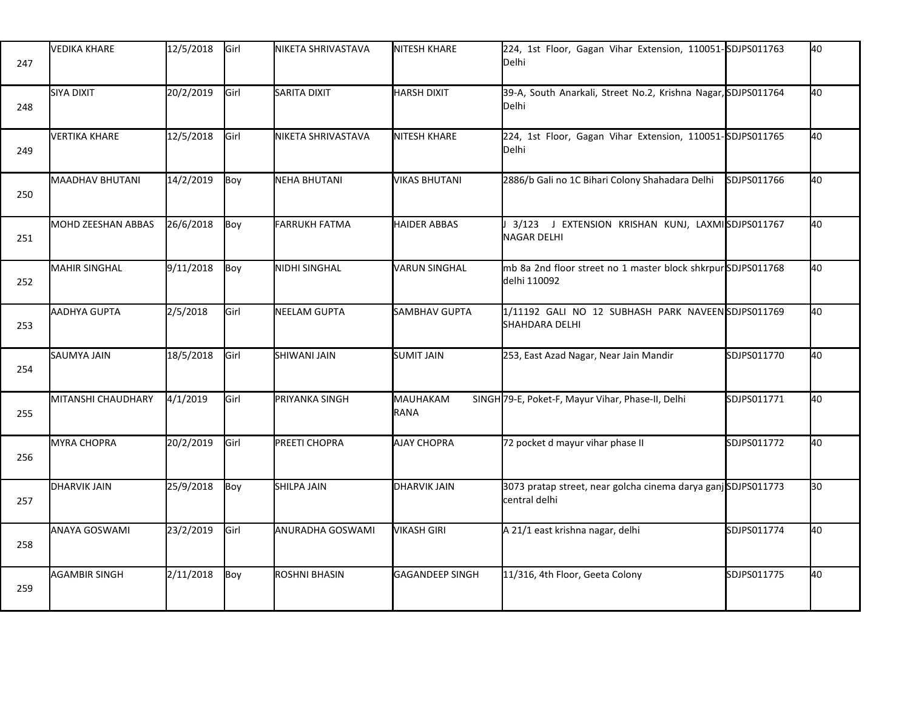| 247 | <b>VEDIKA KHARE</b>    | 12/5/2018 | Girl | NIKETA SHRIVASTAVA   | <b>NITESH KHARE</b>    | 224, 1st Floor, Gagan Vihar Extension, 110051-SDJPS011763<br>Delhi            |             | 40  |
|-----|------------------------|-----------|------|----------------------|------------------------|-------------------------------------------------------------------------------|-------------|-----|
| 248 | <b>SIYA DIXIT</b>      | 20/2/2019 | Girl | SARITA DIXIT         | HARSH DIXIT            | 39-A, South Anarkali, Street No.2, Krishna Nagar, SDJPS011764<br>Delhi        |             | 40  |
| 249 | <b>VERTIKA KHARE</b>   | 12/5/2018 | Girl | NIKETA SHRIVASTAVA   | NITESH KHARE           | 224, 1st Floor, Gagan Vihar Extension, 110051-SDJPS011765<br>Delhi            |             | 40  |
| 250 | <b>MAADHAV BHUTANI</b> | 14/2/2019 | Boy  | <b>NEHA BHUTANI</b>  | <b>VIKAS BHUTANI</b>   | 2886/b Gali no 1C Bihari Colony Shahadara Delhi                               | SDJPS011766 | 40  |
| 251 | MOHD ZEESHAN ABBAS     | 26/6/2018 | Boy  | <b>FARRUKH FATMA</b> | <b>HAIDER ABBAS</b>    | 3/123 J EXTENSION KRISHAN KUNJ, LAXMISDJPS011767<br><b>NAGAR DELHI</b>        |             | 40  |
| 252 | <b>MAHIR SINGHAL</b>   | 9/11/2018 | Boy  | NIDHI SINGHAL        | <b>VARUN SINGHAL</b>   | mb 8a 2nd floor street no 1 master block shkrpur SDJPS011768<br>delhi 110092  |             | 40  |
| 253 | <b>AADHYA GUPTA</b>    | 2/5/2018  | Girl | NEELAM GUPTA         | SAMBHAV GUPTA          | 1/11192 GALI NO 12 SUBHASH PARK NAVEENSDJPS011769<br><b>SHAHDARA DELHI</b>    |             | 40  |
| 254 | SAUMYA JAIN            | 18/5/2018 | Girl | <b>SHIWANI JAIN</b>  | <b>SUMIT JAIN</b>      | 253, East Azad Nagar, Near Jain Mandir                                        | SDJPS011770 | 40  |
| 255 | MITANSHI CHAUDHARY     | 4/1/2019  | Girl | PRIYANKA SINGH       | MAUHAKAM<br>RANA       | SINGH 79-E, Poket-F, Mayur Vihar, Phase-II, Delhi                             | SDJPS011771 | 40  |
| 256 | <b>MYRA CHOPRA</b>     | 20/2/2019 | Girl | PREETI CHOPRA        | <b>AJAY CHOPRA</b>     | 72 pocket d mayur vihar phase II                                              | SDJPS011772 | 40  |
| 257 | <b>DHARVIK JAIN</b>    | 25/9/2018 | Boy  | <b>SHILPA JAIN</b>   | <b>DHARVIK JAIN</b>    | 3073 pratap street, near golcha cinema darya ganjSDJPS011773<br>central delhi |             | l30 |
| 258 | ANAYA GOSWAMI          | 23/2/2019 | Girl | ANURADHA GOSWAMI     | <b>VIKASH GIRI</b>     | A 21/1 east krishna nagar, delhi                                              | SDJPS011774 | 40  |
| 259 | <b>AGAMBIR SINGH</b>   | 2/11/2018 | Boy  | ROSHNI BHASIN        | <b>GAGANDEEP SINGH</b> | 11/316, 4th Floor, Geeta Colony                                               | SDJPS011775 | 40  |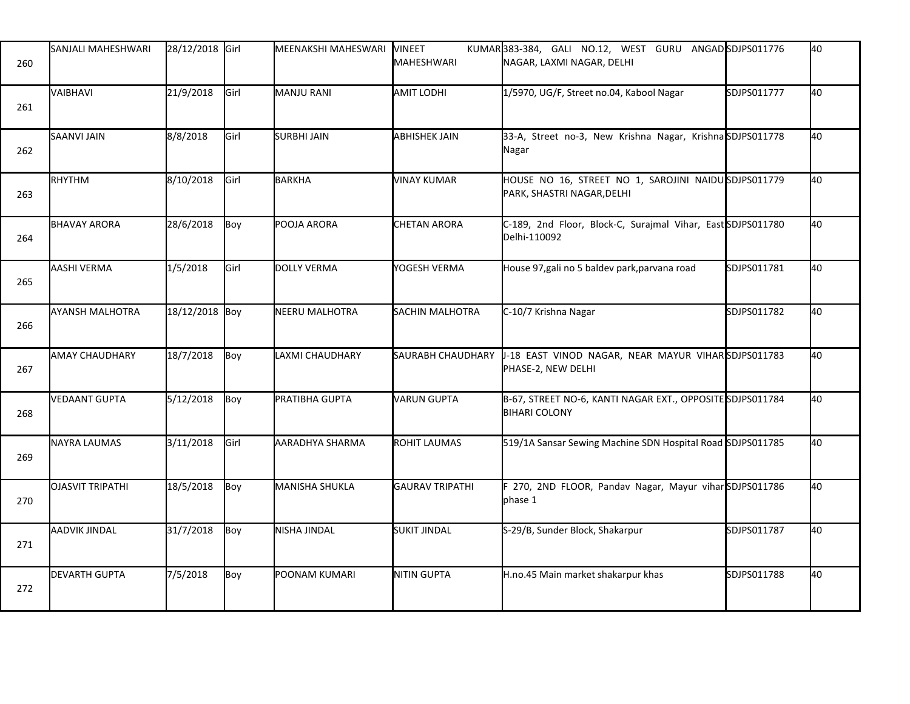| 260 | SANJALI MAHESHWARI      | 28/12/2018 Girl |      | MEENAKSHI MAHESWARI | VINEET<br><b>MAHESHWARI</b> | KUMAR383-384, GALI NO.12, WEST GURU ANGADSDJPS011776<br>NAGAR, LAXMI NAGAR, DELHI |             | 40 |
|-----|-------------------------|-----------------|------|---------------------|-----------------------------|-----------------------------------------------------------------------------------|-------------|----|
| 261 | VAIBHAVI                | 21/9/2018       | Girl | MANJU RANI          | <b>AMIT LODHI</b>           | 1/5970, UG/F, Street no.04, Kabool Nagar                                          | SDJPS011777 | 40 |
| 262 | <b>SAANVI JAIN</b>      | 8/8/2018        | Girl | SURBHI JAIN         | <b>ABHISHEK JAIN</b>        | 33-A, Street no-3, New Krishna Nagar, KrishnaSDJPS011778<br>Nagar                 |             | 40 |
| 263 | <b>RHYTHM</b>           | 8/10/2018       | Girl | BARKHA              | <b>VINAY KUMAR</b>          | HOUSE NO 16, STREET NO 1, SAROJINI NAIDUSDJPS011779<br>PARK, SHASTRI NAGAR, DELHI |             | 40 |
| 264 | <b>BHAVAY ARORA</b>     | 28/6/2018       | Boy  | POOJA ARORA         | <b>CHETAN ARORA</b>         | C-189, 2nd Floor, Block-C, Surajmal Vihar, East SDJPS011780<br>Delhi-110092       |             | 40 |
| 265 | AASHI VERMA             | 1/5/2018        | Girl | DOLLY VERMA         | YOGESH VERMA                | House 97, gali no 5 baldev park, parvana road                                     | SDJPS011781 | 40 |
| 266 | <b>AYANSH MALHOTRA</b>  | 18/12/2018 Boy  |      | NEERU MALHOTRA      | SACHIN MALHOTRA             | C-10/7 Krishna Nagar                                                              | SDJPS011782 | 40 |
| 267 | <b>AMAY CHAUDHARY</b>   | 18/7/2018       | Boy  | LAXMI CHAUDHARY     | <b>SAURABH CHAUDHARY</b>    | J-18 EAST VINOD NAGAR, NEAR MAYUR VIHARSDJPS011783<br>PHASE-2, NEW DELHI          |             | 40 |
| 268 | <b>VEDAANT GUPTA</b>    | 5/12/2018       | Boy  | PRATIBHA GUPTA      | VARUN GUPTA                 | B-67, STREET NO-6, KANTI NAGAR EXT., OPPOSITE SDJPS011784<br><b>BIHARI COLONY</b> |             | 40 |
| 269 | NAYRA LAUMAS            | 3/11/2018       | Girl | AARADHYA SHARMA     | ROHIT LAUMAS                | 519/1A Sansar Sewing Machine SDN Hospital Road SDJPS011785                        |             | 40 |
| 270 | <b>OJASVIT TRIPATHI</b> | 18/5/2018       | Boy  | MANISHA SHUKLA      | <b>GAURAV TRIPATHI</b>      | F 270, 2ND FLOOR, Pandav Nagar, Mayur viharSDJPS011786<br>phase 1                 |             | 40 |
| 271 | <b>AADVIK JINDAL</b>    | 31/7/2018       | Boy  | NISHA JINDAL        | <b>SUKIT JINDAL</b>         | S-29/B, Sunder Block, Shakarpur                                                   | SDJPS011787 | 40 |
| 272 | <b>DEVARTH GUPTA</b>    | 7/5/2018        | Boy  | POONAM KUMARI       | <b>NITIN GUPTA</b>          | H.no.45 Main market shakarpur khas                                                | SDJPS011788 | 40 |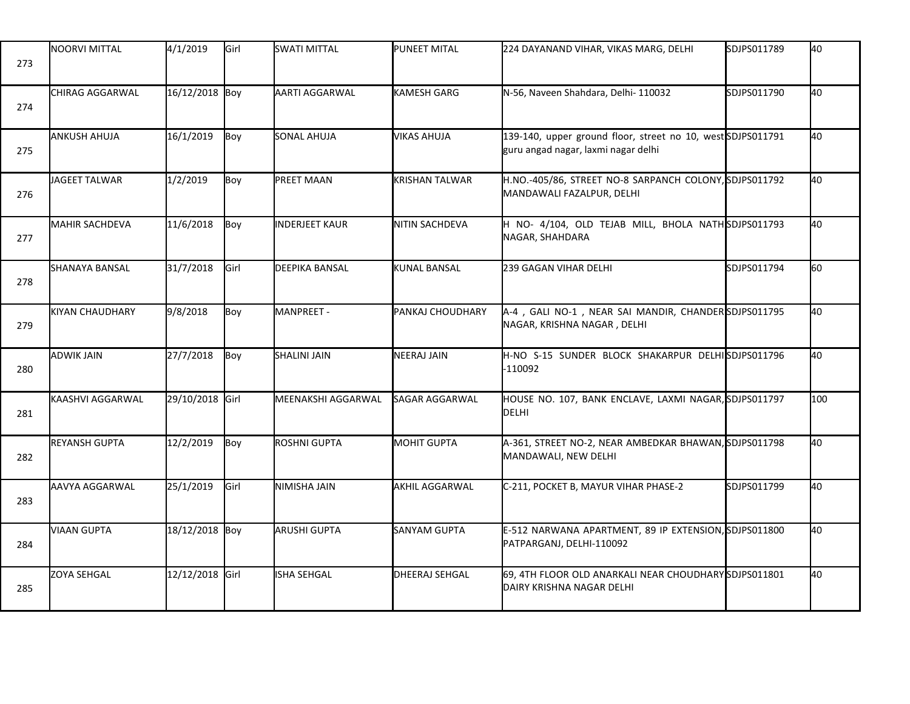| 273 | NOORVI MITTAL          | 4/1/2019        | Girl | <b>SWATI MITTAL</b>   | <b>PUNEET MITAL</b>   | 224 DAYANAND VIHAR, VIKAS MARG, DELHI                                                              | SDJPS011789 | 40  |
|-----|------------------------|-----------------|------|-----------------------|-----------------------|----------------------------------------------------------------------------------------------------|-------------|-----|
| 274 | CHIRAG AGGARWAL        | 16/12/2018 Boy  |      | AARTI AGGARWAL        | <b>I</b> KAMESH GARG  | N-56, Naveen Shahdara, Delhi- 110032                                                               | SDJPS011790 | 40  |
| 275 | <b>ANKUSH AHUJA</b>    | 16/1/2019       | Boy  | SONAL AHUJA           | <b>VIKAS AHUJA</b>    | 139-140, upper ground floor, street no 10, west SDJPS011791<br>guru angad nagar, laxmi nagar delhi |             | 40  |
| 276 | JAGEET TALWAR          | 1/2/2019        | Boy  | <b>PREET MAAN</b>     | <b>KRISHAN TALWAR</b> | H.NO.-405/86, STREET NO-8 SARPANCH COLONY, SDJPS011792<br>MANDAWALI FAZALPUR, DELHI                |             | 40  |
| 277 | <b>MAHIR SACHDEVA</b>  | 11/6/2018       | Boy  | <b>INDERJEET KAUR</b> | NITIN SACHDEVA        | H NO- 4/104, OLD TEJAB MILL, BHOLA NATH SDJPS011793<br>NAGAR, SHAHDARA                             |             | 40  |
| 278 | <b>SHANAYA BANSAL</b>  | 31/7/2018       | Girl | DEEPIKA BANSAL        | <b>KUNAL BANSAL</b>   | 239 GAGAN VIHAR DELHI                                                                              | SDJPS011794 | 60  |
| 279 | <b>KIYAN CHAUDHARY</b> | 9/8/2018        | Boy  | MANPREET -            | PANKAJ CHOUDHARY      | A-4, GALI NO-1, NEAR SAI MANDIR, CHANDERSDJPS011795<br>NAGAR, KRISHNA NAGAR, DELHI                 |             | 40  |
| 280 | <b>ADWIK JAIN</b>      | 27/7/2018       | Boy  | <b>SHALINI JAIN</b>   | NEERAJ JAIN           | H-NO S-15 SUNDER BLOCK SHAKARPUR DELHISDJPS011796<br>$-110092$                                     |             | 40  |
| 281 | KAASHVI AGGARWAL       | 29/10/2018 Girl |      | MEENAKSHI AGGARWAL    | SAGAR AGGARWAL        | HOUSE NO. 107, BANK ENCLAVE, LAXMI NAGAR, SDJPS011797<br><b>DELHI</b>                              |             | 100 |
| 282 | <b>REYANSH GUPTA</b>   | 12/2/2019       | Boy  | ROSHNI GUPTA          | <b>MOHIT GUPTA</b>    | A-361, STREET NO-2, NEAR AMBEDKAR BHAWAN, SDJPS011798<br>MANDAWALI, NEW DELHI                      |             | 40  |
| 283 | AAVYA AGGARWAL         | 25/1/2019       | Girl | NIMISHA JAIN          | <b>AKHIL AGGARWAL</b> | C-211, POCKET B, MAYUR VIHAR PHASE-2                                                               | SDJPS011799 | 40  |
| 284 | <b>VIAAN GUPTA</b>     | 18/12/2018 Boy  |      | ARUSHI GUPTA          | <b>SANYAM GUPTA</b>   | E-512 NARWANA APARTMENT, 89 IP EXTENSION, SDJPS011800<br>PATPARGANJ, DELHI-110092                  |             | 40  |
| 285 | <b>ZOYA SEHGAL</b>     | 12/12/2018 Girl |      | ISHA SEHGAL           | <b>DHEERAJ SEHGAL</b> | 69, 4TH FLOOR OLD ANARKALI NEAR CHOUDHARY SDJPS011801<br>DAIRY KRISHNA NAGAR DELHI                 |             | 40  |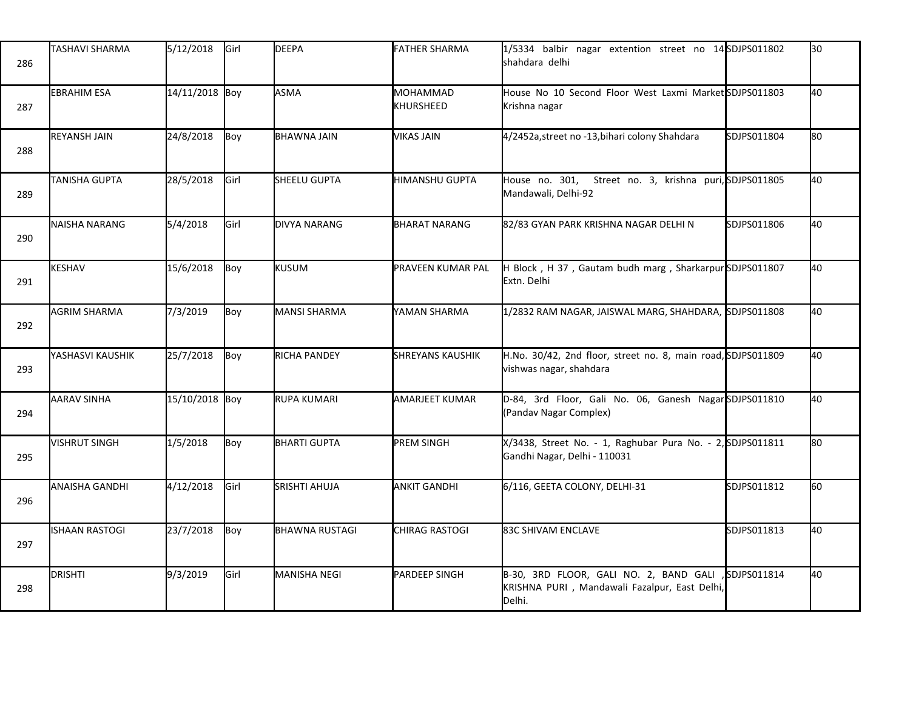| 286 | TASHAVI SHARMA        | 5/12/2018      | Girl | <b>DEEPA</b>          | <b>FATHER SHARMA</b>         | 1/5334 balbir nagar extention street no 14 SDJPS011802<br>shahdara delhi                          |              | l30  |
|-----|-----------------------|----------------|------|-----------------------|------------------------------|---------------------------------------------------------------------------------------------------|--------------|------|
| 287 | <b>EBRAHIM ESA</b>    | 14/11/2018 Boy |      | <b>ASMA</b>           | MOHAMMAD<br><b>KHURSHEED</b> | House No 10 Second Floor West Laxmi Market SDJPS011803<br>Krishna nagar                           |              | 40   |
| 288 | <b>REYANSH JAIN</b>   | 24/8/2018      | Boy  | BHAWNA JAIN           | <b>VIKAS JAIN</b>            | 4/2452a, street no -13, bihari colony Shahdara                                                    | SDJPS011804  | lso  |
| 289 | <b>TANISHA GUPTA</b>  | 28/5/2018      | Girl | SHEELU GUPTA          | HIMANSHU GUPTA               | House no. 301, Street no. 3, krishna puri, SDJPS011805<br>Mandawali, Delhi-92                     |              | 40   |
| 290 | NAISHA NARANG         | 5/4/2018       | Girl | DIVYA NARANG          | <b>BHARAT NARANG</b>         | 82/83 GYAN PARK KRISHNA NAGAR DELHI N                                                             | SDJPS011806  | 40   |
| 291 | KESHAV                | 15/6/2018      | Boy  | <b>KUSUM</b>          | PRAVEEN KUMAR PAL            | H Block, H 37, Gautam budh marg, Sharkarpur SDJPS011807<br><b>I</b> Extn. Delhi                   |              | 40   |
| 292 | <b>AGRIM SHARMA</b>   | 7/3/2019       | Boy  | MANSI SHARMA          | YAMAN SHARMA                 | 1/2832 RAM NAGAR, JAISWAL MARG, SHAHDARA, SDJPS011808                                             |              | 40   |
| 293 | YASHASVI KAUSHIK      | 25/7/2018      | Boy  | <b>RICHA PANDEY</b>   | <b>SHREYANS KAUSHIK</b>      | H.No. 30/42, 2nd floor, street no. 8, main road, SDJPS011809<br>vishwas nagar, shahdara           |              | 40   |
| 294 | <b>AARAV SINHA</b>    | 15/10/2018 Boy |      | RUPA KUMARI           | <b>AMARJEET KUMAR</b>        | D-84, 3rd Floor, Gali No. 06, Ganesh NagarSDJPS011810<br>(Pandav Nagar Complex)                   |              | 40   |
| 295 | VISHRUT SINGH         | 1/5/2018       | Boy  | <b>BHARTI GUPTA</b>   | <b>PREM SINGH</b>            | X/3438, Street No. - 1, Raghubar Pura No. - 2, SDJPS011811<br>Gandhi Nagar, Delhi - 110031        |              | lso. |
| 296 | <b>ANAISHA GANDHI</b> | 4/12/2018      | Girl | <b>SRISHTI AHUJA</b>  | <b>ANKIT GANDHI</b>          | 6/116, GEETA COLONY, DELHI-31                                                                     | SDJPS011812  | 60   |
| 297 | <b>ISHAAN RASTOGI</b> | 23/7/2018      | Boy  | <b>BHAWNA RUSTAGI</b> | <b>CHIRAG RASTOGI</b>        | 83C SHIVAM ENCLAVE                                                                                | SDJPS011813  | 40   |
| 298 | DRISHTI               | 9/3/2019       | Girl | <b>MANISHA NEGI</b>   | PARDEEP SINGH                | B-30, 3RD FLOOR, GALI NO. 2, BAND GALI<br>KRISHNA PURI, Mandawali Fazalpur, East Delhi,<br>Delhi. | ,SDJPS011814 | 40   |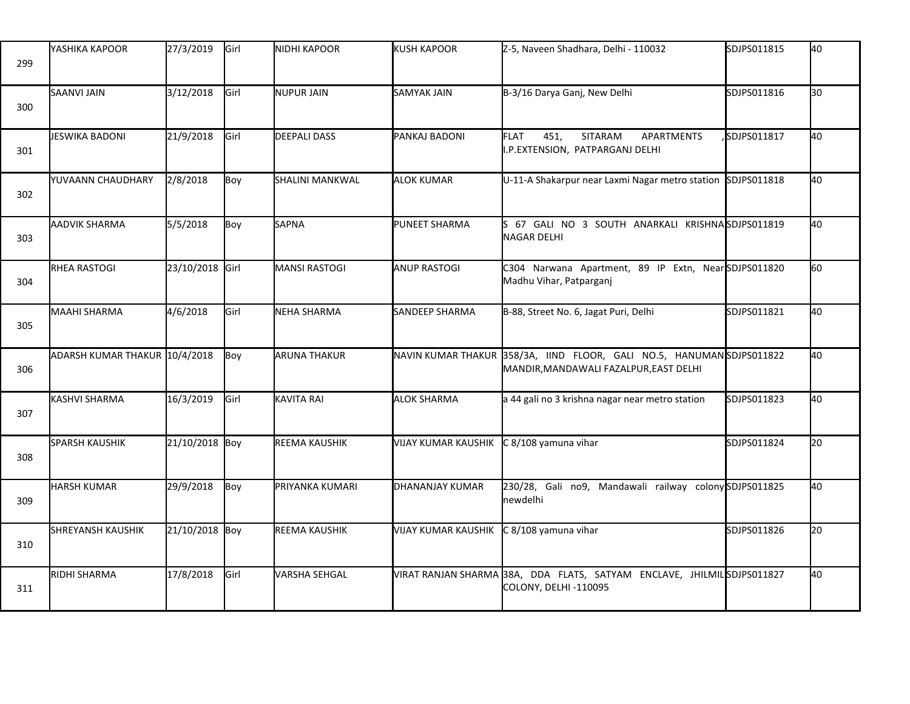| 299 | YASHIKA KAPOOR                | 27/3/2019       | Girl | <b>NIDHI KAPOOR</b>  | <b>KUSH KAPOOR</b>         | Z-5, Naveen Shadhara, Delhi - 110032                                                             | SDJPS011815 | 40  |
|-----|-------------------------------|-----------------|------|----------------------|----------------------------|--------------------------------------------------------------------------------------------------|-------------|-----|
| 300 | <b>SAANVI JAIN</b>            | 3/12/2018       | Girl | <b>NUPUR JAIN</b>    | <b>SAMYAK JAIN</b>         | B-3/16 Darya Ganj, New Delhi                                                                     | SDJPS011816 | 30  |
| 301 | JESWIKA BADONI                | 21/9/2018       | Girl | <b>DEEPALI DASS</b>  | PANKAJ BADONI              | 451,<br><b>FLAT</b><br><b>SITARAM</b><br><b>APARTMENTS</b><br>I.P.EXTENSION, PATPARGANJ DELHI    | SDJPS011817 | 40  |
| 302 | YUVAANN CHAUDHARY             | 2/8/2018        | Boy  | SHALINI MANKWAL      | <b>ALOK KUMAR</b>          | U-11-A Shakarpur near Laxmi Nagar metro station                                                  | SDJPS011818 | 40  |
| 303 | <b>AADVIK SHARMA</b>          | 5/5/2018        | Boy  | <b>SAPNA</b>         | <b>PUNEET SHARMA</b>       | 67 GALI NO 3 SOUTH ANARKALI KRISHNASDJPS011819<br>NAGAR DELHI                                    |             | 40  |
| 304 | <b>RHEA RASTOGI</b>           | 23/10/2018 Girl |      | <b>MANSI RASTOGI</b> | <b>ANUP RASTOGI</b>        | C304 Narwana Apartment, 89 IP Extn, NearSDJPS011820<br>Madhu Vihar, Patparganj                   |             | l60 |
| 305 | <b>MAAHI SHARMA</b>           | 4/6/2018        | Girl | <b>NEHA SHARMA</b>   | SANDEEP SHARMA             | B-88, Street No. 6, Jagat Puri, Delhi                                                            | SDJPS011821 | 40  |
| 306 | ADARSH KUMAR THAKUR 10/4/2018 |                 | Boy  | <b>ARUNA THAKUR</b>  | NAVIN KUMAR THAKUR         | 358/3A, IIND FLOOR, GALI NO.5, HANUMANSDJPS011822<br>MANDIR, MANDAWALI FAZALPUR, EAST DELHI      |             | 40  |
| 307 | <b>KASHVI SHARMA</b>          | 16/3/2019       | Girl | KAVITA RAI           | <b>ALOK SHARMA</b>         | a 44 gali no 3 krishna nagar near metro station                                                  | SDJPS011823 | 40  |
| 308 | <b>SPARSH KAUSHIK</b>         | 21/10/2018 Boy  |      | REEMA KAUSHIK        | <b>VIJAY KUMAR KAUSHIK</b> | C 8/108 yamuna vihar                                                                             | SDJPS011824 | 20  |
| 309 | <b>HARSH KUMAR</b>            | 29/9/2018       | Boy  | PRIYANKA KUMARI      | DHANANJAY KUMAR            | 230/28, Gali no9, Mandawali railway colony SDJPS011825<br>newdelhi                               |             | 40  |
| 310 | <b>SHREYANSH KAUSHIK</b>      | 21/10/2018 Boy  |      | REEMA KAUSHIK        | <b>VIJAY KUMAR KAUSHIK</b> | C 8/108 yamuna vihar                                                                             | SDJPS011826 | 20  |
| 311 | RIDHI SHARMA                  | 17/8/2018       | Girl | VARSHA SEHGAL        |                            | VIRAT RANJAN SHARMA 38A, DDA FLATS, SATYAM ENCLAVE, JHILMIL SDJPS011827<br>COLONY, DELHI -110095 |             | 40  |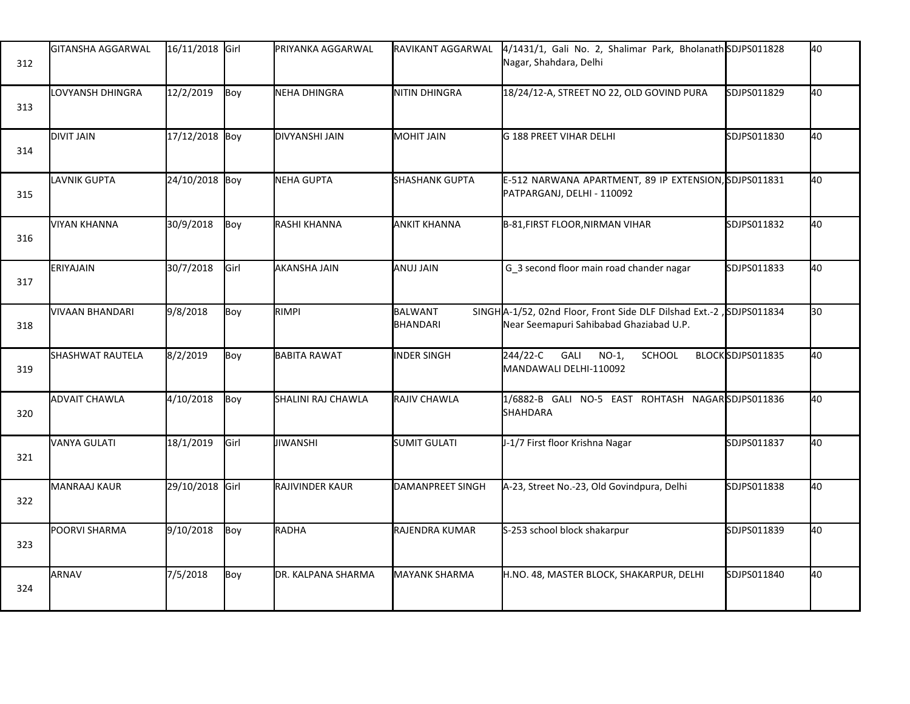| 312 | GITANSHA AGGARWAL    | 16/11/2018 Girl |      | PRIYANKA AGGARWAL   | RAVIKANT AGGARWAL     | 4/1431/1, Gali No. 2, Shalimar Park, Bholanath SDJPS011828<br>Nagar, Shahdara, Delhi                           |                  | 40 |
|-----|----------------------|-----------------|------|---------------------|-----------------------|----------------------------------------------------------------------------------------------------------------|------------------|----|
| 313 | LOVYANSH DHINGRA     | 12/2/2019       | Boy  | NEHA DHINGRA        | NITIN DHINGRA         | 18/24/12-A, STREET NO 22, OLD GOVIND PURA                                                                      | SDJPS011829      | 40 |
| 314 | <b>DIVIT JAIN</b>    | 17/12/2018 Boy  |      | DIVYANSHI JAIN      | <b>MOHIT JAIN</b>     | G 188 PREET VIHAR DELHI                                                                                        | SDJPS011830      | 40 |
| 315 | LAVNIK GUPTA         | 24/10/2018 Boy  |      | NEHA GUPTA          | <b>SHASHANK GUPTA</b> | E-512 NARWANA APARTMENT, 89 IP EXTENSION, SDJPS011831<br>PATPARGANJ, DELHI - 110092                            |                  | 40 |
| 316 | <b>VIYAN KHANNA</b>  | 30/9/2018       | Boy  | RASHI KHANNA        | <b>ANKIT KHANNA</b>   | B-81, FIRST FLOOR, NIRMAN VIHAR                                                                                | SDJPS011832      | 40 |
| 317 | ERIYAJAIN            | 30/7/2018       | Girl | <b>AKANSHA JAIN</b> | ANUJ JAIN             | G 3 second floor main road chander nagar                                                                       | SDJPS011833      | 40 |
| 318 | VIVAAN BHANDARI      | 9/8/2018        | Boy  | <b>RIMPI</b>        | BALWANT<br>BHANDARI   | SINGHA-1/52, 02nd Floor, Front Side DLF Dilshad Ext.-2, SDJPS011834<br>Near Seemapuri Sahibabad Ghaziabad U.P. |                  | 30 |
| 319 | SHASHWAT RAUTELA     | 8/2/2019        | Boy  | <b>BABITA RAWAT</b> | <b>INDER SINGH</b>    | 244/22-C<br>GALI<br>$NO-1$ ,<br>SCHOOL<br>MANDAWALI DELHI-110092                                               | BLOCKSDJPS011835 | 40 |
| 320 | <b>ADVAIT CHAWLA</b> | 4/10/2018       | Boy  | SHALINI RAJ CHAWLA  | RAJIV CHAWLA          | 1/6882-B GALI NO-5 EAST ROHTASH NAGARSDJPS011836<br><b>SHAHDARA</b>                                            |                  | 40 |
| 321 | <b>VANYA GULATI</b>  | 18/1/2019       | Girl | JIWANSHI            | <b>SUMIT GULATI</b>   | J-1/7 First floor Krishna Nagar                                                                                | SDJPS011837      | 40 |
| 322 | MANRAAJ KAUR         | 29/10/2018 Girl |      | RAJIVINDER KAUR     | DAMANPREET SINGH      | A-23, Street No.-23, Old Govindpura, Delhi                                                                     | SDJPS011838      | 40 |
| 323 | POORVI SHARMA        | 9/10/2018       | Boy  | RADHA               | RAJENDRA KUMAR        | S-253 school block shakarpur                                                                                   | SDJPS011839      | 40 |
| 324 | <b>ARNAV</b>         | 7/5/2018        | Boy  | DR. KALPANA SHARMA  | <b>MAYANK SHARMA</b>  | H.NO. 48, MASTER BLOCK, SHAKARPUR, DELHI                                                                       | SDJPS011840      | 40 |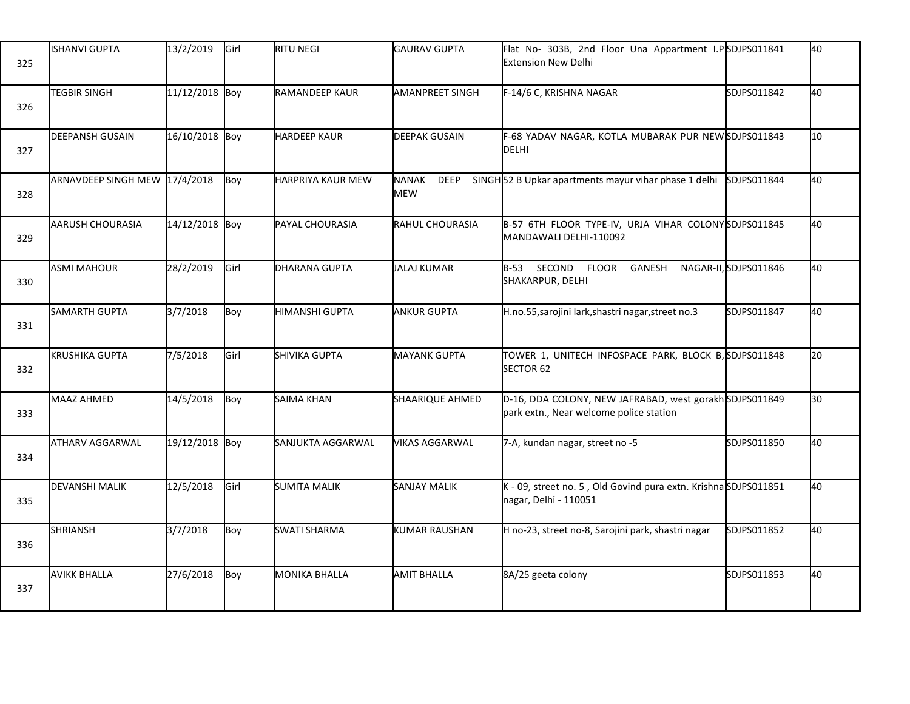| 325 | ISHANVI GUPTA                 | 13/2/2019      | Girl | <b>RITU NEGI</b>         | <b>GAURAV GUPTA</b>                       | Flat No- 303B, 2nd Floor Una Appartment I.PSDJPS011841<br><b>Extension New Delhi</b>               |                      | 40               |
|-----|-------------------------------|----------------|------|--------------------------|-------------------------------------------|----------------------------------------------------------------------------------------------------|----------------------|------------------|
| 326 | <b>TEGBIR SINGH</b>           | 11/12/2018 Boy |      | <b>RAMANDEEP KAUR</b>    | <b>AMANPREET SINGH</b>                    | F-14/6 C, KRISHNA NAGAR                                                                            | SDJPS011842          | 40               |
| 327 | <b>DEEPANSH GUSAIN</b>        | 16/10/2018 Boy |      | <b>HARDEEP KAUR</b>      | <b>DEEPAK GUSAIN</b>                      | F-68 YADAV NAGAR, KOTLA MUBARAK PUR NEWSDJPS011843<br>DELHI                                        |                      | 10 <sup>10</sup> |
| 328 | ARNAVDEEP SINGH MEW 17/4/2018 |                | Boy  | <b>HARPRIYA KAUR MEW</b> | <b>NANAK</b><br><b>DEEP</b><br><b>MEW</b> | SINGH <sub>52</sub> B Upkar apartments mayur vihar phase 1 delhi                                   | SDJPS011844          | 40               |
| 329 | AARUSH CHOURASIA              | 14/12/2018 Boy |      | PAYAL CHOURASIA          | RAHUL CHOURASIA                           | B-57 6TH FLOOR TYPE-IV, URJA VIHAR COLONYSDJPS011845<br>MANDAWALI DELHI-110092                     |                      | 40               |
| 330 | <b>ASMI MAHOUR</b>            | 28/2/2019      | Girl | DHARANA GUPTA            | <b>JALAJ KUMAR</b>                        | B-53 SECOND FLOOR<br>GANESH<br>SHAKARPUR, DELHI                                                    | NAGAR-II,SDJPS011846 | 40               |
| 331 | SAMARTH GUPTA                 | 3/7/2018       | Boy  | HIMANSHI GUPTA           | <b>ANKUR GUPTA</b>                        | H.no.55, sarojini lark, shastri nagar, street no.3                                                 | SDJPS011847          | 40               |
| 332 | KRUSHIKA GUPTA                | 7/5/2018       | Girl | SHIVIKA GUPTA            | <b>MAYANK GUPTA</b>                       | TOWER 1, UNITECH INFOSPACE PARK, BLOCK B, SDJPS011848<br>SECTOR <sub>62</sub>                      |                      | l20              |
| 333 | MAAZ AHMED                    | 14/5/2018      | Boy  | SAIMA KHAN               | SHAARIQUE AHMED                           | D-16, DDA COLONY, NEW JAFRABAD, west gorakh SDJPS011849<br>park extn., Near welcome police station |                      | 30               |
| 334 | <b>ATHARV AGGARWAL</b>        | 19/12/2018 Boy |      | SANJUKTA AGGARWAL        | <b>VIKAS AGGARWAL</b>                     | 7-A, kundan nagar, street no -5                                                                    | SDJPS011850          | 40               |
| 335 | <b>DEVANSHI MALIK</b>         | 12/5/2018      | Girl | <b>SUMITA MALIK</b>      | <b>SANJAY MALIK</b>                       | K - 09, street no. 5, Old Govind pura extn. KrishnaSDJPS011851<br>nagar, Delhi - 110051            |                      | 40               |
| 336 | <b>SHRIANSH</b>               | 3/7/2018       | Boy  | <b>SWATI SHARMA</b>      | <b>KUMAR RAUSHAN</b>                      | H no-23, street no-8, Sarojini park, shastri nagar                                                 | SDJPS011852          | 40               |
| 337 | <b>AVIKK BHALLA</b>           | 27/6/2018      | Boy  | MONIKA BHALLA            | <b>AMIT BHALLA</b>                        | 8A/25 geeta colony                                                                                 | SDJPS011853          | 40               |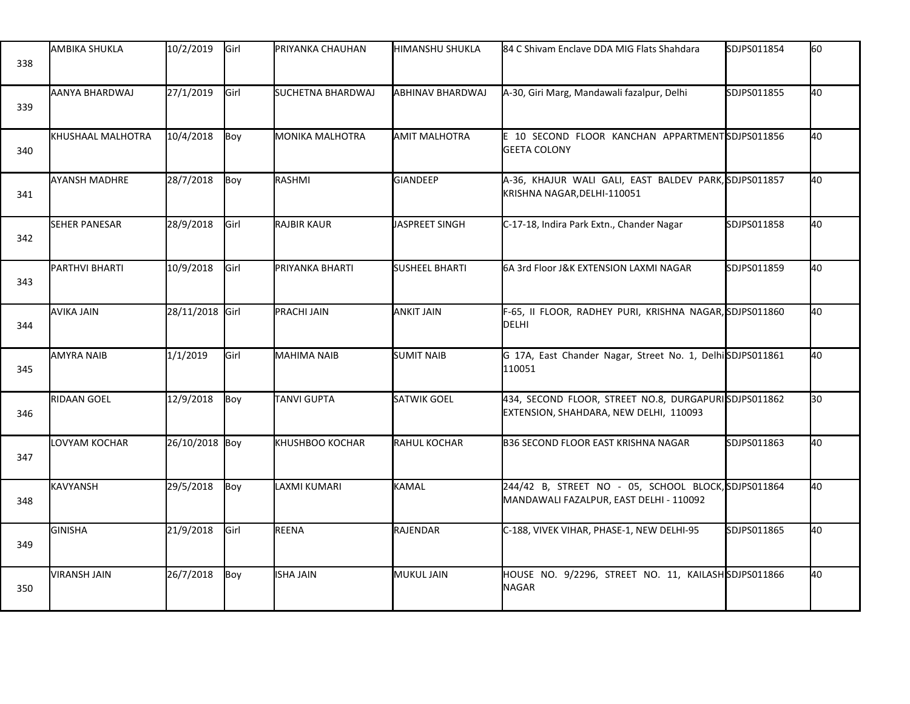| 338 | <b>AMBIKA SHUKLA</b> | 10/2/2019       | Girl        | PRIYANKA CHAUHAN       | <b>I</b> HIMANSHU SHUKLA | 84 C Shivam Enclave DDA MIG Flats Shahdara                                                     | SDJPS011854 | 60 |
|-----|----------------------|-----------------|-------------|------------------------|--------------------------|------------------------------------------------------------------------------------------------|-------------|----|
| 339 | AANYA BHARDWAJ       | 27/1/2019       | Girl        | SUCHETNA BHARDWAJ      | ABHINAV BHARDWAJ         | A-30, Giri Marg, Mandawali fazalpur, Delhi                                                     | SDJPS011855 | 40 |
| 340 | KHUSHAAL MALHOTRA    | 10/4/2018       | Boy         | MONIKA MALHOTRA        | <b>AMIT MALHOTRA</b>     | E 10 SECOND FLOOR KANCHAN APPARTMENTSDJPS011856<br><b>GEETA COLONY</b>                         |             | 40 |
| 341 | <b>AYANSH MADHRE</b> | 28/7/2018       | Boy         | RASHMI                 | <b>GIANDEEP</b>          | A-36, KHAJUR WALI GALI, EAST BALDEV PARK, SDJPS011857<br>KRISHNA NAGAR, DELHI-110051           |             | 40 |
| 342 | <b>SEHER PANESAR</b> | 28/9/2018       | <b>Girl</b> | RAJBIR KAUR            | JASPREET SINGH           | C-17-18, Indira Park Extn., Chander Nagar                                                      | SDJPS011858 | 40 |
| 343 | PARTHVI BHARTI       | 10/9/2018       | Girl        | PRIYANKA BHARTI        | <b>SUSHEEL BHARTI</b>    | 6A 3rd Floor J&K EXTENSION LAXMI NAGAR                                                         | SDJPS011859 | 40 |
| 344 | <b>AVIKA JAIN</b>    | 28/11/2018 Girl |             | PRACHI JAIN            | <b>ANKIT JAIN</b>        | F-65, II FLOOR, RADHEY PURI, KRISHNA NAGAR, SDJPS011860<br>DELHI                               |             | 40 |
| 345 | <b>AMYRA NAIB</b>    | 1/1/2019        | Girl        | <b>MAHIMA NAIB</b>     | <b>SUMIT NAIB</b>        | G 17A, East Chander Nagar, Street No. 1, Delhi SDJPS011861<br>110051                           |             | 40 |
| 346 | RIDAAN GOEL          | 12/9/2018       | Boy         | <b>TANVI GUPTA</b>     | SATWIK GOEL              | 434, SECOND FLOOR, STREET NO.8, DURGAPURISDJPS011862<br>EXTENSION, SHAHDARA, NEW DELHI, 110093 |             | 30 |
| 347 | LOVYAM KOCHAR        | 26/10/2018 Boy  |             | <b>KHUSHBOO KOCHAR</b> | RAHUL KOCHAR             | <b>B36 SECOND FLOOR EAST KRISHNA NAGAR</b>                                                     | SDJPS011863 | 40 |
| 348 | <b>KAVYANSH</b>      | 29/5/2018       | Boy         | LAXMI KUMARI           | KAMAL                    | 244/42 B, STREET NO - 05, SCHOOL BLOCK, SDJPS011864<br>MANDAWALI FAZALPUR, EAST DELHI - 110092 |             | 40 |
| 349 | <b>GINISHA</b>       | 21/9/2018       | Girl        | REENA                  | RAJENDAR                 | C-188, VIVEK VIHAR, PHASE-1, NEW DELHI-95                                                      | SDJPS011865 | 40 |
| 350 | <b>VIRANSH JAIN</b>  | 26/7/2018       | Boy         | <b>ISHA JAIN</b>       | <b>MUKUL JAIN</b>        | HOUSE NO. 9/2296, STREET NO. 11, KAILASHSDJPS011866<br>NAGAR                                   |             | 40 |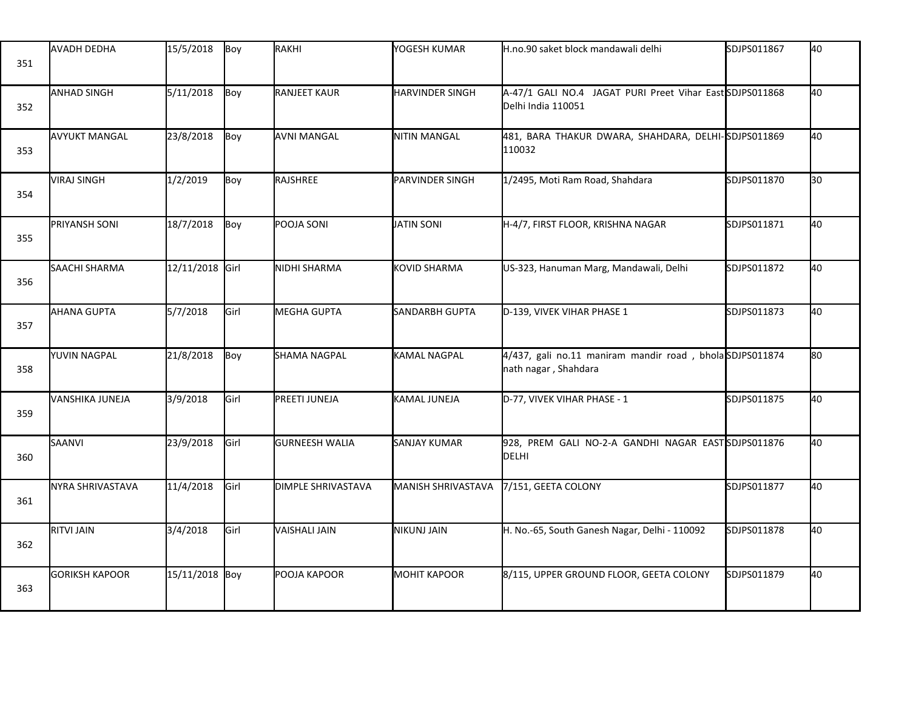| 351 | <b>AVADH DEDHA</b>    | 15/5/2018       | Boy  | RAKHI                 | YOGESH KUMAR           | H.no.90 saket block mandawali delhi                                             | SDJPS011867 | 40 |
|-----|-----------------------|-----------------|------|-----------------------|------------------------|---------------------------------------------------------------------------------|-------------|----|
| 352 | <b>ANHAD SINGH</b>    | 5/11/2018       | Boy  | <b>RANJEET KAUR</b>   | <b>HARVINDER SINGH</b> | A-47/1 GALI NO.4 JAGAT PURI Preet Vihar East SDJPS011868<br>Delhi India 110051  |             | 40 |
| 353 | <b>AVYUKT MANGAL</b>  | 23/8/2018       | Boy  | <b>AVNI MANGAL</b>    | <b>NITIN MANGAL</b>    | 481, BARA THAKUR DWARA, SHAHDARA, DELHI-SDJPS011869<br>110032                   |             | 40 |
| 354 | <b>VIRAJ SINGH</b>    | 1/2/2019        | Boy  | RAJSHREE              | <b>PARVINDER SINGH</b> | 1/2495, Moti Ram Road, Shahdara                                                 | SDJPS011870 | 30 |
| 355 | PRIYANSH SONI         | 18/7/2018       | Boy  | POOJA SONI            | <b>JATIN SONI</b>      | H-4/7, FIRST FLOOR, KRISHNA NAGAR                                               | SDJPS011871 | 40 |
| 356 | SAACHI SHARMA         | 12/11/2018 Girl |      | NIDHI SHARMA          | <b>KOVID SHARMA</b>    | US-323, Hanuman Marg, Mandawali, Delhi                                          | SDJPS011872 | 40 |
| 357 | <b>AHANA GUPTA</b>    | 5/7/2018        | Girl | <b>MEGHA GUPTA</b>    | SANDARBH GUPTA         | D-139, VIVEK VIHAR PHASE 1                                                      | SDJPS011873 | 40 |
| 358 | YUVIN NAGPAL          | 21/8/2018       | Boy  | <b>SHAMA NAGPAL</b>   | KAMAL NAGPAL           | 4/437, gali no.11 maniram mandir road, bholaSDJPS011874<br>nath nagar, Shahdara |             | 80 |
| 359 | VANSHIKA JUNEJA       | 3/9/2018        | Girl | PREETI JUNEJA         | KAMAL JUNEJA           | D-77, VIVEK VIHAR PHASE - 1                                                     | SDJPS011875 | 40 |
| 360 | SAANVI                | 23/9/2018       | Girl | <b>GURNEESH WALIA</b> | SANJAY KUMAR           | 928, PREM GALI NO-2-A GANDHI NAGAR EASTSDJPS011876<br>DELHI                     |             | 40 |
| 361 | NYRA SHRIVASTAVA      | 11/4/2018       | Girl | DIMPLE SHRIVASTAVA    | MANISH SHRIVASTAVA     | 7/151, GEETA COLONY                                                             | SDJPS011877 | 40 |
| 362 | <b>RITVI JAIN</b>     | 3/4/2018        | Girl | VAISHALI JAIN         | NIKUNJ JAIN            | H. No.-65, South Ganesh Nagar, Delhi - 110092                                   | SDJPS011878 | 40 |
| 363 | <b>GORIKSH KAPOOR</b> | 15/11/2018 Boy  |      | POOJA KAPOOR          | <b>MOHIT KAPOOR</b>    | 8/115, UPPER GROUND FLOOR, GEETA COLONY                                         | SDJPS011879 | 40 |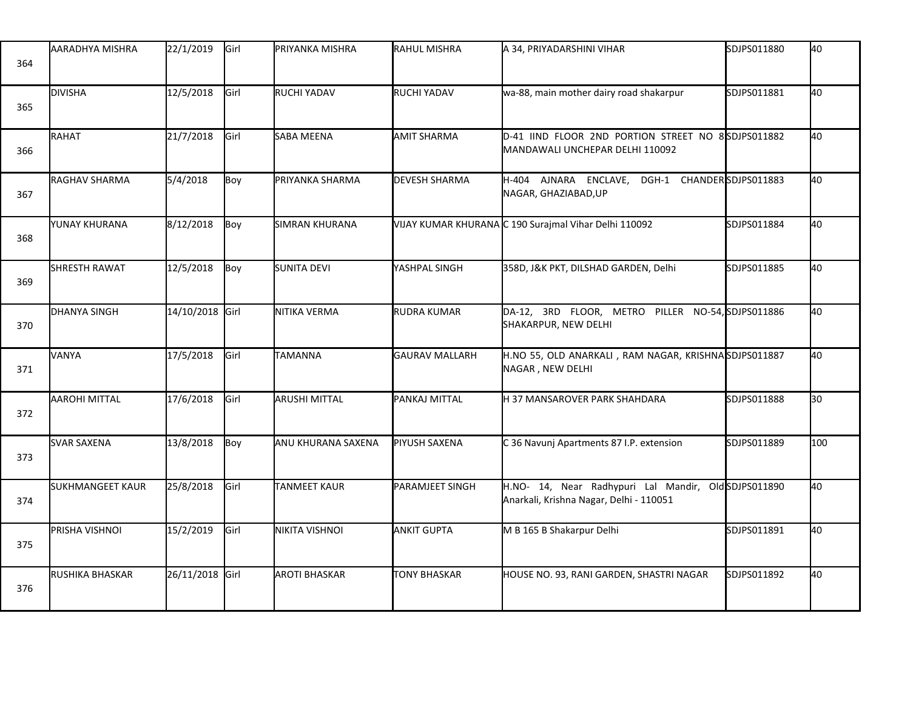| 364 | IAARADHYA MISHRA        | 22/1/2019       | Girl | IPRIYANKA MISHRA     | RAHUL MISHRA          | A 34, PRIYADARSHINI VIHAR                                                                       | SDJPS011880 | 40  |
|-----|-------------------------|-----------------|------|----------------------|-----------------------|-------------------------------------------------------------------------------------------------|-------------|-----|
| 365 | <b>DIVISHA</b>          | 12/5/2018       | Girl | RUCHI YADAV          | RUCHI YADAV           | wa-88, main mother dairy road shakarpur                                                         | SDJPS011881 | 40  |
| 366 | RAHAT                   | 21/7/2018       | Girl | SABA MEENA           | AMIT SHARMA           | D-41 IIND FLOOR 2ND PORTION STREET NO 8SDJPS011882<br>MANDAWALI UNCHEPAR DELHI 110092           |             | 40  |
| 367 | <b>IRAGHAV SHARMA</b>   | 5/4/2018        | Boy  | PRIYANKA SHARMA      | <b>DEVESH SHARMA</b>  | H-404 AJNARA ENCLAVE, DGH-1 CHANDERSDJPS011883<br>NAGAR, GHAZIABAD, UP                          |             | 40  |
| 368 | YUNAY KHURANA           | 8/12/2018       | Boy  | SIMRAN KHURANA       |                       | VIJAY KUMAR KHURANA C 190 Surajmal Vihar Delhi 110092                                           | SDJPS011884 | 40  |
| 369 | <b>SHRESTH RAWAT</b>    | 12/5/2018       | Boy  | SUNITA DEVI          | YASHPAL SINGH         | 358D, J&K PKT, DILSHAD GARDEN, Delhi                                                            | SDJPS011885 | 40  |
| 370 | <b>DHANYA SINGH</b>     | 14/10/2018 Girl |      | NITIKA VERMA         | <b>RUDRA KUMAR</b>    | DA-12, 3RD FLOOR, METRO PILLER NO-54, SDJPS011886<br>SHAKARPUR, NEW DELHI                       |             | 40  |
| 371 | <b>VANYA</b>            | 17/5/2018       | Girl | TAMANNA              | <b>GAURAV MALLARH</b> | H.NO 55, OLD ANARKALI, RAM NAGAR, KRISHNASDJPS011887<br>NAGAR, NEW DELHI                        |             | 40  |
| 372 | <b>AAROHI MITTAL</b>    | 17/6/2018       | Girl | <b>ARUSHI MITTAL</b> | PANKAJ MITTAL         | H 37 MANSAROVER PARK SHAHDARA                                                                   | SDJPS011888 | 30  |
| 373 | <b>SVAR SAXENA</b>      | 13/8/2018       | Boy  | ANU KHURANA SAXENA   | PIYUSH SAXENA         | C 36 Navunj Apartments 87 I.P. extension                                                        | SDJPS011889 | 100 |
| 374 | <b>SUKHMANGEET KAUR</b> | 25/8/2018       | Girl | TANMEET KAUR         | PARAMJEET SINGH       | H.NO- 14, Near Radhypuri Lal Mandir, Old SDJPS011890<br>Anarkali, Krishna Nagar, Delhi - 110051 |             | 40  |
| 375 | PRISHA VISHNOI          | 15/2/2019       | Girl | NIKITA VISHNOI       | <b>ANKIT GUPTA</b>    | M B 165 B Shakarpur Delhi                                                                       | SDJPS011891 | 40  |
| 376 | RUSHIKA BHASKAR         | 26/11/2018 Girl |      | <b>AROTI BHASKAR</b> | <b>TONY BHASKAR</b>   | HOUSE NO. 93, RANI GARDEN, SHASTRI NAGAR                                                        | SDJPS011892 | 40  |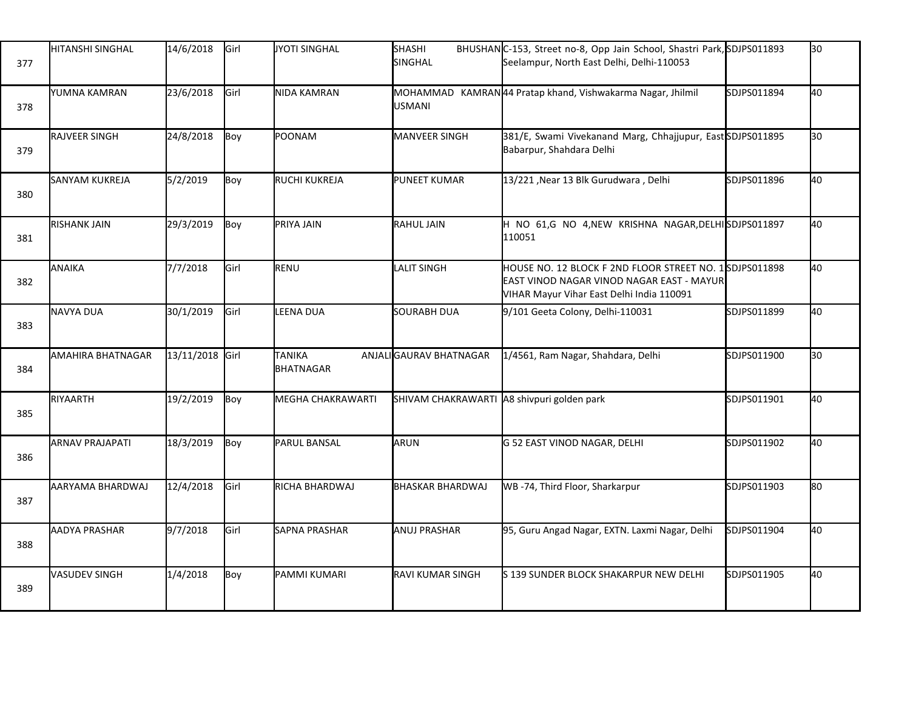| 377 | <b>I</b> HITANSHI SINGHAL | 14/6/2018       | Girl | JYOTI SINGHAL              | <b>SHASHI</b><br><b>SINGHAL</b>            | BHUSHANC-153, Street no-8, Opp Jain School, Shastri Park, SDJPS011893<br>Seelampur, North East Delhi, Delhi-110053                               |             | l30 |
|-----|---------------------------|-----------------|------|----------------------------|--------------------------------------------|--------------------------------------------------------------------------------------------------------------------------------------------------|-------------|-----|
| 378 | YUMNA KAMRAN              | 23/6/2018       | Girl | NIDA KAMRAN                | <b>USMANI</b>                              | MOHAMMAD KAMRAN44 Pratap khand, Vishwakarma Nagar, Jhilmil                                                                                       | SDJPS011894 | 40  |
| 379 | <b>RAJVEER SINGH</b>      | 24/8/2018       | Boy  | POONAM                     | <b>MANVEER SINGH</b>                       | 381/E, Swami Vivekanand Marg, Chhajjupur, East SDJPS011895<br>Babarpur, Shahdara Delhi                                                           |             | 30  |
| 380 | SANYAM KUKREJA            | 5/2/2019        | Boy  | RUCHI KUKREJA              | <b>PUNEET KUMAR</b>                        | 13/221, Near 13 Blk Gurudwara, Delhi                                                                                                             | SDJPS011896 | 40  |
| 381 | <b>RISHANK JAIN</b>       | 29/3/2019       | Boy  | PRIYA JAIN                 | RAHUL JAIN                                 | H NO 61,G NO 4, NEW KRISHNA NAGAR, DELHISDJPS011897<br>110051                                                                                    |             | 40  |
| 382 | <b>ANAIKA</b>             | 7/7/2018        | Girl | RENU                       | <b>LALIT SINGH</b>                         | HOUSE NO. 12 BLOCK F 2ND FLOOR STREET NO. 1SDJPS011898<br>EAST VINOD NAGAR VINOD NAGAR EAST - MAYUR<br>VIHAR Mayur Vihar East Delhi India 110091 |             | l40 |
| 383 | NAVYA DUA                 | 30/1/2019       | Girl | LEENA DUA                  | SOURABH DUA                                | 9/101 Geeta Colony, Delhi-110031                                                                                                                 | SDJPS011899 | l40 |
| 384 | AMAHIRA BHATNAGAR         | 13/11/2018 Girl |      | <b>TANIKA</b><br>BHATNAGAR | ANJALIGAURAV BHATNAGAR                     | 1/4561, Ram Nagar, Shahdara, Delhi                                                                                                               | SDJPS011900 | 30  |
| 385 | RIYAARTH                  | 19/2/2019       | Boy  | MEGHA CHAKRAWARTI          | SHIVAM CHAKRAWARTI A8 shivpuri golden park |                                                                                                                                                  | SDJPS011901 | 40  |
| 386 | <b>ARNAV PRAJAPATI</b>    | 18/3/2019       | Boy  | PARUL BANSAL               | ARUN                                       | G 52 EAST VINOD NAGAR, DELHI                                                                                                                     | SDJPS011902 | 40  |
| 387 | AARYAMA BHARDWAJ          | 12/4/2018       | Girl | RICHA BHARDWAJ             | <b>BHASKAR BHARDWAJ</b>                    | WB-74, Third Floor, Sharkarpur                                                                                                                   | SDJPS011903 | l80 |
| 388 | <b>AADYA PRASHAR</b>      | 9/7/2018        | Girl | SAPNA PRASHAR              | <b>ANUJ PRASHAR</b>                        | 95, Guru Angad Nagar, EXTN. Laxmi Nagar, Delhi                                                                                                   | SDJPS011904 | 40  |
| 389 | VASUDEV SINGH             | 1/4/2018        | Boy  | PAMMI KUMARI               | <b>RAVI KUMAR SINGH</b>                    | S 139 SUNDER BLOCK SHAKARPUR NEW DELHI                                                                                                           | SDJPS011905 | 40  |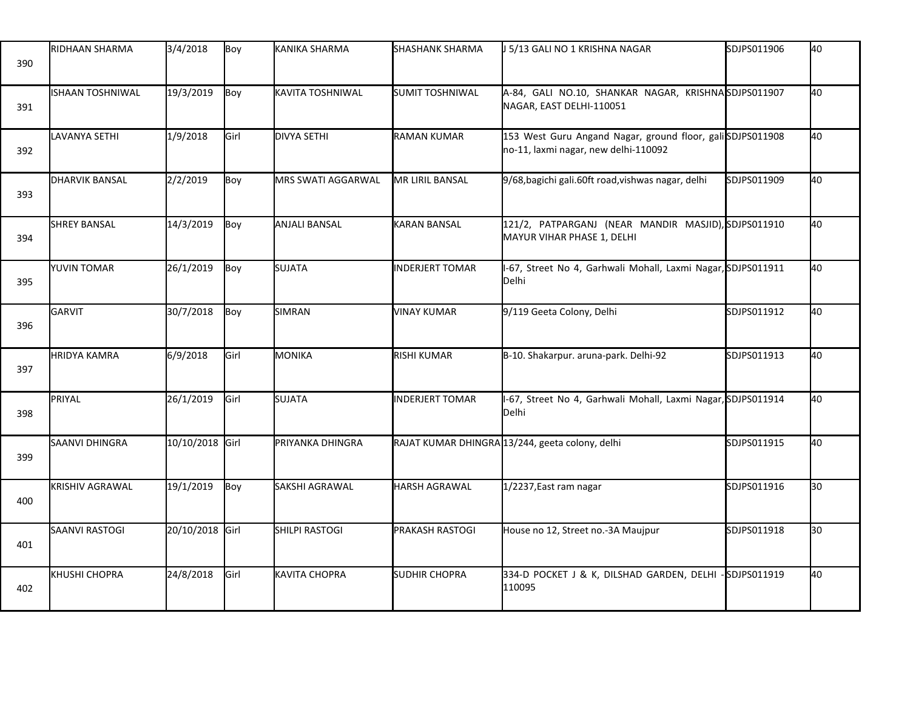| 390 | RIDHAAN SHARMA          | 3/4/2018        | Boy  | KANIKA SHARMA             | <b>SHASHANK SHARMA</b> | J 5/13 GALI NO 1 KRISHNA NAGAR                                                                    | SDJPS011906 | 40 |
|-----|-------------------------|-----------------|------|---------------------------|------------------------|---------------------------------------------------------------------------------------------------|-------------|----|
| 391 | <b>ISHAAN TOSHNIWAL</b> | 19/3/2019       | Boy  | KAVITA TOSHNIWAL          | <b>SUMIT TOSHNIWAL</b> | A-84, GALI NO.10, SHANKAR NAGAR, KRISHNASDJPS011907<br>NAGAR, EAST DELHI-110051                   |             | 40 |
| 392 | <b>LAVANYA SETHI</b>    | 1/9/2018        | Girl | DIVYA SETHI               | <b>RAMAN KUMAR</b>     | 153 West Guru Angand Nagar, ground floor, galiSDJPS011908<br>no-11, laxmi nagar, new delhi-110092 |             | 40 |
| 393 | <b>DHARVIK BANSAL</b>   | 2/2/2019        | Boy  | <b>MRS SWATI AGGARWAL</b> | MR LIRIL BANSAL        | 9/68, bagichi gali.60ft road, vishwas nagar, delhi                                                | SDJPS011909 | 40 |
| 394 | <b>SHREY BANSAL</b>     | 14/3/2019       | Boy  | <b>ANJALI BANSAL</b>      | <b>KARAN BANSAL</b>    | 121/2, PATPARGANJ (NEAR MANDIR MASJID), SDJPS011910<br>MAYUR VIHAR PHASE 1, DELHI                 |             | 40 |
| 395 | <b>YUVIN TOMAR</b>      | 26/1/2019       | Boy  | <b>SUJATA</b>             | <b>INDERJERT TOMAR</b> | I-67, Street No 4, Garhwali Mohall, Laxmi Nagar, SDJPS011911<br>Delhi                             |             | 40 |
| 396 | GARVIT                  | 30/7/2018       | Boy  | SIMRAN                    | <b>VINAY KUMAR</b>     | 9/119 Geeta Colony, Delhi                                                                         | SDJPS011912 | 40 |
| 397 | <b>HRIDYA KAMRA</b>     | 6/9/2018        | Girl | MONIKA                    | <b>RISHI KUMAR</b>     | B-10. Shakarpur. aruna-park. Delhi-92                                                             | SDJPS011913 | 40 |
| 398 | PRIYAL                  | 26/1/2019       | Girl | <b>SUJATA</b>             | <b>INDERJERT TOMAR</b> | I-67, Street No 4, Garhwali Mohall, Laxmi Nagar, SDJPS011914<br>Delhi                             |             | 40 |
| 399 | SAANVI DHINGRA          | 10/10/2018 Girl |      | PRIYANKA DHINGRA          |                        | RAJAT KUMAR DHINGRA 13/244, geeta colony, delhi                                                   | SDJPS011915 | 40 |
| 400 | <b>KRISHIV AGRAWAL</b>  | 19/1/2019       | Boy  | SAKSHI AGRAWAL            | <b>HARSH AGRAWAL</b>   | 1/2237, East ram nagar                                                                            | SDJPS011916 | 30 |
| 401 | SAANVI RASTOGI          | 20/10/2018 Girl |      | <b>SHILPI RASTOGI</b>     | <b>PRAKASH RASTOGI</b> | House no 12, Street no.-3A Maujpur                                                                | SDJPS011918 | 30 |
| 402 | KHUSHI CHOPRA           | 24/8/2018       | Girl | <b>KAVITA CHOPRA</b>      | <b>SUDHIR CHOPRA</b>   | 334-D POCKET J & K, DILSHAD GARDEN, DELHI<br>110095                                               | SDJPS011919 | 40 |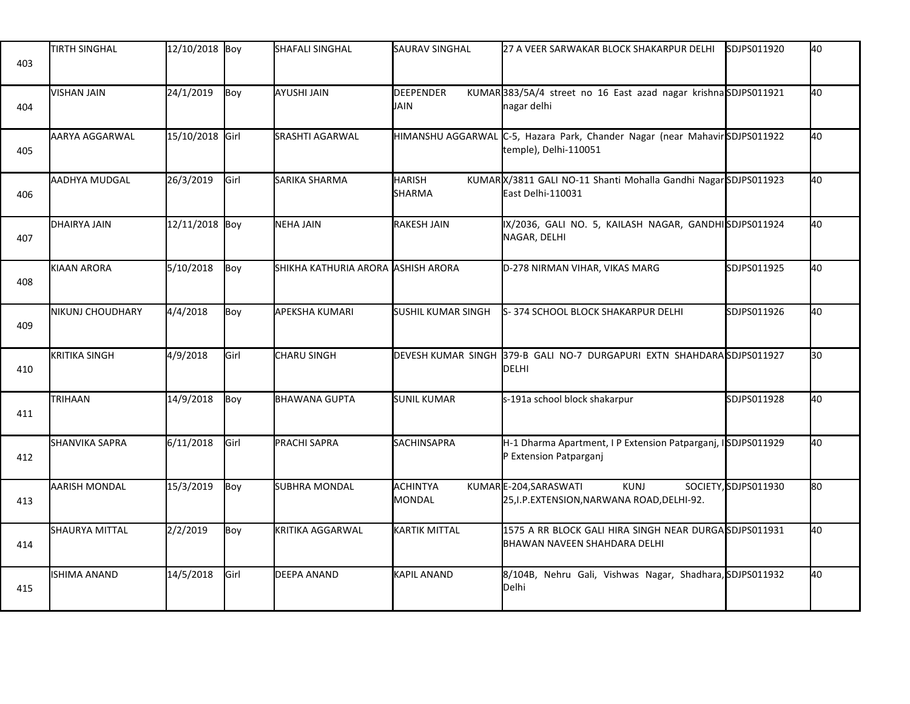| 403 | <b>TIRTH SINGHAL</b>    | 12/10/2018 Boy  |               | SHAFALI SINGHAL                             | <b>SAURAV SINGHAL</b>      | 27 A VEER SARWAKAR BLOCK SHAKARPUR DELHI                                                            | SDJPS011920          | 40  |
|-----|-------------------------|-----------------|---------------|---------------------------------------------|----------------------------|-----------------------------------------------------------------------------------------------------|----------------------|-----|
| 404 | <b>VISHAN JAIN</b>      | 24/1/2019       | Boy           | AYUSHI JAIN                                 | <b>I</b> DEEPENDER<br>JAIN | KUMAR383/5A/4 street no 16 East azad nagar krishnaSDJPS011921<br>nagar delhi                        |                      | 40  |
| 405 | AARYA AGGARWAL          | 15/10/2018 Girl |               | <b>SRASHTI AGARWAL</b>                      |                            | HIMANSHU AGGARWAL C-5, Hazara Park, Chander Nagar (near MahavirSDJPS011922<br>temple), Delhi-110051 |                      | 40  |
| 406 | AADHYA MUDGAL           | 26/3/2019       | Girl          | SARIKA SHARMA                               | <b>HARISH</b><br>SHARMA    | KUMARX/3811 GALI NO-11 Shanti Mohalla Gandhi NagarSDJPS011923<br>East Delhi-110031                  |                      | 40  |
| 407 | DHAIRYA JAIN            | 12/11/2018 Boy  |               | <b>NEHA JAIN</b>                            | <b>RAKESH JAIN</b>         | IX/2036, GALI NO. 5, KAILASH NAGAR, GANDHISDJPS011924<br>NAGAR, DELHI                               |                      | 40  |
| 408 | KIAAN ARORA             | 5/10/2018       | Boy           | SHIKHA KATHURIA ARORA <b>l</b> ASHISH ARORA |                            | D-278 NIRMAN VIHAR, VIKAS MARG                                                                      | SDJPS011925          | 40  |
| 409 | <b>NIKUNJ CHOUDHARY</b> | 4/4/2018        | Boy           | <b>APEKSHA KUMARI</b>                       | <b>SUSHIL KUMAR SINGH</b>  | S-374 SCHOOL BLOCK SHAKARPUR DELHI                                                                  | SDJPS011926          | 40  |
| 410 | <b>KRITIKA SINGH</b>    | 4/9/2018        | Girl          | CHARU SINGH                                 | DEVESH KUMAR SINGH         | 379-B GALI NO-7 DURGAPURI EXTN SHAHDARASDJPS011927<br>DELHI                                         |                      | l30 |
| 411 | TRIHAAN                 | 14/9/2018       | Boy           | <b>BHAWANA GUPTA</b>                        | <b>SUNIL KUMAR</b>         | s-191a school block shakarpur                                                                       | SDJPS011928          | 40  |
| 412 | <b>SHANVIKA SAPRA</b>   | 6/11/2018       | Girl          | PRACHI SAPRA                                | SACHINSAPRA                | H-1 Dharma Apartment, I P Extension Patparganj, ISDJPS011929<br>P Extension Patparganj              |                      | 40  |
| 413 | <b>AARISH MONDAL</b>    | 15/3/2019       | Boy           | SUBHRA MONDAL                               | ACHINTYA<br><b>MONDAL</b>  | KUMARE-204, SARASWATI<br><b>KUNJ</b><br>25, I.P. EXTENSION, NARWANA ROAD, DELHI-92.                 | SOCIETY, SDJPS011930 | 80  |
| 414 | SHAURYA MITTAL          | 2/2/2019        | Boy           | KRITIKA AGGARWAL                            | <b>KARTIK MITTAL</b>       | 1575 A RR BLOCK GALI HIRA SINGH NEAR DURGASDJPS011931<br>BHAWAN NAVEEN SHAHDARA DELHI               |                      | 40  |
| 415 | ISHIMA ANAND            | 14/5/2018       | <b>I</b> Girl | DEEPA ANAND                                 | <b>KAPIL ANAND</b>         | 8/104B, Nehru Gali, Vishwas Nagar, Shadhara, SDJPS011932<br>Delhi                                   |                      | 40  |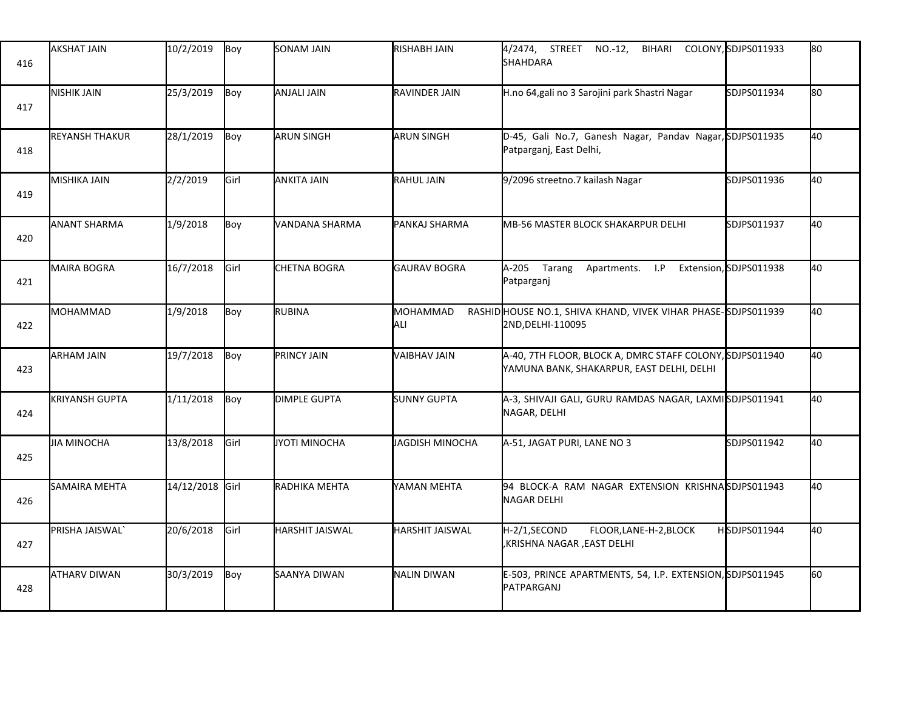| 416 | <b>AKSHAT JAIN</b>    | 10/2/2019       | Boy  | SONAM JAIN             | RISHABH JAIN           | 4/2474, STREET NO.-12,<br>BIHARI<br><b>SHAHDARA</b>                                                   | COLONY, SDJPS011933 | lso  |
|-----|-----------------------|-----------------|------|------------------------|------------------------|-------------------------------------------------------------------------------------------------------|---------------------|------|
| 417 | NISHIK JAIN           | 25/3/2019       | Boy  | <b>ANJALI JAIN</b>     | RAVINDER JAIN          | H.no 64, gali no 3 Sarojini park Shastri Nagar                                                        | SDJPS011934         | lso. |
| 418 | <b>REYANSH THAKUR</b> | 28/1/2019       | Boy  | ARUN SINGH             | <b>ARUN SINGH</b>      | D-45, Gali No.7, Ganesh Nagar, Pandav Nagar, SDJPS011935<br>Patparganj, East Delhi,                   |                     | 40   |
| 419 | <b>MISHIKA JAIN</b>   | 2/2/2019        | Girl | ANKITA JAIN            | <b>RAHUL JAIN</b>      | 9/2096 streetno.7 kailash Nagar                                                                       | SDJPS011936         | 40   |
| 420 | <b>ANANT SHARMA</b>   | 1/9/2018        | Boy  | VANDANA SHARMA         | PANKAJ SHARMA          | MB-56 MASTER BLOCK SHAKARPUR DELHI                                                                    | SDJPS011937         | 40   |
| 421 | <b>MAIRA BOGRA</b>    | 16/7/2018       | Girl | <b>CHETNA BOGRA</b>    | <b>GAURAV BOGRA</b>    | A-205 Tarang Apartments. I.P Extension, SDJPS011938<br>Patparganj                                     |                     | 40   |
| 422 | MOHAMMAD              | 1/9/2018        | Boy  | <b>RUBINA</b>          | MOHAMMAD<br>ALI        | RASHID HOUSE NO.1, SHIVA KHAND, VIVEK VIHAR PHASE-SDJPS011939<br>2ND, DELHI-110095                    |                     | 40   |
| 423 | <b>ARHAM JAIN</b>     | 19/7/2018       | Boy  | PRINCY JAIN            | <b>VAIBHAV JAIN</b>    | A-40, 7TH FLOOR, BLOCK A, DMRC STAFF COLONY, SDJPS011940<br>YAMUNA BANK, SHAKARPUR, EAST DELHI, DELHI |                     | 40   |
| 424 | <b>KRIYANSH GUPTA</b> | 1/11/2018       | Boy  | <b>DIMPLE GUPTA</b>    | <b>SUNNY GUPTA</b>     | A-3, SHIVAJI GALI, GURU RAMDAS NAGAR, LAXMISDJPS011941<br>NAGAR, DELHI                                |                     | 40   |
| 425 | <b>JIA MINOCHA</b>    | 13/8/2018       | Girl | JYOTI MINOCHA          | JAGDISH MINOCHA        | A-51, JAGAT PURI, LANE NO 3                                                                           | SDJPS011942         | 40   |
| 426 | SAMAIRA MEHTA         | 14/12/2018 Girl |      | RADHIKA MEHTA          | YAMAN MEHTA            | 94 BLOCK-A RAM NAGAR EXTENSION KRISHNASDJPS011943<br>NAGAR DELHI                                      |                     | 40   |
| 427 | PRISHA JAISWAL'       | 20/6/2018       | Girl | <b>HARSHIT JAISWAL</b> | <b>HARSHIT JAISWAL</b> | H-2/1,SECOND<br>FLOOR, LANE-H-2, BLOCK<br>KRISHNA NAGAR , EAST DELHI,                                 | HSDJPS011944        | 40   |
| 428 | ATHARV DIWAN          | 30/3/2019       | Boy  | SAANYA DIWAN           | <b>NALIN DIWAN</b>     | E-503, PRINCE APARTMENTS, 54, I.P. EXTENSION, SDJPS011945<br>PATPARGANJ                               |                     | l60  |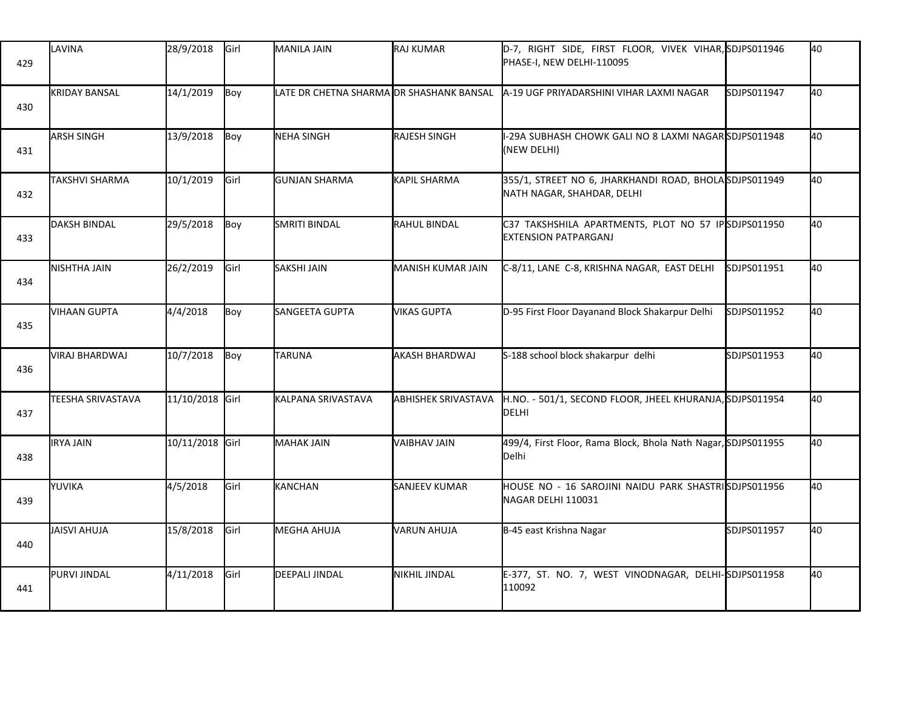| 429 | LAVINA               | 28/9/2018       | Girl | <b>MANILA JAIN</b>                       | <b>RAJ KUMAR</b>           | D-7, RIGHT SIDE, FIRST FLOOR, VIVEK VIHAR, SDJPS011946<br>PHASE-I, NEW DELHI-110095 |             | 40 |
|-----|----------------------|-----------------|------|------------------------------------------|----------------------------|-------------------------------------------------------------------------------------|-------------|----|
| 430 | <b>KRIDAY BANSAL</b> | 14/1/2019       | Boy  | LATE DR CHETNA SHARMA DR SHASHANK BANSAL |                            | A-19 UGF PRIYADARSHINI VIHAR LAXMI NAGAR                                            | SDJPS011947 | 40 |
| 431 | ARSH SINGH           | 13/9/2018       | Boy  | <b>NEHA SINGH</b>                        | <b>RAJESH SINGH</b>        | I-29A SUBHASH CHOWK GALI NO 8 LAXMI NAGARSDJPS011948<br>(NEW DELHI)                 |             | 40 |
| 432 | TAKSHVI SHARMA       | 10/1/2019       | Girl | <b>GUNJAN SHARMA</b>                     | <b>KAPIL SHARMA</b>        | 355/1, STREET NO 6, JHARKHANDI ROAD, BHOLASDJPS011949<br>NATH NAGAR, SHAHDAR, DELHI |             | 40 |
| 433 | <b>DAKSH BINDAL</b>  | 29/5/2018       | Boy  | SMRITI BINDAL                            | RAHUL BINDAL               | C37 TAKSHSHILA APARTMENTS, PLOT NO 57 IPSDJPS011950<br><b>EXTENSION PATPARGANJ</b>  |             | 40 |
| 434 | <b>NISHTHA JAIN</b>  | 26/2/2019       | Girl | SAKSHI JAIN                              | MANISH KUMAR JAIN          | C-8/11, LANE C-8, KRISHNA NAGAR, EAST DELHI                                         | SDJPS011951 | 40 |
| 435 | <b>VIHAAN GUPTA</b>  | 4/4/2018        | Boy  | SANGEETA GUPTA                           | <b>VIKAS GUPTA</b>         | D-95 First Floor Dayanand Block Shakarpur Delhi                                     | SDJPS011952 | 40 |
| 436 | VIRAJ BHARDWAJ       | 10/7/2018       | Boy  | TARUNA                                   | AKASH BHARDWAJ             | S-188 school block shakarpur delhi                                                  | SDJPS011953 | 40 |
| 437 | TEESHA SRIVASTAVA    | 11/10/2018 Girl |      | KALPANA SRIVASTAVA                       | <b>ABHISHEK SRIVASTAVA</b> | H.NO. - 501/1, SECOND FLOOR, JHEEL KHURANJA, SDJPS011954<br><b>DELHI</b>            |             | 40 |
| 438 | <b>IRYA JAIN</b>     | 10/11/2018 Girl |      | <b>MAHAK JAIN</b>                        | <b>VAIBHAV JAIN</b>        | 499/4, First Floor, Rama Block, Bhola Nath Nagar, SDJPS011955<br>Delhi              |             | 40 |
| 439 | YUVIKA               | 4/5/2018        | Girl | KANCHAN                                  | SANJEEV KUMAR              | HOUSE NO - 16 SAROJINI NAIDU PARK SHASTRISDJPS011956<br>NAGAR DELHI 110031          |             | 40 |
| 440 | JAISVI AHUJA         | 15/8/2018       | Girl | <b>MEGHA AHUJA</b>                       | VARUN AHUJA                | B-45 east Krishna Nagar                                                             | SDJPS011957 | 40 |
| 441 | PURVI JINDAL         | 4/11/2018       | Girl | <b>DEEPALI JINDAL</b>                    | <b>NIKHIL JINDAL</b>       | E-377, ST. NO. 7, WEST VINODNAGAR, DELHI-SDJPS011958<br>110092                      |             | 40 |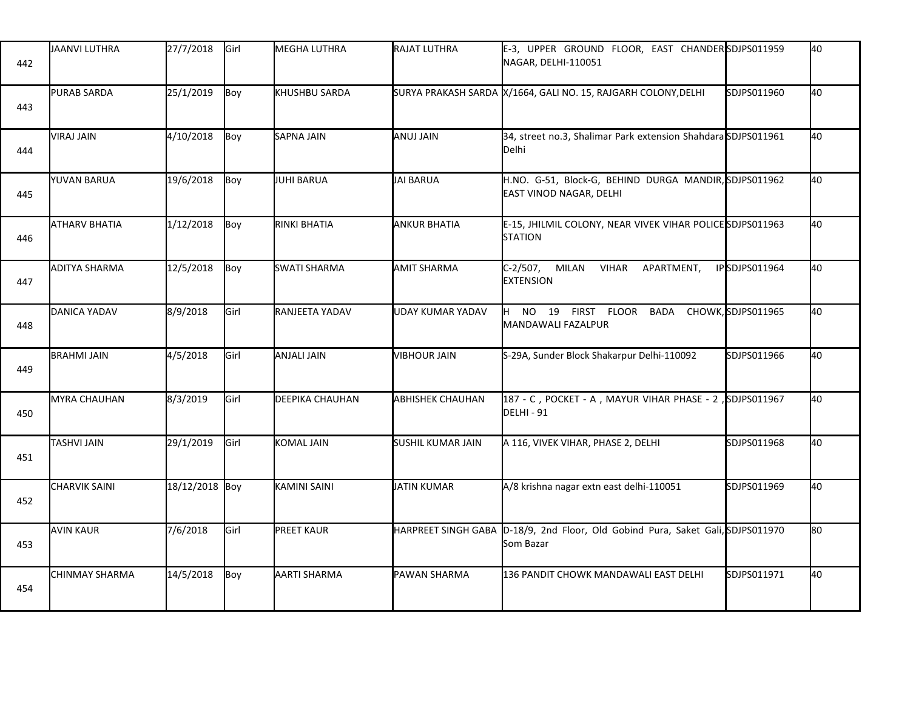| 442 | JAANVI LUTHRA        | 27/7/2018      | Girl | MEGHA LUTHRA           | RAJAT LUTHRA             | E-3, UPPER GROUND FLOOR, EAST CHANDER SDJPS011959<br>NAGAR, DELHI-110051         |               | 40 |
|-----|----------------------|----------------|------|------------------------|--------------------------|----------------------------------------------------------------------------------|---------------|----|
| 443 | <b>PURAB SARDA</b>   | 25/1/2019      | Boy  | <b>I</b> KHUSHBU SARDA |                          | SURYA PRAKASH SARDA X/1664, GALI NO. 15, RAJGARH COLONY, DELHI                   | SDJPS011960   | 40 |
| 444 | VIRAJ JAIN           | 4/10/2018      | Boy  | <b>SAPNA JAIN</b>      | ANUJ JAIN                | 34, street no.3, Shalimar Park extension Shahdara SDJPS011961<br>Delhi           |               | 40 |
| 445 | YUVAN BARUA          | 19/6/2018      | Boy  | JUHI BARUA             | <b>JAI BARUA</b>         | H.NO. G-51, Block-G, BEHIND DURGA MANDIR, SDJPS011962<br>EAST VINOD NAGAR, DELHI |               | 40 |
| 446 | <b>ATHARV BHATIA</b> | 1/12/2018      | Boy  | RINKI BHATIA           | <b>ANKUR BHATIA</b>      | E-15, JHILMIL COLONY, NEAR VIVEK VIHAR POLICE SDJPS011963<br><b>STATION</b>      |               | 40 |
| 447 | ADITYA SHARMA        | 12/5/2018      | Boy  | <b>SWATI SHARMA</b>    | <b>AMIT SHARMA</b>       | $C-2/507,$<br>MILAN VIHAR<br>APARTMENT,<br><b>EXTENSION</b>                      | IPSDJPS011964 | 40 |
| 448 | DANICA YADAV         | 8/9/2018       | Girl | RANJEETA YADAV         | UDAY KUMAR YADAV         | NO 19 FIRST FLOOR BADA CHOWK, SDJPS011965<br>IH I<br>MANDAWALI FAZALPUR          |               | 40 |
| 449 | <b>BRAHMI JAIN</b>   | 4/5/2018       | Girl | ANJALI JAIN            | <b>VIBHOUR JAIN</b>      | S-29A, Sunder Block Shakarpur Delhi-110092                                       | SDJPS011966   | 40 |
| 450 | MYRA CHAUHAN         | 8/3/2019       | Girl | <b>DEEPIKA CHAUHAN</b> | <b>ABHISHEK CHAUHAN</b>  | 187 - C, POCKET - A, MAYUR VIHAR PHASE - 2, SDJPS011967<br>DELHI - 91            |               | 40 |
| 451 | <b>TASHVI JAIN</b>   | 29/1/2019      | Girl | KOMAL JAIN             | <b>SUSHIL KUMAR JAIN</b> | A 116, VIVEK VIHAR, PHASE 2, DELHI                                               | SDJPS011968   | 40 |
| 452 | <b>CHARVIK SAINI</b> | 18/12/2018 Boy |      | KAMINI SAINI           | <b>JATIN KUMAR</b>       | A/8 krishna nagar extn east delhi-110051                                         | SDJPS011969   | 40 |
| 453 | <b>AVIN KAUR</b>     | 7/6/2018       | Girl | <b>PREET KAUR</b>      | HARPREET SINGH GABA      | D-18/9, 2nd Floor, Old Gobind Pura, Saket Gali, SDJPS011970<br>Som Bazar         |               | 80 |
| 454 | CHINMAY SHARMA       | 14/5/2018      | Boy  | AARTI SHARMA           | PAWAN SHARMA             | 136 PANDIT CHOWK MANDAWALI EAST DELHI                                            | SDJPS011971   | 40 |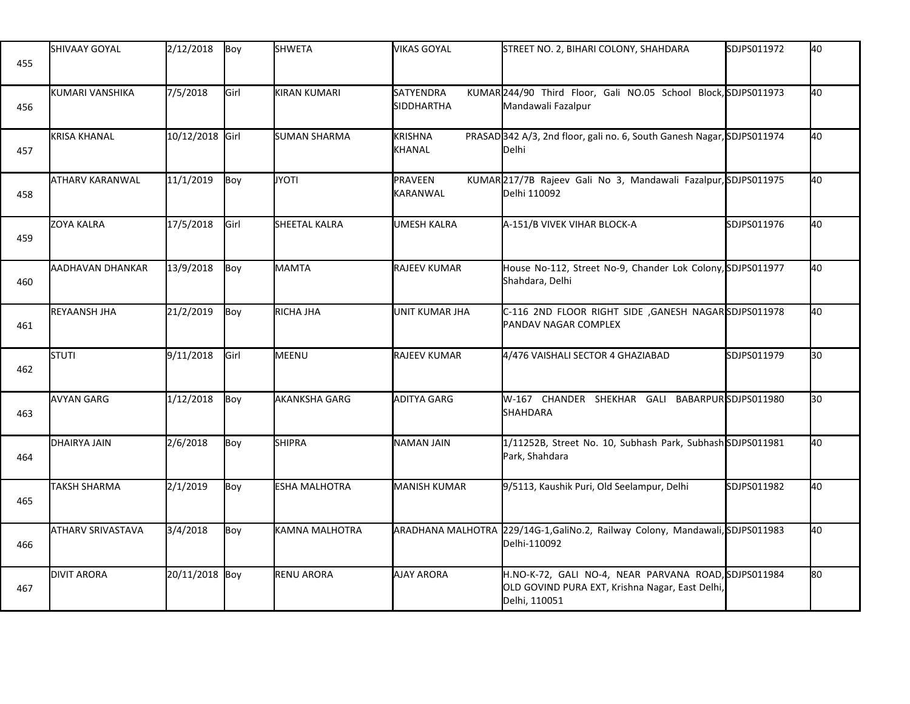| 455 | <b>SHIVAAY GOYAL</b> | 2/12/2018       | Boy  | <b>SHWETA</b>     | <b>VIKAS GOYAL</b>              | STREET NO. 2, BIHARI COLONY, SHAHDARA                                                                                    | SDJPS011972 | 40  |
|-----|----------------------|-----------------|------|-------------------|---------------------------------|--------------------------------------------------------------------------------------------------------------------------|-------------|-----|
| 456 | KUMARI VANSHIKA      | 7/5/2018        | Girl | KIRAN KUMARI      | SATYENDRA<br><b>SIDDHARTHA</b>  | KUMAR 244/90 Third Floor, Gali NO.05 School Block, SDJPS011973<br>Mandawali Fazalpur                                     |             | 40  |
| 457 | <b>KRISA KHANAL</b>  | 10/12/2018 Girl |      | SUMAN SHARMA      | <b>KRISHNA</b><br><b>KHANAL</b> | PRASAD 342 A/3, 2nd floor, gali no. 6, South Ganesh Nagar, SDJPS011974<br>Delhi                                          |             | 40  |
| 458 | ATHARV KARANWAL      | 11/1/2019       | Boy  | <b>JYOTI</b>      | PRAVEEN<br>KARANWAL             | KUMAR217/7B Rajeev Gali No 3, Mandawali Fazalpur, SDJPS011975<br>Delhi 110092                                            |             | 40  |
| 459 | <b>ZOYA KALRA</b>    | 17/5/2018       | Girl | SHEETAL KALRA     | UMESH KALRA                     | A-151/B VIVEK VIHAR BLOCK-A                                                                                              | SDJPS011976 | 40  |
| 460 | AADHAVAN DHANKAR     | 13/9/2018       | Boy  | MAMTA             | <b>RAJEEV KUMAR</b>             | House No-112, Street No-9, Chander Lok Colony, SDJPS011977<br>Shahdara, Delhi                                            |             | 40  |
| 461 | <b>REYAANSH JHA</b>  | 21/2/2019       | Boy  | RICHA JHA         | UNIT KUMAR JHA                  | C-116 2ND FLOOR RIGHT SIDE , GANESH NAGAR SDJPS011978<br>PANDAV NAGAR COMPLEX                                            |             | 40  |
| 462 | STUTI                | 9/11/2018       | Girl | MEENU             | RAJEEV KUMAR                    | 4/476 VAISHALI SECTOR 4 GHAZIABAD                                                                                        | SDJPS011979 | l30 |
| 463 | <b>AVYAN GARG</b>    | 1/12/2018       | Boy  | AKANKSHA GARG     | <b>ADITYA GARG</b>              | W-167 CHANDER SHEKHAR GALI BABARPURSDJPS011980<br>SHAHDARA                                                               |             | 30  |
| 464 | <b>DHAIRYA JAIN</b>  | 2/6/2018        | Boy  | <b>SHIPRA</b>     | <b>NAMAN JAIN</b>               | 1/11252B, Street No. 10, Subhash Park, Subhash SDJPS011981<br>Park, Shahdara                                             |             | 40  |
| 465 | <b>TAKSH SHARMA</b>  | 2/1/2019        | Boy  | ESHA MALHOTRA     | <b>MANISH KUMAR</b>             | 9/5113, Kaushik Puri, Old Seelampur, Delhi                                                                               | SDJPS011982 | 40  |
| 466 | ATHARV SRIVASTAVA    | 3/4/2018        | Boy  | KAMNA MALHOTRA    |                                 | ARADHANA MALHOTRA 229/14G-1, GaliNo.2, Railway Colony, Mandawali, SDJPS011983<br>Delhi-110092                            |             | 40  |
| 467 | <b>DIVIT ARORA</b>   | 20/11/2018 Boy  |      | <b>RENU ARORA</b> | <b>AJAY ARORA</b>               | H.NO-K-72, GALI NO-4, NEAR PARVANA ROAD, SDJPS011984<br>OLD GOVIND PURA EXT, Krishna Nagar, East Delhi,<br>Delhi, 110051 |             | l80 |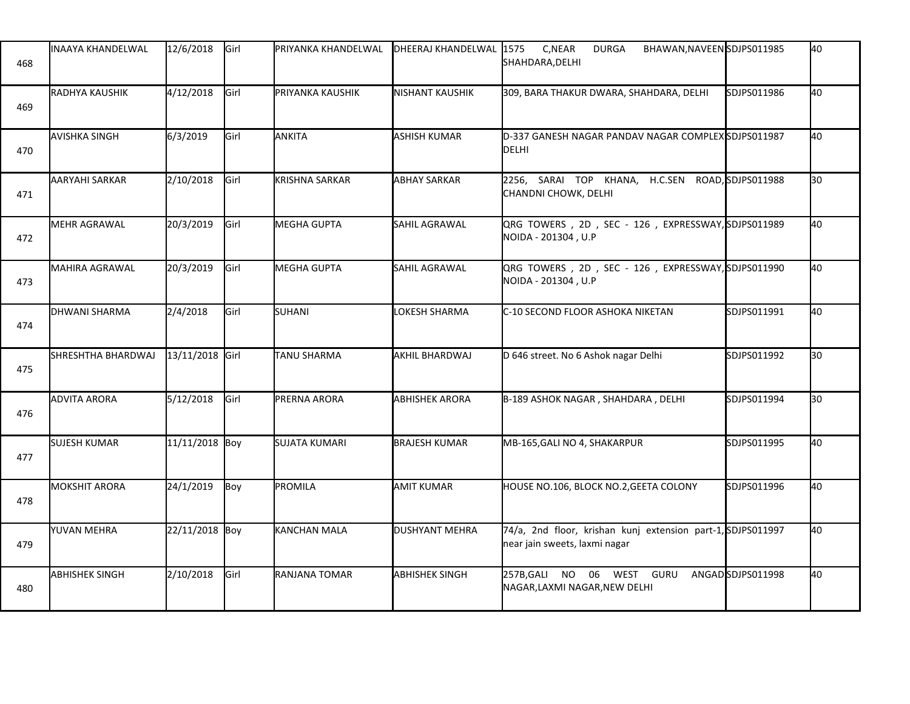| 468 | <b>INAAYA KHANDELWAL</b> | 12/6/2018       | Girl | PRIYANKA KHANDELWAL  | DHEERAJ KHANDELWAL 1575  | C, NEAR<br><b>DURGA</b><br>BHAWAN, NAVEEN SDJPS011985<br>SHAHDARA, DELHI                     |                  | 40 |
|-----|--------------------------|-----------------|------|----------------------|--------------------------|----------------------------------------------------------------------------------------------|------------------|----|
| 469 | RADHYA KAUSHIK           | 4/12/2018       | Girl | PRIYANKA KAUSHIK     | <b>I</b> NISHANT KAUSHIK | 309, BARA THAKUR DWARA, SHAHDARA, DELHI                                                      | SDJPS011986      | 40 |
| 470 | <b>AVISHKA SINGH</b>     | 6/3/2019        | Girl | ANKITA               | ASHISH KUMAR             | D-337 GANESH NAGAR PANDAV NAGAR COMPLEX SDJPS011987<br>DELHI                                 |                  | 40 |
| 471 | AARYAHI SARKAR           | 2/10/2018       | Girl | KRISHNA SARKAR       | <b>ABHAY SARKAR</b>      | 2256, SARAI TOP KHANA, H.C.SEN ROAD, SDJPS011988<br>CHANDNI CHOWK, DELHI                     |                  | 30 |
| 472 | <b>MEHR AGRAWAL</b>      | 20/3/2019       | Girl | MEGHA GUPTA          | SAHIL AGRAWAL            | QRG TOWERS, 2D, SEC - 126, EXPRESSWAY, SDJPS011989<br>NOIDA - 201304, U.P                    |                  | 40 |
| 473 | <b>MAHIRA AGRAWAL</b>    | 20/3/2019       | Girl | <b>MEGHA GUPTA</b>   | SAHIL AGRAWAL            | QRG TOWERS, 2D, SEC - 126, EXPRESSWAY, SDJPS011990<br>NOIDA - 201304, U.P                    |                  | 40 |
| 474 | <b>I</b> DHWANI SHARMA   | 2/4/2018        | Girl | SUHANI               | LOKESH SHARMA            | C-10 SECOND FLOOR ASHOKA NIKETAN                                                             | SDJPS011991      | 40 |
| 475 | SHRESHTHA BHARDWAJ       | 13/11/2018 Girl |      | <b>TANU SHARMA</b>   | AKHIL BHARDWAJ           | D 646 street. No 6 Ashok nagar Delhi                                                         | SDJPS011992      | 30 |
| 476 | <b>ADVITA ARORA</b>      | 5/12/2018       | Girl | <b>PRERNA ARORA</b>  | <b>ABHISHEK ARORA</b>    | B-189 ASHOK NAGAR, SHAHDARA, DELHI                                                           | SDJPS011994      | 30 |
| 477 | <b>SUJESH KUMAR</b>      | 11/11/2018 Boy  |      | <b>SUJATA KUMARI</b> | <b>BRAJESH KUMAR</b>     | MB-165, GALI NO 4, SHAKARPUR                                                                 | SDJPS011995      | 40 |
| 478 | <b>MOKSHIT ARORA</b>     | 24/1/2019       | Boy  | PROMILA              | <b>AMIT KUMAR</b>        | HOUSE NO.106, BLOCK NO.2, GEETA COLONY                                                       | SDJPS011996      | 40 |
| 479 | YUVAN MEHRA              | 22/11/2018 Boy  |      | <b>KANCHAN MALA</b>  | <b>DUSHYANT MEHRA</b>    | 74/a, 2nd floor, krishan kunj extension part-1, SDJPS011997<br>near jain sweets, laxmi nagar |                  | 40 |
| 480 | <b>ABHISHEK SINGH</b>    | 2/10/2018       | Girl | RANJANA TOMAR        | <b>ABHISHEK SINGH</b>    | 257B, GALI NO 06 WEST GURU<br>NAGAR,LAXMI NAGAR,NEW DELHI                                    | ANGADSDJPS011998 | 40 |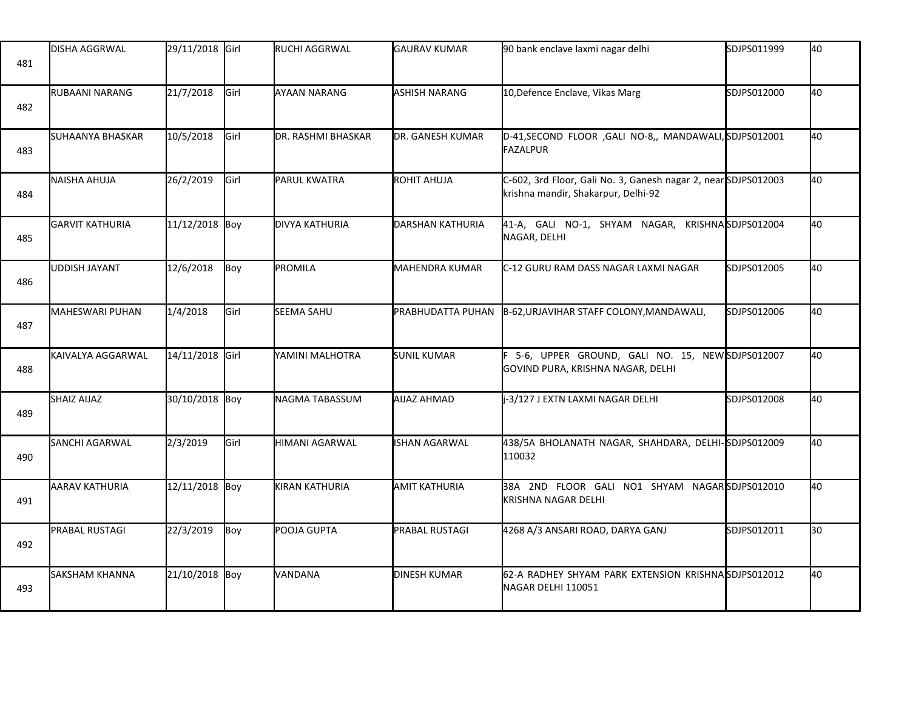| 481 | <b>DISHA AGGRWAL</b>    | 29/11/2018 Girl |             | RUCHI AGGRWAL       | <b>GAURAV KUMAR</b>      | 90 bank enclave laxmi nagar delhi                                                                    | SDJPS011999 | 40 |
|-----|-------------------------|-----------------|-------------|---------------------|--------------------------|------------------------------------------------------------------------------------------------------|-------------|----|
| 482 | RUBAANI NARANG          | 21/7/2018       | Girl        | AYAAN NARANG        | ASHISH NARANG            | 10, Defence Enclave, Vikas Marg                                                                      | SDJPS012000 | 40 |
| 483 | <b>SUHAANYA BHASKAR</b> | 10/5/2018       | <b>Girl</b> | DR. RASHMI BHASKAR  | <b>DR. GANESH KUMAR</b>  | D-41, SECOND FLOOR , GALI NO-8,, MANDAWALI, SDJPS012001<br><b>FAZALPUR</b>                           |             | 40 |
| 484 | <b>NAISHA AHUJA</b>     | 26/2/2019       | <b>Girl</b> | <b>PARUL KWATRA</b> | <b>ROHIT AHUJA</b>       | C-602, 3rd Floor, Gali No. 3, Ganesh nagar 2, nearSDJPS012003<br>krishna mandir, Shakarpur, Delhi-92 |             | 40 |
| 485 | <b>GARVIT KATHURIA</b>  | 11/12/2018 Boy  |             | DIVYA KATHURIA      | DARSHAN KATHURIA         | 41-A, GALI NO-1, SHYAM NAGAR, KRISHNASDJPS012004<br>NAGAR, DELHI                                     |             | 40 |
| 486 | UDDISH JAYANT           | 12/6/2018       | Boy         | PROMILA             | <b>MAHENDRA KUMAR</b>    | C-12 GURU RAM DASS NAGAR LAXMI NAGAR                                                                 | SDJPS012005 | 40 |
| 487 | MAHESWARI PUHAN         | 1/4/2018        | Girl        | SEEMA SAHU          | <b>PRABHUDATTA PUHAN</b> | B-62, URJAVIHAR STAFF COLONY, MANDAWALI,                                                             | SDJPS012006 | 40 |
| 488 | KAIVALYA AGGARWAL       | 14/11/2018 Girl |             | YAMINI MALHOTRA     | <b>SUNIL KUMAR</b>       | F 5-6, UPPER GROUND, GALI NO. 15, NEW SDJPS012007<br>GOVIND PURA, KRISHNA NAGAR, DELHI               |             | 40 |
| 489 | SHAIZ AIJAZ             | 30/10/2018 Boy  |             | NAGMA TABASSUM      | <b>AIJAZ AHMAD</b>       | -3/127 J EXTN LAXMI NAGAR DELHI                                                                      | SDJPS012008 | 40 |
| 490 | SANCHI AGARWAL          | 2/3/2019        | Girl        | HIMANI AGARWAL      | <b>ISHAN AGARWAL</b>     | 438/5A BHOLANATH NAGAR, SHAHDARA, DELHI-SDJPS012009<br>110032                                        |             | 40 |
| 491 | <b>AARAV KATHURIA</b>   | 12/11/2018 Boy  |             | KIRAN KATHURIA      | <b>AMIT KATHURIA</b>     | 38A 2ND FLOOR GALI NO1 SHYAM NAGARSDJPS012010<br>KRISHNA NAGAR DELHI                                 |             | 40 |
| 492 | PRABAL RUSTAGI          | 22/3/2019       | Boy         | POOJA GUPTA         | PRABAL RUSTAGI           | 4268 A/3 ANSARI ROAD, DARYA GANJ                                                                     | SDJPS012011 | 30 |
| 493 | <b>SAKSHAM KHANNA</b>   | 21/10/2018 Boy  |             | VANDANA             | <b>DINESH KUMAR</b>      | 62-A RADHEY SHYAM PARK EXTENSION KRISHNA SDJPS012012<br>NAGAR DELHI 110051                           |             | 40 |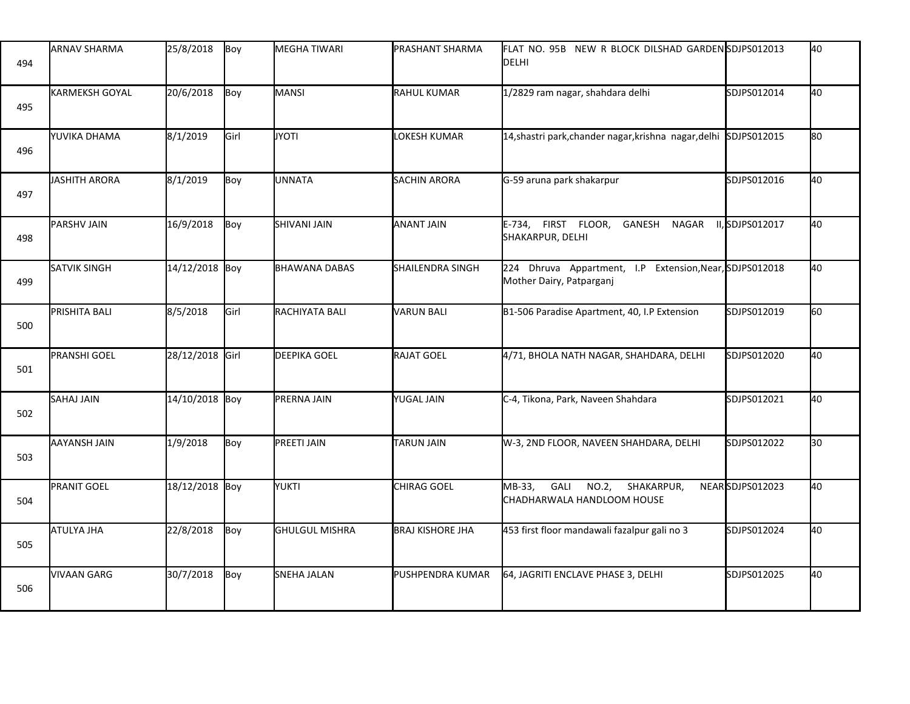| 494 | <b>ARNAV SHARMA</b>     | 25/8/2018       | Boy  | <b>MEGHA TIWARI</b>   | <b>PRASHANT SHARMA</b>    | FLAT NO. 95B   NEW R BLOCK DILSHAD GARDEN <b>İ</b> SDJPS012013<br>DELHI             |                 | 40  |
|-----|-------------------------|-----------------|------|-----------------------|---------------------------|-------------------------------------------------------------------------------------|-----------------|-----|
| 495 | <b>I</b> KARMEKSH GOYAL | 20/6/2018       | Boy  | MANSI                 | RAHUL KUMAR               | 1/2829 ram nagar, shahdara delhi                                                    | SDJPS012014     | 40  |
| 496 | YUVIKA DHAMA            | 8/1/2019        | Girl | <b>JYOTI</b>          | LOKESH KUMAR              | 14, shastri park, chander nagar, krishna nagar, delhi                               | SDJPS012015     | l80 |
| 497 | <b>JASHITH ARORA</b>    | 8/1/2019        | Boy  | UNNATA                | <b>SACHIN ARORA</b>       | G-59 aruna park shakarpur                                                           | SDJPS012016     | 40  |
| 498 | PARSHV JAIN             | 16/9/2018       | Boy  | <b>SHIVANI JAIN</b>   | <b>ANANT JAIN</b>         | E-734, FIRST FLOOR,<br>GANESH NAGAR<br>SHAKARPUR, DELHI                             | II,SDJPS012017  | 40  |
| 499 | <b>SATVIK SINGH</b>     | 14/12/2018 Boy  |      | <b>BHAWANA DABAS</b>  | <b>I</b> SHAILENDRA SINGH | 224 Dhruva Appartment, I.P Extension, Near, SDJPS012018<br>Mother Dairy, Patparganj |                 | 40  |
| 500 | <b>PRISHITA BALI</b>    | 8/5/2018        | Girl | RACHIYATA BALI        | VARUN BALI                | B1-506 Paradise Apartment, 40, I.P Extension                                        | SDJPS012019     | l60 |
| 501 | <b>PRANSHI GOEL</b>     | 28/12/2018 Girl |      | <b>DEEPIKA GOEL</b>   | RAJAT GOEL                | 4/71, BHOLA NATH NAGAR, SHAHDARA, DELHI                                             | SDJPS012020     | 40  |
| 502 | <b>SAHAJ JAIN</b>       | 14/10/2018 Boy  |      | PRERNA JAIN           | <b>YUGAL JAIN</b>         | C-4, Tikona, Park, Naveen Shahdara                                                  | SDJPS012021     | 40  |
| 503 | <b>AAYANSH JAIN</b>     | 1/9/2018        | Boy  | <b>PREETI JAIN</b>    | TARUN JAIN                | W-3, 2ND FLOOR, NAVEEN SHAHDARA, DELHI                                              | SDJPS012022     | 30  |
| 504 | <b>PRANIT GOEL</b>      | 18/12/2018 Boy  |      | <b>YUKTI</b>          | CHIRAG GOEL               | MB-33,<br>GALI<br>NO.2,<br>SHAKARPUR,<br>CHADHARWALA HANDLOOM HOUSE                 | NEARSDJPS012023 | 40  |
| 505 | <b>ATULYA JHA</b>       | 22/8/2018       | Boy  | <b>GHULGUL MISHRA</b> | <b>BRAJ KISHORE JHA</b>   | 453 first floor mandawali fazalpur gali no 3                                        | SDJPS012024     | 40  |
| 506 | VIVAAN GARG             | 30/7/2018       | Boy  | <b>SNEHA JALAN</b>    | <b>I</b> PUSHPENDRA KUMAR | 64, JAGRITI ENCLAVE PHASE 3, DELHI                                                  | SDJPS012025     | 40  |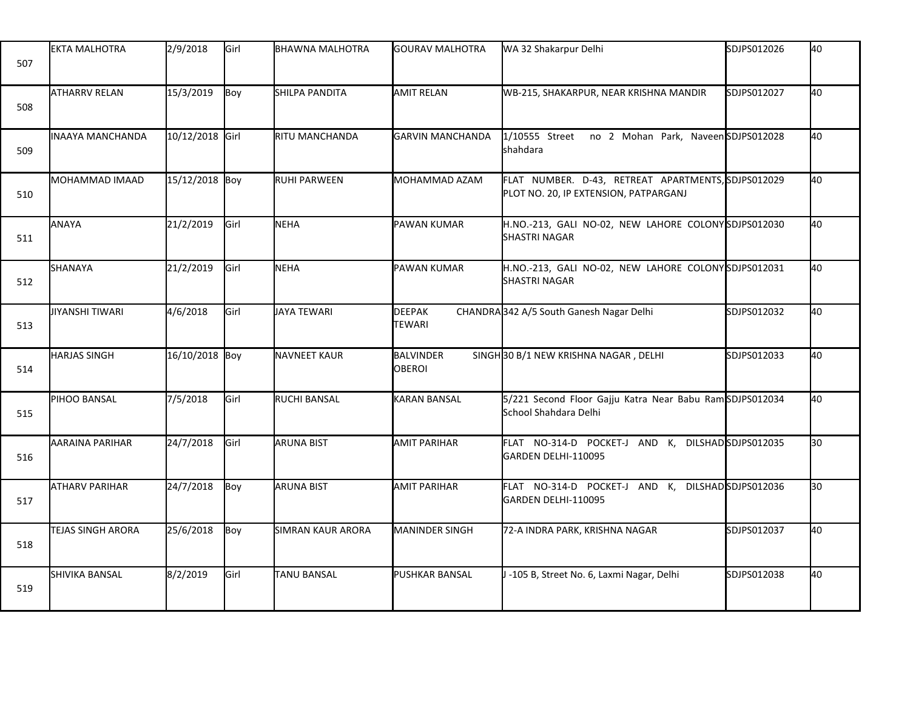| 507 | <b>EKTA MALHOTRA</b>    | 2/9/2018        | Girl          | BHAWNA MALHOTRA          | <b>GOURAV MALHOTRA</b>         | WA 32 Shakarpur Delhi                                                                       | SDJPS012026 | 40  |
|-----|-------------------------|-----------------|---------------|--------------------------|--------------------------------|---------------------------------------------------------------------------------------------|-------------|-----|
| 508 | <b>ATHARRV RELAN</b>    | 15/3/2019       | Boy           | SHILPA PANDITA           | <b>AMIT RELAN</b>              | WB-215, SHAKARPUR, NEAR KRISHNA MANDIR                                                      | SDJPS012027 | 40  |
| 509 | <b>INAAYA MANCHANDA</b> | 10/12/2018 Girl |               | RITU MANCHANDA           | <b>GARVIN MANCHANDA</b>        | 1/10555 Street<br>no 2 Mohan Park, NaveenSDJPS012028<br>shahdara                            |             | 40  |
| 510 | MOHAMMAD IMAAD          | 15/12/2018 Boy  |               | RUHI PARWEEN             | MOHAMMAD AZAM                  | FLAT NUMBER. D-43, RETREAT APARTMENTS, SDJPS012029<br>PLOT NO. 20, IP EXTENSION, PATPARGANJ |             | 40  |
| 511 | ANAYA                   | 21/2/2019       | <b>I</b> Girl | <b>NEHA</b>              | PAWAN KUMAR                    | H.NO.-213, GALI NO-02, NEW LAHORE COLONY SDJPS012030<br><b>SHASTRI NAGAR</b>                |             | 40  |
| 512 | SHANAYA                 | 21/2/2019       | Girl          | NEHA                     | <b>PAWAN KUMAR</b>             | H.NO.-213, GALI NO-02, NEW LAHORE COLONYSDJPS012031<br><b>SHASTRI NAGAR</b>                 |             | 40  |
| 513 | <b>JIYANSHI TIWARI</b>  | 4/6/2018        | Girl          | JAYA TEWARI              | <b>DEEPAK</b><br><b>TEWARI</b> | CHANDRA 342 A/5 South Ganesh Nagar Delhi                                                    | SDJPS012032 | 40  |
| 514 | <b>HARJAS SINGH</b>     | 16/10/2018 Boy  |               | <b>NAVNEET KAUR</b>      | BALVINDER<br><b>OBEROI</b>     | SINGH 30 B/1 NEW KRISHNA NAGAR, DELHI                                                       | SDJPS012033 | 40  |
| 515 | PIHOO BANSAL            | 7/5/2018        | Girl          | RUCHI BANSAL             | <b>KARAN BANSAL</b>            | 5/221 Second Floor Gajju Katra Near Babu RamSDJPS012034<br>School Shahdara Delhi            |             | 40  |
| 516 | AARAINA PARIHAR         | 24/7/2018       | Girl          | <b>ARUNA BIST</b>        | <b>AMIT PARIHAR</b>            | FLAT NO-314-D POCKET-J AND K, DILSHADSDJPS012035<br>GARDEN DELHI-110095                     |             | l30 |
| 517 | <b>ATHARV PARIHAR</b>   | 24/7/2018       | Boy           | <b>ARUNA BIST</b>        | <b>AMIT PARIHAR</b>            | FLAT NO-314-D POCKET-J AND K, DILSHADSDJPS012036<br>GARDEN DELHI-110095                     |             | l30 |
| 518 | TEJAS SINGH ARORA       | 25/6/2018       | Boy           | <b>SIMRAN KAUR ARORA</b> | <b>MANINDER SINGH</b>          | 72-A INDRA PARK, KRISHNA NAGAR                                                              | SDJPS012037 | 40  |
| 519 | SHIVIKA BANSAL          | 8/2/2019        | Girl          | TANU BANSAL              | PUSHKAR BANSAL                 | J -105 B, Street No. 6, Laxmi Nagar, Delhi                                                  | SDJPS012038 | 40  |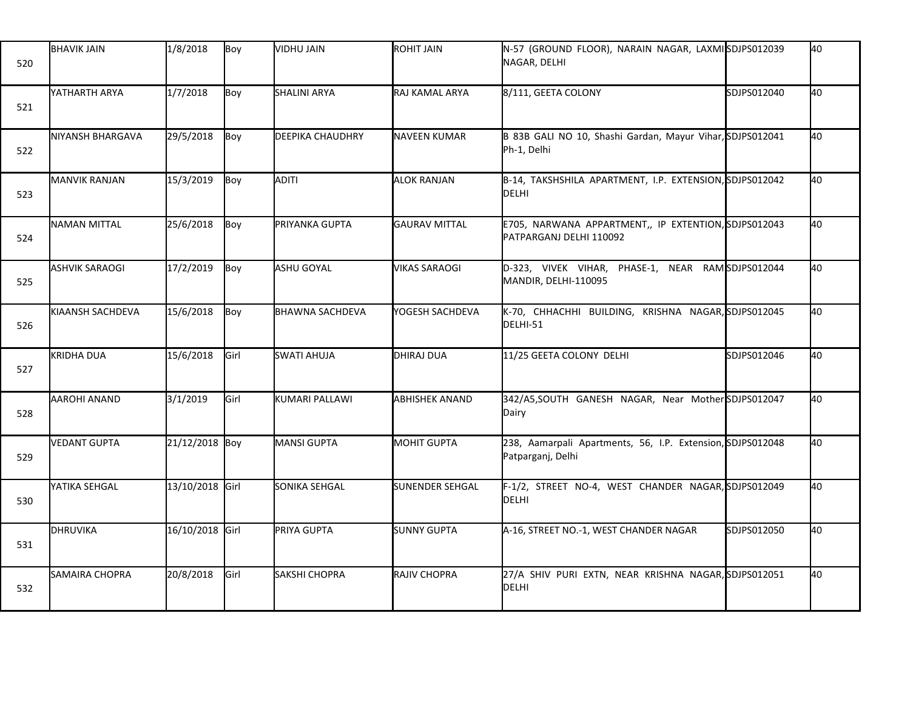| 520 | <b>BHAVIK JAIN</b>    | 1/8/2018        | Boy           | VIDHU JAIN             | ROHIT JAIN             | N-57 (GROUND FLOOR), NARAIN NAGAR, LAXMISDJPS012039<br>NAGAR, DELHI             |             | 40 |
|-----|-----------------------|-----------------|---------------|------------------------|------------------------|---------------------------------------------------------------------------------|-------------|----|
| 521 | YATHARTH ARYA         | 1/7/2018        | Boy           | <b>SHALINI ARYA</b>    | RAJ KAMAL ARYA         | 8/111, GEETA COLONY                                                             | SDJPS012040 | 40 |
| 522 | NIYANSH BHARGAVA      | 29/5/2018       | Boy           | DEEPIKA CHAUDHRY       | NAVEEN KUMAR           | B 83B GALI NO 10, Shashi Gardan, Mayur Vihar, SDJPS012041<br>Ph-1, Delhi        |             | 40 |
| 523 | <b>MANVIK RANJAN</b>  | 15/3/2019       | Boy           | ADITI                  | <b>ALOK RANJAN</b>     | B-14, TAKSHSHILA APARTMENT, I.P. EXTENSION, SDJPS012042<br>DELHI                |             | 40 |
| 524 | <b>NAMAN MITTAL</b>   | 25/6/2018       | Boy           | PRIYANKA GUPTA         | <b>GAURAV MITTAL</b>   | E705, NARWANA APPARTMENT,, IP EXTENTION, SDJPS012043<br>PATPARGANJ DELHI 110092 |             | 40 |
| 525 | <b>ASHVIK SARAOGI</b> | 17/2/2019       | Boy           | ASHU GOYAL             | <b>VIKAS SARAOGI</b>   | D-323, VIVEK VIHAR, PHASE-1, NEAR RAMSDJPS012044<br>MANDIR, DELHI-110095        |             | 40 |
| 526 | KIAANSH SACHDEVA      | 15/6/2018       | Boy           | <b>BHAWNA SACHDEVA</b> | YOGESH SACHDEVA        | K-70, CHHACHHI BUILDING, KRISHNA NAGAR, SDJPS012045<br>DELHI-51                 |             | 40 |
| 527 | <b>KRIDHA DUA</b>     | 15/6/2018       | Girl          | <b>SWATI AHUJA</b>     | DHIRAJ DUA             | 11/25 GEETA COLONY DELHI                                                        | SDJPS012046 | 40 |
| 528 | AAROHI ANAND          | 3/1/2019        | Girl          | KUMARI PALLAWI         | <b>ABHISHEK ANAND</b>  | 342/A5,SOUTH GANESH NAGAR, Near MotherSDJPS012047<br>Dairy                      |             | 40 |
| 529 | <b>VEDANT GUPTA</b>   | 21/12/2018 Boy  |               | MANSI GUPTA            | <b>MOHIT GUPTA</b>     | 238, Aamarpali Apartments, 56, I.P. Extension, SDJPS012048<br>Patparganj, Delhi |             | 40 |
| 530 | YATIKA SEHGAL         | 13/10/2018 Girl |               | SONIKA SEHGAL          | <b>SUNENDER SEHGAL</b> | F-1/2, STREET NO-4, WEST CHANDER NAGAR, SDJPS012049<br>DELHI                    |             | 40 |
| 531 | <b>DHRUVIKA</b>       | 16/10/2018 Girl |               | PRIYA GUPTA            | <b>SUNNY GUPTA</b>     | A-16, STREET NO.-1, WEST CHANDER NAGAR                                          | SDJPS012050 | 40 |
| 532 | <b>SAMAIRA CHOPRA</b> | 20/8/2018       | <b>I</b> Girl | SAKSHI CHOPRA          | RAJIV CHOPRA           | 27/A SHIV PURI EXTN, NEAR KRISHNA NAGAR, SDJPS012051<br>DELHI                   |             | 40 |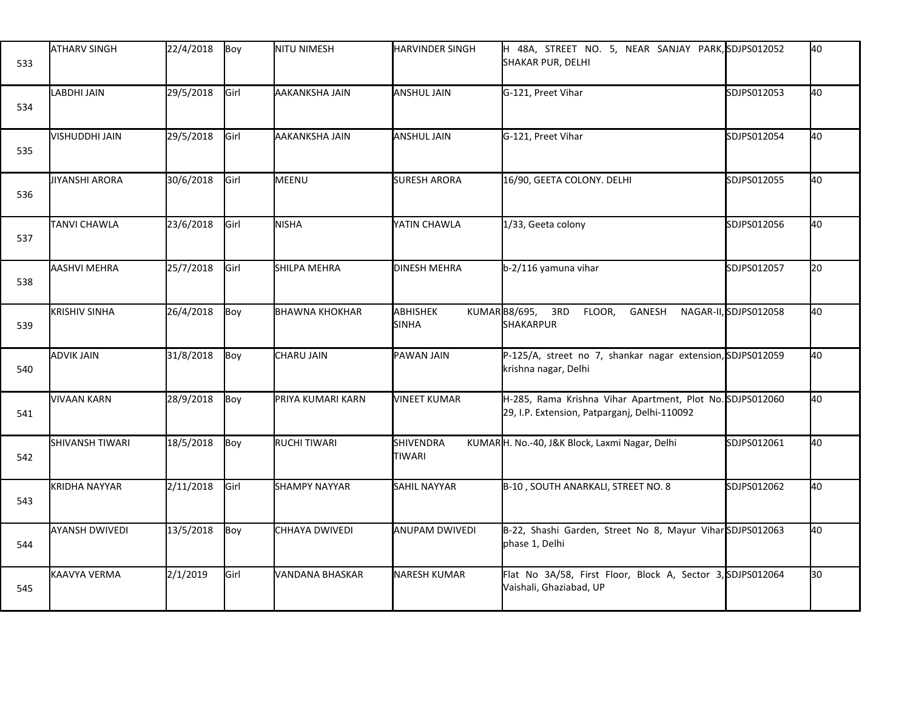| 533 | <b>ATHARV SINGH</b>    | 22/4/2018 | Boy  | NITU NIMESH           | <b>HARVINDER SINGH</b>     | H 48A, STREET NO. 5, NEAR SANJAY PARK, SDJPS012052<br>SHAKAR PUR, DELHI                                   |                       | 40              |
|-----|------------------------|-----------|------|-----------------------|----------------------------|-----------------------------------------------------------------------------------------------------------|-----------------------|-----------------|
| 534 | <b>LABDHI JAIN</b>     | 29/5/2018 | Girl | AAKANKSHA JAIN        | ANSHUL JAIN                | G-121, Preet Vihar                                                                                        | SDJPS012053           | 40              |
| 535 | VISHUDDHI JAIN         | 29/5/2018 | Girl | AAKANKSHA JAIN        | ANSHUL JAIN                | G-121, Preet Vihar                                                                                        | SDJPS012054           | 40              |
| 536 | JIYANSHI ARORA         | 30/6/2018 | Girl | MEENU                 | <b>SURESH ARORA</b>        | 16/90, GEETA COLONY. DELHI                                                                                | SDJPS012055           | 40              |
| 537 | <b>TANVI CHAWLA</b>    | 23/6/2018 | Girl | NISHA                 | YATIN CHAWLA               | 1/33, Geeta colony                                                                                        | SDJPS012056           | 40              |
| 538 | <b>AASHVI MEHRA</b>    | 25/7/2018 | Girl | SHILPA MEHRA          | <b>DINESH MEHRA</b>        | b-2/116 yamuna vihar                                                                                      | SDJPS012057           | $\overline{20}$ |
| 539 | <b>KRISHIV SINHA</b>   | 26/4/2018 | Boy  | <b>BHAWNA KHOKHAR</b> | ABHISHEK<br><b>SINHA</b>   | KUMARB8/695,<br>3RD<br>FLOOR,<br>GANESH<br><b>SHAKARPUR</b>                                               | NAGAR-II, SDJPS012058 | 40              |
| 540 | <b>ADVIK JAIN</b>      | 31/8/2018 | Boy  | CHARU JAIN            | PAWAN JAIN                 | P-125/A, street no 7, shankar nagar extension, SDJPS012059<br>krishna nagar, Delhi                        |                       | 40              |
| 541 | <b>VIVAAN KARN</b>     | 28/9/2018 | Boy  | PRIYA KUMARI KARN     | <b>VINEET KUMAR</b>        | H-285, Rama Krishna Vihar Apartment, Plot No. SDJPS012060<br>29, I.P. Extension, Patparganj, Delhi-110092 |                       | 40              |
| 542 | <b>SHIVANSH TIWARI</b> | 18/5/2018 | Boy  | RUCHI TIWARI          | SHIVENDRA<br><b>TIWARI</b> | KUMARH. No.-40, J&K Block, Laxmi Nagar, Delhi                                                             | SDJPS012061           | 40              |
| 543 | KRIDHA NAYYAR          | 2/11/2018 | Girl | <b>SHAMPY NAYYAR</b>  | <b>SAHIL NAYYAR</b>        | B-10, SOUTH ANARKALI, STREET NO. 8                                                                        | SDJPS012062           | 40              |
| 544 | <b>AYANSH DWIVEDI</b>  | 13/5/2018 | Boy  | CHHAYA DWIVEDI        | <b>ANUPAM DWIVEDI</b>      | B-22, Shashi Garden, Street No 8, Mayur Vihar SDJPS012063<br>phase 1, Delhi                               |                       | 40              |
| 545 | KAAVYA VERMA           | 2/1/2019  | Girl | VANDANA BHASKAR       | <b>NARESH KUMAR</b>        | Flat No 3A/58, First Floor, Block A, Sector 3, SDJPS012064<br>Vaishali, Ghaziabad, UP                     |                       | 30              |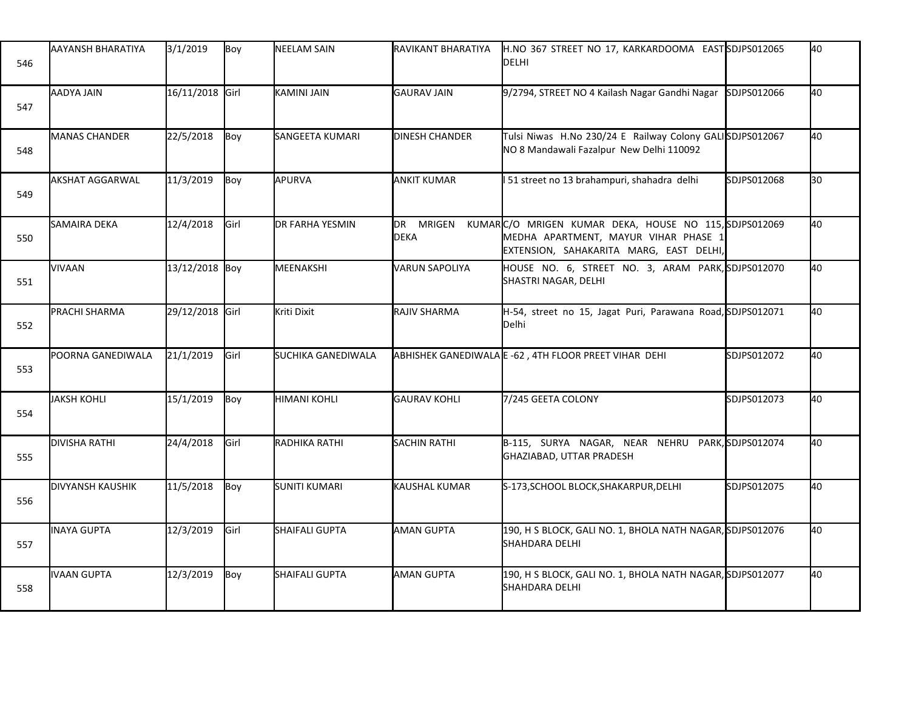| 546 | AAYANSH BHARATIYA       | 3/1/2019        | Boy   | <b>NEELAM SAIN</b>     | RAVIKANT BHARATIYA       | H.NO 367 STREET NO 17, KARKARDOOMA EASTSDJPS012065<br><b>DELHI</b>                                                                       |             | 40 |
|-----|-------------------------|-----------------|-------|------------------------|--------------------------|------------------------------------------------------------------------------------------------------------------------------------------|-------------|----|
| 547 | AADYA JAIN              | 16/11/2018 Girl |       | KAMINI JAIN            | <b>GAURAV JAIN</b>       | 9/2794, STREET NO 4 Kailash Nagar Gandhi Nagar                                                                                           | SDJPS012066 | 40 |
| 548 | <b>MANAS CHANDER</b>    | 22/5/2018       | Boy   | SANGEETA KUMARI        | <b>DINESH CHANDER</b>    | Tulsi Niwas H.No 230/24 E Railway Colony GALISDJPS012067<br>NO 8 Mandawali Fazalpur New Delhi 110092                                     |             | 40 |
| 549 | <b>AKSHAT AGGARWAL</b>  | 11/3/2019       | Boy   | APURVA                 | <b>ANKIT KUMAR</b>       | 51 street no 13 brahampuri, shahadra delhi                                                                                               | SDJPS012068 | 30 |
| 550 | SAMAIRA DEKA            | 12/4/2018       | lGirl | <b>DR FARHA YESMIN</b> | DR MRIGEN<br><b>DEKA</b> | KUMARC/O MRIGEN KUMAR DEKA, HOUSE NO 115, SDJPS012069<br>MEDHA APARTMENT, MAYUR VIHAR PHASE 1<br>EXTENSION, SAHAKARITA MARG, EAST DELHI, |             | 40 |
| 551 | <b>VIVAAN</b>           | 13/12/2018 Boy  |       | MEENAKSHI              | <b>VARUN SAPOLIYA</b>    | HOUSE NO. 6, STREET NO. 3, ARAM PARK, SDJPS012070<br>SHASTRI NAGAR, DELHI                                                                |             | 40 |
| 552 | PRACHI SHARMA           | 29/12/2018 Girl |       | Kriti Dixit            | RAJIV SHARMA             | H-54, street no 15, Jagat Puri, Parawana Road, SDJPS012071<br>Delhi                                                                      |             | 40 |
| 553 | POORNA GANEDIWALA       | 21/1/2019       | Girl  | SUCHIKA GANEDIWALA     |                          | ABHISHEK GANEDIWALA E -62, 4TH FLOOR PREET VIHAR DEHI                                                                                    | SDJPS012072 | 40 |
| 554 | <b>JAKSH KOHLI</b>      | 15/1/2019       | Boy   | <b>HIMANI KOHLI</b>    | <b>GAURAV KOHLI</b>      | 7/245 GEETA COLONY                                                                                                                       | SDJPS012073 | 40 |
| 555 | <b>DIVISHA RATHI</b>    | 24/4/2018       | Girl  | RADHIKA RATHI          | <b>SACHIN RATHI</b>      | B-115, SURYA NAGAR, NEAR NEHRU PARK, SDJPS012074<br>GHAZIABAD, UTTAR PRADESH                                                             |             | 40 |
| 556 | <b>DIVYANSH KAUSHIK</b> | 11/5/2018       | Boy   | SUNITI KUMARI          | KAUSHAL KUMAR            | S-173, SCHOOL BLOCK, SHAKARPUR, DELHI                                                                                                    | SDJPS012075 | 40 |
| 557 | INAYA GUPTA             | 12/3/2019       | Girl  | SHAIFALI GUPTA         | <b>AMAN GUPTA</b>        | 190, H S BLOCK, GALI NO. 1, BHOLA NATH NAGAR, SDJPS012076<br>SHAHDARA DELHI                                                              |             | 40 |
| 558 | <b>IVAAN GUPTA</b>      | 12/3/2019       | Boy   | SHAIFALI GUPTA         | <b>AMAN GUPTA</b>        | 190, H S BLOCK, GALI NO. 1, BHOLA NATH NAGAR, SDJPS012077<br>SHAHDARA DELHI                                                              |             | 40 |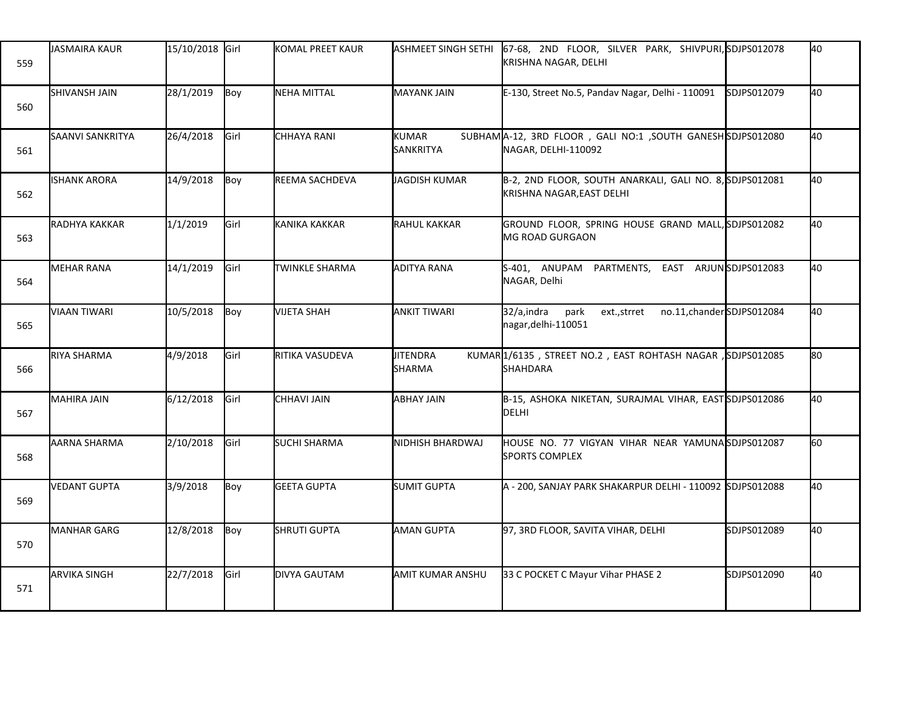| 559 | <b>JASMAIRA KAUR</b> | 15/10/2018 Girl |               | KOMAL PREET KAUR    | <b>ASHMEET SINGH SETHI</b> | 67-68, 2ND FLOOR, SILVER PARK, SHIVPURI, SDJPS012078<br>KRISHNA NAGAR, DELHI           |             | 40   |
|-----|----------------------|-----------------|---------------|---------------------|----------------------------|----------------------------------------------------------------------------------------|-------------|------|
| 560 | SHIVANSH JAIN        | 28/1/2019       | Boy           | NEHA MITTAL         | <b>MAYANK JAIN</b>         | E-130, Street No.5, Pandav Nagar, Delhi - 110091                                       | SDJPS012079 | 40   |
| 561 | SAANVI SANKRITYA     | 26/4/2018       | <b>I</b> Girl | <b>CHHAYA RANI</b>  | KUMAR<br>SANKRITYA         | SUBHAMA-12, 3RD FLOOR, GALI NO:1, SOUTH GANESHSDJPS012080<br>NAGAR, DELHI-110092       |             | 40   |
| 562 | <b>ISHANK ARORA</b>  | 14/9/2018       | Boy           | REEMA SACHDEVA      | <b>JAGDISH KUMAR</b>       | B-2, 2ND FLOOR, SOUTH ANARKALI, GALI NO. 8, SDJPS012081<br>KRISHNA NAGAR, EAST DELHI   |             | 40   |
| 563 | RADHYA KAKKAR        | 1/1/2019        | Girl          | KANIKA KAKKAR       | RAHUL KAKKAR               | GROUND FLOOR, SPRING HOUSE GRAND MALL, SDJPS012082<br><b>MG ROAD GURGAON</b>           |             | 40   |
| 564 | <b>MEHAR RANA</b>    | 14/1/2019       | Girl          | TWINKLE SHARMA      | ADITYA RANA                | S-401, ANUPAM PARTMENTS, EAST ARJUNSDJPS012083<br>NAGAR, Delhi                         |             | 40   |
| 565 | <b>VIAAN TIWARI</b>  | 10/5/2018       | Boy           | <b>VIJETA SHAH</b>  | <b>ANKIT TIWARI</b>        | 32/a,indra<br>no.11, chander SDJPS012084<br>park<br>ext.,strret<br>nagar, delhi-110051 |             | 40   |
| 566 | RIYA SHARMA          | 4/9/2018        | Girl          | RITIKA VASUDEVA     | <b>JITENDRA</b><br>SHARMA  | KUMAR1/6135, STREET NO.2, EAST ROHTASH NAGAR, SDJPS012085<br><b>SHAHDARA</b>           |             | 80   |
| 567 | <b>MAHIRA JAIN</b>   | 6/12/2018       | Girl          | CHHAVI JAIN         | <b>ABHAY JAIN</b>          | B-15, ASHOKA NIKETAN, SURAJMAL VIHAR, EASTSDJPS012086<br>DELHI                         |             | 40   |
| 568 | AARNA SHARMA         | 2/10/2018       | Girl          | <b>SUCHI SHARMA</b> | NIDHISH BHARDWAJ           | HOUSE NO. 77 VIGYAN VIHAR NEAR YAMUNASDJPS012087<br><b>SPORTS COMPLEX</b>              |             | l60. |
| 569 | <b>VEDANT GUPTA</b>  | 3/9/2018        | Boy           | <b>GEETA GUPTA</b>  | SUMIT GUPTA                | A - 200, SANJAY PARK SHAKARPUR DELHI - 110092 SDJPS012088                              |             | 40   |
| 570 | <b>MANHAR GARG</b>   | 12/8/2018       | Boy           | <b>SHRUTI GUPTA</b> | <b>AMAN GUPTA</b>          | 97, 3RD FLOOR, SAVITA VIHAR, DELHI                                                     | SDJPS012089 | 40   |
| 571 | <b>ARVIKA SINGH</b>  | 22/7/2018       | Girl          | <b>DIVYA GAUTAM</b> | AMIT KUMAR ANSHU           | 33 C POCKET C Mayur Vihar PHASE 2                                                      | SDJPS012090 | 40   |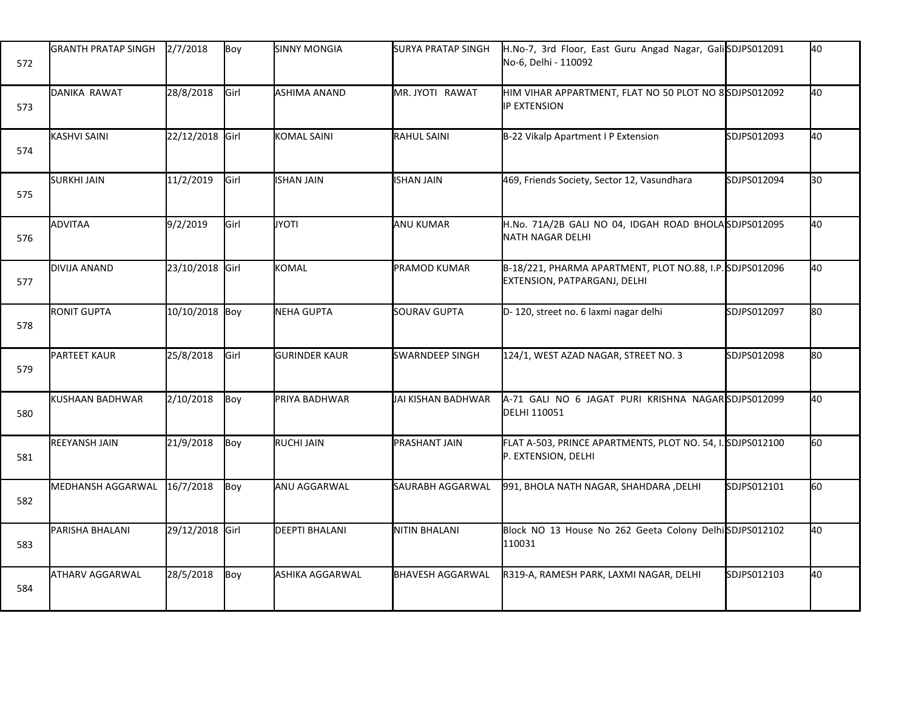| 572 | <b>GRANTH PRATAP SINGH</b> | 2/7/2018        | Boy   | <b>SINNY MONGIA</b>   | SURYA PRATAP SINGH      | H.No-7, 3rd Floor, East Guru Angad Nagar, GaliSDJPS012091<br>No-6, Delhi - 110092        |             | 40  |
|-----|----------------------------|-----------------|-------|-----------------------|-------------------------|------------------------------------------------------------------------------------------|-------------|-----|
| 573 | DANIKA RAWAT               | 28/8/2018       | Girl  | <b>ASHIMA ANAND</b>   | MR. JYOTI RAWAT         | HIM VIHAR APPARTMENT, FLAT NO 50 PLOT NO 8SDJPS012092<br>IP EXTENSION                    |             | 40  |
| 574 | <b>KASHVI SAINI</b>        | 22/12/2018 Girl |       | <b>KOMAL SAINI</b>    | <b>RAHUL SAINI</b>      | B-22 Vikalp Apartment I P Extension                                                      | SDJPS012093 | 40  |
| 575 | <b>SURKHI JAIN</b>         | 11/2/2019       | Girl  | <b>ISHAN JAIN</b>     | <b>ISHAN JAIN</b>       | 469, Friends Society, Sector 12, Vasundhara                                              | SDJPS012094 | 30  |
| 576 | ADVITAA                    | 9/2/2019        | lGirl | <b>JYOTI</b>          | <b>ANU KUMAR</b>        | H.No. 71A/2B GALI NO 04, IDGAH ROAD BHOLASDJPS012095<br><b>NATH NAGAR DELHI</b>          |             | 40  |
| 577 | DIVIJA ANAND               | 23/10/2018 Girl |       | <b>KOMAL</b>          | <b>PRAMOD KUMAR</b>     | B-18/221, PHARMA APARTMENT, PLOT NO.88, I.P. SDJPS012096<br>EXTENSION, PATPARGANJ, DELHI |             | 40  |
| 578 | <b>RONIT GUPTA</b>         | 10/10/2018 Boy  |       | NEHA GUPTA            | <b>SOURAV GUPTA</b>     | D-120, street no. 6 laxmi nagar delhi                                                    | SDJPS012097 | 80  |
| 579 | <b>PARTEET KAUR</b>        | 25/8/2018       | Girl  | <b>GURINDER KAUR</b>  | <b>SWARNDEEP SINGH</b>  | 124/1, WEST AZAD NAGAR, STREET NO. 3                                                     | SDJPS012098 | l80 |
| 580 | KUSHAAN BADHWAR            | 2/10/2018       | Boy   | PRIYA BADHWAR         | JAI KISHAN BADHWAR      | A-71 GALI NO 6 JAGAT PURI KRISHNA NAGARSDJPS012099<br>DELHI 110051                       |             | 40  |
| 581 | <b>REEYANSH JAIN</b>       | 21/9/2018       | Boy   | <b>RUCHI JAIN</b>     | PRASHANT JAIN           | FLAT A-503, PRINCE APARTMENTS, PLOT NO. 54, I. SDJPS012100<br>P. EXTENSION, DELHI        |             | 60  |
| 582 | MEDHANSH AGGARWAL          | 16/7/2018       | Boy   | ANU AGGARWAL          | SAURABH AGGARWAL        | 991, BHOLA NATH NAGAR, SHAHDARA , DELHI                                                  | SDJPS012101 | 60  |
| 583 | PARISHA BHALANI            | 29/12/2018 Girl |       | <b>DEEPTI BHALANI</b> | <b>NITIN BHALANI</b>    | Block NO 13 House No 262 Geeta Colony Delhi SDJPS012102<br>110031                        |             | 40  |
| 584 | <b>ATHARV AGGARWAL</b>     | 28/5/2018       | Boy   | ASHIKA AGGARWAL       | <b>BHAVESH AGGARWAL</b> | R319-A, RAMESH PARK, LAXMI NAGAR, DELHI                                                  | SDJPS012103 | 40  |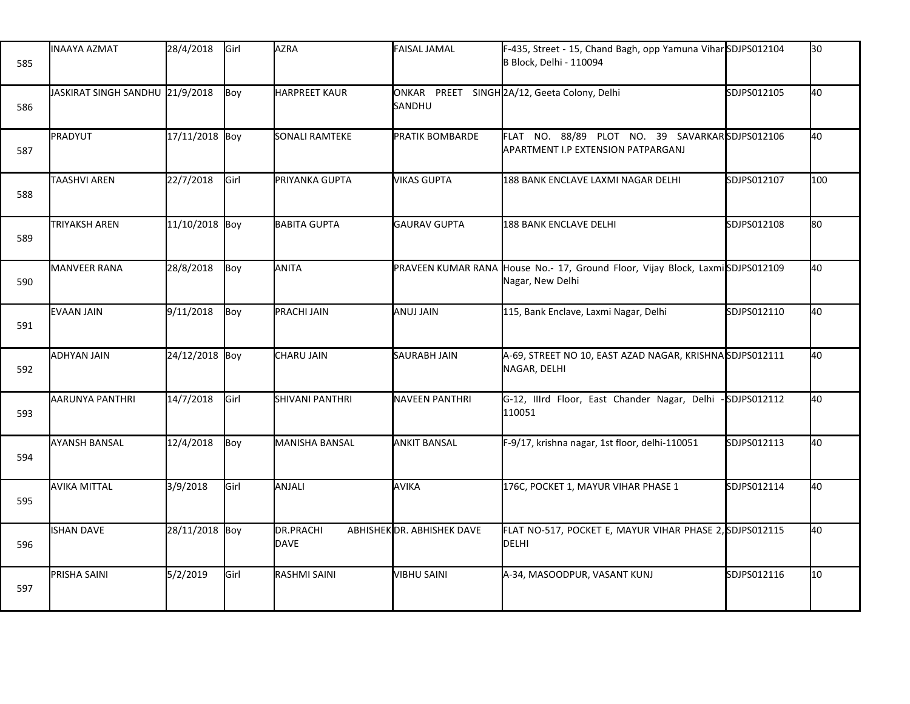| 585 | INAAYA AZMAT                    | 28/4/2018      | Girl | <b>AZRA</b>              | <b>FAISAL JAMAL</b>       | F-435, Street - 15, Chand Bagh, opp Yamuna Vihar SDJPS012104<br><b>B Block, Delhi - 110094</b>    |              | 30               |
|-----|---------------------------------|----------------|------|--------------------------|---------------------------|---------------------------------------------------------------------------------------------------|--------------|------------------|
| 586 | JASKIRAT SINGH SANDHU 21/9/2018 |                | Boy  | <b>HARPREET KAUR</b>     | SANDHU                    | ONKAR PREET SINGH 2A/12, Geeta Colony, Delhi                                                      | SDJPS012105  | 40               |
| 587 | PRADYUT                         | 17/11/2018 Boy |      | SONALI RAMTEKE           | <b>PRATIK BOMBARDE</b>    | FLAT NO. 88/89 PLOT NO. 39 SAVARKARSDJPS012106<br>APARTMENT I.P EXTENSION PATPARGANJ              |              | 40               |
| 588 | <b>TAASHVI AREN</b>             | 22/7/2018      | Girl | PRIYANKA GUPTA           | <b>VIKAS GUPTA</b>        | 188 BANK ENCLAVE LAXMI NAGAR DELHI                                                                | SDJPS012107  | 100              |
| 589 | <b>TRIYAKSH AREN</b>            | 11/10/2018 Boy |      | <b>BABITA GUPTA</b>      | <b>GAURAV GUPTA</b>       | <b>188 BANK ENCLAVE DELHI</b>                                                                     | SDJPS012108  | 80               |
| 590 | MANVEER RANA                    | 28/8/2018      | Boy  | ANITA                    |                           | PRAVEEN KUMAR RANA House No.- 17, Ground Floor, Vijay Block, LaxmiSDJPS012109<br>Nagar, New Delhi |              | 40               |
| 591 | <b>IEVAAN JAIN</b>              | 9/11/2018      | Boy  | <b>PRACHI JAIN</b>       | IANUJ JAIN                | 115, Bank Enclave, Laxmi Nagar, Delhi                                                             | SDJPS012110  | 40               |
| 592 | <b>ADHYAN JAIN</b>              | 24/12/2018 Boy |      | CHARU JAIN               | <b>SAURABH JAIN</b>       | A-69, STREET NO 10, EAST AZAD NAGAR, KRISHNASDJPS012111<br>NAGAR, DELHI                           |              | 40               |
| 593 | AARUNYA PANTHRI                 | 14/7/2018      | Girl | <b>SHIVANI PANTHRI</b>   | <b>NAVEEN PANTHRI</b>     | G-12, Illrd Floor, East Chander Nagar, Delhi<br>110051                                            | -SDJPS012112 | 40               |
| 594 | <b>AYANSH BANSAL</b>            | 12/4/2018      | Boy  | MANISHA BANSAL           | <b>ANKIT BANSAL</b>       | F-9/17, krishna nagar, 1st floor, delhi-110051                                                    | SDJPS012113  | 40               |
| 595 | <b>AVIKA MITTAL</b>             | 3/9/2018       | Girl | ANJALI                   | AVIKA                     | 176C, POCKET 1, MAYUR VIHAR PHASE 1                                                               | SDJPS012114  | 40               |
| 596 | <b>ISHAN DAVE</b>               | 28/11/2018 Boy |      | DR.PRACHI<br><b>DAVE</b> | ABHISHEKOR. ABHISHEK DAVE | FLAT NO-517, POCKET E, MAYUR VIHAR PHASE 2, SDJPS012115<br>DELHI                                  |              | 40               |
| 597 | PRISHA SAINI                    | 5/2/2019       | Girl | RASHMI SAINI             | VIBHU SAINI               | A-34, MASOODPUR, VASANT KUNJ                                                                      | SDJPS012116  | 10 <sup>10</sup> |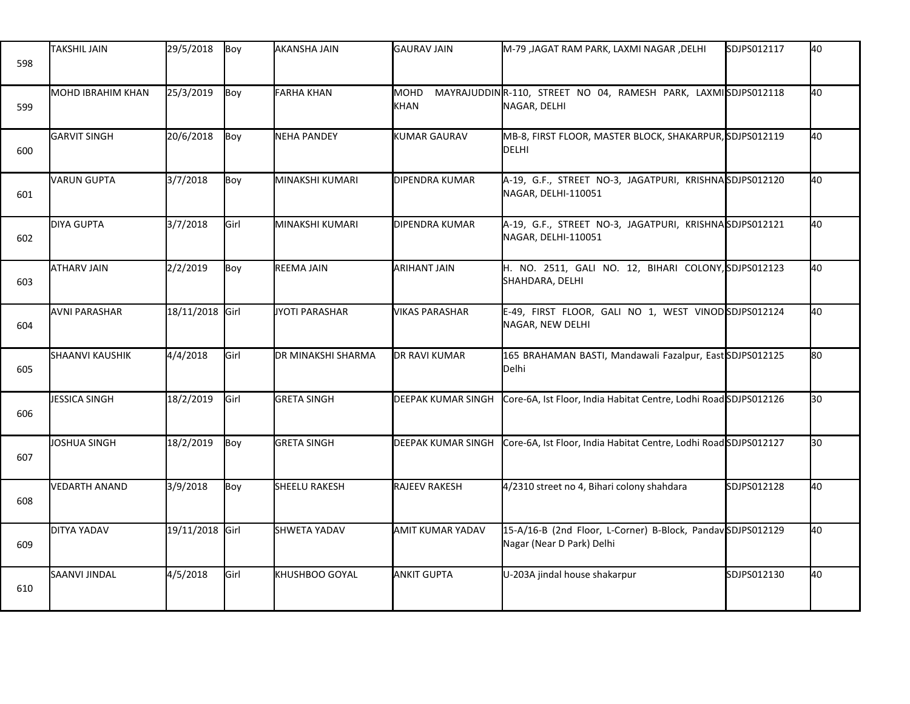| 598 | <b>TAKSHIL JAIN</b>    | 29/5/2018       | Boy  | AKANSHA JAIN         | <b>GAURAV JAIN</b>        | M-79 ,JAGAT RAM PARK, LAXMI NAGAR ,DELHI                                                 | SDJPS012117 | 40  |
|-----|------------------------|-----------------|------|----------------------|---------------------------|------------------------------------------------------------------------------------------|-------------|-----|
| 599 | MOHD IBRAHIM KHAN      | 25/3/2019       | Boy  | <b>FARHA KHAN</b>    | MOHD<br><b>KHAN</b>       | MAYRAJUDDINR-110, STREET NO 04, RAMESH PARK, LAXMISDJPS012118<br>NAGAR, DELHI            |             | 40  |
| 600 | <b>I</b> GARVIT SINGH  | 20/6/2018       | Boy  | NEHA PANDEY          | <b>KUMAR GAURAV</b>       | MB-8, FIRST FLOOR, MASTER BLOCK, SHAKARPUR, SDJPS012119<br><b>DELHI</b>                  |             | 40  |
| 601 | <b>VARUN GUPTA</b>     | 3/7/2018        | Boy  | İMINAKSHI KUMARI     | DIPENDRA KUMAR            | A-19, G.F., STREET NO-3, JAGATPURI, KRISHNASDJPS012120<br>NAGAR, DELHI-110051            |             | 40  |
| 602 | <b>DIYA GUPTA</b>      | 3/7/2018        | Girl | MINAKSHI KUMARI      | DIPENDRA KUMAR            | A-19, G.F., STREET NO-3, JAGATPURI, KRISHNASDJPS012121<br>NAGAR, DELHI-110051            |             | 40  |
| 603 | <b>ATHARV JAIN</b>     | 2/2/2019        | Boy  | REEMA JAIN           | <b>ARIHANT JAIN</b>       | H. NO. 2511, GALI NO. 12, BIHARI COLONY, SDJPS012123<br>SHAHDARA, DELHI                  |             | 40  |
| 604 | <b>AVNI PARASHAR</b>   | 18/11/2018 Girl |      | JYOTI PARASHAR       | <b>VIKAS PARASHAR</b>     | E-49, FIRST FLOOR, GALI NO 1, WEST VINODSDJPS012124<br>NAGAR, NEW DELHI                  |             | 40  |
| 605 | <b>SHAANVI KAUSHIK</b> | 4/4/2018        | Girl | DR MINAKSHI SHARMA   | DR RAVI KUMAR             | 165 BRAHAMAN BASTI, Mandawali Fazalpur, East SDJPS012125<br>Delhi                        |             | 80  |
| 606 | JESSICA SINGH          | 18/2/2019       | Girl | <b>GRETA SINGH</b>   | <b>DEEPAK KUMAR SINGH</b> | Core-6A, Ist Floor, India Habitat Centre, Lodhi Road SDJPS012126                         |             | 30  |
| 607 | JOSHUA SINGH           | 18/2/2019       | Boy  | <b>GRETA SINGH</b>   | <b>DEEPAK KUMAR SINGH</b> | Core-6A, Ist Floor, India Habitat Centre, Lodhi Road SDJPS012127                         |             | l30 |
| 608 | VEDARTH ANAND          | 3/9/2018        | Boy  | <b>SHEELU RAKESH</b> | <b>RAJEEV RAKESH</b>      | 4/2310 street no 4, Bihari colony shahdara                                               | SDJPS012128 | 40  |
| 609 | <b>DITYA YADAV</b>     | 19/11/2018 Girl |      | <b>SHWETA YADAV</b>  | <b>AMIT KUMAR YADAV</b>   | 15-A/16-B (2nd Floor, L-Corner) B-Block, Pandav SDJPS012129<br>Nagar (Near D Park) Delhi |             | 40  |
| 610 | SAANVI JINDAL          | 4/5/2018        | Girl | KHUSHBOO GOYAL       | <b>ANKIT GUPTA</b>        | U-203A jindal house shakarpur                                                            | SDJPS012130 | 40  |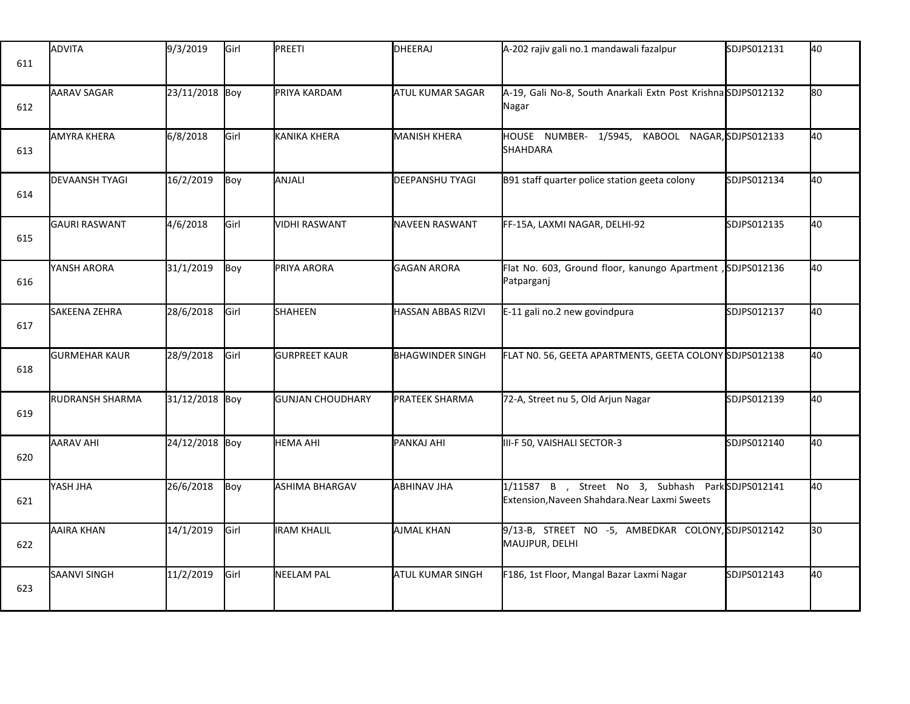| 611 | ADVITA                 | 9/3/2019       | Girl        | PREETI                  | DHEERAJ                   | A-202 rajiv gali no.1 mandawali fazalpur                                                          | SDJPS012131 | 40 |
|-----|------------------------|----------------|-------------|-------------------------|---------------------------|---------------------------------------------------------------------------------------------------|-------------|----|
| 612 | <b>AARAV SAGAR</b>     | 23/11/2018 Boy |             | PRIYA KARDAM            | <b>ATUL KUMAR SAGAR</b>   | A-19, Gali No-8, South Anarkali Extn Post KrishnaSDJPS012132<br>Nagar                             |             | 80 |
| 613 | <b>AMYRA KHERA</b>     | 6/8/2018       | Girl        | KANIKA KHERA            | <b>MANISH KHERA</b>       | HOUSE NUMBER- 1/5945,<br>KABOOL NAGAR, SDJPS012133<br>SHAHDARA                                    |             | 40 |
| 614 | <b>DEVAANSH TYAGI</b>  | 16/2/2019      | Boy         | ANJALI                  | <b>DEEPANSHU TYAGI</b>    | B91 staff quarter police station geeta colony                                                     | SDJPS012134 | 40 |
| 615 | <b>GAURI RASWANT</b>   | 4/6/2018       | Girl        | <b>VIDHI RASWANT</b>    | <b>NAVEEN RASWANT</b>     | FF-15A, LAXMI NAGAR, DELHI-92                                                                     | SDJPS012135 | 40 |
| 616 | YANSH ARORA            | 31/1/2019      | Boy         | PRIYA ARORA             | <b>GAGAN ARORA</b>        | Flat No. 603, Ground floor, kanungo Apartment , SDJPS012136<br>Patparganj                         |             | 40 |
| 617 | SAKEENA ZEHRA          | 28/6/2018      | Girl        | <b>SHAHEEN</b>          | <b>HASSAN ABBAS RIZVI</b> | E-11 gali no.2 new govindpura                                                                     | SDJPS012137 | 40 |
| 618 | <b>GURMEHAR KAUR</b>   | 28/9/2018      | Girl        | <b>GURPREET KAUR</b>    | <b>BHAGWINDER SINGH</b>   | FLAT N0. 56, GEETA APARTMENTS, GEETA COLONY SDJPS012138                                           |             | 40 |
| 619 | <b>RUDRANSH SHARMA</b> | 31/12/2018 Boy |             | <b>GUNJAN CHOUDHARY</b> | <b>PRATEEK SHARMA</b>     | 72-A, Street nu 5, Old Arjun Nagar                                                                | SDJPS012139 | 40 |
| 620 | <b>AARAV AHI</b>       | 24/12/2018 Boy |             | <b>HEMA AHI</b>         | PANKAJ AHI                | III-F 50, VAISHALI SECTOR-3                                                                       | SDJPS012140 | 40 |
| 621 | <b>YASH JHA</b>        | 26/6/2018      | Boy         | ASHIMA BHARGAV          | <b>ABHINAV JHA</b>        | 1/11587 B , Street No 3, Subhash ParkSDJPS012141<br>Extension, Naveen Shahdara. Near Laxmi Sweets |             | 40 |
| 622 | <b>AAIRA KHAN</b>      | 14/1/2019      | Girl        | <b>IRAM KHALIL</b>      | <b>AJMAL KHAN</b>         | 9/13-B, STREET NO -5, AMBEDKAR COLONY, SDJPS012142<br>MAUJPUR, DELHI                              |             | 30 |
| 623 | <b>SAANVI SINGH</b>    | 11/2/2019      | <b>Girl</b> | NEELAM PAL              | ATUL KUMAR SINGH          | F186, 1st Floor, Mangal Bazar Laxmi Nagar                                                         | SDJPS012143 | 40 |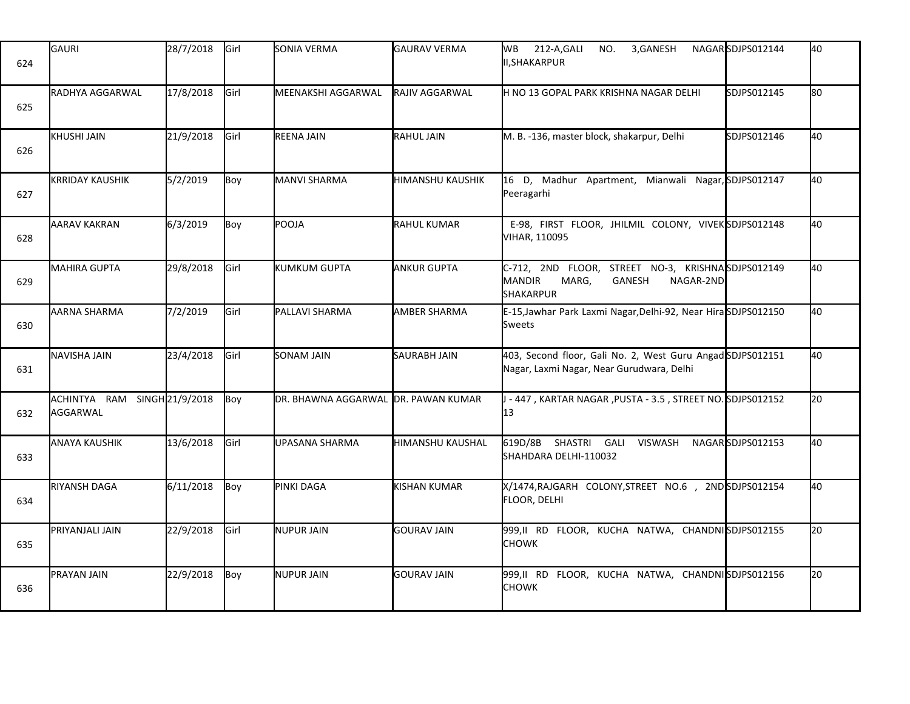| 624 | GAURI                                    | 28/7/2018 | Girl          | SONIA VERMA                 | <b>GAURAV VERMA</b>    | 212-A, GALI<br><b>WB</b><br>NO.<br>3, GANESH<br>II,SHAKARPUR                                                           | NAGARSDJPS012144 | 40  |
|-----|------------------------------------------|-----------|---------------|-----------------------------|------------------------|------------------------------------------------------------------------------------------------------------------------|------------------|-----|
| 625 | <b>RADHYA AGGARWAL</b>                   | 17/8/2018 | Girl          | <b>I</b> MEENAKSHI AGGARWAL | <b>RAJIV AGGARWAL</b>  | H NO 13 GOPAL PARK KRISHNA NAGAR DELHI                                                                                 | SDJPS012145      | 180 |
| 626 | <b>KHUSHI JAIN</b>                       | 21/9/2018 | Girl          | REENA JAIN                  | <b>RAHUL JAIN</b>      | M. B. -136, master block, shakarpur, Delhi                                                                             | SDJPS012146      | 40  |
| 627 | <b>KRRIDAY KAUSHIK</b>                   | 5/2/2019  | Boy           | MANVI SHARMA                | HIMANSHU KAUSHIK       | 16 D, Madhur Apartment, Mianwali Nagar, SDJPS012147<br>Peeragarhi                                                      |                  | 40  |
| 628 | <b>AARAV KAKRAN</b>                      | 6/3/2019  | Boy           | POOJA                       | <b>RAHUL KUMAR</b>     | E-98, FIRST FLOOR, JHILMIL COLONY, VIVEKSDJPS012148<br>VIHAR, 110095                                                   |                  | 40  |
| 629 | <b>MAHIRA GUPTA</b>                      | 29/8/2018 | <b>I</b> Girl | <b>l</b> kUMKUM GUPTA       | <b>ANKUR GUPTA</b>     | C-712, 2ND FLOOR, STREET NO-3, KRISHNASDJPS012149<br><b>MANDIR</b><br>MARG,<br>GANESH<br>NAGAR-2ND<br><b>SHAKARPUR</b> |                  | 40  |
| 630 | AARNA SHARMA                             | 7/2/2019  | Girl          | PALLAVI SHARMA              | <b>AMBER SHARMA</b>    | E-15, Jawhar Park Laxmi Nagar, Delhi-92, Near HiraSDJPS012150<br><b>Sweets</b>                                         |                  | 40  |
| 631 | NAVISHA JAIN                             | 23/4/2018 | Girl          | SONAM JAIN                  | <b>SAURABH JAIN</b>    | 403, Second floor, Gali No. 2, West Guru Angad SDJPS012151<br>Nagar, Laxmi Nagar, Near Gurudwara, Delhi                |                  | 40  |
| 632 | ACHINTYA RAM SINGH 21/9/2018<br>AGGARWAL |           | Boy           | DR. BHAWNA AGGARWAL         | <b>DR. PAWAN KUMAR</b> | - 447 , KARTAR NAGAR ,PUSTA - 3.5 , STREET NO. SDJPS012152<br>13                                                       |                  | 20  |
| 633 | <b>ANAYA KAUSHIK</b>                     | 13/6/2018 | Girl          | UPASANA SHARMA              | HIMANSHU KAUSHAL       | SHASTRI GALI<br><b>VISWASH</b><br>619D/8B<br>SHAHDARA DELHI-110032                                                     | NAGARSDJPS012153 | 40  |
| 634 | <b>RIYANSH DAGA</b>                      | 6/11/2018 | Boy           | PINKI DAGA                  | <b>KISHAN KUMAR</b>    | X/1474, RAJGARH COLONY, STREET NO.6, 2ND SDJPS012154<br>FLOOR, DELHI                                                   |                  | 40  |
| 635 | PRIYANJALI JAIN                          | 22/9/2018 | Girl          | <b>NUPUR JAIN</b>           | <b>GOURAV JAIN</b>     | 999,II RD FLOOR, KUCHA NATWA, CHANDNISDJPS012155<br><b>CHOWK</b>                                                       |                  | 20  |
| 636 | PRAYAN JAIN                              | 22/9/2018 | Boy           | NUPUR JAIN                  | <b>GOURAV JAIN</b>     | 999,II RD FLOOR, KUCHA NATWA, CHANDNISDJPS012156<br><b>CHOWK</b>                                                       |                  | 20  |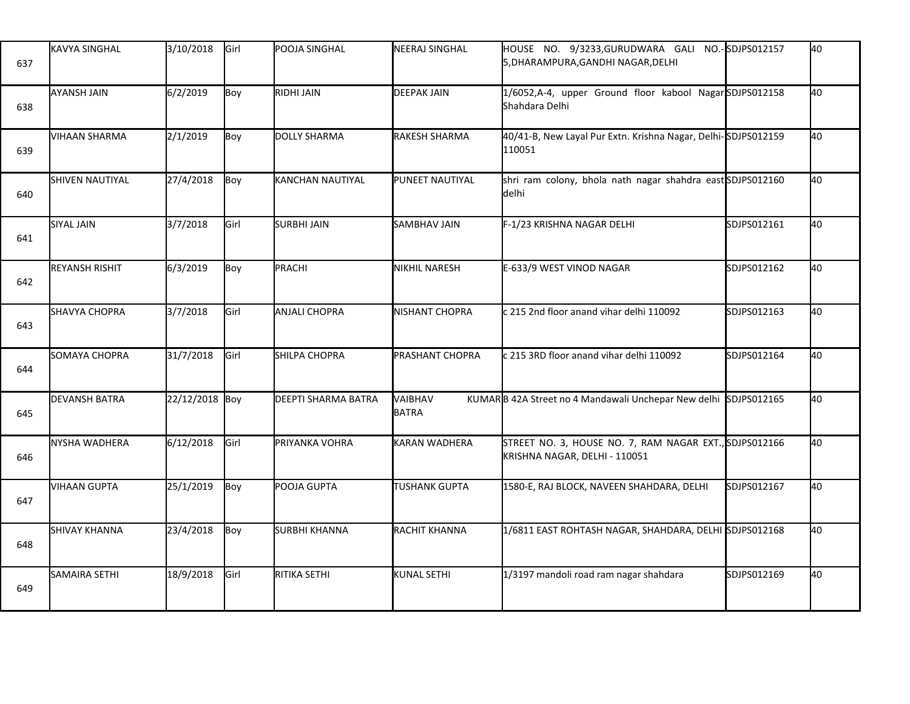| 637 | KAVYA SINGHAL          | 3/10/2018      | Girl | POOJA SINGHAL        | <b>NEERAJ SINGHAL</b>  | HOUSE NO. 9/3233, GURUDWARA GALI NO.-SDJPS012157<br>5, DHARAMPURA, GANDHI NAGAR, DELHI  |             | 40 |
|-----|------------------------|----------------|------|----------------------|------------------------|-----------------------------------------------------------------------------------------|-------------|----|
| 638 | AYANSH JAIN            | 6/2/2019       | Boy  | RIDHI JAIN           | <b>DEEPAK JAIN</b>     | 1/6052, A-4, upper Ground floor kabool NagarSDJPS012158<br>Shahdara Delhi               |             | 40 |
| 639 | VIHAAN SHARMA          | 2/1/2019       | Boy  | DOLLY SHARMA         | <b>RAKESH SHARMA</b>   | 40/41-B, New Layal Pur Extn. Krishna Nagar, Delhi-SDJPS012159<br>110051                 |             | 40 |
| 640 | <b>SHIVEN NAUTIYAL</b> | 27/4/2018      | Boy  | KANCHAN NAUTIYAL     | PUNEET NAUTIYAL        | shri ram colony, bhola nath nagar shahdra east SDJPS012160<br>delhi                     |             | 40 |
| 641 | SIYAL JAIN             | 3/7/2018       | Girl | <b>SURBHI JAIN</b>   | <b>SAMBHAV JAIN</b>    | F-1/23 KRISHNA NAGAR DELHI                                                              | SDJPS012161 | 40 |
| 642 | <b>REYANSH RISHIT</b>  | 6/3/2019       | Boy  | PRACHI               | <b>NIKHIL NARESH</b>   | E-633/9 WEST VINOD NAGAR                                                                | SDJPS012162 | 40 |
| 643 | <b>SHAVYA CHOPRA</b>   | 3/7/2018       | Girl | <b>ANJALI CHOPRA</b> | <b>NISHANT CHOPRA</b>  | c 215 2nd floor anand vihar delhi 110092                                                | SDJPS012163 | 40 |
| 644 | SOMAYA CHOPRA          | 31/7/2018      | Girl | <b>SHILPA CHOPRA</b> | <b>PRASHANT CHOPRA</b> | c 215 3RD floor anand vihar delhi 110092                                                | SDJPS012164 | 40 |
| 645 | <b>DEVANSH BATRA</b>   | 22/12/2018 Boy |      | DEEPTI SHARMA BATRA  | VAIBHAV<br>BATRA       | KUMARB 42A Street no 4 Mandawali Unchepar New delhi SDJPS012165                         |             | 40 |
| 646 | NYSHA WADHERA          | 6/12/2018      | Girl | PRIYANKA VOHRA       | <b>KARAN WADHERA</b>   | STREET NO. 3, HOUSE NO. 7, RAM NAGAR EXT., SDJPS012166<br>KRISHNA NAGAR, DELHI - 110051 |             | 40 |
| 647 | VIHAAN GUPTA           | 25/1/2019      | Boy  | POOJA GUPTA          | TUSHANK GUPTA          | 1580-E, RAJ BLOCK, NAVEEN SHAHDARA, DELHI                                               | SDJPS012167 | 40 |
| 648 | <b>SHIVAY KHANNA</b>   | 23/4/2018      | Boy  | <b>SURBHI KHANNA</b> | RACHIT KHANNA          | 1/6811 EAST ROHTASH NAGAR, SHAHDARA, DELHI SDJPS012168                                  |             | 40 |
| 649 | <b>SAMAIRA SETHI</b>   | 18/9/2018      | Girl | RITIKA SETHI         | <b>KUNAL SETHI</b>     | 1/3197 mandoli road ram nagar shahdara                                                  | SDJPS012169 | 40 |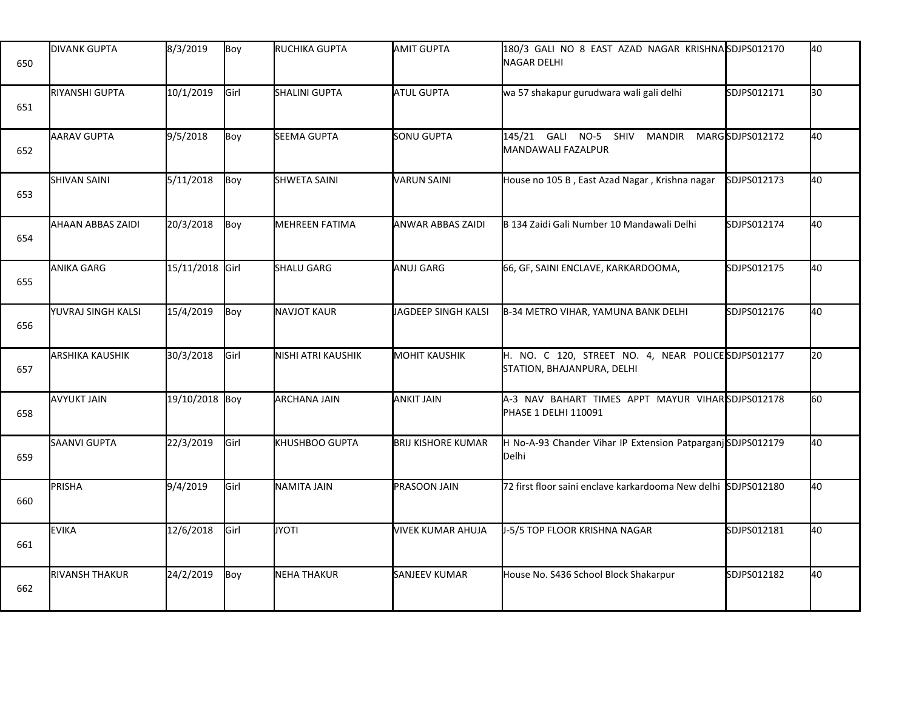| 650 | <b>DIVANK GUPTA</b>    | 8/3/2019        | Boy  | RUCHIKA GUPTA         | <b>AMIT GUPTA</b>         | 180/3 GALI NO 8 EAST AZAD NAGAR KRISHNASDJPS012170<br><b>NAGAR DELHI</b>          |                 | 40 |
|-----|------------------------|-----------------|------|-----------------------|---------------------------|-----------------------------------------------------------------------------------|-----------------|----|
| 651 | RIYANSHI GUPTA         | 10/1/2019       | Girl | SHALINI GUPTA         | <b>ATUL GUPTA</b>         | wa 57 shakapur gurudwara wali gali delhi                                          | SDJPS012171     | 30 |
| 652 | AARAV GUPTA            | 9/5/2018        | Boy  | SEEMA GUPTA           | <b>SONU GUPTA</b>         | 145/21 GALI NO-5 SHIV<br><b>MANDIR</b><br><b>MANDAWALI FAZALPUR</b>               | MARGSDJPS012172 | 40 |
| 653 | <b>SHIVAN SAINI</b>    | 5/11/2018       | Boy  | <b>SHWETA SAINI</b>   | <b>VARUN SAINI</b>        | House no 105 B, East Azad Nagar, Krishna nagar                                    | SDJPS012173     | 40 |
| 654 | AHAAN ABBAS ZAIDI      | 20/3/2018       | Boy  | <b>MEHREEN FATIMA</b> | <b>ANWAR ABBAS ZAIDI</b>  | B 134 Zaidi Gali Number 10 Mandawali Delhi                                        | SDJPS012174     | 40 |
| 655 | ANIKA GARG             | 15/11/2018 Girl |      | <b>SHALU GARG</b>     | <b>ANUJ GARG</b>          | 66, GF, SAINI ENCLAVE, KARKARDOOMA,                                               | SDJPS012175     | 40 |
| 656 | YUVRAJ SINGH KALSI     | 15/4/2019       | Boy  | <b>NAVJOT KAUR</b>    | JAGDEEP SINGH KALSI       | B-34 METRO VIHAR, YAMUNA BANK DELHI                                               | SDJPS012176     | 40 |
| 657 | <b>ARSHIKA KAUSHIK</b> | 30/3/2018       | Girl | NISHI ATRI KAUSHIK    | <b>MOHIT KAUSHIK</b>      | H. NO. C 120, STREET NO. 4, NEAR POLICE SDJPS012177<br>STATION, BHAJANPURA, DELHI |                 | 20 |
| 658 | <b>AVYUKT JAIN</b>     | 19/10/2018 Boy  |      | <b>ARCHANA JAIN</b>   | ANKIT JAIN                | A-3 NAV BAHART TIMES APPT MAYUR VIHARSDJPS012178<br>PHASE 1 DELHI 110091          |                 | 60 |
| 659 | SAANVI GUPTA           | 22/3/2019       | Girl | KHUSHBOO GUPTA        | <b>BRIJ KISHORE KUMAR</b> | H No-A-93 Chander Vihar IP Extension PatparganjSDJPS012179<br><b>Delhi</b>        |                 | 40 |
| 660 | PRISHA                 | 9/4/2019        | Girl | NAMITA JAIN           | PRASOON JAIN              | 72 first floor saini enclave karkardooma New delhi SDJPS012180                    |                 | 40 |
| 661 | <b>EVIKA</b>           | 12/6/2018       | Girl | <b>JYOTI</b>          | VIVEK KUMAR AHUJA         | J-5/5 TOP FLOOR KRISHNA NAGAR                                                     | SDJPS012181     | 40 |
| 662 | <b>RIVANSH THAKUR</b>  | 24/2/2019       | Boy  | <b>NEHA THAKUR</b>    | <b>SANJEEV KUMAR</b>      | House No. S436 School Block Shakarpur                                             | SDJPS012182     | 40 |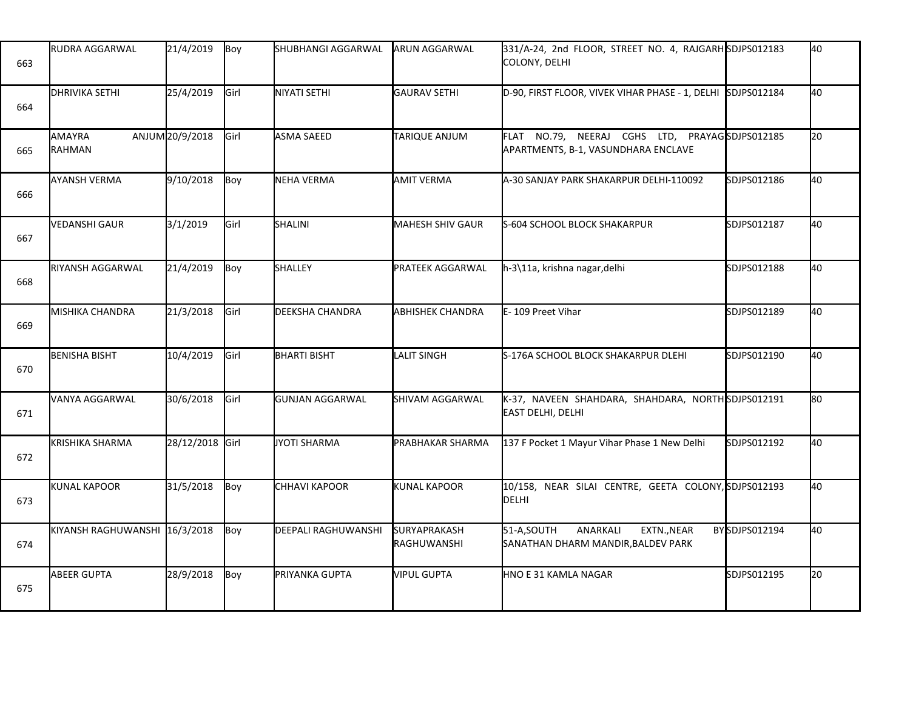| 663 | <b>RUDRA AGGARWAL</b>         | 21/4/2019       | Boy           | SHUBHANGI AGGARWAL         | <b>ARUN AGGARWAL</b>               | 331/A-24, 2nd FLOOR, STREET NO. 4, RAJGARH SDJPS012183<br>COLONY, DELHI               |                | 40  |
|-----|-------------------------------|-----------------|---------------|----------------------------|------------------------------------|---------------------------------------------------------------------------------------|----------------|-----|
| 664 | <b>DHRIVIKA SETHI</b>         | 25/4/2019       | Girl          | NIYATI SETHI               | GAURAV SETHI                       | D-90, FIRST FLOOR, VIVEK VIHAR PHASE - 1, DELHI SDJPS012184                           |                | 40  |
| 665 | AMAYRA<br>RAHMAN              | ANJUM 20/9/2018 | Girl          | <b>ASMA SAEED</b>          | <b>TARIQUE ANJUM</b>               | FLAT NO.79, NEERAJ CGHS LTD, PRAYAGSDJPS012185<br>APARTMENTS, B-1, VASUNDHARA ENCLAVE |                | l20 |
| 666 | <b>AYANSH VERMA</b>           | 9/10/2018       | Boy           | <b>NEHA VERMA</b>          | <b>AMIT VERMA</b>                  | A-30 SANJAY PARK SHAKARPUR DELHI-110092                                               | SDJPS012186    | 40  |
| 667 | VEDANSHI GAUR                 | 3/1/2019        | Girl          | SHALINI                    | <b>MAHESH SHIV GAUR</b>            | S-604 SCHOOL BLOCK SHAKARPUR                                                          | SDJPS012187    | 40  |
| 668 | RIYANSH AGGARWAL              | 21/4/2019       | Boy           | SHALLEY                    | PRATEEK AGGARWAL                   | h-3\11a, krishna nagar, delhi                                                         | SDJPS012188    | 40  |
| 669 | MISHIKA CHANDRA               | 21/3/2018       | Girl          | DEEKSHA CHANDRA            | <b>ABHISHEK CHANDRA</b>            | E-109 Preet Vihar                                                                     | SDJPS012189    | 40  |
| 670 | <b>BENISHA BISHT</b>          | 10/4/2019       | Girl          | <b>BHARTI BISHT</b>        | <b>LALIT SINGH</b>                 | S-176A SCHOOL BLOCK SHAKARPUR DLEHI                                                   | SDJPS012190    | 40  |
| 671 | VANYA AGGARWAL                | 30/6/2018       | <b>I</b> Girl | <b>GUNJAN AGGARWAL</b>     | SHIVAM AGGARWAL                    | K-37, NAVEEN SHAHDARA, SHAHDARA, NORTHSDJPS012191<br><b>EAST DELHI, DELHI</b>         |                | 80  |
| 672 | <b>KRISHIKA SHARMA</b>        | 28/12/2018 Girl |               | JYOTI SHARMA               | PRABHAKAR SHARMA                   | 137 F Pocket 1 Mayur Vihar Phase 1 New Delhi                                          | SDJPS012192    | 40  |
| 673 | <b>KUNAL KAPOOR</b>           | 31/5/2018       | Boy           | CHHAVI KAPOOR              | <b>KUNAL KAPOOR</b>                | 10/158, NEAR SILAI CENTRE, GEETA COLONY, SDJPS012193<br>DELHI                         |                | 40  |
| 674 | KIYANSH RAGHUWANSHI 16/3/2018 |                 | Boy           | <b>DEEPALI RAGHUWANSHI</b> | <b>SURYAPRAKASH</b><br>RAGHUWANSHI | 51-A,SOUTH<br>ANARKALI<br>EXTN., NEAR<br>SANATHAN DHARM MANDIR, BALDEV PARK           | BY SDJPS012194 | 40  |
| 675 | ABEER GUPTA                   | 28/9/2018       | Boy           | PRIYANKA GUPTA             | <b>VIPUL GUPTA</b>                 | HNO E 31 KAMLA NAGAR                                                                  | SDJPS012195    | 20  |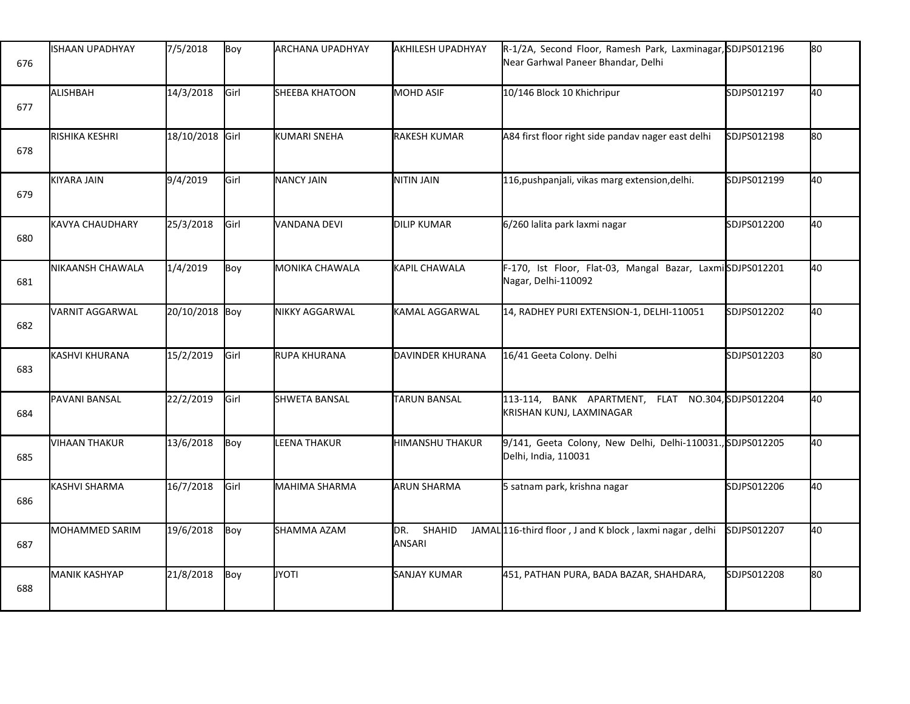| 676 | <b>ISHAAN UPADHYAY</b> | 7/5/2018        | Boy  | <b>ARCHANA UPADHYAY</b> | AKHILESH UPADHYAY       | R-1/2A, Second Floor, Ramesh Park, Laxminagar, SDJPS012196<br>Near Garhwal Paneer Bhandar, Delhi |             | 80 |
|-----|------------------------|-----------------|------|-------------------------|-------------------------|--------------------------------------------------------------------------------------------------|-------------|----|
| 677 | ALISHBAH               | 14/3/2018       | Girl | <b>SHEEBA KHATOON</b>   | MOHD ASIF               | 10/146 Block 10 Khichripur                                                                       | SDJPS012197 | 40 |
| 678 | RISHIKA KESHRI         | 18/10/2018 Girl |      | KUMARI SNEHA            | <b>RAKESH KUMAR</b>     | A84 first floor right side pandav nager east delhi                                               | SDJPS012198 | 80 |
| 679 | KIYARA JAIN            | 9/4/2019        | Girl | <b>NANCY JAIN</b>       | NITIN JAIN              | 116, pushpanjali, vikas marg extension, delhi.                                                   | SDJPS012199 | 40 |
| 680 | <b>KAVYA CHAUDHARY</b> | 25/3/2018       | Girl | VANDANA DEVI            | <b>DILIP KUMAR</b>      | 6/260 lalita park laxmi nagar                                                                    | SDJPS012200 | 40 |
| 681 | NIKAANSH CHAWALA       | 1/4/2019        | Boy  | <b>MONIKA CHAWALA</b>   | KAPIL CHAWALA           | F-170, Ist Floor, Flat-03, Mangal Bazar, LaxmiSDJPS012201<br>Nagar, Delhi-110092                 |             | 40 |
| 682 | VARNIT AGGARWAL        | 20/10/2018 Boy  |      | <b>NIKKY AGGARWAL</b>   | KAMAL AGGARWAL          | 14, RADHEY PURI EXTENSION-1, DELHI-110051                                                        | SDJPS012202 | 40 |
| 683 | KASHVI KHURANA         | 15/2/2019       | Girl | RUPA KHURANA            | DAVINDER KHURANA        | 16/41 Geeta Colony. Delhi                                                                        | SDJPS012203 | 80 |
| 684 | PAVANI BANSAL          | 22/2/2019       | Girl | SHWETA BANSAL           | <b>TARUN BANSAL</b>     | 113-114, BANK APARTMENT, FLAT NO.304, SDJPS012204<br>KRISHAN KUNJ, LAXMINAGAR                    |             | 40 |
| 685 | <b>VIHAAN THAKUR</b>   | 13/6/2018       | Boy  | <b>LEENA THAKUR</b>     | <b>HIMANSHU THAKUR</b>  | 9/141, Geeta Colony, New Delhi, Delhi-110031., SDJPS012205<br>Delhi, India, 110031               |             | 40 |
| 686 | KASHVI SHARMA          | 16/7/2018       | Girl | MAHIMA SHARMA           | <b>ARUN SHARMA</b>      | 5 satnam park, krishna nagar                                                                     | SDJPS012206 | 40 |
| 687 | MOHAMMED SARIM         | 19/6/2018       | Boy  | SHAMMA AZAM             | SHAHID<br>DR.<br>ANSARI | JAMAL 116-third floor, J and K block, laxmi nagar, delhi                                         | SDJPS012207 | 40 |
| 688 | <b>MANIK KASHYAP</b>   | 21/8/2018       | Boy  | <b>JYOTI</b>            | <b>SANJAY KUMAR</b>     | 451, PATHAN PURA, BADA BAZAR, SHAHDARA,                                                          | SDJPS012208 | 80 |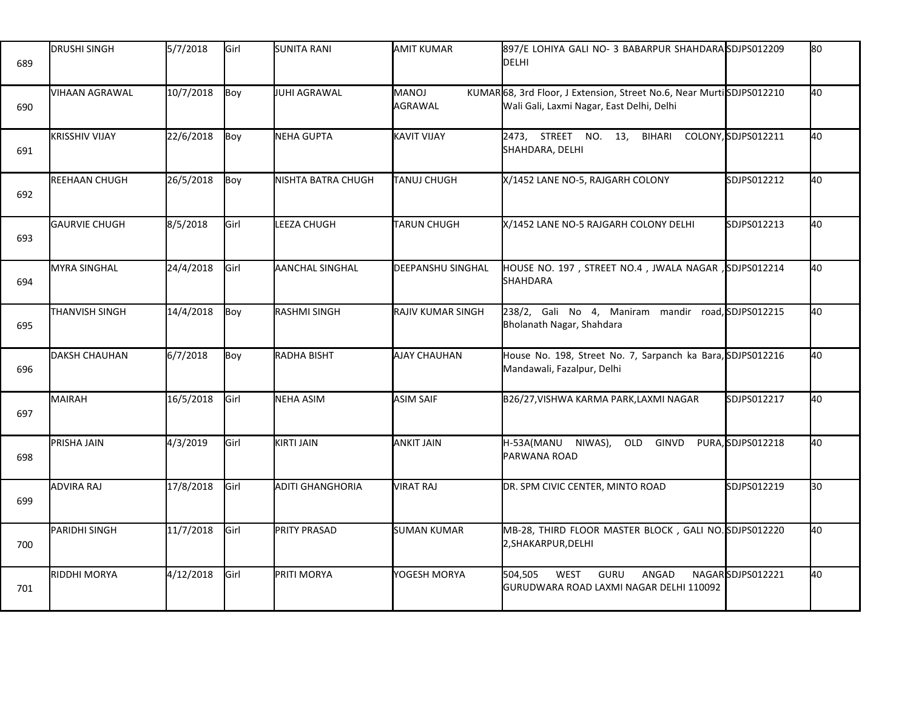| 689 | <b>DRUSHI SINGH</b>   | 5/7/2018  | Girl | <b>SUNITA RANI</b>      | <b>AMIT KUMAR</b>        | 897/E LOHIYA GALI NO- 3 BABARPUR SHAHDARA SDJPS012209<br><b>DELHI</b>                                            |                    | lso |
|-----|-----------------------|-----------|------|-------------------------|--------------------------|------------------------------------------------------------------------------------------------------------------|--------------------|-----|
| 690 | VIHAAN AGRAWAL        | 10/7/2018 | Boy  | JUHI AGRAWAL            | <b>MANOJ</b><br>AGRAWAL  | KUMAR68, 3rd Floor, J Extension, Street No.6, Near MurtiSDJPS012210<br>Wali Gali, Laxmi Nagar, East Delhi, Delhi |                    | 40  |
| 691 | <b>KRISSHIV VIJAY</b> | 22/6/2018 | Boy  | NEHA GUPTA              | <b>KAVIT VIJAY</b>       | 2473, STREET NO. 13,<br><b>BIHARI</b><br>SHAHDARA, DELHI                                                         | COLONY,SDJPS012211 | 40  |
| 692 | <b>REEHAAN CHUGH</b>  | 26/5/2018 | Boy  | NISHTA BATRA CHUGH      | <b>TANUJ CHUGH</b>       | X/1452 LANE NO-5, RAJGARH COLONY                                                                                 | SDJPS012212        | 40  |
| 693 | GAURVIE CHUGH         | 8/5/2018  | Girl | LEEZA CHUGH             | <b>TARUN CHUGH</b>       | X/1452 LANE NO-5 RAJGARH COLONY DELHI                                                                            | SDJPS012213        | 40  |
| 694 | <b>MYRA SINGHAL</b>   | 24/4/2018 | Girl | AANCHAL SINGHAL         | <b>DEEPANSHU SINGHAL</b> | HOUSE NO. 197, STREET NO.4, JWALA NAGAR, SDJPS012214<br><b>SHAHDARA</b>                                          |                    | 40  |
| 695 | THANVISH SINGH        | 14/4/2018 | Boy  | RASHMI SINGH            | RAJIV KUMAR SINGH        | 238/2, Gali No 4, Maniram mandir road, SDJPS012215<br>Bholanath Nagar, Shahdara                                  |                    | 40  |
| 696 | <b>IDAKSH CHAUHAN</b> | 6/7/2018  | Boy  | RADHA BISHT             | AJAY CHAUHAN             | House No. 198, Street No. 7, Sarpanch ka Bara, SDJPS012216<br>Mandawali, Fazalpur, Delhi                         |                    | 40  |
| 697 | MAIRAH                | 16/5/2018 | Girl | NEHA ASIM               | <b>ASIM SAIF</b>         | B26/27, VISHWA KARMA PARK, LAXMI NAGAR                                                                           | SDJPS012217        | 40  |
| 698 | PRISHA JAIN           | 4/3/2019  | Girl | KIRTI JAIN              | <b>ANKIT JAIN</b>        | H-53A(MANU NIWAS),<br>OLD<br>GINVD<br>PARWANA ROAD                                                               | PURA,SDJPS012218   | 40  |
| 699 | <b>ADVIRA RAJ</b>     | 17/8/2018 | Girl | <b>ADITI GHANGHORIA</b> | VIRAT RAJ                | DR. SPM CIVIC CENTER, MINTO ROAD                                                                                 | SDJPS012219        | 30  |
| 700 | PARIDHI SINGH         | 11/7/2018 | Girl | <b>PRITY PRASAD</b>     | <b>SUMAN KUMAR</b>       | MB-28, THIRD FLOOR MASTER BLOCK, GALI NO. SDJPS012220<br>2, SHAKARPUR, DELHI                                     |                    | 40  |
| 701 | <b>RIDDHI MORYA</b>   | 4/12/2018 | Girl | PRITI MORYA             | YOGESH MORYA             | 504,505<br>WEST<br>GURU<br>ANGAD<br>GURUDWARA ROAD LAXMI NAGAR DELHI 110092                                      | NAGARSDJPS012221   | 40  |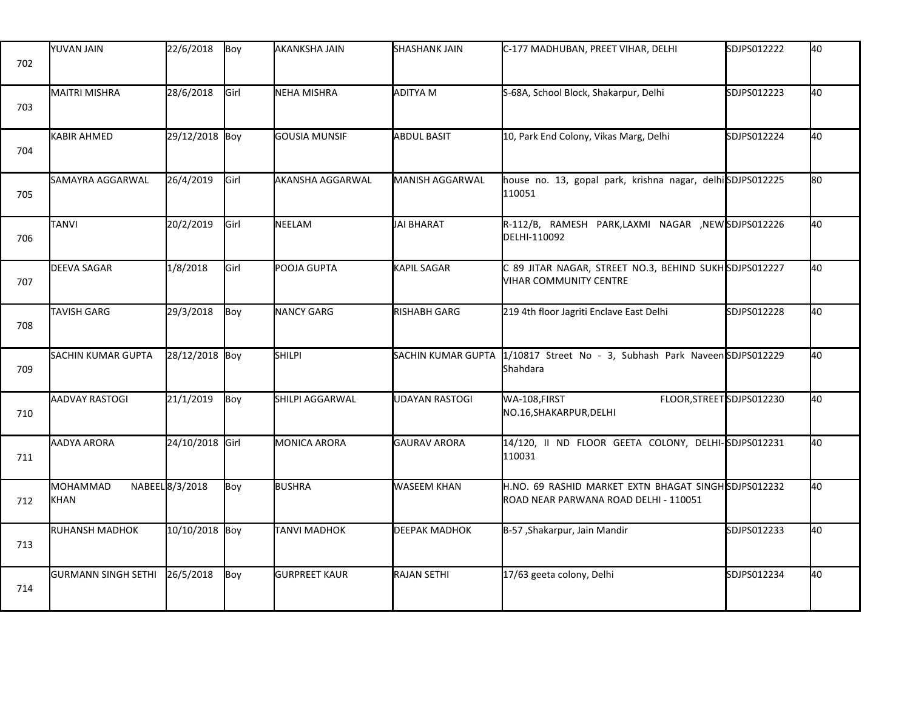| 702 | <b>YUVAN JAIN</b>          | 22/6/2018       | Boy         | <b>AKANKSHA JAIN</b> | <b>SHASHANK JAIN</b>   | C-177 MADHUBAN, PREET VIHAR, DELHI                                                            | SDJPS012222 | 40 |
|-----|----------------------------|-----------------|-------------|----------------------|------------------------|-----------------------------------------------------------------------------------------------|-------------|----|
| 703 | <b>MAITRI MISHRA</b>       | 28/6/2018       | Girl        | NEHA MISHRA          | ADITYA M               | S-68A, School Block, Shakarpur, Delhi                                                         | SDJPS012223 | 40 |
| 704 | <b>KABIR AHMED</b>         | 29/12/2018 Boy  |             | GOUSIA MUNSIF        | <b>ABDUL BASIT</b>     | 10, Park End Colony, Vikas Marg, Delhi                                                        | SDJPS012224 | 40 |
| 705 | SAMAYRA AGGARWAL           | 26/4/2019       | <b>Girl</b> | AKANSHA AGGARWAL     | <b>MANISH AGGARWAL</b> | house no. 13, gopal park, krishna nagar, delhiSDJPS012225<br>110051                           |             | 80 |
| 706 | TANVI                      | 20/2/2019       | <b>Girl</b> | NEELAM               | JAI BHARAT             | R-112/B, RAMESH PARK,LAXMI NAGAR ,NEWSDJPS012226<br>DELHI-110092                              |             | 40 |
| 707 | <b>DEEVA SAGAR</b>         | 1/8/2018        | Girl        | POOJA GUPTA          | KAPIL SAGAR            | C 89 JITAR NAGAR, STREET NO.3, BEHIND SUKH SDJPS012227<br><b>VIHAR COMMUNITY CENTRE</b>       |             | 40 |
| 708 | <b>TAVISH GARG</b>         | 29/3/2018       | Boy         | NANCY GARG           | RISHABH GARG           | 219 4th floor Jagriti Enclave East Delhi                                                      | SDJPS012228 | 40 |
| 709 | SACHIN KUMAR GUPTA         | 28/12/2018 Boy  |             | <b>SHILPI</b>        | SACHIN KUMAR GUPTA     | 1/10817 Street No - 3, Subhash Park NaveenSDJPS012229<br>Shahdara                             |             | 40 |
| 710 | AADVAY RASTOGI             | 21/1/2019       | Boy         | SHILPI AGGARWAL      | UDAYAN RASTOGI         | WA-108, FIRST<br>FLOOR, STREET SDJPS012230<br>NO.16, SHAKARPUR, DELHI                         |             | 40 |
| 711 | <b>AADYA ARORA</b>         | 24/10/2018 Girl |             | <b>MONICA ARORA</b>  | GAURAV ARORA           | 14/120, II ND FLOOR GEETA COLONY, DELHI-SDJPS012231<br>110031                                 |             | 40 |
| 712 | MOHAMMAD<br>KHAN           | NABEEL 8/3/2018 | Boy         | <b>BUSHRA</b>        | <b>WASEEM KHAN</b>     | H.NO. 69 RASHID MARKET EXTN BHAGAT SINGH SDJPS012232<br>ROAD NEAR PARWANA ROAD DELHI - 110051 |             | 40 |
| 713 | <b>RUHANSH MADHOK</b>      | 10/10/2018 Boy  |             | <b>TANVI MADHOK</b>  | <b>DEEPAK MADHOK</b>   | B-57, Shakarpur, Jain Mandir                                                                  | SDJPS012233 | 40 |
| 714 | <b>GURMANN SINGH SETHI</b> | 26/5/2018       | Boy         | <b>GURPREET KAUR</b> | <b>RAJAN SETHI</b>     | 17/63 geeta colony, Delhi                                                                     | SDJPS012234 | 40 |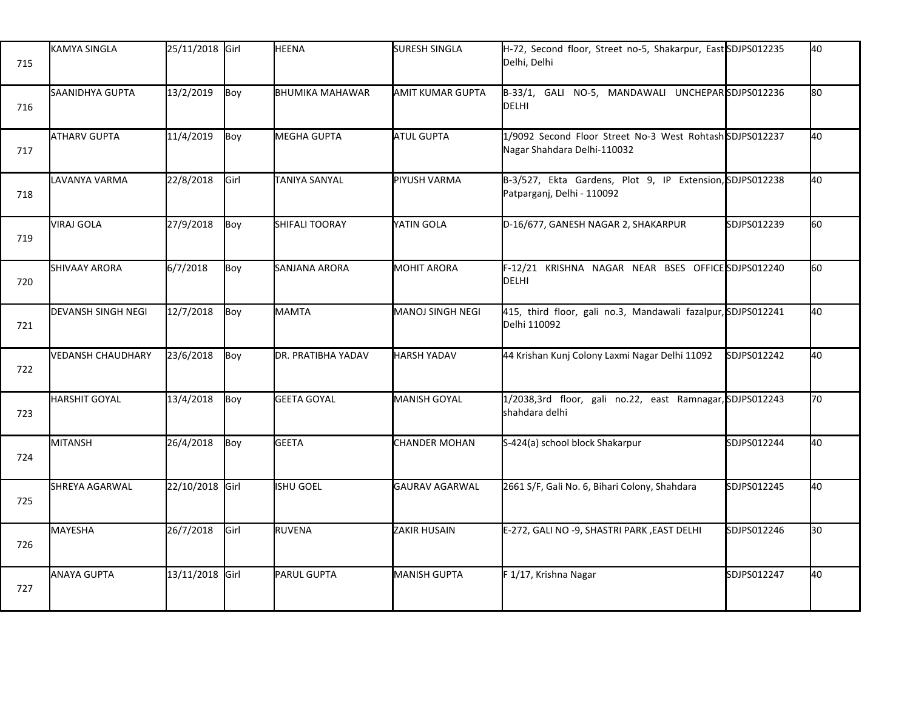| 715 | <b>KAMYA SINGLA</b>       | 25/11/2018 Girl |      | <b>HEENA</b>           | <b>SURESH SINGLA</b>    | H-72, Second floor, Street no-5, Shakarpur, East SDJPS012235<br>Delhi, Delhi            |             | 40   |
|-----|---------------------------|-----------------|------|------------------------|-------------------------|-----------------------------------------------------------------------------------------|-------------|------|
| 716 | SAANIDHYA GUPTA           | 13/2/2019       | Boy  | <b>BHUMIKA MAHAWAR</b> | <b>AMIT KUMAR GUPTA</b> | B-33/1, GALI NO-5, MANDAWALI UNCHEPARSDJPS012236<br>DELHI                               |             | lso. |
| 717 | <b>ATHARV GUPTA</b>       | 11/4/2019       | Boy  | MEGHA GUPTA            | <b>ATUL GUPTA</b>       | 1/9092 Second Floor Street No-3 West Rohtash SDJPS012237<br>Nagar Shahdara Delhi-110032 |             | 40   |
| 718 | LAVANYA VARMA             | 22/8/2018       | Girl | TANIYA SANYAL          | PIYUSH VARMA            | B-3/527, Ekta Gardens, Plot 9, IP Extension, SDJPS012238<br>Patparganj, Delhi - 110092  |             | 40   |
| 719 | <b>VIRAJ GOLA</b>         | 27/9/2018       | Boy  | <b>SHIFALI TOORAY</b>  | YATIN GOLA              | D-16/677, GANESH NAGAR 2, SHAKARPUR                                                     | SDJPS012239 | l60  |
| 720 | <b>SHIVAAY ARORA</b>      | 6/7/2018        | Boy  | SANJANA ARORA          | <b>MOHIT ARORA</b>      | F-12/21 KRISHNA NAGAR NEAR BSES OFFICE SDJPS012240<br><b>DELHI</b>                      |             | l60. |
| 721 | <b>DEVANSH SINGH NEGI</b> | 12/7/2018       | Boy  | <b>MAMTA</b>           | MANOJ SINGH NEGI        | 415, third floor, gali no.3, Mandawali fazalpur, SDJPS012241<br>Delhi 110092            |             | 40   |
| 722 | <b>VEDANSH CHAUDHARY</b>  | 23/6/2018       | Boy  | DR. PRATIBHA YADAV     | <b>HARSH YADAV</b>      | 44 Krishan Kunj Colony Laxmi Nagar Delhi 11092                                          | SDJPS012242 | 40   |
| 723 | HARSHIT GOYAL             | 13/4/2018       | Boy  | <b>GEETA GOYAL</b>     | <b>MANISH GOYAL</b>     | 1/2038,3rd floor, gali no.22, east Ramnagar, SDJPS012243<br>shahdara delhi              |             | 70   |
| 724 | MITANSH                   | 26/4/2018       | Boy  | <b>GEETA</b>           | <b>CHANDER MOHAN</b>    | S-424(a) school block Shakarpur                                                         | SDJPS012244 | 40   |
| 725 | SHREYA AGARWAL            | 22/10/2018 Girl |      | <b>ISHU GOEL</b>       | GAURAV AGARWAL          | 2661 S/F, Gali No. 6, Bihari Colony, Shahdara                                           | SDJPS012245 | 40   |
| 726 | MAYESHA                   | 26/7/2018       | Girl | RUVENA                 | <b>ZAKIR HUSAIN</b>     | E-272, GALI NO -9, SHASTRI PARK, EAST DELHI                                             | SDJPS012246 | l30  |
| 727 | <b>ANAYA GUPTA</b>        | 13/11/2018 Girl |      | PARUL GUPTA            | <b>MANISH GUPTA</b>     | F 1/17, Krishna Nagar                                                                   | SDJPS012247 | 40   |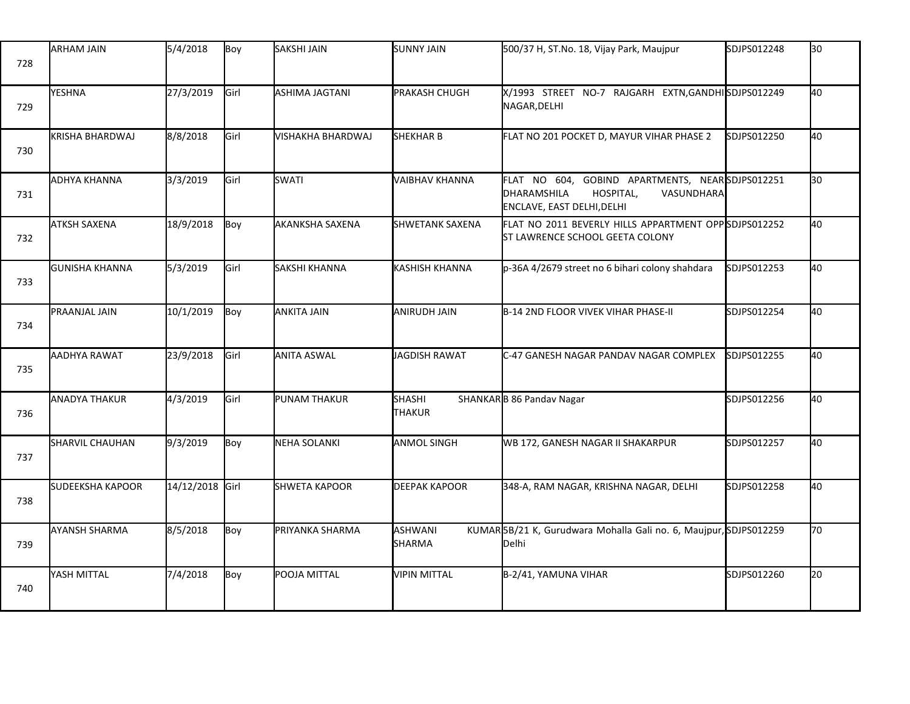| 728 | <b>ARHAM JAIN</b>       | 5/4/2018        | Boy  | SAKSHI JAIN           | <b>SUNNY JAIN</b>              | 500/37 H, ST.No. 18, Vijay Park, Maujpur                                                                                              | SDJPS012248 | 30 |
|-----|-------------------------|-----------------|------|-----------------------|--------------------------------|---------------------------------------------------------------------------------------------------------------------------------------|-------------|----|
| 729 | YESHNA                  | 27/3/2019       | Girl | <b>ASHIMA JAGTANI</b> | <b>PRAKASH CHUGH</b>           | X/1993 STREET NO-7 RAJGARH EXTN, GANDHISDJPS012249<br>NAGAR, DELHI                                                                    |             | 40 |
| 730 | <b>KRISHA BHARDWAJ</b>  | 8/8/2018        | Girl | VISHAKHA BHARDWAJ     | SHEKHAR B                      | FLAT NO 201 POCKET D, MAYUR VIHAR PHASE 2                                                                                             | SDJPS012250 | 40 |
| 731 | ADHYA KHANNA            | 3/3/2019        | Girl | <b>SWATI</b>          | <b>VAIBHAV KHANNA</b>          | FLAT NO 604, GOBIND APARTMENTS, NEARSDJPS012251<br><b>DHARAMSHILA</b><br>HOSPITAL,<br><b>VASUNDHARA</b><br>ENCLAVE, EAST DELHI, DELHI |             | 30 |
| 732 | <b>ATKSH SAXENA</b>     | 18/9/2018       | Boy  | AKANKSHA SAXENA       | <b>SHWETANK SAXENA</b>         | FLAT NO 2011 BEVERLY HILLS APPARTMENT OPPSDJPS012252<br>ST LAWRENCE SCHOOL GEETA COLONY                                               |             | 40 |
| 733 | <b>GUNISHA KHANNA</b>   | 5/3/2019        | Girl | <b>SAKSHI KHANNA</b>  | <b>KASHISH KHANNA</b>          | p-36A 4/2679 street no 6 bihari colony shahdara                                                                                       | SDJPS012253 | 40 |
| 734 | PRAANJAL JAIN           | 10/1/2019       | Boy  | ANKITA JAIN           | <b>ANIRUDH JAIN</b>            | <b>B-14 2ND FLOOR VIVEK VIHAR PHASE-II</b>                                                                                            | SDJPS012254 | 40 |
| 735 | AADHYA RAWAT            | 23/9/2018       | Girl | <b>ANITA ASWAL</b>    | JAGDISH RAWAT                  | C-47 GANESH NAGAR PANDAV NAGAR COMPLEX                                                                                                | SDJPS012255 | 40 |
| 736 | <b>ANADYA THAKUR</b>    | 4/3/2019        | Girl | PUNAM THAKUR          | <b>SHASHI</b><br><b>THAKUR</b> | SHANKARB 86 Pandav Nagar                                                                                                              | SDJPS012256 | 40 |
| 737 | SHARVIL CHAUHAN         | 9/3/2019        | Boy  | NEHA SOLANKI          | <b>ANMOL SINGH</b>             | WB 172, GANESH NAGAR II SHAKARPUR                                                                                                     | SDJPS012257 | 40 |
| 738 | <b>SUDEEKSHA KAPOOR</b> | 14/12/2018 Girl |      | SHWETA KAPOOR         | <b>DEEPAK KAPOOR</b>           | 348-A, RAM NAGAR, KRISHNA NAGAR, DELHI                                                                                                | SDJPS012258 | 40 |
| 739 | <b>AYANSH SHARMA</b>    | 8/5/2018        | Boy  | PRIYANKA SHARMA       | ASHWANI<br>SHARMA              | KUMAR5B/21 K, Gurudwara Mohalla Gali no. 6, Maujpur, SDJPS012259<br><b>Delhi</b>                                                      |             | 70 |
| 740 | YASH MITTAL             | 7/4/2018        | Boy  | POOJA MITTAL          | <b>VIPIN MITTAL</b>            | B-2/41, YAMUNA VIHAR                                                                                                                  | SDJPS012260 | 20 |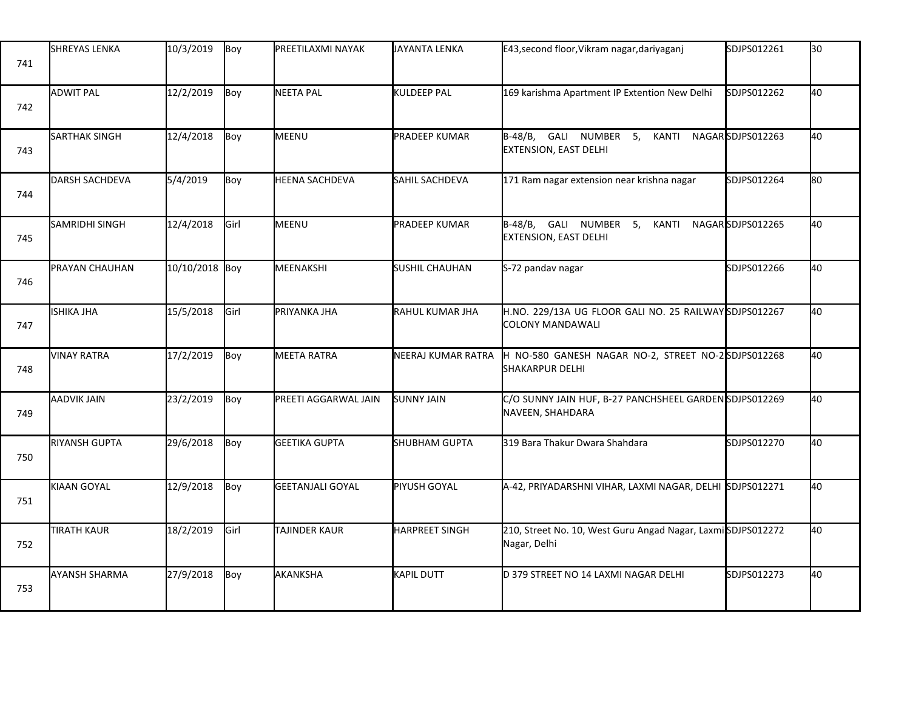| 741 | <b>SHREYAS LENKA</b>  | 10/3/2019      | Boy         | PREETILAXMI NAYAK       | JAYANTA LENKA         | E43, second floor, Vikram nagar, dariyaganj                                      | SDJPS012261      | l30 |
|-----|-----------------------|----------------|-------------|-------------------------|-----------------------|----------------------------------------------------------------------------------|------------------|-----|
| 742 | <b>ADWIT PAL</b>      | 12/2/2019      | Boy         | NEETA PAL               | KULDEEP PAL           | 169 karishma Apartment IP Extention New Delhi                                    | SDJPS012262      | 40  |
| 743 | <b>SARTHAK SINGH</b>  | 12/4/2018      | Boy         | MEENU                   | <b>PRADEEP KUMAR</b>  | B-48/B, GALI NUMBER 5,<br>KANTI<br><b>EXTENSION, EAST DELHI</b>                  | NAGARSDJPS012263 | 40  |
| 744 | <b>DARSH SACHDEVA</b> | 5/4/2019       | Boy         | <b>HEENA SACHDEVA</b>   | <b>SAHIL SACHDEVA</b> | 171 Ram nagar extension near krishna nagar                                       | SDJPS012264      | lso |
| 745 | SAMRIDHI SINGH        | 12/4/2018      | <b>Girl</b> | MEENU                   | PRADEEP KUMAR         | B-48/B, GALI NUMBER 5,<br>KANTI<br>EXTENSION, EAST DELHI                         | NAGARSDJPS012265 | 40  |
| 746 | PRAYAN CHAUHAN        | 10/10/2018 Boy |             | MEENAKSHI               | <b>SUSHIL CHAUHAN</b> | S-72 pandav nagar                                                                | SDJPS012266      | 40  |
| 747 | <b>ISHIKA JHA</b>     | 15/5/2018      | Girl        | PRIYANKA JHA            | RAHUL KUMAR JHA       | H.NO. 229/13A UG FLOOR GALI NO. 25 RAILWAYSDJPS012267<br><b>COLONY MANDAWALI</b> |                  | 40  |
| 748 | <b>VINAY RATRA</b>    | 17/2/2019      | Boy         | <b>MEETA RATRA</b>      | NEERAJ KUMAR RATRA    | H NO-580 GANESH NAGAR NO-2, STREET NO-2SDJPS012268<br><b>SHAKARPUR DELHI</b>     |                  | 40  |
| 749 | <b>AADVIK JAIN</b>    | 23/2/2019      | Boy         | PREETI AGGARWAL JAIN    | <b>SUNNY JAIN</b>     | C/O SUNNY JAIN HUF, B-27 PANCHSHEEL GARDENSDJPS012269<br>NAVEEN, SHAHDARA        |                  | 40  |
| 750 | <b>RIYANSH GUPTA</b>  | 29/6/2018      | Boy         | <b>GEETIKA GUPTA</b>    | SHUBHAM GUPTA         | 319 Bara Thakur Dwara Shahdara                                                   | SDJPS012270      | 40  |
| 751 | KIAAN GOYAL           | 12/9/2018      | Boy         | <b>GEETANJALI GOYAL</b> | PIYUSH GOYAL          | A-42, PRIYADARSHNI VIHAR, LAXMI NAGAR, DELHI SDJPS012271                         |                  | 40  |
| 752 | <b>TIRATH KAUR</b>    | 18/2/2019      | Girl        | TAJINDER KAUR           | <b>HARPREET SINGH</b> | 210, Street No. 10, West Guru Angad Nagar, LaxmiSDJPS012272<br>Nagar, Delhi      |                  | 40  |
| 753 | <b>AYANSH SHARMA</b>  | 27/9/2018      | Boy         | AKANKSHA                | KAPIL DUTT            | D 379 STREET NO 14 LAXMI NAGAR DELHI                                             | SDJPS012273      | 40  |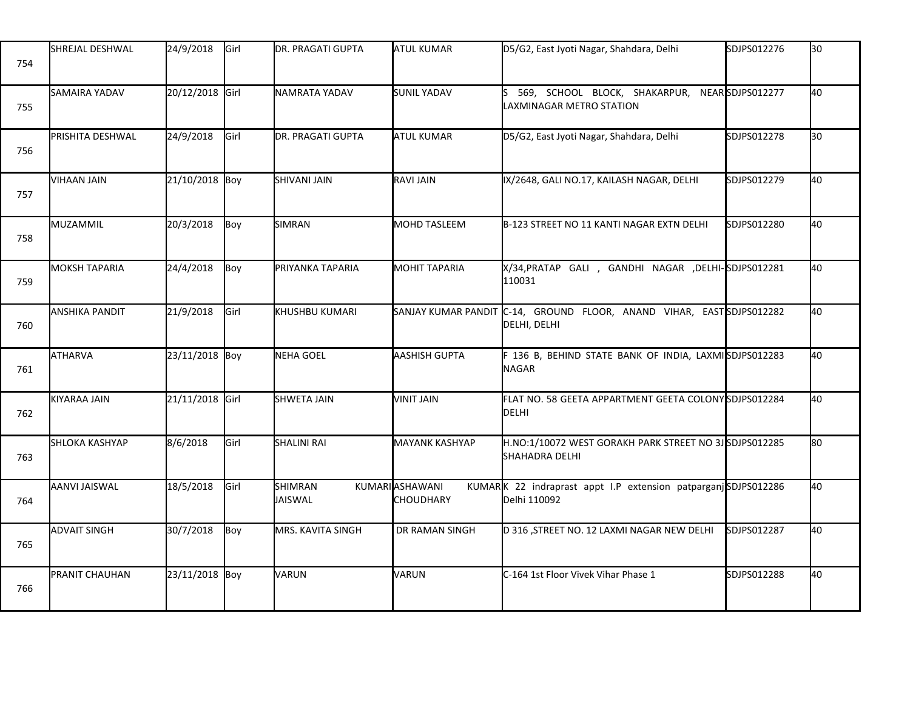| 754 | SHREJAL DESHWAL         | 24/9/2018       | Girl | IDR. PRAGATI GUPTA        | ATUL KUMAR                            | D5/G2, East Jyoti Nagar, Shahdara, Delhi                                              | SDJPS012276 | 30 |
|-----|-------------------------|-----------------|------|---------------------------|---------------------------------------|---------------------------------------------------------------------------------------|-------------|----|
| 755 | SAMAIRA YADAV           | 20/12/2018 Girl |      | NAMRATA YADAV             | <b>SUNIL YADAV</b>                    | 569, SCHOOL BLOCK, SHAKARPUR, NEARSDJPS012277<br><b>LAXMINAGAR METRO STATION</b>      |             | 40 |
| 756 | PRISHITA DESHWAL        | 24/9/2018       | Girl | DR. PRAGATI GUPTA         | <b>ATUL KUMAR</b>                     | D5/G2, East Jyoti Nagar, Shahdara, Delhi                                              | SDJPS012278 | 30 |
| 757 | VIHAAN JAIN             | 21/10/2018 Boy  |      | <b>SHIVANI JAIN</b>       | <b>RAVI JAIN</b>                      | IX/2648, GALI NO.17, KAILASH NAGAR, DELHI                                             | SDJPS012279 | 40 |
| 758 | MUZAMMIL                | 20/3/2018       | Boy  | <b>SIMRAN</b>             | <b>MOHD TASLEEM</b>                   | B-123 STREET NO 11 KANTI NAGAR EXTN DELHI                                             | SDJPS012280 | 40 |
| 759 | <b>MOKSH TAPARIA</b>    | 24/4/2018       | Boy  | PRIYANKA TAPARIA          | <b>MOHIT TAPARIA</b>                  | X/34, PRATAP GALI, GANDHI NAGAR, DELHI-SDJPS012281<br>110031                          |             | 40 |
| 760 | ANSHIKA PANDIT          | 21/9/2018       | Girl | KHUSHBU KUMARI            |                                       | SANJAY KUMAR PANDIT C-14, GROUND FLOOR, ANAND VIHAR, EAST SDJPS012282<br>DELHI, DELHI |             | 40 |
| 761 | <b>ATHARVA</b>          | 23/11/2018 Boy  |      | NEHA GOEL                 | AASHISH GUPTA                         | F 136 B, BEHIND STATE BANK OF INDIA, LAXMISDJPS012283<br>NAGAR                        |             | 40 |
| 762 | KIYARAA JAIN            | 21/11/2018 Girl |      | <b>SHWETA JAIN</b>        | VINIT JAIN                            | FLAT NO. 58 GEETA APPARTMENT GEETA COLONYSDJPS012284<br><b>DELHI</b>                  |             | 40 |
| 763 | <b>I</b> SHLOKA KASHYAP | 8/6/2018        | Girl | <b>SHALINI RAI</b>        | <b>MAYANK KASHYAP</b>                 | H.NO:1/10072 WEST GORAKH PARK STREET NO 3JSDJPS012285<br><b>SHAHADRA DELHI</b>        |             | 80 |
| 764 | AANVI JAISWAL           | 18/5/2018       | Girl | <b>SHIMRAN</b><br>JAISWAL | KUMARI ASHAWANI<br><b>I</b> CHOUDHARY | KUMARK 22 indraprast appt I.P extension patparganjSDJPS012286<br>Delhi 110092         |             | 40 |
| 765 | <b>ADVAIT SINGH</b>     | 30/7/2018       | Boy  | MRS. KAVITA SINGH         | DR RAMAN SINGH                        | D 316 , STREET NO. 12 LAXMI NAGAR NEW DELHI                                           | SDJPS012287 | 40 |
| 766 | PRANIT CHAUHAN          | 23/11/2018 Boy  |      | VARUN                     | VARUN                                 | C-164 1st Floor Vivek Vihar Phase 1                                                   | SDJPS012288 | 40 |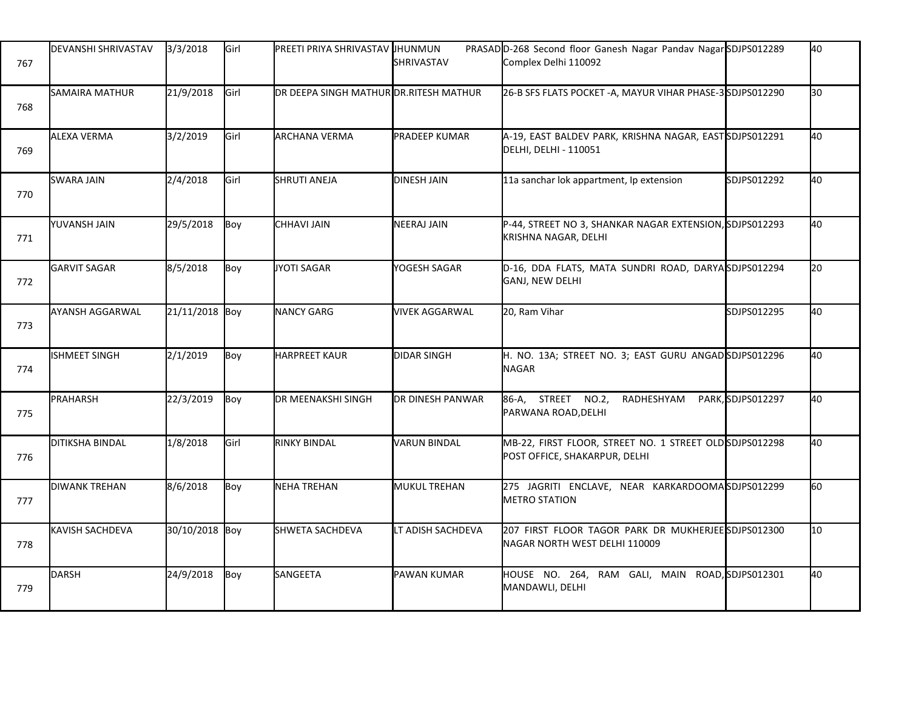| 767 | <b>DEVANSHI SHRIVASTAV</b> | 3/3/2018       | Girl | PREETI PRIYA SHRIVASTAV IHUNMUN        | <b>SHRIVASTAV</b>       | PRASAD D-268 Second floor Ganesh Nagar Pandav Nagar SDJPS012289<br>Complex Delhi 110092  |                  | 40              |
|-----|----------------------------|----------------|------|----------------------------------------|-------------------------|------------------------------------------------------------------------------------------|------------------|-----------------|
| 768 | <b>SAMAIRA MATHUR</b>      | 21/9/2018      | Girl | DR DEEPA SINGH MATHUR DR.RITESH MATHUR |                         | 26-B SFS FLATS POCKET -A, MAYUR VIHAR PHASE-3SDJPS012290                                 |                  | 30              |
| 769 | ALEXA VERMA                | 3/2/2019       | Girl | ARCHANA VERMA                          | <b>PRADEEP KUMAR</b>    | A-19, EAST BALDEV PARK, KRISHNA NAGAR, EASTSDJPS012291<br>DELHI, DELHI - 110051          |                  | 40              |
| 770 | <b>SWARA JAIN</b>          | 2/4/2018       | Girl | <b>SHRUTI ANEJA</b>                    | <b>DINESH JAIN</b>      | 11a sanchar lok appartment, Ip extension                                                 | SDJPS012292      | 40              |
| 771 | YUVANSH JAIN               | 29/5/2018      | Boy  | CHHAVI JAIN                            | NEERAJ JAIN             | P-44, STREET NO 3, SHANKAR NAGAR EXTENSION, SDJPS012293<br>KRISHNA NAGAR, DELHI          |                  | 40              |
| 772 | <b>GARVIT SAGAR</b>        | 8/5/2018       | Boy  | JYOTI SAGAR                            | YOGESH SAGAR            | D-16, DDA FLATS, MATA SUNDRI ROAD, DARYASDJPS012294<br>GANJ, NEW DELHI                   |                  | 20              |
| 773 | AYANSH AGGARWAL            | 21/11/2018 Boy |      | <b>NANCY GARG</b>                      | <b>VIVEK AGGARWAL</b>   | 20, Ram Vihar                                                                            | SDJPS012295      | 40              |
| 774 | <b>ISHMEET SINGH</b>       | 2/1/2019       | Boy  | <b>HARPREET KAUR</b>                   | <b>DIDAR SINGH</b>      | H. NO. 13A; STREET NO. 3; EAST GURU ANGADSDJPS012296<br><b>NAGAR</b>                     |                  | 40              |
| 775 | PRAHARSH                   | 22/3/2019      | Boy  | DR MEENAKSHI SINGH                     | <b>DR DINESH PANWAR</b> | 86-A, STREET NO.2,<br>RADHESHYAM<br>PARWANA ROAD, DELHI                                  | PARK,SDJPS012297 | 40              |
| 776 | <b>DITIKSHA BINDAL</b>     | 1/8/2018       | Girl | <b>RINKY BINDAL</b>                    | <b>VARUN BINDAL</b>     | MB-22, FIRST FLOOR, STREET NO. 1 STREET OLD SDJPS012298<br>POST OFFICE, SHAKARPUR, DELHI |                  | 40              |
| 777 | <b>DIWANK TREHAN</b>       | 8/6/2018       | Boy  | NEHA TREHAN                            | <b>MUKUL TREHAN</b>     | 275 JAGRITI ENCLAVE, NEAR KARKARDOOMASDJPS012299<br><b>METRO STATION</b>                 |                  | 60              |
| 778 | <b>KAVISH SACHDEVA</b>     | 30/10/2018 Boy |      | <b>SHWETA SACHDEVA</b>                 | LT ADISH SACHDEVA       | 207 FIRST FLOOR TAGOR PARK DR MUKHERJEE SDJPS012300<br>NAGAR NORTH WEST DELHI 110009     |                  | 10 <sup>1</sup> |
| 779 | DARSH                      | 24/9/2018      | Boy  | SANGEETA                               | <b>PAWAN KUMAR</b>      | HOUSE NO. 264, RAM GALI, MAIN ROAD, SDJPS012301<br>MANDAWLI, DELHI                       |                  | 40              |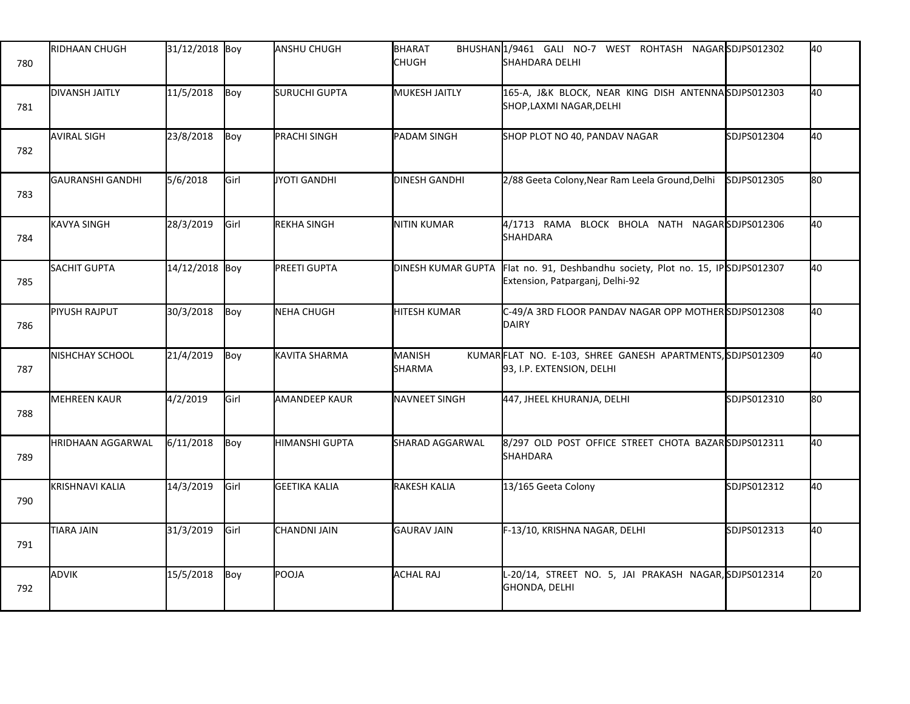| 780 | <b>RIDHAAN CHUGH</b>      | 31/12/2018 Boy |      | <b>ANSHU CHUGH</b>   | BHARAT<br><b>CHUGH</b> | BHUSHAN1/9461 GALI NO-7 WEST ROHTASH NAGARSDJPS012302<br>SHAHDARA DELHI                        |             | 40 |
|-----|---------------------------|----------------|------|----------------------|------------------------|------------------------------------------------------------------------------------------------|-------------|----|
| 781 | <b>DIVANSH JAITLY</b>     | 11/5/2018      | Boy  | SURUCHI GUPTA        | <b>MUKESH JAITLY</b>   | 165-A, J&K BLOCK, NEAR KING DISH ANTENNASDJPS012303<br>SHOP, LAXMI NAGAR, DELHI                |             | 40 |
| 782 | <b>AVIRAL SIGH</b>        | 23/8/2018      | Boy  | <b>PRACHI SINGH</b>  | <b>PADAM SINGH</b>     | SHOP PLOT NO 40, PANDAV NAGAR                                                                  | SDJPS012304 | 40 |
| 783 | <b>I</b> GAURANSHI GANDHI | 5/6/2018       | Girl | JYOTI GANDHI         | <b>DINESH GANDHI</b>   | 2/88 Geeta Colony, Near Ram Leela Ground, Delhi                                                | SDJPS012305 | 80 |
| 784 | KAVYA SINGH               | 28/3/2019      | Girl | REKHA SINGH          | NITIN KUMAR            | 4/1713 RAMA BLOCK BHOLA NATH NAGARSDJPS012306<br><b>SHAHDARA</b>                               |             | 40 |
| 785 | SACHIT GUPTA              | 14/12/2018 Boy |      | PREETI GUPTA         | DINESH KUMAR GUPTA     | Flat no. 91, Deshbandhu society, Plot no. 15, IPSDJPS012307<br>Extension, Patparganj, Delhi-92 |             | 40 |
| 786 | PIYUSH RAJPUT             | 30/3/2018      | Boy  | NEHA CHUGH           | HITESH KUMAR           | C-49/A 3RD FLOOR PANDAV NAGAR OPP MOTHERSDJPS012308<br><b>DAIRY</b>                            |             | 40 |
| 787 | <b>NISHCHAY SCHOOL</b>    | 21/4/2019      | Boy  | KAVITA SHARMA        | MANISH<br>SHARMA       | KUMARFLAT NO. E-103, SHREE GANESH APARTMENTS, SDJPS012309<br>93, I.P. EXTENSION, DELHI         |             | 40 |
| 788 | MEHREEN KAUR              | 4/2/2019       | Girl | AMANDEEP KAUR        | NAVNEET SINGH          | 447, JHEEL KHURANJA, DELHI                                                                     | SDJPS012310 | 80 |
| 789 | <b>HRIDHAAN AGGARWAL</b>  | 6/11/2018      | Boy  | HIMANSHI GUPTA       | SHARAD AGGARWAL        | 8/297 OLD POST OFFICE STREET CHOTA BAZAR SDJPS012311<br><b>SHAHDARA</b>                        |             | 40 |
| 790 | KRISHNAVI KALIA           | 14/3/2019      | Girl | <b>GEETIKA KALIA</b> | RAKESH KALIA           | 13/165 Geeta Colony                                                                            | SDJPS012312 | 40 |
| 791 | TIARA JAIN                | 31/3/2019      | Girl | CHANDNI JAIN         | <b>GAURAV JAIN</b>     | F-13/10, KRISHNA NAGAR, DELHI                                                                  | SDJPS012313 | 40 |
| 792 | ADVIK                     | 15/5/2018      | Boy  | POOJA                | ACHAL RAJ              | L-20/14, STREET NO. 5, JAI PRAKASH NAGAR, SDJPS012314<br>GHONDA, DELHI                         |             | 20 |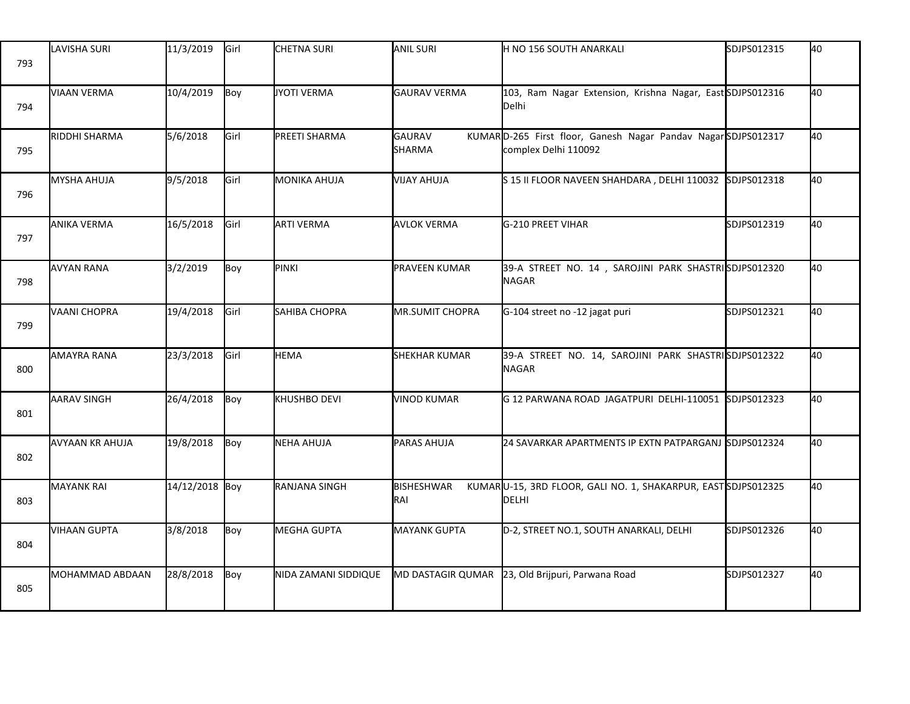| 793 | LAVISHA SURI           | 11/3/2019      | Girl | <b>CHETNA SURI</b>   | <b>ANIL SURI</b>         | H NO 156 SOUTH ANARKALI                                                              | SDJPS012315 | 40 |
|-----|------------------------|----------------|------|----------------------|--------------------------|--------------------------------------------------------------------------------------|-------------|----|
| 794 | <b>VIAAN VERMA</b>     | 10/4/2019      | Boy  | JYOTI VERMA          | <b>GAURAV VERMA</b>      | 103, Ram Nagar Extension, Krishna Nagar, East SDJPS012316<br>Delhi                   |             | 40 |
| 795 | <b>RIDDHI SHARMA</b>   | 5/6/2018       | Girl | PREETI SHARMA        | <b>GAURAV</b><br>SHARMA  | KUMARD-265 First floor, Ganesh Nagar Pandav NagarSDJPS012317<br>complex Delhi 110092 |             | 40 |
| 796 | MYSHA AHUJA            | 9/5/2018       | Girl | <b>MONIKA AHUJA</b>  | <b>VIJAY AHUJA</b>       | S 15 II FLOOR NAVEEN SHAHDARA, DELHI 110032                                          | SDJPS012318 | 40 |
| 797 | ANIKA VERMA            | 16/5/2018      | Girl | <b>ARTI VERMA</b>    | <b>AVLOK VERMA</b>       | G-210 PREET VIHAR                                                                    | SDJPS012319 | 40 |
| 798 | <b>AVYAN RANA</b>      | 3/2/2019       | Boy  | PINKI                | <b>PRAVEEN KUMAR</b>     | 39-A STREET NO. 14, SAROJINI PARK SHASTRISDJPS012320<br><b>NAGAR</b>                 |             | 40 |
| 799 | VAANI CHOPRA           | 19/4/2018      | Girl | SAHIBA CHOPRA        | <b>MR.SUMIT CHOPRA</b>   | G-104 street no -12 jagat puri                                                       | SDJPS012321 | 40 |
| 800 | AMAYRA RANA            | 23/3/2018      | Girl | <b>HEMA</b>          | <b>SHEKHAR KUMAR</b>     | 39-A STREET NO. 14, SAROJINI PARK SHASTRISDJPS012322<br><b>NAGAR</b>                 |             | 40 |
| 801 | <b>AARAV SINGH</b>     | 26/4/2018      | Boy  | KHUSHBO DEVI         | <b>VINOD KUMAR</b>       | G 12 PARWANA ROAD JAGATPURI DELHI-110051                                             | SDJPS012323 | 40 |
| 802 | <b>AVYAAN KR AHUJA</b> | 19/8/2018      | Boy  | NEHA AHUJA           | PARAS AHUJA              | 24 SAVARKAR APARTMENTS IP EXTN PATPARGANJ SDJPS012324                                |             | 40 |
| 803 | <b>MAYANK RAI</b>      | 14/12/2018 Boy |      | <b>RANJANA SINGH</b> | <b>BISHESHWAR</b><br>RAI | KUMARU-15, 3RD FLOOR, GALI NO. 1, SHAKARPUR, EASTSDJPS012325<br>DELHI                |             | 40 |
| 804 | <b>VIHAAN GUPTA</b>    | 3/8/2018       | Boy  | MEGHA GUPTA          | <b>MAYANK GUPTA</b>      | D-2, STREET NO.1, SOUTH ANARKALI, DELHI                                              | SDJPS012326 | 40 |
| 805 | MOHAMMAD ABDAAN        | 28/8/2018      | Boy  | NIDA ZAMANI SIDDIQUE | <b>MD DASTAGIR QUMAR</b> | 23, Old Brijpuri, Parwana Road                                                       | SDJPS012327 | 40 |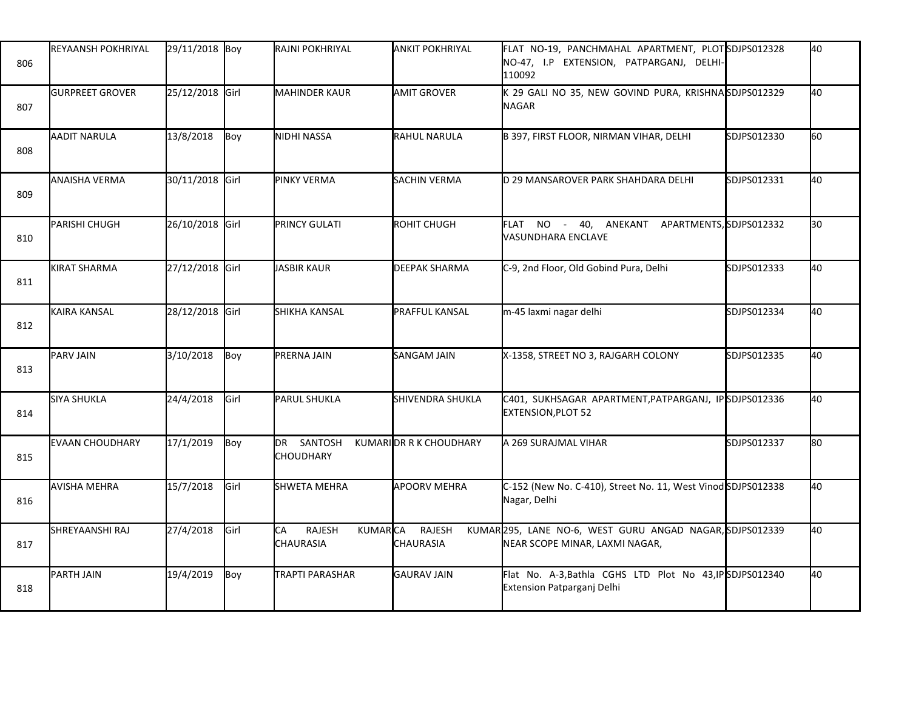| 806 | <b>REYAANSH POKHRIYAL</b> | 29/11/2018 Boy  |      | <b>I</b> RAJNI POKHRIYAL                                  | <b>ANKIT POKHRIYAL</b>            | FLAT NO-19, PANCHMAHAL APARTMENT, PLOTSDJPS012328<br>NO-47, I.P EXTENSION, PATPARGANJ, DELHI-<br>110092 |             | 40  |
|-----|---------------------------|-----------------|------|-----------------------------------------------------------|-----------------------------------|---------------------------------------------------------------------------------------------------------|-------------|-----|
| 807 | <b>GURPREET GROVER</b>    | 25/12/2018 Girl |      | <b>MAHINDER KAUR</b>                                      | <b>AMIT GROVER</b>                | K 29 GALI NO 35, NEW GOVIND PURA, KRISHNASDJPS012329<br><b>NAGAR</b>                                    |             | 40  |
| 808 | AADIT NARULA              | 13/8/2018       | Boy  | NIDHI NASSA                                               | <b>RAHUL NARULA</b>               | B 397, FIRST FLOOR, NIRMAN VIHAR, DELHI                                                                 | SDJPS012330 | 60  |
| 809 | ANAISHA VERMA             | 30/11/2018 Girl |      | <b>PINKY VERMA</b>                                        | <b>SACHIN VERMA</b>               | D 29 MANSAROVER PARK SHAHDARA DELHI                                                                     | SDJPS012331 | 40  |
| 810 | PARISHI CHUGH             | 26/10/2018 Girl |      | <b>PRINCY GULATI</b>                                      | ROHIT CHUGH                       | FLAT NO - 40, ANEKANT APARTMENTS, SDJPS012332<br>VASUNDHARA ENCLAVE                                     |             | 30  |
| 811 | <b>KIRAT SHARMA</b>       | 27/12/2018 Girl |      | JASBIR KAUR                                               | <b>DEEPAK SHARMA</b>              | C-9, 2nd Floor, Old Gobind Pura, Delhi                                                                  | SDJPS012333 | 40  |
| 812 | KAIRA KANSAL              | 28/12/2018 Girl |      | SHIKHA KANSAL                                             | PRAFFUL KANSAL                    | m-45 laxmi nagar delhi                                                                                  | SDJPS012334 | 40  |
| 813 | PARV JAIN                 | 3/10/2018       | Boy  | PRERNA JAIN                                               | SANGAM JAIN                       | X-1358, STREET NO 3, RAJGARH COLONY                                                                     | SDJPS012335 | 40  |
| 814 | <b>SIYA SHUKLA</b>        | 24/4/2018       | Girl | PARUL SHUKLA                                              | SHIVENDRA SHUKLA                  | C401, SUKHSAGAR APARTMENT, PATPARGANJ, IPSDJPS012336<br><b>EXTENSION, PLOT 52</b>                       |             | 40  |
| 815 | <b>EVAAN CHOUDHARY</b>    | 17/1/2019       | Boy  | DR SANTOSH<br><b>CHOUDHARY</b>                            | KUMARIOR R K CHOUDHARY            | A 269 SURAJMAL VIHAR                                                                                    | SDJPS012337 | l80 |
| 816 | <b>AVISHA MEHRA</b>       | 15/7/2018       | Girl | SHWETA MEHRA                                              | <b>APOORV MEHRA</b>               | C-152 (New No. C-410), Street No. 11, West Vinod SDJPS012338<br>Nagar, Delhi                            |             | 40  |
| 817 | SHREYAANSHI RAJ           | 27/4/2018       | Girl | <b>CA</b><br><b>KUMARCA</b><br><b>RAJESH</b><br>CHAURASIA | <b>RAJESH</b><br><b>CHAURASIA</b> | KUMAR295, LANE NO-6, WEST GURU ANGAD NAGAR, SDJPS012339<br>NEAR SCOPE MINAR, LAXMI NAGAR,               |             | 40  |
| 818 | PARTH JAIN                | 19/4/2019       | Boy  | TRAPTI PARASHAR                                           | <b>GAURAV JAIN</b>                | Flat No. A-3, Bathla CGHS LTD Plot No 43, IP SDJPS012340<br>Extension Patparganj Delhi                  |             | 40  |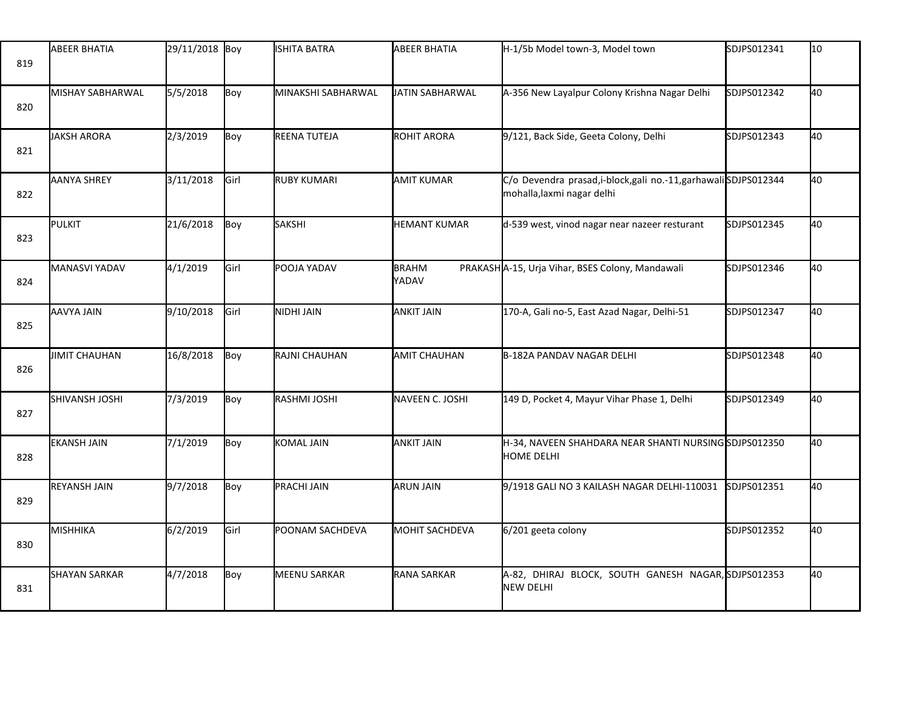| 819 | <b>ABEER BHATIA</b>  | 29/11/2018 Boy |      | <b>ISHITA BATRA</b> | ABEER BHATIA          | H-1/5b Model town-3, Model town                                                                | SDJPS012341 | 10 |
|-----|----------------------|----------------|------|---------------------|-----------------------|------------------------------------------------------------------------------------------------|-------------|----|
| 820 | MISHAY SABHARWAL     | 5/5/2018       | Boy  | MINAKSHI SABHARWAL  | UATIN SABHARWAL       | A-356 New Layalpur Colony Krishna Nagar Delhi                                                  | SDJPS012342 | 40 |
| 821 | JAKSH ARORA          | 2/3/2019       | Boy  | REENA TUTEJA        | <b>ROHIT ARORA</b>    | 9/121, Back Side, Geeta Colony, Delhi                                                          | SDJPS012343 | 40 |
| 822 | <b>AANYA SHREY</b>   | 3/11/2018      | Girl | RUBY KUMARI         | AMIT KUMAR            | C/o Devendra prasad, i-block, gali no.-11, garhawali SDJPS012344<br>mohalla, laxmi nagar delhi |             | 40 |
| 823 | <b>PULKIT</b>        | 21/6/2018      | Boy  | <b>SAKSHI</b>       | <b>HEMANT KUMAR</b>   | d-539 west, vinod nagar near nazeer resturant                                                  | SDJPS012345 | 40 |
| 824 | MANASVI YADAV        | 4/1/2019       | Girl | POOJA YADAV         | <b>BRAHM</b><br>YADAV | PRAKASHA-15, Urja Vihar, BSES Colony, Mandawali                                                | SDJPS012346 | 40 |
| 825 | AAVYA JAIN           | 9/10/2018      | Girl | NIDHI JAIN          | <b>ANKIT JAIN</b>     | 170-A, Gali no-5, East Azad Nagar, Delhi-51                                                    | SDJPS012347 | 40 |
| 826 | <b>JIMIT CHAUHAN</b> | 16/8/2018      | Boy  | RAJNI CHAUHAN       | <b>AMIT CHAUHAN</b>   | B-182A PANDAV NAGAR DELHI                                                                      | SDJPS012348 | 40 |
| 827 | SHIVANSH JOSHI       | 7/3/2019       | Boy  | RASHMI JOSHI        | NAVEEN C. JOSHI       | 149 D, Pocket 4, Mayur Vihar Phase 1, Delhi                                                    | SDJPS012349 | 40 |
| 828 | <b>EKANSH JAIN</b>   | 7/1/2019       | Boy  | KOMAL JAIN          | <b>ANKIT JAIN</b>     | H-34, NAVEEN SHAHDARA NEAR SHANTI NURSINGSDJPS012350<br><b>HOME DELHI</b>                      |             | 40 |
| 829 | <b>REYANSH JAIN</b>  | 9/7/2018       | Boy  | PRACHI JAIN         | <b>ARUN JAIN</b>      | 9/1918 GALI NO 3 KAILASH NAGAR DELHI-110031                                                    | SDJPS012351 | 40 |
| 830 | MISHHIKA             | 6/2/2019       | Girl | POONAM SACHDEVA     | <b>MOHIT SACHDEVA</b> | 6/201 geeta colony                                                                             | SDJPS012352 | 40 |
| 831 | <b>SHAYAN SARKAR</b> | 4/7/2018       | Boy  | <b>MEENU SARKAR</b> | <b>RANA SARKAR</b>    | A-82, DHIRAJ BLOCK, SOUTH GANESH NAGAR, SDJPS012353<br><b>NEW DELHI</b>                        |             | 40 |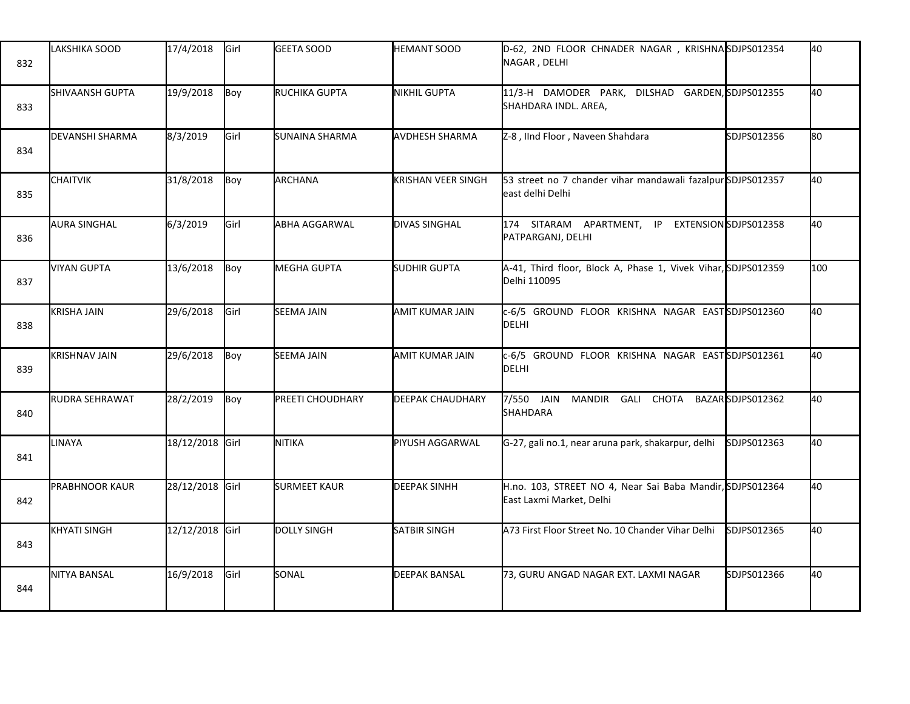| 832 | LAKSHIKA SOOD            | 17/4/2018       | Girl | <b>GEETA SOOD</b>    | <b>HEMANT SOOD</b>        | D-62, 2ND FLOOR CHNADER NAGAR, KRISHNASDJPS012354<br>NAGAR, DELHI                     |             | 40   |
|-----|--------------------------|-----------------|------|----------------------|---------------------------|---------------------------------------------------------------------------------------|-------------|------|
| 833 | <b>I</b> SHIVAANSH GUPTA | 19/9/2018       | Boy  | <b>RUCHIKA GUPTA</b> | <b>NIKHIL GUPTA</b>       | 11/3-H DAMODER PARK, DILSHAD GARDEN, SDJPS012355<br>SHAHDARA INDL. AREA,              |             | 40   |
| 834 | <b>DEVANSHI SHARMA</b>   | 8/3/2019        | Girl | SUNAINA SHARMA       | AVDHESH SHARMA            | Z-8, IInd Floor, Naveen Shahdara                                                      | SDJPS012356 | lso. |
| 835 | <b>CHAITVIK</b>          | 31/8/2018       | Boy  | ARCHANA              | <b>KRISHAN VEER SINGH</b> | 53 street no 7 chander vihar mandawali fazalpur SDJPS012357<br>east delhi Delhi       |             | 40   |
| 836 | <b>AURA SINGHAL</b>      | 6/3/2019        | Girl | ABHA AGGARWAL        | <b>DIVAS SINGHAL</b>      | 174 SITARAM APARTMENT, IP EXTENSION SDJPS012358<br>PATPARGANJ, DELHI                  |             | 40   |
| 837 | VIYAN GUPTA              | 13/6/2018       | Boy  | <b>MEGHA GUPTA</b>   | <b>SUDHIR GUPTA</b>       | A-41, Third floor, Block A, Phase 1, Vivek Vihar, SDJPS012359<br>Delhi 110095         |             | 100  |
| 838 | <b>KRISHA JAIN</b>       | 29/6/2018       | Girl | <b>SEEMA JAIN</b>    | <b>AMIT KUMAR JAIN</b>    | c-6/5 GROUND FLOOR KRISHNA NAGAR EASTSDJPS012360<br>DELHI                             |             | 40   |
| 839 | <b>KRISHNAV JAIN</b>     | 29/6/2018       | Boy  | <b>SEEMA JAIN</b>    | AMIT KUMAR JAIN           | c-6/5 GROUND FLOOR KRISHNA NAGAR EASTSDJPS012361<br>DELHI                             |             | 40   |
| 840 | RUDRA SEHRAWAT           | 28/2/2019       | Boy  | PREETI CHOUDHARY     | <b>DEEPAK CHAUDHARY</b>   | 7/550 JAIN MANDIR GALI CHOTA BAZARSDJPS012362<br>SHAHDARA                             |             | 40   |
| 841 | LINAYA                   | 18/12/2018 Girl |      | NITIKA               | PIYUSH AGGARWAL           | G-27, gali no.1, near aruna park, shakarpur, delhi                                    | SDJPS012363 | 40   |
| 842 | <b>PRABHNOOR KAUR</b>    | 28/12/2018 Girl |      | <b>SURMEET KAUR</b>  | <b>DEEPAK SINHH</b>       | H.no. 103, STREET NO 4, Near Sai Baba Mandir, SDJPS012364<br>East Laxmi Market, Delhi |             | 40   |
| 843 | <b>KHYATI SINGH</b>      | 12/12/2018 Girl |      | <b>DOLLY SINGH</b>   | <b>SATBIR SINGH</b>       | A73 First Floor Street No. 10 Chander Vihar Delhi                                     | SDJPS012365 | 40   |
| 844 | NITYA BANSAL             | 16/9/2018       | Girl | SONAL                | <b>DEEPAK BANSAL</b>      | 73, GURU ANGAD NAGAR EXT. LAXMI NAGAR                                                 | SDJPS012366 | 40   |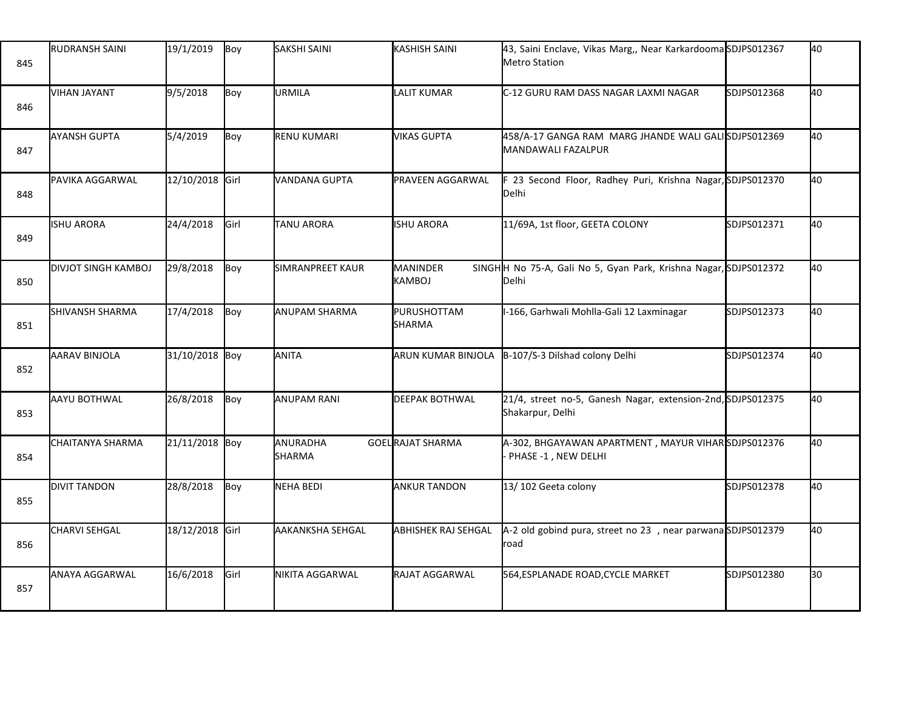| 845 | <b>RUDRANSH SAINI</b>      | 19/1/2019       | Boy           | <b>SAKSHI SAINI</b>       | <b>KASHISH SAINI</b>             | 43, Saini Enclave, Vikas Marg,, Near KarkardoomaSDJPS012367<br><b>Metro Station</b> |             | 40 |
|-----|----------------------------|-----------------|---------------|---------------------------|----------------------------------|-------------------------------------------------------------------------------------|-------------|----|
| 846 | <b>VIHAN JAYANT</b>        | 9/5/2018        | Boy           | URMILA                    | <b>LALIT KUMAR</b>               | C-12 GURU RAM DASS NAGAR LAXMI NAGAR                                                | SDJPS012368 | 40 |
| 847 | <b>AYANSH GUPTA</b>        | 5/4/2019        | Boy           | RENU KUMARI               | <b>VIKAS GUPTA</b>               | 458/A-17 GANGA RAM MARG JHANDE WALI GALISDJPS012369<br>MANDAWALI FAZALPUR           |             | 40 |
| 848 | PAVIKA AGGARWAL            | 12/10/2018 Girl |               | VANDANA GUPTA             | <b>PRAVEEN AGGARWAL</b>          | F 23 Second Floor, Radhey Puri, Krishna Nagar, SDJPS012370<br>Delhi                 |             | 40 |
| 849 | <b>ISHU ARORA</b>          | 24/4/2018       | <b>I</b> Girl | TANU ARORA                | <b>ISHU ARORA</b>                | 11/69A, 1st floor, GEETA COLONY                                                     | SDJPS012371 | 40 |
| 850 | <b>DIVJOT SINGH KAMBOJ</b> | 29/8/2018       | Boy           | SIMRANPREET KAUR          | <b>MANINDER</b><br><b>KAMBOJ</b> | SINGHH No 75-A, Gali No 5, Gyan Park, Krishna Nagar, SDJPS012372<br>Delhi           |             | 40 |
| 851 | SHIVANSH SHARMA            | 17/4/2018       | Boy           | ANUPAM SHARMA             | PURUSHOTTAM<br>SHARMA            | I-166, Garhwali Mohlla-Gali 12 Laxminagar                                           | SDJPS012373 | 40 |
| 852 | AARAV BINJOLA              | 31/10/2018 Boy  |               | ANITA                     | ARUN KUMAR BINJOLA               | B-107/S-3 Dilshad colony Delhi                                                      | SDJPS012374 | 40 |
| 853 | AAYU BOTHWAL               | 26/8/2018       | Boy           | <b>ANUPAM RANI</b>        | <b>DEEPAK BOTHWAL</b>            | 21/4, street no-5, Ganesh Nagar, extension-2nd, SDJPS012375<br>Shakarpur, Delhi     |             | 40 |
| 854 | <b>CHAITANYA SHARMA</b>    | 21/11/2018 Boy  |               | ANURADHA<br><b>SHARMA</b> | GOELRAJAT SHARMA                 | A-302, BHGAYAWAN APARTMENT, MAYUR VIHARSDJPS012376<br>PHASE -1, NEW DELHI           |             | 40 |
| 855 | <b>DIVIT TANDON</b>        | 28/8/2018       | Boy           | <b>NEHA BEDI</b>          | <b>ANKUR TANDON</b>              | 13/102 Geeta colony                                                                 | SDJPS012378 | 40 |
| 856 | <b>CHARVI SEHGAL</b>       | 18/12/2018 Girl |               | AAKANKSHA SEHGAL          | <b>ABHISHEK RAJ SEHGAL</b>       | A-2 old gobind pura, street no 23, near parwanaSDJPS012379<br>road                  |             | 40 |
| 857 | ANAYA AGGARWAL             | 16/6/2018       | Girl          | NIKITA AGGARWAL           | RAJAT AGGARWAL                   | 564, ESPLANADE ROAD, CYCLE MARKET                                                   | SDJPS012380 | 30 |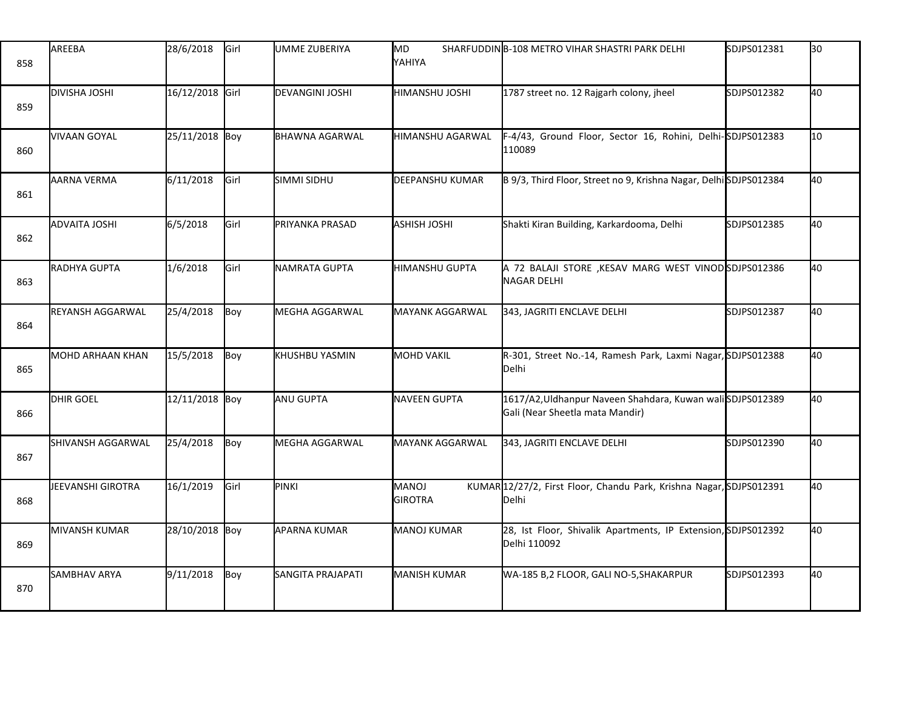| 858 | AREEBA                  | 28/6/2018       | Girl | UMME ZUBERIYA            | MD<br>YAHIYA                   | SHARFUDDINIB-108 METRO VIHAR SHASTRI PARK DELHI                                             | SDJPS012381 | 30 |
|-----|-------------------------|-----------------|------|--------------------------|--------------------------------|---------------------------------------------------------------------------------------------|-------------|----|
| 859 | <b>DIVISHA JOSHI</b>    | 16/12/2018 Girl |      | DEVANGINI JOSHI          | HIMANSHU JOSHI                 | 1787 street no. 12 Rajgarh colony, jheel                                                    | SDJPS012382 | 40 |
| 860 | VIVAAN GOYAL            | 25/11/2018 Boy  |      | BHAWNA AGARWAL           | <b>HIMANSHU AGARWAL</b>        | F-4/43, Ground Floor, Sector 16, Rohini, Delhi-SDJPS012383<br>110089                        |             | 10 |
| 861 | <b>AARNA VERMA</b>      | 6/11/2018       | Girl | SIMMI SIDHU              | <b>DEEPANSHU KUMAR</b>         | B 9/3, Third Floor, Street no 9, Krishna Nagar, DelhiSDJPS012384                            |             | 40 |
| 862 | <b>ADVAITA JOSHI</b>    | 6/5/2018        | Girl | PRIYANKA PRASAD          | <b>ASHISH JOSHI</b>            | Shakti Kiran Building, Karkardooma, Delhi                                                   | SDJPS012385 | 40 |
| 863 | RADHYA GUPTA            | 1/6/2018        | Girl | NAMRATA GUPTA            | HIMANSHU GUPTA                 | A 72 BALAJI STORE ,KESAV MARG WEST VINODSDJPS012386<br><b>NAGAR DELHI</b>                   |             | 40 |
| 864 | <b>REYANSH AGGARWAL</b> | 25/4/2018       | Boy  | MEGHA AGGARWAL           | MAYANK AGGARWAL                | 343, JAGRITI ENCLAVE DELHI                                                                  | SDJPS012387 | 40 |
| 865 | MOHD ARHAAN KHAN        | 15/5/2018       | Boy  | KHUSHBU YASMIN           | MOHD VAKIL                     | R-301, Street No.-14, Ramesh Park, Laxmi Nagar, SDJPS012388<br>Delhi                        |             | 40 |
| 866 | DHIR GOEL               | 12/11/2018 Boy  |      | ANU GUPTA                | NAVEEN GUPTA                   | 1617/A2,Uldhanpur Naveen Shahdara, Kuwan waliSDJPS012389<br>Gali (Near Sheetla mata Mandir) |             | 40 |
| 867 | SHIVANSH AGGARWAL       | 25/4/2018       | Boy  | MEGHA AGGARWAL           | <b>MAYANK AGGARWAL</b>         | 343, JAGRITI ENCLAVE DELHI                                                                  | SDJPS012390 | 40 |
| 868 | JEEVANSHI GIROTRA       | 16/1/2019       | Girl | PINKI                    | <b>MANOJ</b><br><b>GIROTRA</b> | KUMAR 12/27/2, First Floor, Chandu Park, Krishna Nagar, SDJPS012391<br>Delhi                |             | 40 |
| 869 | MIVANSH KUMAR           | 28/10/2018 Boy  |      | <b>APARNA KUMAR</b>      | MANOJ KUMAR                    | 28, Ist Floor, Shivalik Apartments, IP Extension, SDJPS012392<br>Delhi 110092               |             | 40 |
| 870 | SAMBHAV ARYA            | 9/11/2018       | Boy  | <b>SANGITA PRAJAPATI</b> | <b>MANISH KUMAR</b>            | WA-185 B,2 FLOOR, GALI NO-5,SHAKARPUR                                                       | SDJPS012393 | 40 |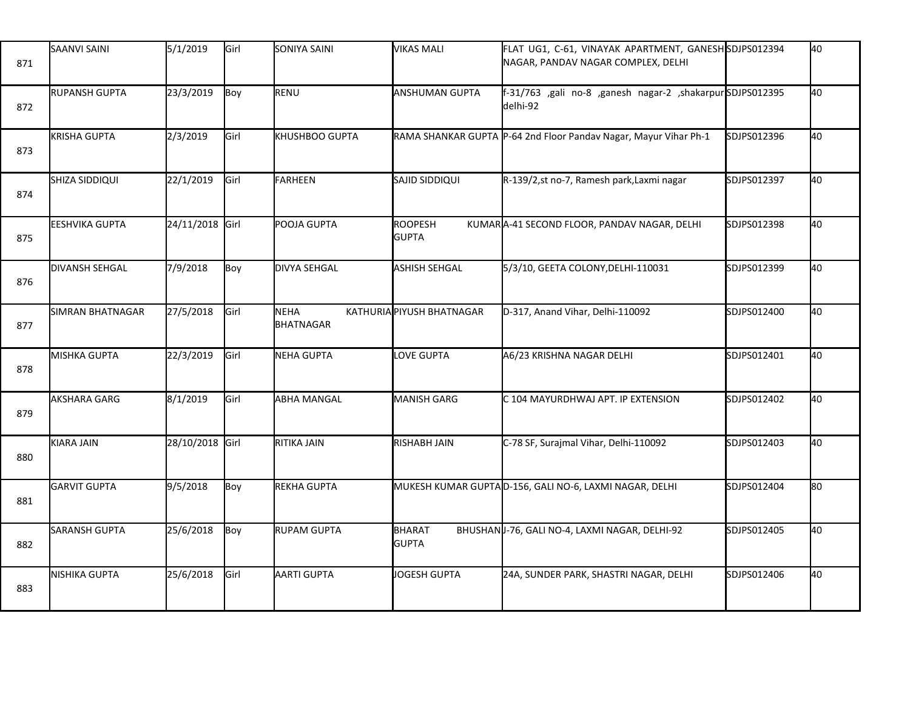| 871 | SAANVI SAINI          | 5/1/2019        | Girl | SONIYA SAINI        | <b>VIKAS MALI</b>              | FLAT UG1, C-61, VINAYAK APARTMENT, GANESHSDJPS012394<br>NAGAR, PANDAV NAGAR COMPLEX, DELHI |             | 40  |
|-----|-----------------------|-----------------|------|---------------------|--------------------------------|--------------------------------------------------------------------------------------------|-------------|-----|
| 872 | <b>RUPANSH GUPTA</b>  | 23/3/2019       | Boy  | RENU                | <b>ANSHUMAN GUPTA</b>          | f-31/763 ,gali no-8 ,ganesh nagar-2 ,shakarpurSDJPS012395<br>delhi-92                      |             | 40  |
| 873 | <b>KRISHA GUPTA</b>   | 2/3/2019        | Girl | KHUSHBOO GUPTA      |                                | RAMA SHANKAR GUPTA P-64 2nd Floor Pandav Nagar, Mayur Vihar Ph-1                           | SDJPS012396 | 40  |
| 874 | SHIZA SIDDIQUI        | 22/1/2019       | Girl | <b>FARHEEN</b>      | SAJID SIDDIQUI                 | R-139/2,st no-7, Ramesh park, Laxmi nagar                                                  | SDJPS012397 | 40  |
| 875 | <b>EESHVIKA GUPTA</b> | 24/11/2018 Girl |      | POOJA GUPTA         | <b>ROOPESH</b><br><b>GUPTA</b> | KUMARA-41 SECOND FLOOR, PANDAV NAGAR, DELHI                                                | SDJPS012398 | 40  |
| 876 | <b>DIVANSH SEHGAL</b> | 7/9/2018        | Boy  | <b>DIVYA SEHGAL</b> | <b>ASHISH SEHGAL</b>           | 5/3/10, GEETA COLONY, DELHI-110031                                                         | SDJPS012399 | 40  |
| 877 | SIMRAN BHATNAGAR      | 27/5/2018       | Girl | NEHA<br>BHATNAGAR   | KATHURIAPIYUSH BHATNAGAR       | D-317, Anand Vihar, Delhi-110092                                                           | SDJPS012400 | 40  |
| 878 | MISHKA GUPTA          | 22/3/2019       | Girl | NEHA GUPTA          | LOVE GUPTA                     | A6/23 KRISHNA NAGAR DELHI                                                                  | SDJPS012401 | 40  |
| 879 | AKSHARA GARG          | 8/1/2019        | Girl | <b>ABHA MANGAL</b>  | MANISH GARG                    | C 104 MAYURDHWAJ APT. IP EXTENSION                                                         | SDJPS012402 | 40  |
| 880 | KIARA JAIN            | 28/10/2018 Girl |      | RITIKA JAIN         | RISHABH JAIN                   | C-78 SF, Surajmal Vihar, Delhi-110092                                                      | SDJPS012403 | 40  |
| 881 | <b>GARVIT GUPTA</b>   | 9/5/2018        | Boy  | REKHA GUPTA         |                                | MUKESH KUMAR GUPTAD-156, GALI NO-6, LAXMI NAGAR, DELHI                                     | SDJPS012404 | l80 |
| 882 | SARANSH GUPTA         | 25/6/2018       | Boy  | <b>RUPAM GUPTA</b>  | BHARAT<br><b>GUPTA</b>         | BHUSHANU-76, GALI NO-4, LAXMI NAGAR, DELHI-92                                              | SDJPS012405 | 40  |
| 883 | <b>NISHIKA GUPTA</b>  | 25/6/2018       | Girl | AARTI GUPTA         | JOGESH GUPTA                   | 24A, SUNDER PARK, SHASTRI NAGAR, DELHI                                                     | SDJPS012406 | 40  |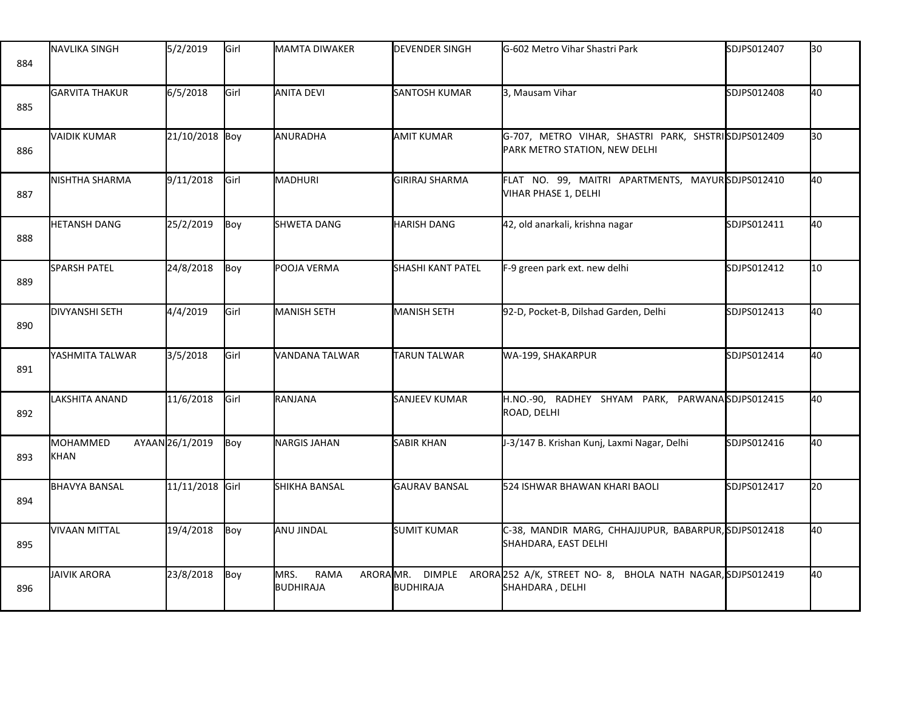| 884 | <b>INAVLIKA SINGH</b> | 5/2/2019        | Girl | MAMTA DIWAKER                         | <b>DEVENDER SINGH</b>      | G-602 Metro Vihar Shastri Park                                                       | SDJPS012407 | 30 |
|-----|-----------------------|-----------------|------|---------------------------------------|----------------------------|--------------------------------------------------------------------------------------|-------------|----|
| 885 | <b>GARVITA THAKUR</b> | 6/5/2018        | Girl | ANITA DEVI                            | <b>SANTOSH KUMAR</b>       | 3, Mausam Vihar                                                                      | SDJPS012408 | 40 |
| 886 | <b>VAIDIK KUMAR</b>   | 21/10/2018 Boy  |      | ANURADHA                              | <b>AMIT KUMAR</b>          | G-707, METRO VIHAR, SHASTRI PARK, SHSTRISDJPS012409<br>PARK METRO STATION, NEW DELHI |             | 30 |
| 887 | NISHTHA SHARMA        | 9/11/2018       | Girl | MADHURI                               | <b>GIRIRAJ SHARMA</b>      | FLAT NO. 99, MAITRI APARTMENTS, MAYURSDJPS012410<br>VIHAR PHASE 1, DELHI             |             | 40 |
| 888 | <b>HETANSH DANG</b>   | 25/2/2019       | Boy  | <b>SHWETA DANG</b>                    | <b>HARISH DANG</b>         | 42, old anarkali, krishna nagar                                                      | SDJPS012411 | 40 |
| 889 | <b>SPARSH PATEL</b>   | 24/8/2018       | Boy  | POOJA VERMA                           | <b>SHASHI KANT PATEL</b>   | F-9 green park ext. new delhi                                                        | SDJPS012412 | 10 |
| 890 | <b>DIVYANSHI SETH</b> | 4/4/2019        | Girl | MANISH SETH                           | MANISH SETH                | 92-D, Pocket-B, Dilshad Garden, Delhi                                                | SDJPS012413 | 40 |
| 891 | IYASHMITA TALWAR      | 3/5/2018        | Girl | VANDANA TALWAR                        | <b>TARUN TALWAR</b>        | WA-199, SHAKARPUR                                                                    | SDJPS012414 | 40 |
| 892 | LAKSHITA ANAND        | 11/6/2018       | Girl | RANJANA                               | SANJEEV KUMAR              | H.NO.-90, RADHEY SHYAM PARK, PARWANASDJPS012415<br>ROAD, DELHI                       |             | 40 |
| 893 | MOHAMMED<br>KHAN      | AYAAN26/1/2019  | Boy  | <b>NARGIS JAHAN</b>                   | <b>SABIR KHAN</b>          | J-3/147 B. Krishan Kunj, Laxmi Nagar, Delhi                                          | SDJPS012416 | 40 |
| 894 | <b>BHAVYA BANSAL</b>  | 11/11/2018 Girl |      | SHIKHA BANSAL                         | <b>GAURAV BANSAL</b>       | 524 ISHWAR BHAWAN KHARI BAOLI                                                        | SDJPS012417 | 20 |
| 895 | VIVAAN MITTAL         | 19/4/2018       | Boy  | ANU JINDAL                            | <b>SUMIT KUMAR</b>         | C-38, MANDIR MARG, CHHAJJUPUR, BABARPUR, SDJPS012418<br>SHAHDARA, EAST DELHI         |             | 40 |
| 896 | <b>JAIVIK ARORA</b>   | 23/8/2018       | Boy  | MRS.<br>ARORAMR.<br>RAMA<br>BUDHIRAJA | <b>DIMPLE</b><br>BUDHIRAJA | ARORA 252 A/K, STREET NO- 8, BHOLA NATH NAGAR, SDJPS012419<br>SHAHDARA, DELHI        |             | 40 |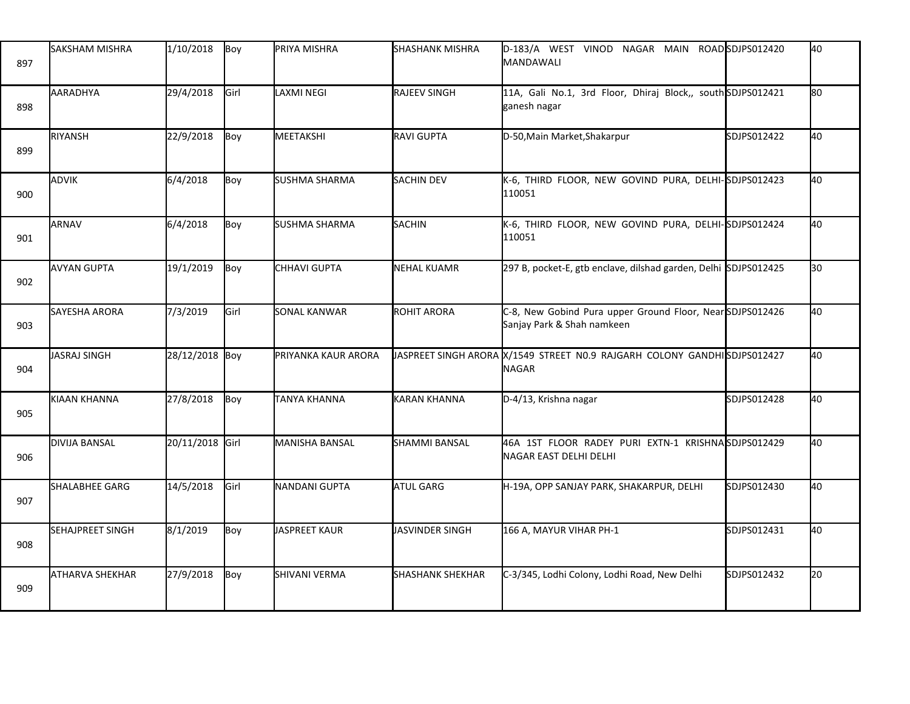| 897 | <b>I</b> SAKSHAM MISHRA | 1/10/2018       | Boy  | PRIYA MISHRA        | <b>SHASHANK MISHRA</b>  | D-183/A WEST VINOD NAGAR MAIN ROADSDJPS012420<br><b>MANDAWALI</b>                        |             | 40   |
|-----|-------------------------|-----------------|------|---------------------|-------------------------|------------------------------------------------------------------------------------------|-------------|------|
| 898 | AARADHYA                | 29/4/2018       | Girl | LAXMI NEGI          | RAJEEV SINGH            | 11A, Gali No.1, 3rd Floor, Dhiraj Block,, south SDJPS012421<br>ganesh nagar              |             | lso. |
| 899 | RIYANSH                 | 22/9/2018       | Boy  | MEETAKSHI           | <b>RAVI GUPTA</b>       | D-50, Main Market, Shakarpur                                                             | SDJPS012422 | 40   |
| 900 | ADVIK                   | 6/4/2018        | Boy  | SUSHMA SHARMA       | <b>SACHIN DEV</b>       | K-6, THIRD FLOOR, NEW GOVIND PURA, DELHI-SDJPS012423<br>110051                           |             | 40   |
| 901 | ARNAV                   | 6/4/2018        | Boy  | SUSHMA SHARMA       | SACHIN                  | K-6, THIRD FLOOR, NEW GOVIND PURA, DELHI-SDJPS012424<br>110051                           |             | 40   |
| 902 | <b>AVYAN GUPTA</b>      | 19/1/2019       | Boy  | CHHAVI GUPTA        | <b>NEHAL KUAMR</b>      | 297 B, pocket-E, gtb enclave, dilshad garden, Delhi SDJPS012425                          |             | l30  |
| 903 | SAYESHA ARORA           | 7/3/2019        | Girl | SONAL KANWAR        | ROHIT ARORA             | C-8, New Gobind Pura upper Ground Floor, NearSDJPS012426<br>Sanjay Park & Shah namkeen   |             | 40   |
| 904 | JASRAJ SINGH            | 28/12/2018 Boy  |      | PRIYANKA KAUR ARORA |                         | JASPREET SINGH ARORA X/1549 STREET N0.9 RAJGARH COLONY GANDHISDJPS012427<br><b>NAGAR</b> |             | 40   |
| 905 | KIAAN KHANNA            | 27/8/2018       | Boy  | TANYA KHANNA        | <b>KARAN KHANNA</b>     | D-4/13, Krishna nagar                                                                    | SDJPS012428 | 40   |
| 906 | <b>DIVIJA BANSAL</b>    | 20/11/2018 Girl |      | MANISHA BANSAL      | <b>SHAMMI BANSAL</b>    | 46A 1ST FLOOR RADEY PURI EXTN-1 KRISHNASDJPS012429<br>NAGAR EAST DELHI DELHI             |             | 40   |
| 907 | SHALABHEE GARG          | 14/5/2018       | Girl | NANDANI GUPTA       | ATUL GARG               | H-19A, OPP SANJAY PARK, SHAKARPUR, DELHI                                                 | SDJPS012430 | 40   |
| 908 | <b>SEHAJPREET SINGH</b> | 8/1/2019        | Boy  | JASPREET KAUR       | JASVINDER SINGH         | 166 A, MAYUR VIHAR PH-1                                                                  | SDJPS012431 | 40   |
| 909 | <b>ATHARVA SHEKHAR</b>  | 27/9/2018       | Boy  | SHIVANI VERMA       | <b>SHASHANK SHEKHAR</b> | C-3/345, Lodhi Colony, Lodhi Road, New Delhi                                             | SDJPS012432 | 20   |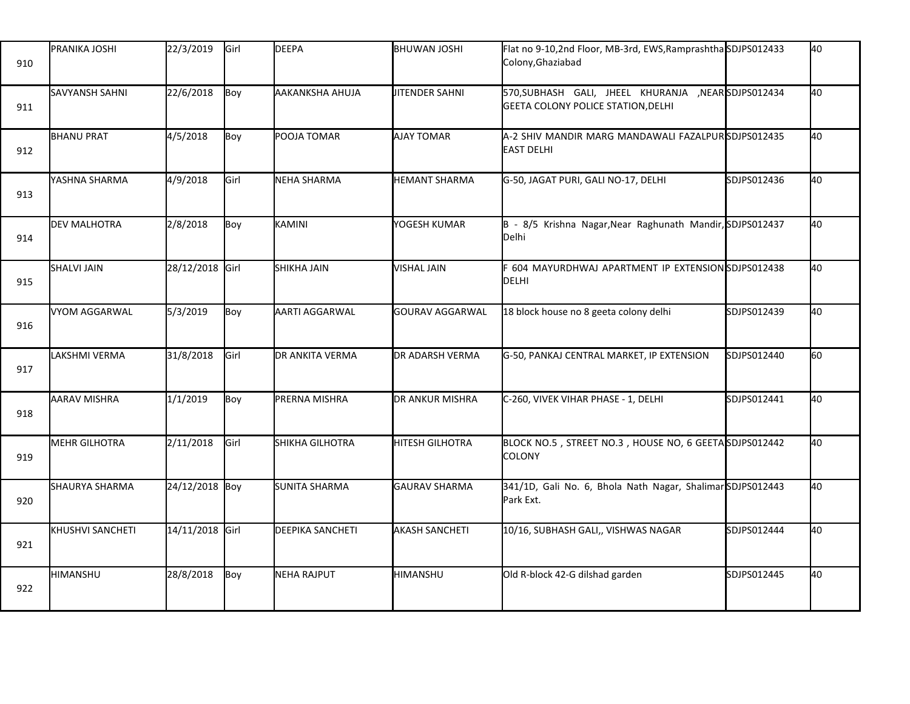| 910 | PRANIKA JOSHI           | 22/3/2019       | Girl | <b>DEEPA</b>            | BHUWAN JOSHI           | Flat no 9-10,2nd Floor, MB-3rd, EWS, Ramprashtha SDJPS012433<br>Colony, Ghaziabad          |             | 40 |
|-----|-------------------------|-----------------|------|-------------------------|------------------------|--------------------------------------------------------------------------------------------|-------------|----|
| 911 | <b>SAVYANSH SAHNI</b>   | 22/6/2018       | Boy  | AAKANKSHA AHUJA         | <b>JITENDER SAHNI</b>  | 570, SUBHASH GALI, JHEEL KHURANJA , NEAR SDJPS012434<br>GEETA COLONY POLICE STATION, DELHI |             | 40 |
| 912 | <b>BHANU PRAT</b>       | 4/5/2018        | Boy  | POOJA TOMAR             | <b>AJAY TOMAR</b>      | A-2 SHIV MANDIR MARG MANDAWALI FAZALPURSDJPS012435<br><b>EAST DELHI</b>                    |             | 40 |
| 913 | YASHNA SHARMA           | 4/9/2018        | Girl | NEHA SHARMA             | <b>HEMANT SHARMA</b>   | G-50, JAGAT PURI, GALI NO-17, DELHI                                                        | SDJPS012436 | 40 |
| 914 | <b>DEV MALHOTRA</b>     | 2/8/2018        | Boy  | <b>KAMINI</b>           | YOGESH KUMAR           | B - 8/5 Krishna Nagar, Near Raghunath Mandir, SDJPS012437<br>Delhi                         |             | 40 |
| 915 | <b>SHALVI JAIN</b>      | 28/12/2018 Girl |      | <b>SHIKHA JAIN</b>      | <b>VISHAL JAIN</b>     | F 604 MAYURDHWAJ APARTMENT IP EXTENSIONSDJPS012438<br><b>DELHI</b>                         |             | 40 |
| 916 | <b>VYOM AGGARWAL</b>    | 5/3/2019        | Boy  | AARTI AGGARWAL          | <b>GOURAV AGGARWAL</b> | 18 block house no 8 geeta colony delhi                                                     | SDJPS012439 | 40 |
| 917 | <b>LAKSHMI VERMA</b>    | 31/8/2018       | Girl | DR ANKITA VERMA         | DR ADARSH VERMA        | G-50, PANKAJ CENTRAL MARKET, IP EXTENSION                                                  | SDJPS012440 | 60 |
| 918 | AARAV MISHRA            | 1/1/2019        | Boy  | PRERNA MISHRA           | DR ANKUR MISHRA        | C-260, VIVEK VIHAR PHASE - 1, DELHI                                                        | SDJPS012441 | 40 |
| 919 | <b>MEHR GILHOTRA</b>    | 2/11/2018       | Girl | SHIKHA GILHOTRA         | <b>HITESH GILHOTRA</b> | BLOCK NO.5, STREET NO.3, HOUSE NO, 6 GEETA SDJPS012442<br><b>COLONY</b>                    |             | 40 |
| 920 | SHAURYA SHARMA          | 24/12/2018 Boy  |      | SUNITA SHARMA           | GAURAV SHARMA          | 341/1D, Gali No. 6, Bhola Nath Nagar, Shalimar SDJPS012443<br>Park Ext.                    |             | 40 |
| 921 | <b>KHUSHVI SANCHETI</b> | 14/11/2018 Girl |      | <b>DEEPIKA SANCHETI</b> | <b>AKASH SANCHETI</b>  | 10/16, SUBHASH GALI,, VISHWAS NAGAR                                                        | SDJPS012444 | 40 |
| 922 | <b>HIMANSHU</b>         | 28/8/2018       | Boy  | NEHA RAJPUT             | <b>HIMANSHU</b>        | Old R-block 42-G dilshad garden                                                            | SDJPS012445 | 40 |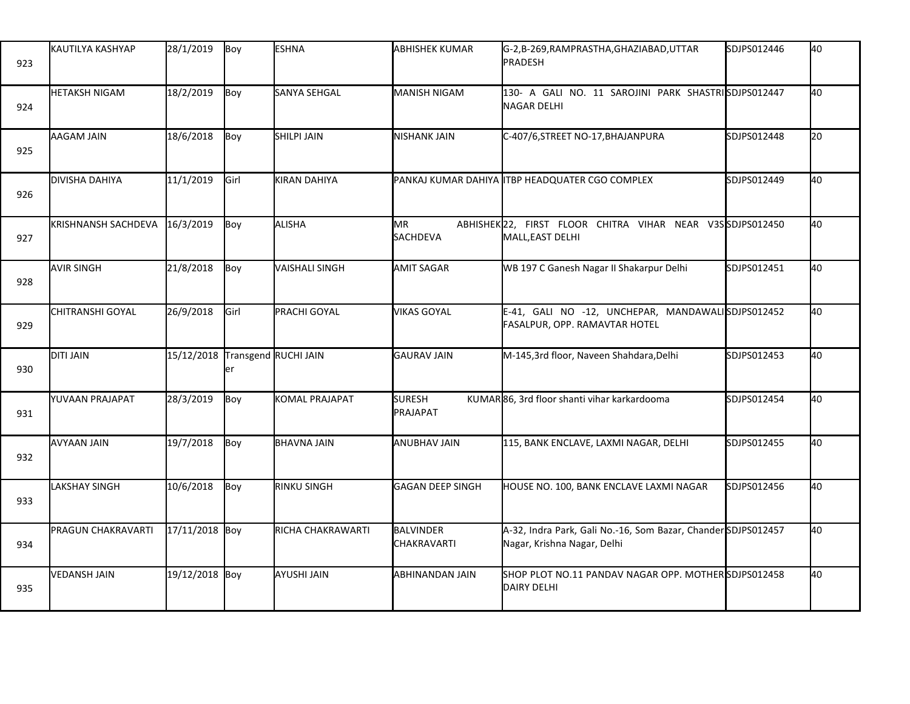| 923 | <b>I</b> KAUTILYA KASHYAP     | 28/1/2019      | Boy                        | <b>ESHNA</b>          | <b>ABHISHEK KUMAR</b>                  | G-2,B-269,RAMPRASTHA,GHAZIABAD,UTTAR<br>PRADESH                                              | SDJPS012446 | 40 |
|-----|-------------------------------|----------------|----------------------------|-----------------------|----------------------------------------|----------------------------------------------------------------------------------------------|-------------|----|
| 924 | <b>HETAKSH NIGAM</b>          | 18/2/2019      | Boy                        | SANYA SEHGAL          | <b>MANISH NIGAM</b>                    | 130- A GALI NO. 11 SAROJINI PARK SHASTRISDJPS012447<br><b>NAGAR DELHI</b>                    |             | 40 |
| 925 | AAGAM JAIN                    | 18/6/2018      | Boy                        | <b>SHILPI JAIN</b>    | <b>NISHANK JAIN</b>                    | C-407/6, STREET NO-17, BHAJANPURA                                                            | SDJPS012448 | 20 |
| 926 | DIVISHA DAHIYA                | 11/1/2019      | Girl                       | <b>KIRAN DAHIYA</b>   |                                        | PANKAJ KUMAR DAHIYA ITBP HEADQUATER CGO COMPLEX                                              | SDJPS012449 | 40 |
| 927 | KRISHNANSH SACHDEVA 16/3/2019 |                | Boy                        | ALISHA                | MR.<br>SACHDEVA                        | ABHISHEK22, FIRST FLOOR CHITRA VIHAR NEAR V3SSDJPS012450<br>MALL, EAST DELHI                 |             | 40 |
| 928 | <b>AVIR SINGH</b>             | 21/8/2018      | Boy                        | VAISHALI SINGH        | <b>AMIT SAGAR</b>                      | WB 197 C Ganesh Nagar II Shakarpur Delhi                                                     | SDJPS012451 | 40 |
| 929 | CHITRANSHI GOYAL              | 26/9/2018      | Girl                       | PRACHI GOYAL          | <b>VIKAS GOYAL</b>                     | E-41, GALI NO -12, UNCHEPAR, MANDAWALISDJPS012452<br>FASALPUR, OPP. RAMAVTAR HOTEL           |             | 40 |
| 930 | <b>DITI JAIN</b>              | 15/12/2018     | Transgend RUCHI JAIN<br>er |                       | <b>GAURAV JAIN</b>                     | M-145,3rd floor, Naveen Shahdara, Delhi                                                      | SDJPS012453 | 40 |
| 931 | YUVAAN PRAJAPAT               | 28/3/2019      | Boy                        | <b>KOMAL PRAJAPAT</b> | <b>SURESH</b><br>PRAJAPAT              | KUMAR 86, 3rd floor shanti vihar karkardooma                                                 | SDJPS012454 | 40 |
| 932 | AVYAAN JAIN                   | 19/7/2018      | Boy                        | <b>BHAVNA JAIN</b>    | <b>ANUBHAV JAIN</b>                    | 115, BANK ENCLAVE, LAXMI NAGAR, DELHI                                                        | SDJPS012455 | 40 |
| 933 | <b>LAKSHAY SINGH</b>          | 10/6/2018      | Boy                        | <b>RINKU SINGH</b>    | GAGAN DEEP SINGH                       | HOUSE NO. 100, BANK ENCLAVE LAXMI NAGAR                                                      | SDJPS012456 | 40 |
| 934 | PRAGUN CHAKRAVARTI            | 17/11/2018 Boy |                            | RICHA CHAKRAWARTI     | <b>BALVINDER</b><br><b>CHAKRAVARTI</b> | A-32, Indra Park, Gali No.-16, Som Bazar, Chander SDJPS012457<br>Nagar, Krishna Nagar, Delhi |             | 40 |
| 935 | <b>VEDANSH JAIN</b>           | 19/12/2018 Boy |                            | AYUSHI JAIN           | ABHINANDAN JAIN                        | SHOP PLOT NO.11 PANDAV NAGAR OPP. MOTHER SDJPS012458<br><b>DAIRY DELHI</b>                   |             | 40 |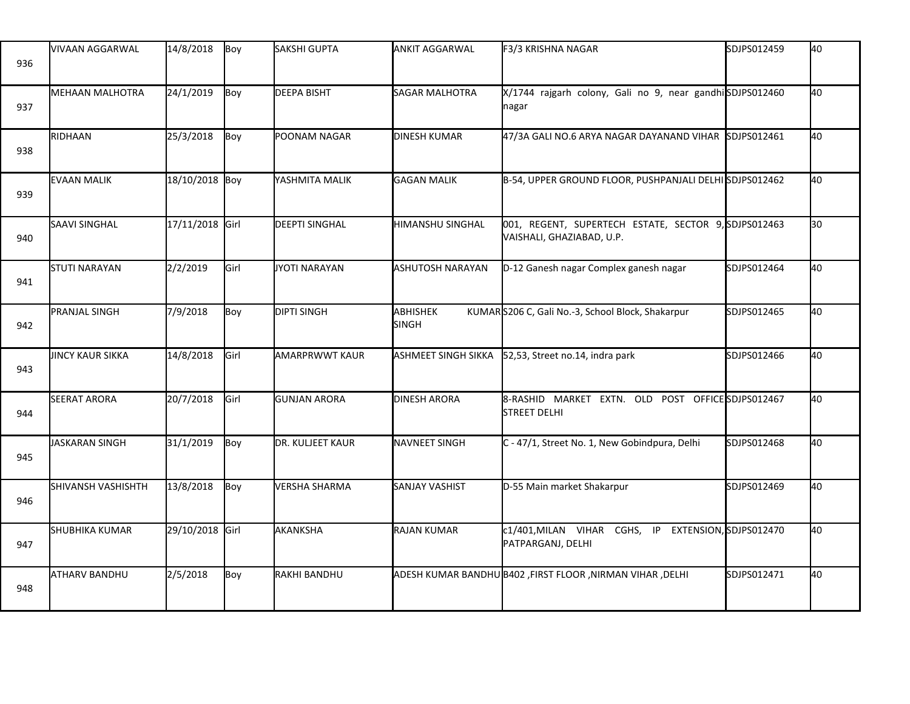| 936 | VIVAAN AGGARWAL         | 14/8/2018       | Boy  | <b>SAKSHI GUPTA</b>   | <b>ANKIT AGGARWAL</b>   | F3/3 KRISHNA NAGAR                                                                | SDJPS012459 | 40 |
|-----|-------------------------|-----------------|------|-----------------------|-------------------------|-----------------------------------------------------------------------------------|-------------|----|
| 937 | <b>MEHAAN MALHOTRA</b>  | 24/1/2019       | Boy  | <b>DEEPA BISHT</b>    | <b>SAGAR MALHOTRA</b>   | X/1744 rajgarh colony, Gali no 9, near gandhiSDJPS012460<br>nagar                 |             | 40 |
| 938 | RIDHAAN                 | 25/3/2018       | Boy  | POONAM NAGAR          | <b>DINESH KUMAR</b>     | 47/3A GALI NO.6 ARYA NAGAR DAYANAND VIHAR                                         | SDJPS012461 | 40 |
| 939 | <b>EVAAN MALIK</b>      | 18/10/2018 Boy  |      | YASHMITA MALIK        | <b>GAGAN MALIK</b>      | B-54, UPPER GROUND FLOOR, PUSHPANJALI DELHISDJPS012462                            |             | 40 |
| 940 | <b>SAAVI SINGHAL</b>    | 17/11/2018 Girl |      | <b>DEEPTI SINGHAL</b> | <b>HIMANSHU SINGHAL</b> | 001, REGENT, SUPERTECH ESTATE, SECTOR 9, SDJPS012463<br>VAISHALI, GHAZIABAD, U.P. |             | 30 |
| 941 | <b>STUTI NARAYAN</b>    | 2/2/2019        | Girl | JYOTI NARAYAN         | <b>ASHUTOSH NARAYAN</b> | D-12 Ganesh nagar Complex ganesh nagar                                            | SDJPS012464 | 40 |
| 942 | <b>PRANJAL SINGH</b>    | 7/9/2018        | Boy  | <b>DIPTI SINGH</b>    | ABHISHEK<br>SINGH       | KUMARS206 C, Gali No.-3, School Block, Shakarpur                                  | SDJPS012465 | 40 |
| 943 | <b>JINCY KAUR SIKKA</b> | 14/8/2018       | Girl | AMARPRWWT KAUR        | ASHMEET SINGH SIKKA     | 52,53, Street no.14, indra park                                                   | SDJPS012466 | 40 |
| 944 | <b>SEERAT ARORA</b>     | 20/7/2018       | Girl | <b>GUNJAN ARORA</b>   | <b>DINESH ARORA</b>     | 8-RASHID MARKET EXTN. OLD POST OFFICE SDJPS012467<br><b>STREET DELHI</b>          |             | 40 |
| 945 | JASKARAN SINGH          | 31/1/2019       | Boy  | DR. KULJEET KAUR      | <b>NAVNEET SINGH</b>    | C - 47/1, Street No. 1, New Gobindpura, Delhi                                     | SDJPS012468 | 40 |
| 946 | SHIVANSH VASHISHTH      | 13/8/2018       | Boy  | <b>VERSHA SHARMA</b>  | <b>SANJAY VASHIST</b>   | D-55 Main market Shakarpur                                                        | SDJPS012469 | 40 |
| 947 | <b>SHUBHIKA KUMAR</b>   | 29/10/2018 Girl |      | AKANKSHA              | <b>RAJAN KUMAR</b>      | c1/401, MILAN VIHAR CGHS, IP EXTENSION, SDJPS012470<br>PATPARGANJ, DELHI          |             | 40 |
| 948 | ATHARV BANDHU           | 2/5/2018        | Boy  | RAKHI BANDHU          |                         | ADESH KUMAR BANDHU B402 ,FIRST FLOOR ,NIRMAN VIHAR ,DELHI                         | SDJPS012471 | 40 |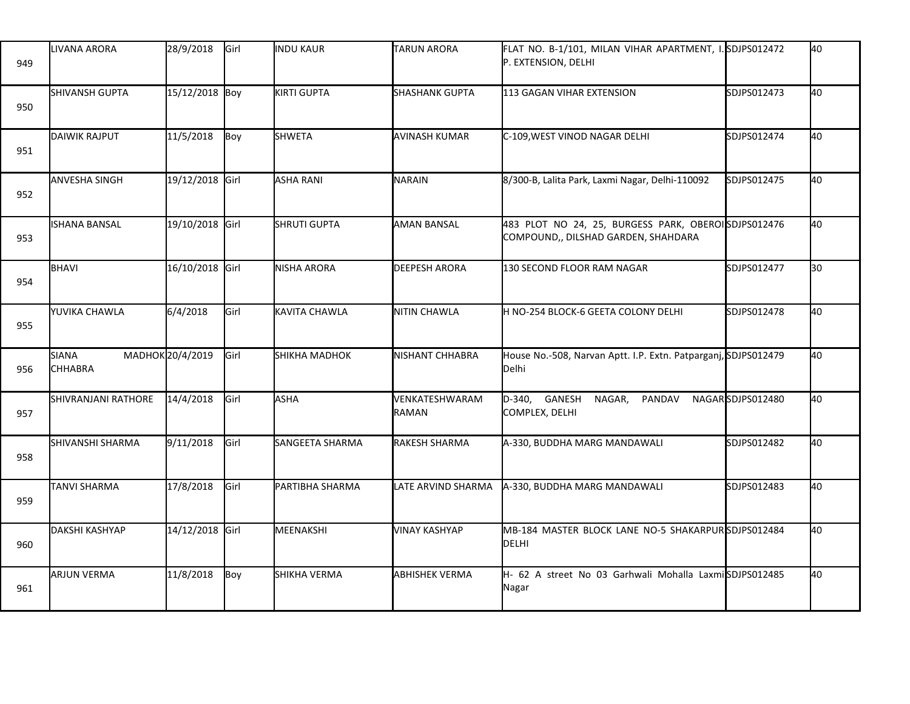| 949 | LIVANA ARORA            | 28/9/2018        | Girl | <b>INDU KAUR</b>    | <b>TARUN ARORA</b>      | FLAT NO. B-1/101, MILAN VIHAR APARTMENT, I. SDJPS012472<br>P. EXTENSION, DELHI             |                  | 40 |
|-----|-------------------------|------------------|------|---------------------|-------------------------|--------------------------------------------------------------------------------------------|------------------|----|
| 950 | <b>I</b> SHIVANSH GUPTA | 15/12/2018 Boy   |      | KIRTI GUPTA         | <b>I</b> SHASHANK GUPTA | 113 GAGAN VIHAR EXTENSION                                                                  | SDJPS012473      | 40 |
| 951 | <b>DAIWIK RAJPUT</b>    | 11/5/2018        | Boy  | <b>SHWETA</b>       | AVINASH KUMAR           | C-109, WEST VINOD NAGAR DELHI                                                              | SDJPS012474      | 40 |
| 952 | <b>ANVESHA SINGH</b>    | 19/12/2018 Girl  |      | <b>ASHA RANI</b>    | NARAIN                  | 8/300-B, Lalita Park, Laxmi Nagar, Delhi-110092                                            | SDJPS012475      | 40 |
| 953 | ISHANA BANSAL           | 19/10/2018 Girl  |      | <b>SHRUTI GUPTA</b> | <b>AMAN BANSAL</b>      | 483 PLOT NO 24, 25, BURGESS PARK, OBEROISDJPS012476<br>COMPOUND,, DILSHAD GARDEN, SHAHDARA |                  | 40 |
| 954 | <b>BHAVI</b>            | 16/10/2018 Girl  |      | NISHA ARORA         | <b>DEEPESH ARORA</b>    | 130 SECOND FLOOR RAM NAGAR                                                                 | SDJPS012477      | 30 |
| 955 | YUVIKA CHAWLA           | 6/4/2018         | Girl | KAVITA CHAWLA       | NITIN CHAWLA            | H NO-254 BLOCK-6 GEETA COLONY DELHI                                                        | SDJPS012478      | 40 |
| 956 | SIANA<br><b>CHHABRA</b> | MADHOK 20/4/2019 | Girl | SHIKHA MADHOK       | NISHANT CHHABRA         | House No.-508, Narvan Aptt. I.P. Extn. Patparganj, SDJPS012479<br>Delhi                    |                  | 40 |
| 957 | SHIVRANJANI RATHORE     | 14/4/2018        | Girl | <b>ASHA</b>         | VENKATESHWARAM<br>RAMAN | GANESH NAGAR,<br>D-340,<br>PANDAV<br>COMPLEX, DELHI                                        | NAGARSDJPS012480 | 40 |
| 958 | SHIVANSHI SHARMA        | 9/11/2018        | Girl | SANGEETA SHARMA     | RAKESH SHARMA           | A-330, BUDDHA MARG MANDAWALI                                                               | SDJPS012482      | 40 |
| 959 | <b>TANVI SHARMA</b>     | 17/8/2018        | Girl | PARTIBHA SHARMA     | LATE ARVIND SHARMA      | A-330, BUDDHA MARG MANDAWALI                                                               | SDJPS012483      | 40 |
| 960 | DAKSHI KASHYAP          | 14/12/2018 Girl  |      | MEENAKSHI           | <b>VINAY KASHYAP</b>    | MB-184 MASTER BLOCK LANE NO-5 SHAKARPURSDJPS012484<br>DELHI                                |                  | 40 |
| 961 | <b>ARJUN VERMA</b>      | 11/8/2018        | Boy  | SHIKHA VERMA        | <b>ABHISHEK VERMA</b>   | H- 62 A street No 03 Garhwali Mohalla LaxmiSDJPS012485<br>Nagar                            |                  | 40 |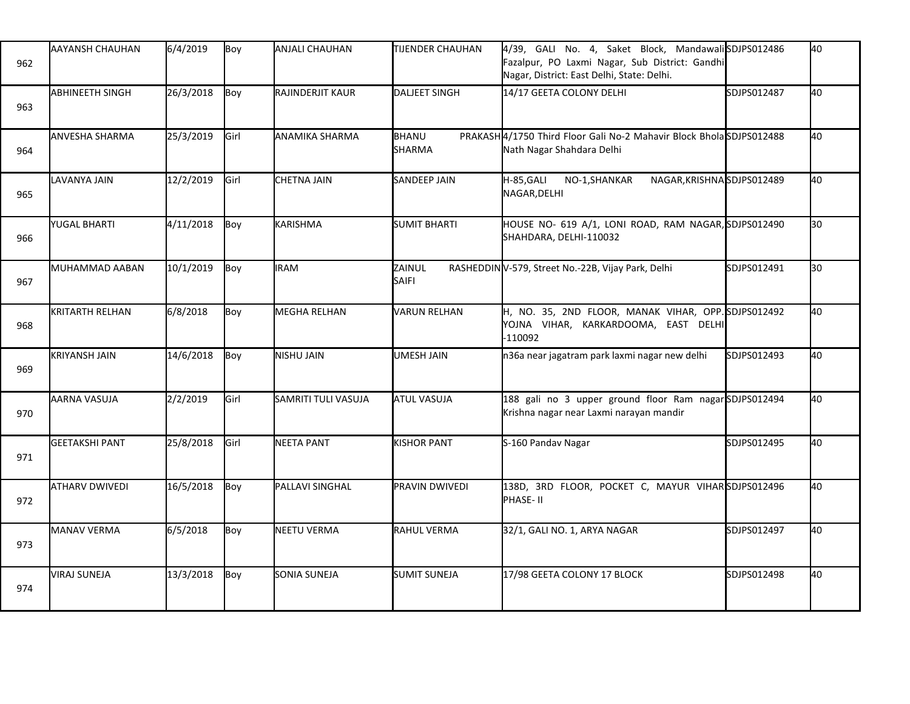| 962 | AAYANSH CHAUHAN        | 6/4/2019  | Boy  | <b>ANJALI CHAUHAN</b> | <b>TIJENDER CHAUHAN</b> | 4/39, GALI No. 4, Saket Block, MandawaliSDJPS012486<br>Fazalpur, PO Laxmi Nagar, Sub District: Gandhi<br>Nagar, District: East Delhi, State: Delhi. |             | 40 |
|-----|------------------------|-----------|------|-----------------------|-------------------------|-----------------------------------------------------------------------------------------------------------------------------------------------------|-------------|----|
| 963 | <b>ABHINEETH SINGH</b> | 26/3/2018 | Boy  | RAJINDERJIT KAUR      | <b>DALJEET SINGH</b>    | 14/17 GEETA COLONY DELHI                                                                                                                            | SDJPS012487 | 40 |
| 964 | <b>ANVESHA SHARMA</b>  | 25/3/2019 | Girl | ANAMIKA SHARMA        | BHANU<br><b>SHARMA</b>  | PRAKASH 4/1750 Third Floor Gali No-2 Mahavir Block Bhola SDJPS012488<br>Nath Nagar Shahdara Delhi                                                   |             | 40 |
| 965 | LAVANYA JAIN           | 12/2/2019 | Girl | <b>CHETNA JAIN</b>    | <b>SANDEEP JAIN</b>     | H-85, GALI<br>NAGAR, KRISHNASDJPS012489<br>NO-1,SHANKAR<br>NAGAR, DELHI                                                                             |             | 40 |
| 966 | YUGAL BHARTI           | 4/11/2018 | Boy  | KARISHMA              | <b>SUMIT BHARTI</b>     | HOUSE NO- 619 A/1, LONI ROAD, RAM NAGAR, SDJPS012490<br>SHAHDARA, DELHI-110032                                                                      |             | 30 |
| 967 | MUHAMMAD AABAN         | 10/1/2019 | Boy  | <b>IRAM</b>           | ZAINUL<br><b>SAIFI</b>  | RASHEDDINV-579, Street No.-22B, Vijay Park, Delhi                                                                                                   | SDJPS012491 | 30 |
| 968 | <b>KRITARTH RELHAN</b> | 6/8/2018  | Boy  | <b>MEGHA RELHAN</b>   | <b>VARUN RELHAN</b>     | H, NO. 35, 2ND FLOOR, MANAK VIHAR, OPP. SDJPS012492<br>YOJNA VIHAR, KARKARDOOMA, EAST DELHI<br>$-110092$                                            |             | 40 |
| 969 | <b>KRIYANSH JAIN</b>   | 14/6/2018 | Boy  | NISHU JAIN            | <b>UMESH JAIN</b>       | n36a near jagatram park laxmi nagar new delhi                                                                                                       | SDJPS012493 | 40 |
| 970 | AARNA VASUJA           | 2/2/2019  | Girl | SAMRITI TULI VASUJA   | <b>ATUL VASUJA</b>      | 188 gali no 3 upper ground floor Ram nagarSDJPS012494<br>Krishna nagar near Laxmi narayan mandir                                                    |             | 40 |
| 971 | <b>GEETAKSHI PANT</b>  | 25/8/2018 | Girl | NEETA PANT            | <b>KISHOR PANT</b>      | S-160 Pandav Nagar                                                                                                                                  | SDJPS012495 | 40 |
| 972 | <b>ATHARV DWIVEDI</b>  | 16/5/2018 | Boy  | PALLAVI SINGHAL       | PRAVIN DWIVEDI          | 138D, 3RD FLOOR, POCKET C, MAYUR VIHARSDJPS012496<br>PHASE- II                                                                                      |             | 40 |
| 973 | <b>MANAV VERMA</b>     | 6/5/2018  | Boy  | NEETU VERMA           | <b>RAHUL VERMA</b>      | 32/1, GALI NO. 1, ARYA NAGAR                                                                                                                        | SDJPS012497 | 40 |
| 974 | <b>VIRAJ SUNEJA</b>    | 13/3/2018 | Boy  | SONIA SUNEJA          | <b>SUMIT SUNEJA</b>     | 17/98 GEETA COLONY 17 BLOCK                                                                                                                         | SDJPS012498 | 40 |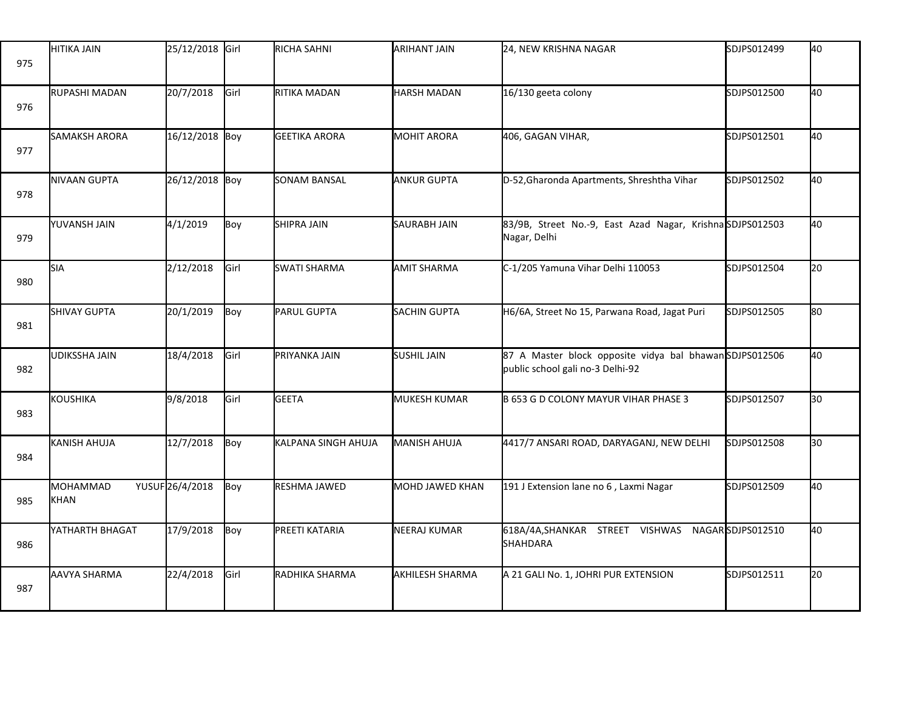| 975 | <b>HITIKA JAIN</b>      | 25/12/2018 Girl |             | RICHA SAHNI          | ARIHANT JAIN        | 24, NEW KRISHNA NAGAR                                                                      | SDJPS012499      | 40 |
|-----|-------------------------|-----------------|-------------|----------------------|---------------------|--------------------------------------------------------------------------------------------|------------------|----|
| 976 | <b>RUPASHI MADAN</b>    | 20/7/2018       | Girl        | RITIKA MADAN         | <b>HARSH MADAN</b>  | 16/130 geeta colony                                                                        | SDJPS012500      | 40 |
| 977 | <b>SAMAKSH ARORA</b>    | 16/12/2018 Boy  |             | <b>GEETIKA ARORA</b> | <b>MOHIT ARORA</b>  | 406, GAGAN VIHAR,                                                                          | SDJPS012501      | 40 |
| 978 | NIVAAN GUPTA            | 26/12/2018 Boy  |             | <b>SONAM BANSAL</b>  | <b>ANKUR GUPTA</b>  | D-52, Gharonda Apartments, Shreshtha Vihar                                                 | SDJPS012502      | 40 |
| 979 | YUVANSH JAIN            | 4/1/2019        | Boy         | <b>SHIPRA JAIN</b>   | <b>SAURABH JAIN</b> | 83/9B, Street No.-9, East Azad Nagar, KrishnaSDJPS012503<br>Nagar, Delhi                   |                  | 40 |
| 980 | <b>SIA</b>              | 2/12/2018       | Girl        | <b>SWATI SHARMA</b>  | <b>AMIT SHARMA</b>  | C-1/205 Yamuna Vihar Delhi 110053                                                          | SDJPS012504      | 20 |
| 981 | <b>SHIVAY GUPTA</b>     | 20/1/2019       | Boy         | PARUL GUPTA          | <b>SACHIN GUPTA</b> | H6/6A, Street No 15, Parwana Road, Jagat Puri                                              | SDJPS012505      | 80 |
| 982 | <b>UDIKSSHA JAIN</b>    | 18/4/2018       | Girl        | PRIYANKA JAIN        | <b>SUSHIL JAIN</b>  | 87 A Master block opposite vidya bal bhawanSDJPS012506<br>public school gali no-3 Delhi-92 |                  | 40 |
| 983 | <b>KOUSHIKA</b>         | 9/8/2018        | <b>Girl</b> | <b>GEETA</b>         | MUKESH KUMAR        | B 653 G D COLONY MAYUR VIHAR PHASE 3                                                       | SDJPS012507      | 30 |
| 984 | KANISH AHUJA            | 12/7/2018       | Boy         | KALPANA SINGH AHUJA  | MANISH AHUJA        | 4417/7 ANSARI ROAD, DARYAGANJ, NEW DELHI                                                   | SDJPS012508      | 30 |
| 985 | <b>MOHAMMAD</b><br>KHAN | YUSUF26/4/2018  | Boy         | RESHMA JAWED         | MOHD JAWED KHAN     | 191 J Extension lane no 6, Laxmi Nagar                                                     | SDJPS012509      | 40 |
| 986 | YATHARTH BHAGAT         | 17/9/2018       | Boy         | PREETI KATARIA       | NEERAJ KUMAR        | 618A/4A, SHANKAR STREET VISHWAS<br>SHAHDARA                                                | NAGARSDJPS012510 | 40 |
| 987 | AAVYA SHARMA            | 22/4/2018       | Girl        | RADHIKA SHARMA       | AKHILESH SHARMA     | A 21 GALI No. 1, JOHRI PUR EXTENSION                                                       | SDJPS012511      | 20 |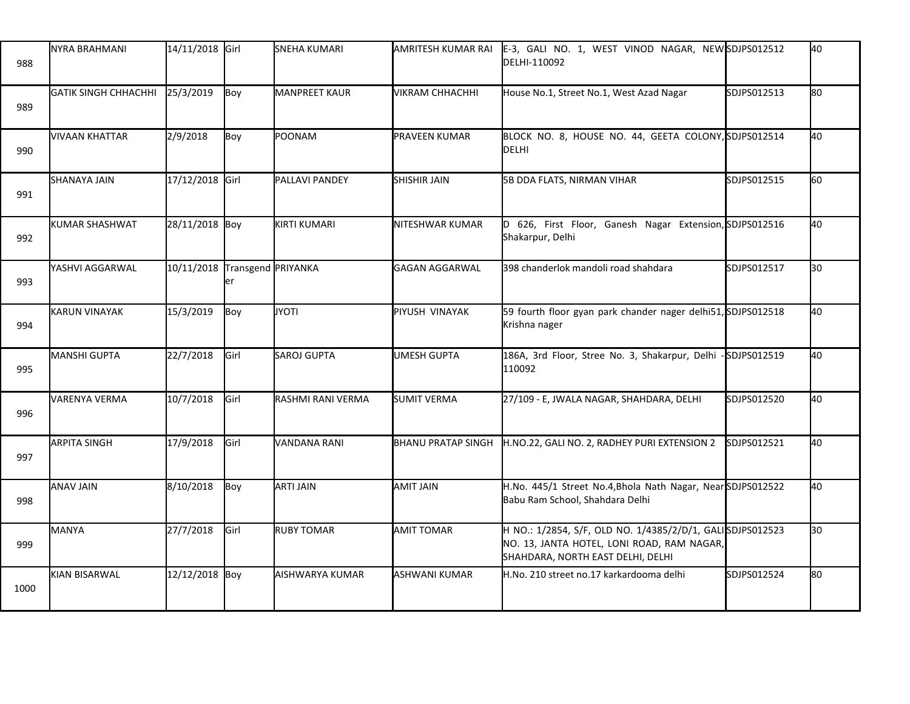| 988  | NYRA BRAHMANI                  | 14/11/2018 Girl               |      | <b>SNEHA KUMARI</b>  | AMRITESH KUMAR RAI        | E-3, GALI NO. 1, WEST VINOD NAGAR, NEW SDJPS012512<br>DELHI-110092                                                                           |             | 40 |
|------|--------------------------------|-------------------------------|------|----------------------|---------------------------|----------------------------------------------------------------------------------------------------------------------------------------------|-------------|----|
| 989  | GATIK SINGH CHHACHHI 25/3/2019 |                               | Boy  | <b>MANPREET KAUR</b> | VIKRAM CHHACHHI           | House No.1, Street No.1, West Azad Nagar                                                                                                     | SDJPS012513 | 80 |
| 990  | <b>VIVAAN KHATTAR</b>          | 2/9/2018                      | Boy  | POONAM               | <b>PRAVEEN KUMAR</b>      | BLOCK NO. 8, HOUSE NO. 44, GEETA COLONY, SDJPS012514<br>DELHI                                                                                |             | 40 |
| 991  | SHANAYA JAIN                   | 17/12/2018 Girl               |      | PALLAVI PANDEY       | <b>SHISHIR JAIN</b>       | 5B DDA FLATS, NIRMAN VIHAR                                                                                                                   | SDJPS012515 | 60 |
| 992  | <b>KUMAR SHASHWAT</b>          | 28/11/2018 Boy                |      | <b>KIRTI KUMARI</b>  | NITESHWAR KUMAR           | 626, First Floor, Ganesh Nagar Extension, SDJPS012516<br>Shakarpur, Delhi                                                                    |             | 40 |
| 993  | YASHVI AGGARWAL                | 10/11/2018 Transgend PRIYANKA | ler  |                      | <b>GAGAN AGGARWAL</b>     | 398 chanderlok mandoli road shahdara                                                                                                         | SDJPS012517 | 30 |
| 994  | KARUN VINAYAK                  | 15/3/2019                     | Boy  | <b>JYOTI</b>         | PIYUSH VINAYAK            | 59 fourth floor gyan park chander nager delhi51, SDJPS012518<br>Krishna nager                                                                |             | 40 |
| 995  | MANSHI GUPTA                   | 22/7/2018                     | Girl | SAROJ GUPTA          | <b>UMESH GUPTA</b>        | 186A, 3rd Floor, Stree No. 3, Shakarpur, Delhi -SDJPS012519<br>110092                                                                        |             | 40 |
| 996  | <b>VARENYA VERMA</b>           | 10/7/2018                     | Girl | RASHMI RANI VERMA    | <b>SUMIT VERMA</b>        | 27/109 - E, JWALA NAGAR, SHAHDARA, DELHI                                                                                                     | SDJPS012520 | 40 |
| 997  | <b>ARPITA SINGH</b>            | 17/9/2018                     | Girl | VANDANA RANI         | <b>BHANU PRATAP SINGH</b> | H.NO.22, GALI NO. 2, RADHEY PURI EXTENSION 2                                                                                                 | SDJPS012521 | 40 |
| 998  | <b>ANAV JAIN</b>               | 8/10/2018                     | Boy  | <b>ARTI JAIN</b>     | AMIT JAIN                 | H.No. 445/1 Street No.4, Bhola Nath Nagar, Near SDJPS012522<br>Babu Ram School, Shahdara Delhi                                               |             | 40 |
| 999  | <b>MANYA</b>                   | 27/7/2018                     | Girl | <b>RUBY TOMAR</b>    | <b>AMIT TOMAR</b>         | H NO.: 1/2854, S/F, OLD NO. 1/4385/2/D/1, GALISDJPS012523<br>NO. 13, JANTA HOTEL, LONI ROAD, RAM NAGAR,<br>SHAHDARA, NORTH EAST DELHI, DELHI |             | 30 |
| 1000 | KIAN BISARWAL                  | 12/12/2018 Boy                |      | AISHWARYA KUMAR      | <b>ASHWANI KUMAR</b>      | H.No. 210 street no.17 karkardooma delhi                                                                                                     | SDJPS012524 | 80 |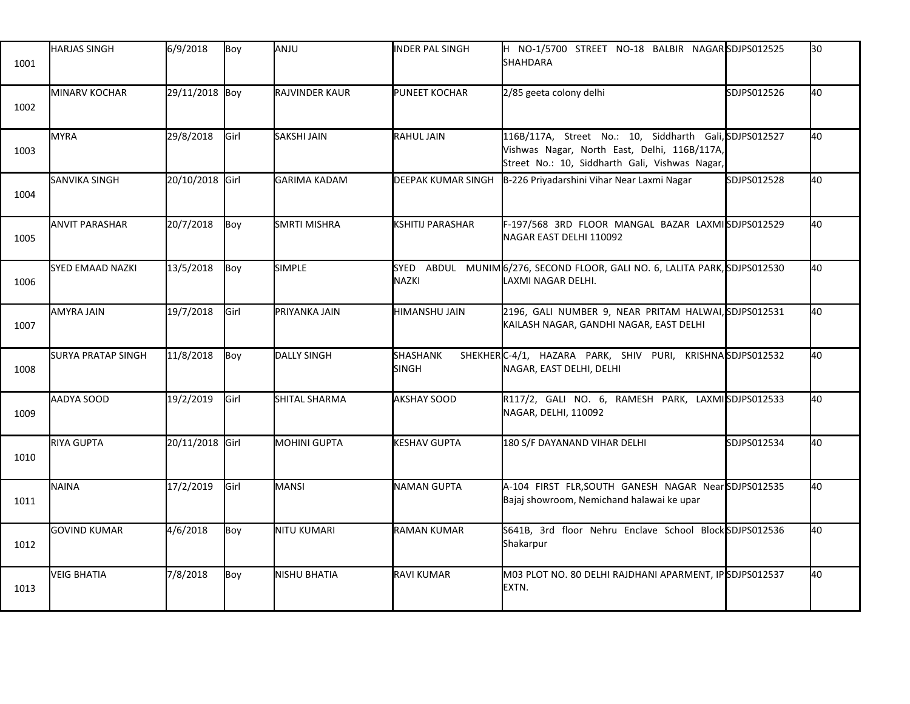| 1001 | <b>HARJAS SINGH</b>       | 6/9/2018        | Boy  | ANJU                | <b>INDER PAL SINGH</b>    | H NO-1/5700 STREET NO-18 BALBIR NAGAR SDJPS012525<br><b>SHAHDARA</b>                                                                                     |             | 30 |
|------|---------------------------|-----------------|------|---------------------|---------------------------|----------------------------------------------------------------------------------------------------------------------------------------------------------|-------------|----|
| 1002 | MINARV KOCHAR             | 29/11/2018 Boy  |      | RAJVINDER KAUR      | PUNEET KOCHAR             | 2/85 geeta colony delhi                                                                                                                                  | SDJPS012526 | 40 |
| 1003 | <b>MYRA</b>               | 29/8/2018       | Girl | SAKSHI JAIN         | <b>RAHUL JAIN</b>         | 116B/117A, Street No.: 10, Siddharth Gali, SDJPS012527<br>Vishwas Nagar, North East, Delhi, 116B/117A,<br>Street No.: 10, Siddharth Gali, Vishwas Nagar, |             | 40 |
| 1004 | <b>SANVIKA SINGH</b>      | 20/10/2018 Girl |      | GARIMA KADAM        | <b>DEEPAK KUMAR SINGH</b> | B-226 Priyadarshini Vihar Near Laxmi Nagar                                                                                                               | SDJPS012528 | 40 |
| 1005 | <b>ANVIT PARASHAR</b>     | 20/7/2018       | Boy  | <b>SMRTI MISHRA</b> | <b>KSHITIJ PARASHAR</b>   | F-197/568 3RD FLOOR MANGAL BAZAR LAXMISDJPS012529<br>NAGAR EAST DELHI 110092                                                                             |             | 40 |
| 1006 | <b>SYED EMAAD NAZKI</b>   | 13/5/2018       | Boy  | <b>SIMPLE</b>       | NAZKI                     | SYED ABDUL MUNIM 6/276, SECOND FLOOR, GALI NO. 6, LALITA PARK, SDJPS012530<br>LAXMI NAGAR DELHI.                                                         |             | 40 |
| 1007 | <b>AMYRA JAIN</b>         | 19/7/2018       | Girl | PRIYANKA JAIN       | HIMANSHU JAIN             | 2196, GALI NUMBER 9, NEAR PRITAM HALWAI, SDJPS012531<br>KAILASH NAGAR, GANDHI NAGAR, EAST DELHI                                                          |             | 40 |
| 1008 | <b>SURYA PRATAP SINGH</b> | 11/8/2018       | Boy  | DALLY SINGH         | SHASHANK<br><b>SINGH</b>  | SHEKHERC-4/1, HAZARA PARK, SHIV PURI, KRISHNASDJPS012532<br>NAGAR, EAST DELHI, DELHI                                                                     |             | 40 |
| 1009 | AADYA SOOD                | 19/2/2019       | Girl | SHITAL SHARMA       | <b>AKSHAY SOOD</b>        | R117/2, GALI NO. 6, RAMESH PARK, LAXMISDJPS012533<br>NAGAR, DELHI, 110092                                                                                |             | 40 |
| 1010 | <b>RIYA GUPTA</b>         | 20/11/2018 Girl |      | MOHINI GUPTA        | <b>KESHAV GUPTA</b>       | 180 S/F DAYANAND VIHAR DELHI                                                                                                                             | SDJPS012534 | 40 |
| 1011 | NAINA                     | 17/2/2019       | Girl | MANSI               | NAMAN GUPTA               | A-104 FIRST FLR, SOUTH GANESH NAGAR Near SDJPS012535<br>Bajaj showroom, Nemichand halawai ke upar                                                        |             | 40 |
| 1012 | <b>GOVIND KUMAR</b>       | 4/6/2018        | Boy  | NITU KUMARI         | <b>RAMAN KUMAR</b>        | S641B, 3rd floor Nehru Enclave School Block SDJPS012536<br>Shakarpur                                                                                     |             | 40 |
| 1013 | <b>VEIG BHATIA</b>        | 7/8/2018        | Boy  | NISHU BHATIA        | <b>I</b> RAVI KUMAR       | M03 PLOT NO. 80 DELHI RAJDHANI APARMENT, IP SDJPS012537<br>EXTN.                                                                                         |             | 40 |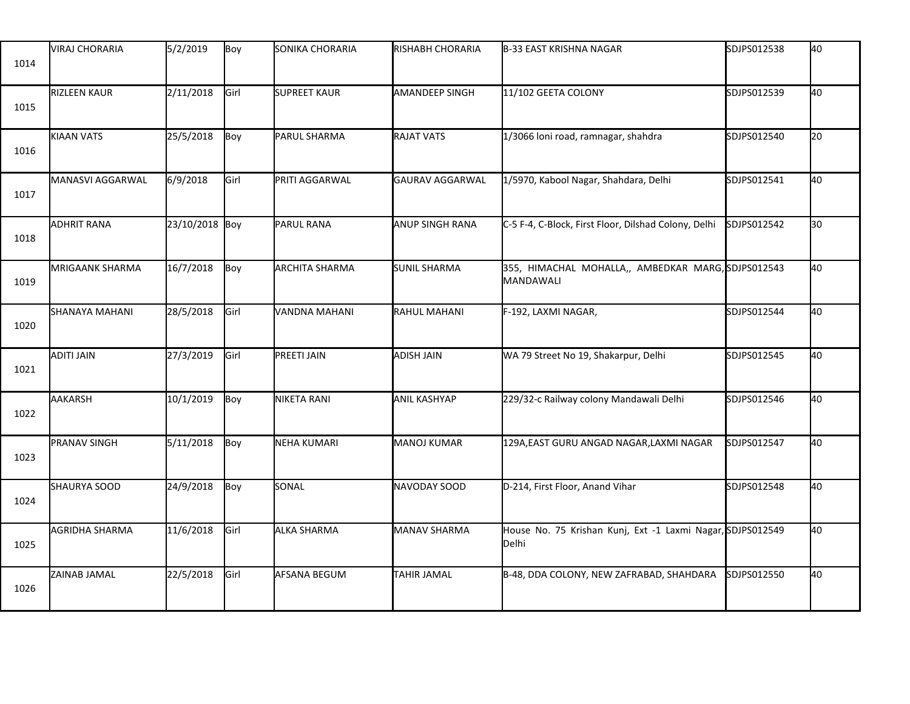| 1014 | <b>VIRAJ CHORARIA</b> | 5/2/2019       | Boy  | SONIKA CHORARIA       | <b>RISHABH CHORARIA</b> | B-33 EAST KRISHNA NAGAR                                             | SDJPS012538 | 40 |
|------|-----------------------|----------------|------|-----------------------|-------------------------|---------------------------------------------------------------------|-------------|----|
| 1015 | <b>RIZLEEN KAUR</b>   | 2/11/2018      | Girl | <b>SUPREET KAUR</b>   | <b>AMANDEEP SINGH</b>   | 11/102 GEETA COLONY                                                 | SDJPS012539 | 40 |
| 1016 | KIAAN VATS            | 25/5/2018      | Boy  | PARUL SHARMA          | <b>RAJAT VATS</b>       | 1/3066 loni road, ramnagar, shahdra                                 | SDJPS012540 | 20 |
| 1017 | MANASVI AGGARWAL      | 6/9/2018       | Girl | PRITI AGGARWAL        | <b>GAURAV AGGARWAL</b>  | 1/5970, Kabool Nagar, Shahdara, Delhi                               | SDJPS012541 | 40 |
| 1018 | <b>ADHRIT RANA</b>    | 23/10/2018 Boy |      | PARUL RANA            | ANUP SINGH RANA         | C-5 F-4, C-Block, First Floor, Dilshad Colony, Delhi                | SDJPS012542 | 30 |
| 1019 | MRIGAANK SHARMA       | 16/7/2018      | Boy  | <b>ARCHITA SHARMA</b> | <b>SUNIL SHARMA</b>     | 355, HIMACHAL MOHALLA,, AMBEDKAR MARG, SDJPS012543<br>MANDAWALI     |             | 40 |
| 1020 | SHANAYA MAHANI        | 28/5/2018      | Girl | VANDNA MAHANI         | RAHUL MAHANI            | F-192, LAXMI NAGAR,                                                 | SDJPS012544 | 40 |
| 1021 | ADITI JAIN            | 27/3/2019      | Girl | PREETI JAIN           | <b>ADISH JAIN</b>       | WA 79 Street No 19, Shakarpur, Delhi                                | SDJPS012545 | 40 |
| 1022 | AAKARSH               | 10/1/2019      | Boy  | NIKETA RANI           | <b>ANIL KASHYAP</b>     | 229/32-c Railway colony Mandawali Delhi                             | SDJPS012546 | 40 |
| 1023 | <b>PRANAV SINGH</b>   | 5/11/2018      | Boy  | NEHA KUMARI           | MANOJ KUMAR             | 129A, EAST GURU ANGAD NAGAR, LAXMI NAGAR                            | SDJPS012547 | 40 |
| 1024 | SHAURYA SOOD          | 24/9/2018      | Boy  | SONAL                 | NAVODAY SOOD            | D-214, First Floor, Anand Vihar                                     | SDJPS012548 | 40 |
| 1025 | <b>AGRIDHA SHARMA</b> | 11/6/2018      | Girl | ALKA SHARMA           | <b>MANAV SHARMA</b>     | House No. 75 Krishan Kunj, Ext -1 Laxmi Nagar, SDJPS012549<br>Delhi |             | 40 |
| 1026 | ZAINAB JAMAL          | 22/5/2018      | Girl | AFSANA BEGUM          | TAHIR JAMAL             | B-48, DDA COLONY, NEW ZAFRABAD, SHAHDARA                            | SDJPS012550 | 40 |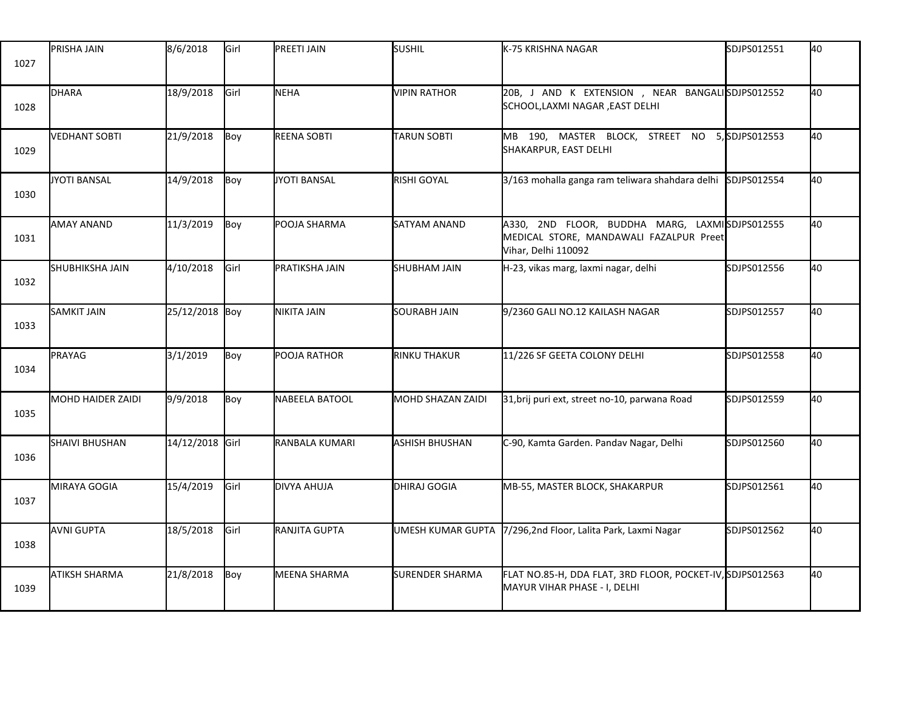| 1027 | PRISHA JAIN              | 8/6/2018        | Girl | PREETI JAIN         | SUSHIL                 | K-75 KRISHNA NAGAR                                                                                               | SDJPS012551   | 40 |
|------|--------------------------|-----------------|------|---------------------|------------------------|------------------------------------------------------------------------------------------------------------------|---------------|----|
| 1028 | DHARA                    | 18/9/2018       | Girl | NEHA                | <b>VIPIN RATHOR</b>    | 20B, J AND K EXTENSION , NEAR BANGALISDJPS012552<br>SCHOOL,LAXMI NAGAR, EAST DELHI                               |               | 40 |
| 1029 | <b>VEDHANT SOBTI</b>     | 21/9/2018       | Boy  | REENA SOBTI         | <b>TARUN SOBTI</b>     | MB 190, MASTER BLOCK, STREET NO<br>SHAKARPUR, EAST DELHI                                                         | 5,SDJPS012553 | 40 |
| 1030 | JYOTI BANSAL             | 14/9/2018       | Boy  | JYOTI BANSAL        | <b>RISHI GOYAL</b>     | 3/163 mohalla ganga ram teliwara shahdara delhi                                                                  | SDJPS012554   | 40 |
| 1031 | <b>AMAY ANAND</b>        | 11/3/2019       | Boy  | POOJA SHARMA        | <b>SATYAM ANAND</b>    | A330, 2ND FLOOR, BUDDHA MARG, LAXMISDJPS012555<br>MEDICAL STORE, MANDAWALI FAZALPUR Preet<br>Vihar, Delhi 110092 |               | 40 |
| 1032 | <b>SHUBHIKSHA JAIN</b>   | 4/10/2018       | Girl | PRATIKSHA JAIN      | <b>SHUBHAM JAIN</b>    | H-23, vikas marg, laxmi nagar, delhi                                                                             | SDJPS012556   | 40 |
| 1033 | <b>SAMKIT JAIN</b>       | 25/12/2018 Boy  |      | NIKITA JAIN         | <b>SOURABH JAIN</b>    | 9/2360 GALI NO.12 KAILASH NAGAR                                                                                  | SDJPS012557   | 40 |
| 1034 | PRAYAG                   | 3/1/2019        | Boy  | POOJA RATHOR        | <b>RINKU THAKUR</b>    | 11/226 SF GEETA COLONY DELHI                                                                                     | SDJPS012558   | 40 |
| 1035 | <b>MOHD HAIDER ZAIDI</b> | 9/9/2018        | Boy  | NABEELA BATOOL      | MOHD SHAZAN ZAIDI      | 31, brij puri ext, street no-10, parwana Road                                                                    | SDJPS012559   | 40 |
| 1036 | <b>SHAIVI BHUSHAN</b>    | 14/12/2018 Girl |      | RANBALA KUMARI      | ASHISH BHUSHAN         | C-90, Kamta Garden. Pandav Nagar, Delhi                                                                          | SDJPS012560   | 40 |
| 1037 | MIRAYA GOGIA             | 15/4/2019       | Girl | DIVYA AHUJA         | DHIRAJ GOGIA           | MB-55, MASTER BLOCK, SHAKARPUR                                                                                   | SDJPS012561   | 40 |
| 1038 | AVNI GUPTA               | 18/5/2018       | Girl | RANJITA GUPTA       | UMESH KUMAR GUPTA      | 7/296,2nd Floor, Lalita Park, Laxmi Nagar                                                                        | SDJPS012562   | 40 |
| 1039 | ATIKSH SHARMA            | 21/8/2018       | Boy  | <b>MEENA SHARMA</b> | <b>SURENDER SHARMA</b> | FLAT NO.85-H, DDA FLAT, 3RD FLOOR, POCKET-IV, SDJPS012563<br>MAYUR VIHAR PHASE - I, DELHI                        |               | 40 |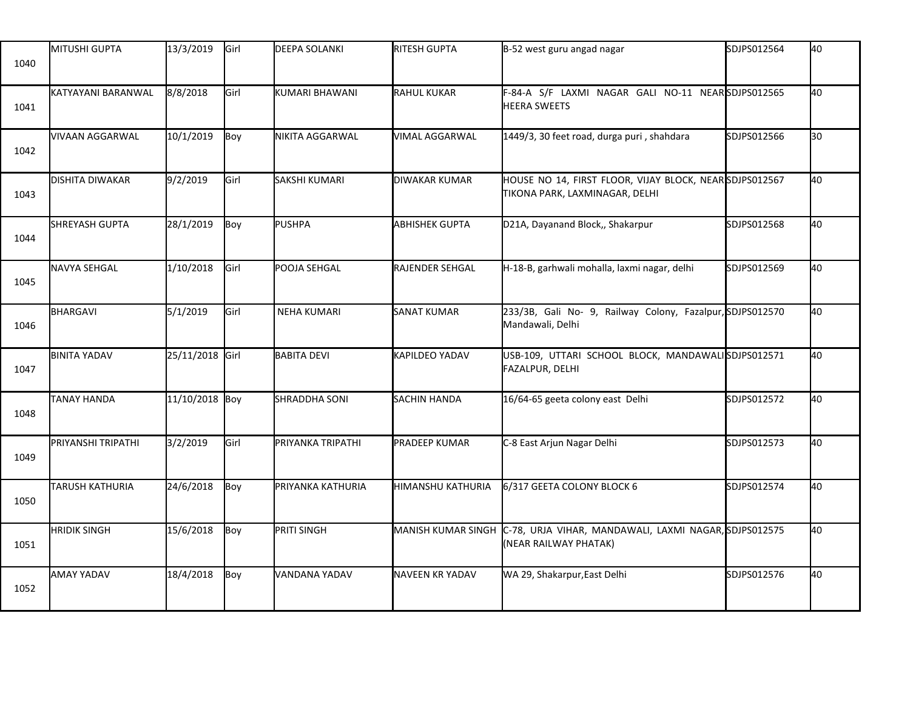| 1040 | MITUSHI GUPTA          | 13/3/2019       | Girl | <b>DEEPA SOLANKI</b> | <b>RITESH GUPTA</b>       | B-52 west guru angad nagar                                                                | SDJPS012564 | 40 |
|------|------------------------|-----------------|------|----------------------|---------------------------|-------------------------------------------------------------------------------------------|-------------|----|
| 1041 | KATYAYANI BARANWAL     | 8/8/2018        | Girl | KUMARI BHAWANI       | <b>RAHUL KUKAR</b>        | F-84-A S/F LAXMI NAGAR GALI NO-11 NEARSDJPS012565<br><b>HEERA SWEETS</b>                  |             | 40 |
| 1042 | VIVAAN AGGARWAL        | 10/1/2019       | Boy  | NIKITA AGGARWAL      | VIMAL AGGARWAL            | 1449/3, 30 feet road, durga puri, shahdara                                                | SDJPS012566 | 30 |
| 1043 | <b>DISHITA DIWAKAR</b> | 9/2/2019        | Girl | SAKSHI KUMARI        | <b>DIWAKAR KUMAR</b>      | HOUSE NO 14, FIRST FLOOR, VIJAY BLOCK, NEAR SDJPS012567<br>TIKONA PARK, LAXMINAGAR, DELHI |             | 40 |
| 1044 | SHREYASH GUPTA         | 28/1/2019       | Boy  | <b>PUSHPA</b>        | <b>ABHISHEK GUPTA</b>     | D21A, Dayanand Block,, Shakarpur                                                          | SDJPS012568 | 40 |
| 1045 | <b>NAVYA SEHGAL</b>    | 1/10/2018       | Girl | POOJA SEHGAL         | RAJENDER SEHGAL           | H-18-B, garhwali mohalla, laxmi nagar, delhi                                              | SDJPS012569 | 40 |
| 1046 | BHARGAVI               | 5/1/2019        | Girl | <b>NEHA KUMARI</b>   | SANAT KUMAR               | 233/3B, Gali No- 9, Railway Colony, Fazalpur, SDJPS012570<br>Mandawali, Delhi             |             | 40 |
| 1047 | <b>BINITA YADAV</b>    | 25/11/2018 Girl |      | <b>BABITA DEVI</b>   | KAPILDEO YADAV            | USB-109, UTTARI SCHOOL BLOCK, MANDAWALISDJPS012571<br>FAZALPUR, DELHI                     |             | 40 |
| 1048 | TANAY HANDA            | 11/10/2018 Boy  |      | <b>SHRADDHA SONI</b> | <b>SACHIN HANDA</b>       | 16/64-65 geeta colony east Delhi                                                          | SDJPS012572 | 40 |
| 1049 | PRIYANSHI TRIPATHI     | 3/2/2019        | Girl | PRIYANKA TRIPATHI    | <b>PRADEEP KUMAR</b>      | C-8 East Arjun Nagar Delhi                                                                | SDJPS012573 | 40 |
| 1050 | <b>TARUSH KATHURIA</b> | 24/6/2018       | Boy  | PRIYANKA KATHURIA    | HIMANSHU KATHURIA         | 6/317 GEETA COLONY BLOCK 6                                                                | SDJPS012574 | 40 |
| 1051 | <b>HRIDIK SINGH</b>    | 15/6/2018       | Boy  | PRITI SINGH          | <b>MANISH KUMAR SINGH</b> | C-78, URJA VIHAR, MANDAWALI, LAXMI NAGAR, SDJPS012575<br>(NEAR RAILWAY PHATAK)            |             | 40 |
| 1052 | AMAY YADAV             | 18/4/2018       | Boy  | VANDANA YADAV        | <b>NAVEEN KR YADAV</b>    | WA 29, Shakarpur, East Delhi                                                              | SDJPS012576 | 40 |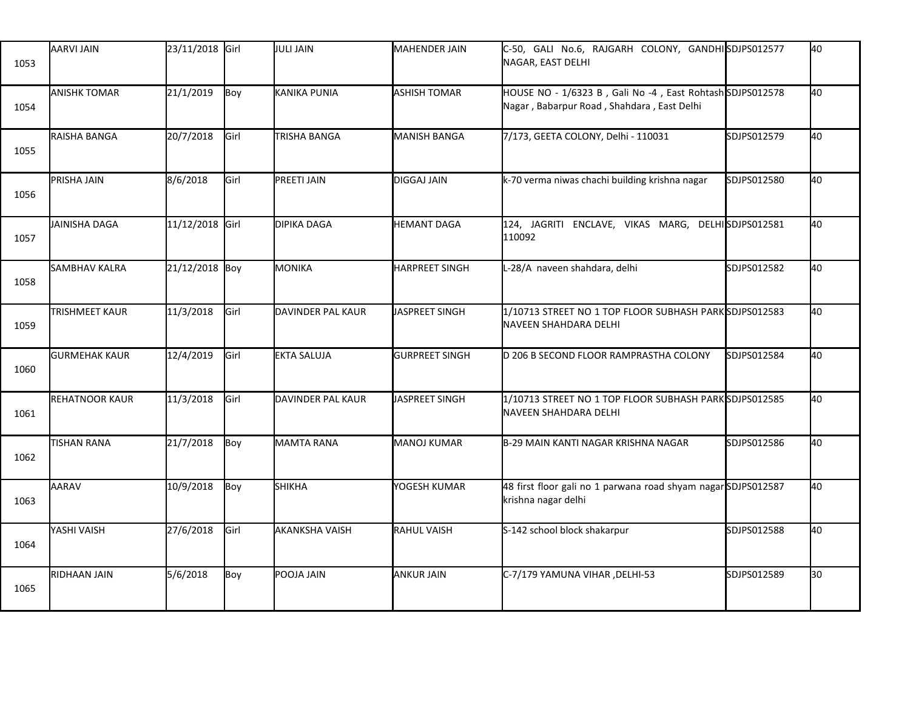| 1053 | AARVI JAIN            | 23/11/2018 Girl |      | JULI JAIN             | MAHENDER JAIN         | C-50, GALI No.6, RAJGARH COLONY, GANDHISDJPS012577<br>NAGAR, EAST DELHI                                 |             | 40 |
|------|-----------------------|-----------------|------|-----------------------|-----------------------|---------------------------------------------------------------------------------------------------------|-------------|----|
| 1054 | <b>ANISHK TOMAR</b>   | 21/1/2019       | Boy  | KANIKA PUNIA          | <b>ASHISH TOMAR</b>   | HOUSE NO - 1/6323 B, Gali No -4, East Rohtash SDJPS012578<br>Nagar, Babarpur Road, Shahdara, East Delhi |             | 40 |
| 1055 | RAISHA BANGA          | 20/7/2018       | Girl | <b>TRISHA BANGA</b>   | <b>MANISH BANGA</b>   | 7/173, GEETA COLONY, Delhi - 110031                                                                     | SDJPS012579 | 40 |
| 1056 | PRISHA JAIN           | 8/6/2018        | Girl | PREETI JAIN           | DIGGAJ JAIN           | k-70 verma niwas chachi building krishna nagar                                                          | SDJPS012580 | 40 |
| 1057 | JAINISHA DAGA         | 11/12/2018 Girl |      | DIPIKA DAGA           | <b>HEMANT DAGA</b>    | 124, JAGRITI ENCLAVE, VIKAS MARG, DELHISDJPS012581<br>110092                                            |             | 40 |
| 1058 | <b>SAMBHAV KALRA</b>  | 21/12/2018 Boy  |      | MONIKA                | <b>HARPREET SINGH</b> | L-28/A naveen shahdara, delhi                                                                           | SDJPS012582 | 40 |
| 1059 | TRISHMEET KAUR        | 11/3/2018       | Girl | DAVINDER PAL KAUR     | JASPREET SINGH        | 1/10713 STREET NO 1 TOP FLOOR SUBHASH PARK SDJPS012583<br>NAVEEN SHAHDARA DELHI                         |             | 40 |
| 1060 | <b>GURMEHAK KAUR</b>  | 12/4/2019       | Girl | EKTA SALUJA           | <b>GURPREET SINGH</b> | D 206 B SECOND FLOOR RAMPRASTHA COLONY                                                                  | SDJPS012584 | 40 |
| 1061 | <b>REHATNOOR KAUR</b> | 11/3/2018       | Girl | DAVINDER PAL KAUR     | JASPREET SINGH        | 1/10713 STREET NO 1 TOP FLOOR SUBHASH PARK SDJPS012585<br>NAVEEN SHAHDARA DELHI                         |             | 40 |
| 1062 | <b>TISHAN RANA</b>    | 21/7/2018       | Boy  | <b>MAMTA RANA</b>     | MANOJ KUMAR           | B-29 MAIN KANTI NAGAR KRISHNA NAGAR                                                                     | SDJPS012586 | 40 |
| 1063 | AARAV                 | 10/9/2018       | Boy  | <b>SHIKHA</b>         | YOGESH KUMAR          | 48 first floor gali no 1 parwana road shyam nagar SDJPS012587<br>krishna nagar delhi                    |             | 40 |
| 1064 | YASHI VAISH           | 27/6/2018       | Girl | <b>AKANKSHA VAISH</b> | <b>RAHUL VAISH</b>    | S-142 school block shakarpur                                                                            | SDJPS012588 | 40 |
| 1065 | RIDHAAN JAIN          | 5/6/2018        | Boy  | POOJA JAIN            | <b>ANKUR JAIN</b>     | C-7/179 YAMUNA VIHAR, DELHI-53                                                                          | SDJPS012589 | 30 |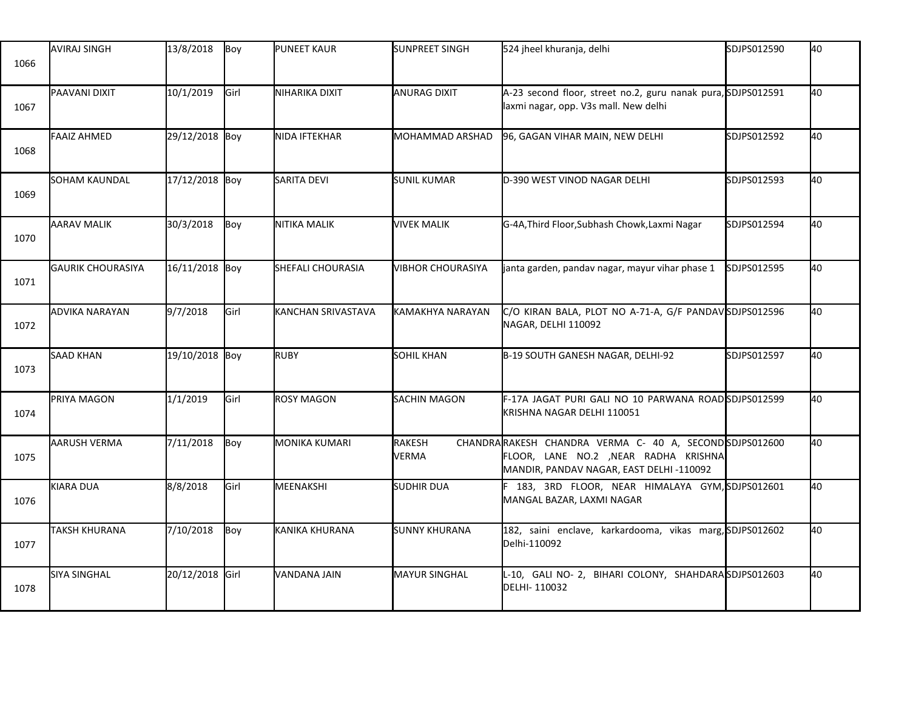| 1066 | <b>AVIRAJ SINGH</b>      | 13/8/2018       | Boy  | PUNEET KAUR              | SUNPREET SINGH           | 524 jheel khuranja, delhi                                                                                                                   | SDJPS012590 | 40 |
|------|--------------------------|-----------------|------|--------------------------|--------------------------|---------------------------------------------------------------------------------------------------------------------------------------------|-------------|----|
| 1067 | PAAVANI DIXIT            | 10/1/2019       | Girl | NIHARIKA DIXIT           | ANURAG DIXIT             | A-23 second floor, street no.2, guru nanak pura, SDJPS012591<br>laxmi nagar, opp. V3s mall. New delhi                                       |             | 40 |
| 1068 | <b>FAAIZ AHMED</b>       | 29/12/2018 Boy  |      | NIDA IFTEKHAR            | MOHAMMAD ARSHAD          | 96, GAGAN VIHAR MAIN, NEW DELHI                                                                                                             | SDJPS012592 | 40 |
| 1069 | <b>SOHAM KAUNDAL</b>     | 17/12/2018 Boy  |      | SARITA DEVI              | <b>SUNIL KUMAR</b>       | D-390 WEST VINOD NAGAR DELHI                                                                                                                | SDJPS012593 | 40 |
| 1070 | <b>AARAV MALIK</b>       | 30/3/2018       | Boy  | NITIKA MALIK             | <b>VIVEK MALIK</b>       | G-4A, Third Floor, Subhash Chowk, Laxmi Nagar                                                                                               | SDJPS012594 | 40 |
| 1071 | <b>GAURIK CHOURASIYA</b> | 16/11/2018 Boy  |      | <b>SHEFALI CHOURASIA</b> | <b>VIBHOR CHOURASIYA</b> | janta garden, pandav nagar, mayur vihar phase 1                                                                                             | SDJPS012595 | 40 |
| 1072 | <b>ADVIKA NARAYAN</b>    | 9/7/2018        | Girl | KANCHAN SRIVASTAVA       | KAMAKHYA NARAYAN         | C/O KIRAN BALA, PLOT NO A-71-A, G/F PANDAV SDJPS012596<br>NAGAR, DELHI 110092                                                               |             | 40 |
| 1073 | <b>SAAD KHAN</b>         | 19/10/2018 Boy  |      | <b>RUBY</b>              | <b>SOHIL KHAN</b>        | B-19 SOUTH GANESH NAGAR, DELHI-92                                                                                                           | SDJPS012597 | 40 |
| 1074 | PRIYA MAGON              | 1/1/2019        | Girl | <b>ROSY MAGON</b>        | SACHIN MAGON             | F-17A JAGAT PURI GALI NO 10 PARWANA ROADSDJPS012599<br>KRISHNA NAGAR DELHI 110051                                                           |             | 40 |
| 1075 | AARUSH VERMA             | 7/11/2018       | Boy  | <b>MONIKA KUMARI</b>     | RAKESH<br>VERMA          | CHANDRARAKESH CHANDRA VERMA C- 40 A, SECONDSDJPS012600<br>FLOOR, LANE NO.2 , NEAR RADHA KRISHNA<br>MANDIR, PANDAV NAGAR, EAST DELHI -110092 |             | 40 |
| 1076 | KIARA DUA                | 8/8/2018        | Girl | MEENAKSHI                | <b>SUDHIR DUA</b>        | F 183, 3RD FLOOR, NEAR HIMALAYA GYM, SDJPS012601<br>MANGAL BAZAR, LAXMI NAGAR                                                               |             | 40 |
| 1077 | <b>TAKSH KHURANA</b>     | 7/10/2018       | Boy  | KANIKA KHURANA           | <b>SUNNY KHURANA</b>     | 182, saini enclave, karkardooma, vikas marg, SDJPS012602<br>Delhi-110092                                                                    |             | 40 |
| 1078 | <b>SIYA SINGHAL</b>      | 20/12/2018 Girl |      | VANDANA JAIN             | <b>MAYUR SINGHAL</b>     | L-10, GALI NO- 2, BIHARI COLONY, SHAHDARASDJPS012603<br>DELHI-110032                                                                        |             | 40 |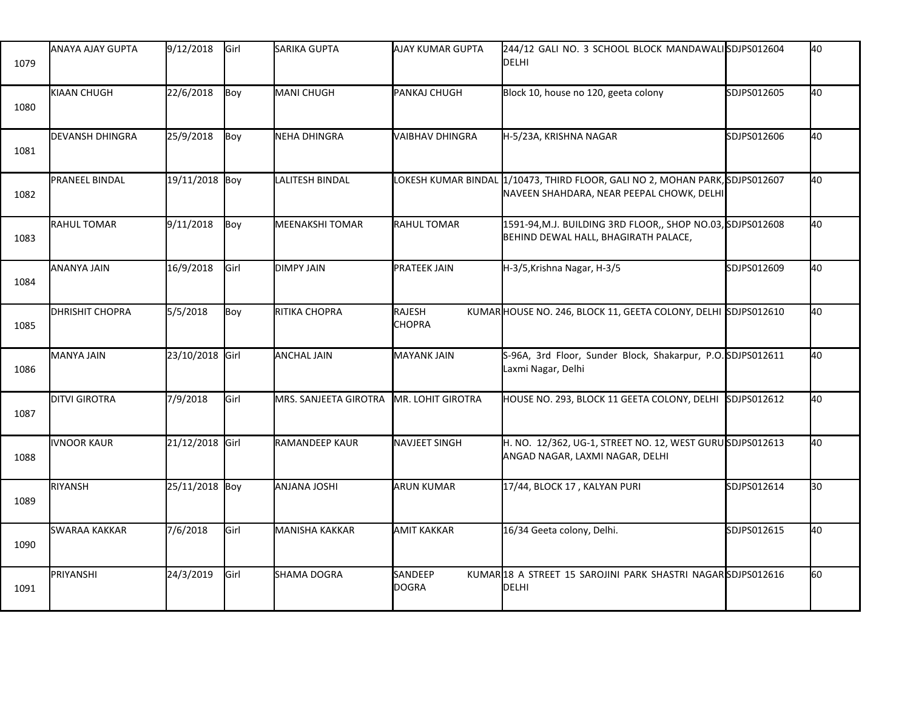| 1079 | ANAYA AJAY GUPTA       | 9/12/2018       | Girl | SARIKA GUPTA           | AJAY KUMAR GUPTA        | 244/12 GALI NO. 3 SCHOOL BLOCK MANDAWALISDJPS012604<br>DELHI                                                              |             | 40  |
|------|------------------------|-----------------|------|------------------------|-------------------------|---------------------------------------------------------------------------------------------------------------------------|-------------|-----|
| 1080 | KIAAN CHUGH            | 22/6/2018       | Boy  | MANI CHUGH             | PANKAJ CHUGH            | Block 10, house no 120, geeta colony                                                                                      | SDJPS012605 | 40  |
| 1081 | DEVANSH DHINGRA        | 25/9/2018       | Boy  | NEHA DHINGRA           | VAIBHAV DHINGRA         | H-5/23A, KRISHNA NAGAR                                                                                                    | SDJPS012606 | 40  |
| 1082 | <b>PRANEEL BINDAL</b>  | 19/11/2018 Boy  |      | <b>LALITESH BINDAL</b> |                         | LOKESH KUMAR BINDAL 1/10473, THIRD FLOOR, GALI NO 2, MOHAN PARK, SDJPS012607<br>NAVEEN SHAHDARA, NEAR PEEPAL CHOWK, DELHI |             | 40  |
| 1083 | RAHUL TOMAR            | 9/11/2018       | Boy  | <b>MEENAKSHI TOMAR</b> | <b>RAHUL TOMAR</b>      | 1591-94, M.J. BUILDING 3RD FLOOR,, SHOP NO.03, SDJPS012608<br>BEHIND DEWAL HALL, BHAGIRATH PALACE,                        |             | 40  |
| 1084 | ANANYA JAIN            | 16/9/2018       | Girl | <b>DIMPY JAIN</b>      | <b>PRATEEK JAIN</b>     | H-3/5, Krishna Nagar, H-3/5                                                                                               | SDJPS012609 | 40  |
| 1085 | <b>DHRISHIT CHOPRA</b> | 5/5/2018        | Boy  | RITIKA CHOPRA          | RAJESH<br><b>CHOPRA</b> | KUMARHOUSE NO. 246, BLOCK 11, GEETA COLONY, DELHI SDJPS012610                                                             |             | 40  |
| 1086 | MANYA JAIN             | 23/10/2018 Girl |      | <b>ANCHAL JAIN</b>     | <b>MAYANK JAIN</b>      | S-96A, 3rd Floor, Sunder Block, Shakarpur, P.O.SDJPS012611<br>Laxmi Nagar, Delhi                                          |             | 40  |
| 1087 | <b>DITVI GIROTRA</b>   | 7/9/2018        | Girl | MRS. SANJEETA GIROTRA  | MR. LOHIT GIROTRA       | HOUSE NO. 293, BLOCK 11 GEETA COLONY, DELHI                                                                               | SDJPS012612 | 40  |
| 1088 | <b>IVNOOR KAUR</b>     | 21/12/2018 Girl |      | RAMANDEEP KAUR         | <b>NAVJEET SINGH</b>    | H. NO. 12/362, UG-1, STREET NO. 12, WEST GURUSDJPS012613<br>ANGAD NAGAR, LAXMI NAGAR, DELHI                               |             | 40  |
| 1089 | RIYANSH                | 25/11/2018 Boy  |      | <b>ANJANA JOSHI</b>    | <b>ARUN KUMAR</b>       | 17/44, BLOCK 17, KALYAN PURI                                                                                              | SDJPS012614 | l30 |
| 1090 | <b>SWARAA KAKKAR</b>   | 7/6/2018        | Girl | MANISHA KAKKAR         | <b>AMIT KAKKAR</b>      | 16/34 Geeta colony, Delhi.                                                                                                | SDJPS012615 | 40  |
| 1091 | PRIYANSHI              | 24/3/2019       | Girl | SHAMA DOGRA            | SANDEEP<br><b>DOGRA</b> | KUMAR18 A STREET 15 SAROJINI PARK SHASTRI NAGARSDJPS012616<br>DELHI                                                       |             | l60 |